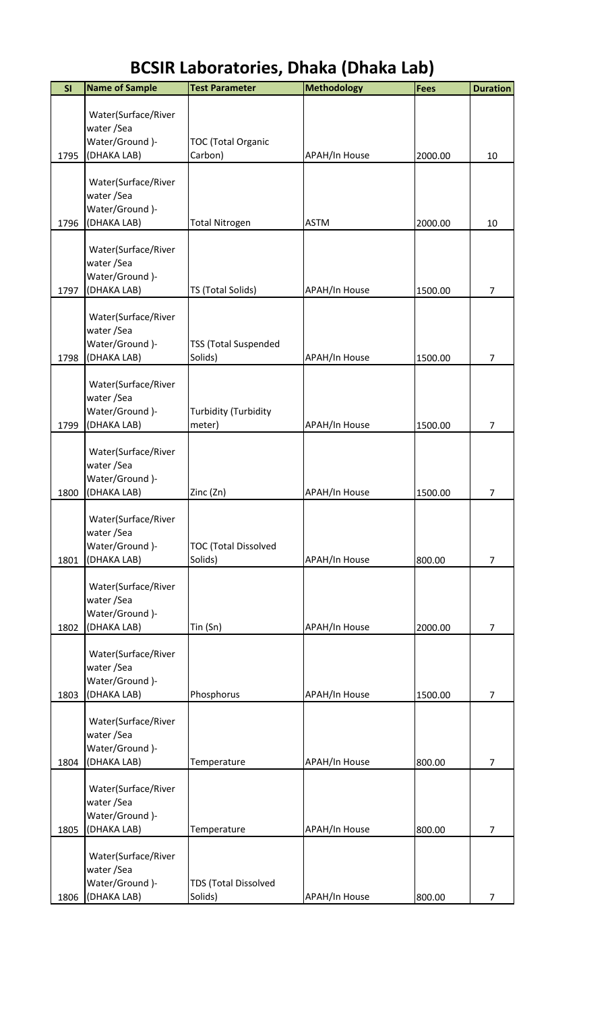| SI   | <b>Name of Sample</b> | <b>Test Parameter</b>       | <b>Methodology</b>   | <b>Fees</b> | <b>Duration</b> |
|------|-----------------------|-----------------------------|----------------------|-------------|-----------------|
|      |                       |                             |                      |             |                 |
|      | Water(Surface/River   |                             |                      |             |                 |
|      | water / Sea           |                             |                      |             |                 |
| 1795 | Water/Ground)-        | <b>TOC (Total Organic</b>   |                      | 2000.00     | 10              |
|      | (DHAKA LAB)           | Carbon)                     | <b>APAH/In House</b> |             |                 |
|      | Water(Surface/River   |                             |                      |             |                 |
|      | water/Sea             |                             |                      |             |                 |
|      | Water/Ground)-        |                             |                      |             |                 |
| 1796 | (DHAKA LAB)           | <b>Total Nitrogen</b>       | <b>ASTM</b>          | 2000.00     | 10              |
|      |                       |                             |                      |             |                 |
|      | Water(Surface/River   |                             |                      |             |                 |
|      | water/Sea             |                             |                      |             |                 |
|      | Water/Ground )-       |                             |                      |             |                 |
| 1797 | (DHAKA LAB)           | TS (Total Solids)           | APAH/In House        | 1500.00     | 7               |
|      | Water(Surface/River   |                             |                      |             |                 |
|      | water / Sea           |                             |                      |             |                 |
|      | Water/Ground)-        | <b>TSS (Total Suspended</b> |                      |             |                 |
| 1798 | (DHAKA LAB)           | Solids)                     | APAH/In House        | 1500.00     | 7               |
|      |                       |                             |                      |             |                 |
|      | Water(Surface/River   |                             |                      |             |                 |
|      | water / Sea           |                             |                      |             |                 |
|      | Water/Ground )-       | Turbidity (Turbidity        |                      |             |                 |
| 1799 | (DHAKA LAB)           | meter)                      | <b>APAH/In House</b> | 1500.00     | 7               |
|      | Water(Surface/River   |                             |                      |             |                 |
|      | water / Sea           |                             |                      |             |                 |
|      | Water/Ground)-        |                             |                      |             |                 |
| 1800 | (DHAKA LAB)           | Zinc (Zn)                   | <b>APAH/In House</b> | 1500.00     | 7               |
|      |                       |                             |                      |             |                 |
|      | Water(Surface/River   |                             |                      |             |                 |
|      | water/Sea             |                             |                      |             |                 |
|      | Water/Ground)-        | <b>TOC (Total Dissolved</b> |                      |             |                 |
| 1801 | (DHAKA LAB)           | Solids)                     | <b>APAH/In House</b> | 800.00      | 7               |
|      | Water(Surface/River   |                             |                      |             |                 |
|      | water / Sea           |                             |                      |             |                 |
|      | Water/Ground)-        |                             |                      |             |                 |
| 1802 | (DHAKA LAB)           | Tin (Sn)                    | <b>APAH/In House</b> | 2000.00     | 7               |
|      |                       |                             |                      |             |                 |
|      | Water(Surface/River   |                             |                      |             |                 |
|      | water/Sea             |                             |                      |             |                 |
|      | Water/Ground)-        |                             |                      |             |                 |
| 1803 | (DHAKA LAB)           | Phosphorus                  | <b>APAH/In House</b> | 1500.00     | 7               |
|      | Water(Surface/River   |                             |                      |             |                 |
|      | water / Sea           |                             |                      |             |                 |
|      | Water/Ground)-        |                             |                      |             |                 |
| 1804 | (DHAKA LAB)           | Temperature                 | APAH/In House        | 800.00      | 7               |
|      |                       |                             |                      |             |                 |
|      | Water(Surface/River   |                             |                      |             |                 |
|      | water / Sea           |                             |                      |             |                 |
|      | Water/Ground)-        |                             |                      |             |                 |
| 1805 | (DHAKA LAB)           | Temperature                 | <b>APAH/In House</b> | 800.00      | 7               |
|      | Water(Surface/River   |                             |                      |             |                 |
|      | water/Sea             |                             |                      |             |                 |
|      | Water/Ground)-        | <b>TDS (Total Dissolved</b> |                      |             |                 |
| 1806 | (DHAKA LAB)           | Solids)                     | <b>APAH/In House</b> | 800.00      | $\overline{7}$  |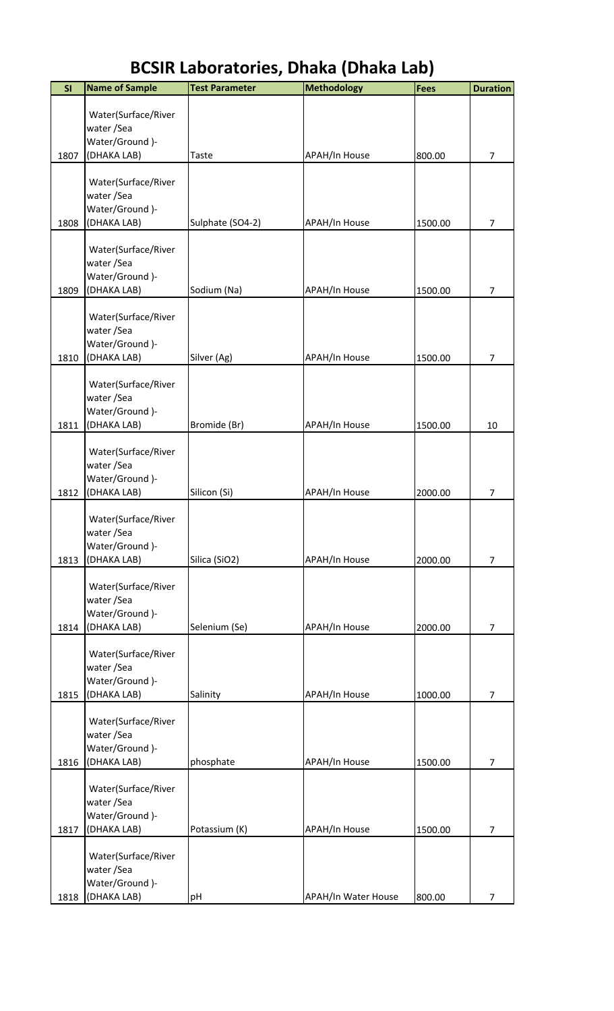| SI   | <b>Name of Sample</b>             | <b>Test Parameter</b> | <b>Methodology</b>   | <b>Fees</b> | <b>Duration</b> |
|------|-----------------------------------|-----------------------|----------------------|-------------|-----------------|
|      | Water(Surface/River               |                       |                      |             |                 |
|      | water /Sea                        |                       |                      |             |                 |
|      | Water/Ground)-                    |                       |                      |             |                 |
| 1807 | (DHAKA LAB)                       | Taste                 | APAH/In House        | 800.00      | $\overline{7}$  |
|      | Water(Surface/River               |                       |                      |             |                 |
|      | water /Sea                        |                       |                      |             |                 |
| 1808 | Water/Ground)-<br>(DHAKA LAB)     | Sulphate (SO4-2)      | <b>APAH/In House</b> | 1500.00     | $\overline{7}$  |
|      |                                   |                       |                      |             |                 |
|      | Water(Surface/River               |                       |                      |             |                 |
|      | water /Sea<br>Water/Ground)-      |                       |                      |             |                 |
| 1809 | (DHAKA LAB)                       | Sodium (Na)           | <b>APAH/In House</b> | 1500.00     | $\overline{7}$  |
|      |                                   |                       |                      |             |                 |
|      | Water(Surface/River<br>water /Sea |                       |                      |             |                 |
|      | Water/Ground)-                    |                       |                      |             |                 |
| 1810 | (DHAKA LAB)                       | Silver (Ag)           | APAH/In House        | 1500.00     | $\overline{7}$  |
|      | Water(Surface/River               |                       |                      |             |                 |
|      | water /Sea                        |                       |                      |             |                 |
|      | Water/Ground)-                    |                       |                      |             |                 |
| 1811 | (DHAKA LAB)                       | Bromide (Br)          | <b>APAH/In House</b> | 1500.00     | 10              |
|      | Water(Surface/River               |                       |                      |             |                 |
|      | water /Sea                        |                       |                      |             |                 |
| 1812 | Water/Ground)-<br>(DHAKA LAB)     | Silicon (Si)          | APAH/In House        | 2000.00     | $\overline{7}$  |
|      |                                   |                       |                      |             |                 |
|      | Water(Surface/River               |                       |                      |             |                 |
|      | water / Sea<br>Water/Ground)-     |                       |                      |             |                 |
| 1813 | (DHAKA LAB)                       | Silica (SiO2)         | <b>APAH/In House</b> | 2000.00     | $\overline{7}$  |
|      |                                   |                       |                      |             |                 |
|      | Water(Surface/River<br>water /Sea |                       |                      |             |                 |
|      | Water/Ground)-                    |                       |                      |             |                 |
| 1814 | (DHAKA LAB)                       | Selenium (Se)         | <b>APAH/In House</b> | 2000.00     | $\overline{7}$  |
|      | Water(Surface/River               |                       |                      |             |                 |
|      | water /Sea                        |                       |                      |             |                 |
|      | Water/Ground)-                    |                       |                      |             |                 |
| 1815 | (DHAKA LAB)                       | Salinity              | <b>APAH/In House</b> | 1000.00     | $\overline{7}$  |
|      | Water(Surface/River               |                       |                      |             |                 |
|      | water / Sea                       |                       |                      |             |                 |
| 1816 | Water/Ground)-<br>(DHAKA LAB)     | phosphate             | <b>APAH/In House</b> | 1500.00     | $\overline{7}$  |
|      |                                   |                       |                      |             |                 |
|      | Water(Surface/River               |                       |                      |             |                 |
|      | water /Sea<br>Water/Ground)-      |                       |                      |             |                 |
| 1817 | (DHAKA LAB)                       | Potassium (K)         | <b>APAH/In House</b> | 1500.00     | $\overline{7}$  |
|      |                                   |                       |                      |             |                 |
|      | Water(Surface/River<br>water /Sea |                       |                      |             |                 |
|      | Water/Ground)-                    |                       |                      |             |                 |
| 1818 | (DHAKA LAB)                       | pH                    | APAH/In Water House  | 800.00      | 7               |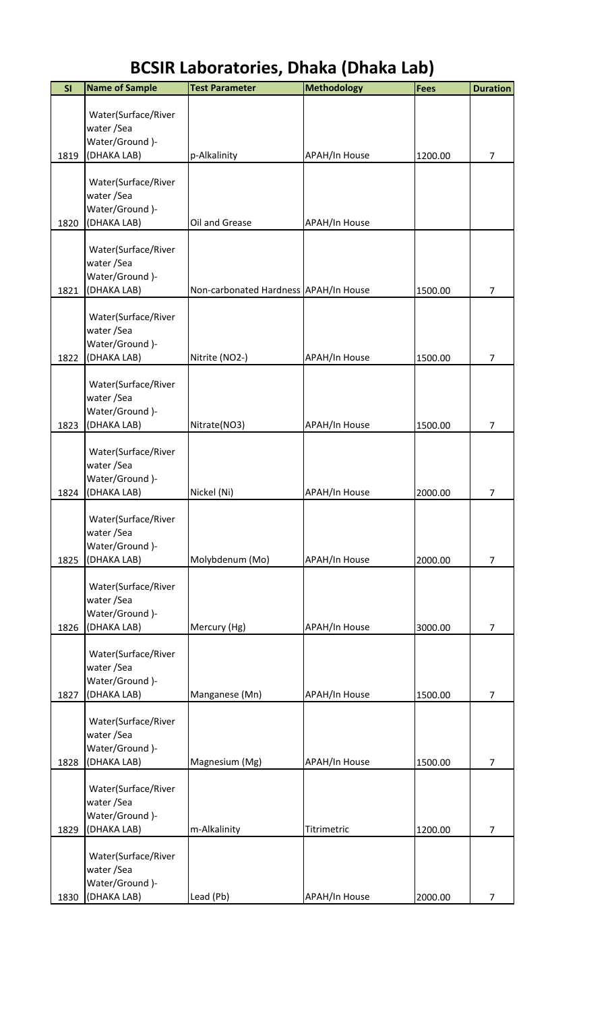| <b>BCSIR Laboratories, Dhaka (Dhaka Lab)</b> |  |
|----------------------------------------------|--|
|----------------------------------------------|--|

| SI   | <b>Name of Sample</b>              | <b>Test Parameter</b>                 | <b>Methodology</b>   | Fees    | <b>Duration</b> |
|------|------------------------------------|---------------------------------------|----------------------|---------|-----------------|
|      |                                    |                                       |                      |         |                 |
|      | Water(Surface/River                |                                       |                      |         |                 |
|      | water/Sea<br>Water/Ground)-        |                                       |                      |         |                 |
| 1819 | (DHAKA LAB)                        | p-Alkalinity                          | APAH/In House        | 1200.00 | 7               |
|      |                                    |                                       |                      |         |                 |
|      | Water(Surface/River                |                                       |                      |         |                 |
|      | water/Sea                          |                                       |                      |         |                 |
|      | Water/Ground )-                    |                                       |                      |         |                 |
| 1820 | (DHAKA LAB)                        | Oil and Grease                        | APAH/In House        |         |                 |
|      |                                    |                                       |                      |         |                 |
|      | Water(Surface/River<br>water / Sea |                                       |                      |         |                 |
|      | Water/Ground)-                     |                                       |                      |         |                 |
| 1821 | (DHAKA LAB)                        | Non-carbonated Hardness APAH/In House |                      | 1500.00 | 7               |
|      |                                    |                                       |                      |         |                 |
|      | Water(Surface/River                |                                       |                      |         |                 |
|      | water/Sea                          |                                       |                      |         |                 |
|      | Water/Ground )-                    |                                       |                      |         |                 |
| 1822 | (DHAKA LAB)                        | Nitrite (NO2-)                        | APAH/In House        | 1500.00 | 7               |
|      | Water(Surface/River                |                                       |                      |         |                 |
|      | water/Sea                          |                                       |                      |         |                 |
|      | Water/Ground )-                    |                                       |                      |         |                 |
| 1823 | (DHAKA LAB)                        | Nitrate(NO3)                          | <b>APAH/In House</b> | 1500.00 | 7               |
|      |                                    |                                       |                      |         |                 |
|      | Water(Surface/River                |                                       |                      |         |                 |
|      | water / Sea                        |                                       |                      |         |                 |
|      | Water/Ground)-                     |                                       |                      |         |                 |
| 1824 | (DHAKA LAB)                        | Nickel (Ni)                           | APAH/In House        | 2000.00 | 7               |
|      | Water(Surface/River                |                                       |                      |         |                 |
|      | water/Sea                          |                                       |                      |         |                 |
|      | Water/Ground)-                     |                                       |                      |         |                 |
| 1825 | (DHAKA LAB)                        | Molybdenum (Mo)                       | APAH/In House        | 2000.00 | $\overline{7}$  |
|      |                                    |                                       |                      |         |                 |
|      | Water(Surface/River                |                                       |                      |         |                 |
|      | water / Sea<br>Water/Ground)-      |                                       |                      |         |                 |
| 1826 | (DHAKA LAB)                        | Mercury (Hg)                          | <b>APAH/In House</b> | 3000.00 | $\overline{7}$  |
|      |                                    |                                       |                      |         |                 |
|      | Water(Surface/River                |                                       |                      |         |                 |
|      | water/Sea                          |                                       |                      |         |                 |
|      | Water/Ground)-                     |                                       |                      |         |                 |
| 1827 | (DHAKA LAB)                        | Manganese (Mn)                        | APAH/In House        | 1500.00 | $\overline{7}$  |
|      | Water(Surface/River                |                                       |                      |         |                 |
|      | water/Sea                          |                                       |                      |         |                 |
|      | Water/Ground)-                     |                                       |                      |         |                 |
| 1828 | (DHAKA LAB)                        | Magnesium (Mg)                        | <b>APAH/In House</b> | 1500.00 | 7               |
|      |                                    |                                       |                      |         |                 |
|      | Water(Surface/River                |                                       |                      |         |                 |
|      | water / Sea                        |                                       |                      |         |                 |
|      | Water/Ground)-                     |                                       |                      |         |                 |
| 1829 | (DHAKA LAB)                        | m-Alkalinity                          | Titrimetric          | 1200.00 | 7               |
|      | Water(Surface/River                |                                       |                      |         |                 |
|      | water / Sea                        |                                       |                      |         |                 |
|      | Water/Ground)-                     |                                       |                      |         |                 |
| 1830 | (DHAKA LAB)                        | Lead (Pb)                             | <b>APAH/In House</b> | 2000.00 | $\overline{7}$  |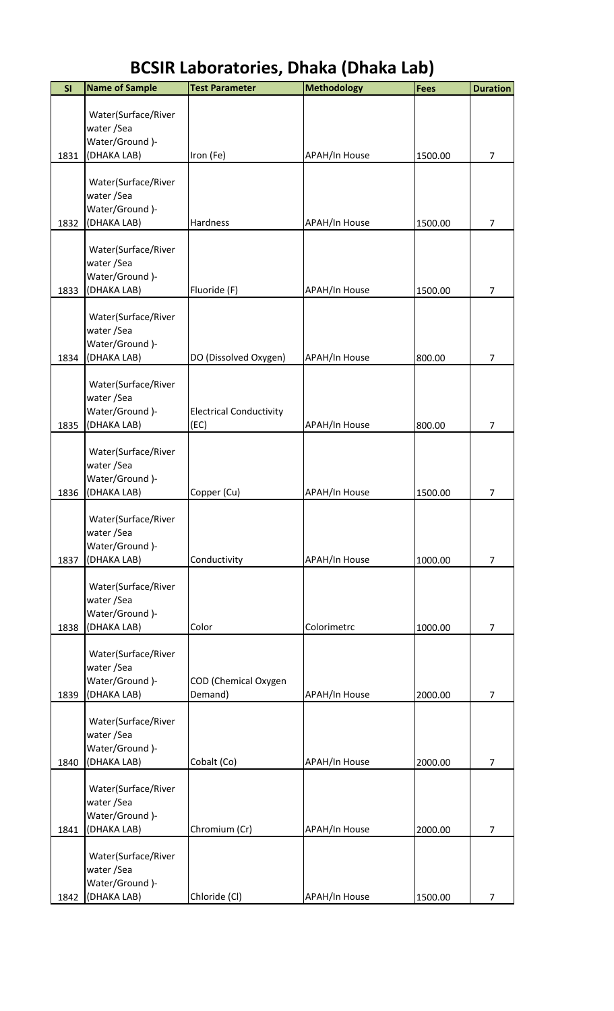| SI   | <b>Name of Sample</b>             | <b>Test Parameter</b>          | <b>Methodology</b>   | <b>Fees</b> | <b>Duration</b> |
|------|-----------------------------------|--------------------------------|----------------------|-------------|-----------------|
|      |                                   |                                |                      |             |                 |
|      | Water(Surface/River               |                                |                      |             |                 |
|      | water/Sea<br>Water/Ground)-       |                                |                      |             |                 |
| 1831 | (DHAKA LAB)                       | Iron (Fe)                      | APAH/In House        | 1500.00     | $\overline{7}$  |
|      |                                   |                                |                      |             |                 |
|      | Water(Surface/River<br>water/Sea  |                                |                      |             |                 |
|      | Water/Ground)-                    |                                |                      |             |                 |
| 1832 | (DHAKA LAB)                       | Hardness                       | <b>APAH/In House</b> | 1500.00     | 7               |
|      |                                   |                                |                      |             |                 |
|      | Water(Surface/River<br>water /Sea |                                |                      |             |                 |
|      | Water/Ground)-                    |                                |                      |             |                 |
| 1833 | (DHAKA LAB)                       | Fluoride (F)                   | APAH/In House        | 1500.00     | $\overline{7}$  |
|      |                                   |                                |                      |             |                 |
|      | Water(Surface/River<br>water /Sea |                                |                      |             |                 |
|      | Water/Ground)-                    |                                |                      |             |                 |
| 1834 | (DHAKA LAB)                       | DO (Dissolved Oxygen)          | <b>APAH/In House</b> | 800.00      | $\overline{7}$  |
|      |                                   |                                |                      |             |                 |
|      | Water(Surface/River               |                                |                      |             |                 |
|      | water/Sea<br>Water/Ground)-       | <b>Electrical Conductivity</b> |                      |             |                 |
| 1835 | (DHAKA LAB)                       | (EC)                           | <b>APAH/In House</b> | 800.00      | 7               |
|      |                                   |                                |                      |             |                 |
|      | Water(Surface/River               |                                |                      |             |                 |
|      | water/Sea                         |                                |                      |             |                 |
| 1836 | Water/Ground )-<br>(DHAKA LAB)    | Copper (Cu)                    | <b>APAH/In House</b> | 1500.00     | 7               |
|      |                                   |                                |                      |             |                 |
|      | Water(Surface/River               |                                |                      |             |                 |
|      | water/Sea                         |                                |                      |             |                 |
| 1837 | Water/Ground)-                    |                                |                      | 1000.00     | $\overline{7}$  |
|      | (DHAKA LAB)                       | Conductivity                   | <b>APAH/In House</b> |             |                 |
|      | Water(Surface/River               |                                |                      |             |                 |
|      | water / Sea                       |                                |                      |             |                 |
|      | Water/Ground)-                    |                                |                      |             |                 |
| 1838 | (DHAKA LAB)                       | Color                          | Colorimetrc          | 1000.00     | $\overline{7}$  |
|      | Water(Surface/River               |                                |                      |             |                 |
|      | water/Sea                         |                                |                      |             |                 |
|      | Water/Ground )-                   | COD (Chemical Oxygen           |                      |             |                 |
| 1839 | (DHAKA LAB)                       | Demand)                        | <b>APAH/In House</b> | 2000.00     | 7               |
|      | Water(Surface/River               |                                |                      |             |                 |
|      | water/Sea                         |                                |                      |             |                 |
|      | Water/Ground)-                    |                                |                      |             |                 |
| 1840 | (DHAKA LAB)                       | Cobalt (Co)                    | APAH/In House        | 2000.00     | 7               |
|      | Water(Surface/River               |                                |                      |             |                 |
|      | water/Sea                         |                                |                      |             |                 |
|      | Water/Ground)-                    |                                |                      |             |                 |
| 1841 | (DHAKA LAB)                       | Chromium (Cr)                  | <b>APAH/In House</b> | 2000.00     | 7               |
|      |                                   |                                |                      |             |                 |
|      | Water(Surface/River<br>water/Sea  |                                |                      |             |                 |
|      | Water/Ground)-                    |                                |                      |             |                 |
| 1842 | (DHAKA LAB)                       | Chloride (Cl)                  | APAH/In House        | 1500.00     | 7               |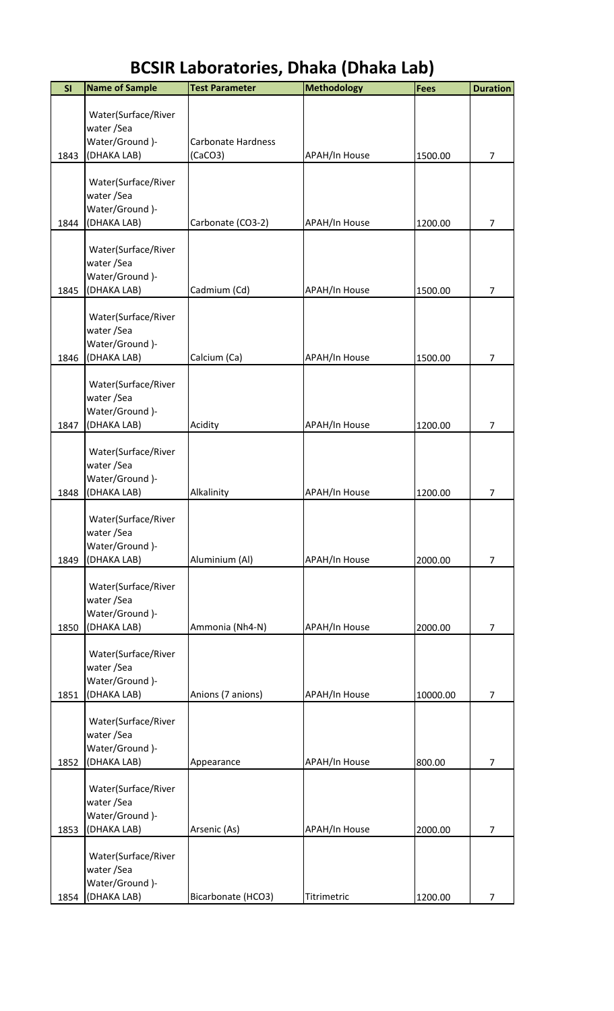| SI   | <b>Name of Sample</b>              | <b>Test Parameter</b>     | <b>Methodology</b>   | Fees     | <b>Duration</b> |
|------|------------------------------------|---------------------------|----------------------|----------|-----------------|
|      |                                    |                           |                      |          |                 |
|      | Water(Surface/River<br>water / Sea |                           |                      |          |                 |
|      | Water/Ground)-                     | <b>Carbonate Hardness</b> |                      |          |                 |
| 1843 | (DHAKA LAB)                        | (CaCO3)                   | APAH/In House        | 1500.00  | $\overline{7}$  |
|      |                                    |                           |                      |          |                 |
|      | Water(Surface/River                |                           |                      |          |                 |
|      | water / Sea                        |                           |                      |          |                 |
|      | Water/Ground)-                     |                           |                      |          |                 |
| 1844 | (DHAKA LAB)                        | Carbonate (CO3-2)         | <b>APAH/In House</b> | 1200.00  | 7               |
|      | Water(Surface/River                |                           |                      |          |                 |
|      | water / Sea                        |                           |                      |          |                 |
|      | Water/Ground)-                     |                           |                      |          |                 |
| 1845 | (DHAKA LAB)                        | Cadmium (Cd)              | <b>APAH/In House</b> | 1500.00  | 7               |
|      | Water(Surface/River                |                           |                      |          |                 |
|      | water / Sea                        |                           |                      |          |                 |
|      | Water/Ground )-                    |                           |                      |          |                 |
| 1846 | (DHAKA LAB)                        | Calcium (Ca)              | APAH/In House        | 1500.00  | 7               |
|      |                                    |                           |                      |          |                 |
|      | Water(Surface/River                |                           |                      |          |                 |
|      | water/Sea                          |                           |                      |          |                 |
| 1847 | Water/Ground)-<br>(DHAKA LAB)      | Acidity                   | <b>APAH/In House</b> | 1200.00  | $\overline{7}$  |
|      |                                    |                           |                      |          |                 |
|      | Water(Surface/River                |                           |                      |          |                 |
|      | water / Sea                        |                           |                      |          |                 |
|      | Water/Ground)-                     |                           |                      |          |                 |
| 1848 | (DHAKA LAB)                        | Alkalinity                | <b>APAH/In House</b> | 1200.00  | 7               |
|      | Water(Surface/River                |                           |                      |          |                 |
|      | water/Sea                          |                           |                      |          |                 |
|      | Water/Ground)-                     |                           |                      |          |                 |
| 1849 | (DHAKA LAB)                        | Aluminium (Al)            | <b>APAH/In House</b> | 2000.00  | $\overline{7}$  |
|      |                                    |                           |                      |          |                 |
|      | Water(Surface/River<br>water/Sea   |                           |                      |          |                 |
|      | Water/Ground)-                     |                           |                      |          |                 |
| 1850 | (DHAKA LAB)                        | Ammonia (Nh4-N)           | APAH/In House        | 2000.00  | 7               |
|      |                                    |                           |                      |          |                 |
|      | Water(Surface/River                |                           |                      |          |                 |
|      | water / Sea<br>Water/Ground)-      |                           |                      |          |                 |
| 1851 | (DHAKA LAB)                        | Anions (7 anions)         | <b>APAH/In House</b> | 10000.00 | 7               |
|      |                                    |                           |                      |          |                 |
|      | Water(Surface/River                |                           |                      |          |                 |
|      | water / Sea                        |                           |                      |          |                 |
|      | Water/Ground)-                     |                           |                      |          |                 |
| 1852 | (DHAKA LAB)                        | Appearance                | <b>APAH/In House</b> | 800.00   | 7               |
|      | Water(Surface/River                |                           |                      |          |                 |
|      | water / Sea                        |                           |                      |          |                 |
|      | Water/Ground)-                     |                           |                      |          |                 |
| 1853 | (DHAKA LAB)                        | Arsenic (As)              | APAH/In House        | 2000.00  | $\overline{7}$  |
|      | Water(Surface/River                |                           |                      |          |                 |
|      | water / Sea                        |                           |                      |          |                 |
|      | Water/Ground)-                     |                           |                      |          |                 |
| 1854 | (DHAKA LAB)                        | Bicarbonate (HCO3)        | Titrimetric          | 1200.00  | $\overline{7}$  |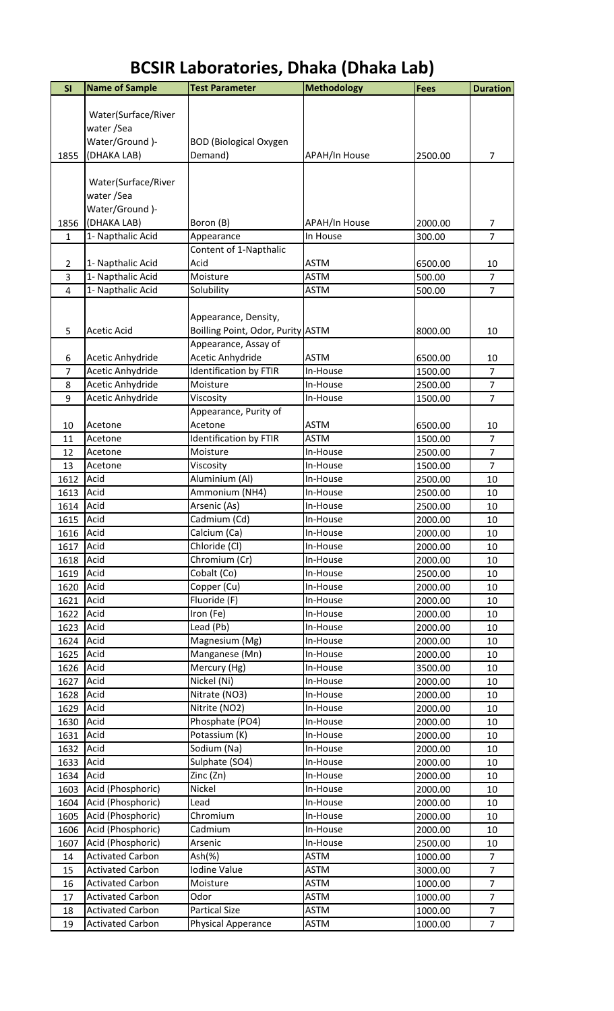| SI             | <b>Name of Sample</b>   | <b>Test Parameter</b>             | <b>Methodology</b>   | <b>Fees</b> | <b>Duration</b> |
|----------------|-------------------------|-----------------------------------|----------------------|-------------|-----------------|
|                |                         |                                   |                      |             |                 |
|                | Water(Surface/River     |                                   |                      |             |                 |
|                | water /Sea              |                                   |                      |             |                 |
|                | Water/Ground)-          | <b>BOD</b> (Biological Oxygen     |                      |             |                 |
| 1855           | (DHAKA LAB)             | Demand)                           | APAH/In House        | 2500.00     | $\overline{7}$  |
|                |                         |                                   |                      |             |                 |
|                | Water(Surface/River     |                                   |                      |             |                 |
|                | water /Sea              |                                   |                      |             |                 |
|                | Water/Ground )-         |                                   |                      |             |                 |
| 1856           | (DHAKA LAB)             | Boron (B)                         | <b>APAH/In House</b> | 2000.00     | 7               |
| 1              | 1- Napthalic Acid       | Appearance                        | In House             | 300.00      | $\overline{7}$  |
|                |                         | Content of 1-Napthalic            |                      |             |                 |
| $\overline{2}$ | 1- Napthalic Acid       | Acid                              | <b>ASTM</b>          | 6500.00     | 10              |
| 3              | 1- Napthalic Acid       | Moisture                          | <b>ASTM</b>          | 500.00      | $\overline{7}$  |
| $\overline{4}$ | 1- Napthalic Acid       | Solubility                        | <b>ASTM</b>          | 500.00      | $\overline{7}$  |
|                |                         |                                   |                      |             |                 |
|                |                         | Appearance, Density,              |                      |             |                 |
| 5              | <b>Acetic Acid</b>      | Boilling Point, Odor, Purity ASTM |                      | 8000.00     | 10              |
|                |                         | Appearance, Assay of              |                      |             |                 |
| 6              | Acetic Anhydride        | Acetic Anhydride                  | <b>ASTM</b>          | 6500.00     | 10              |
| $\overline{7}$ | Acetic Anhydride        | <b>Identification by FTIR</b>     | In-House             | 1500.00     | $\overline{7}$  |
| 8              | Acetic Anhydride        | Moisture                          | In-House             | 2500.00     | $\overline{7}$  |
| 9              | Acetic Anhydride        | Viscosity                         | In-House             | 1500.00     | $\overline{7}$  |
|                |                         | Appearance, Purity of             |                      |             |                 |
| 10             | Acetone                 | Acetone                           | <b>ASTM</b>          | 6500.00     | 10              |
| 11             | Acetone                 | <b>Identification by FTIR</b>     | <b>ASTM</b>          | 1500.00     | $\overline{7}$  |
| 12             | Acetone                 | Moisture                          | In-House             | 2500.00     | $\overline{7}$  |
| 13             | Acetone                 | Viscosity                         | In-House             | 1500.00     | $\overline{7}$  |
| 1612           | Acid                    | Aluminium (Al)                    | In-House             | 2500.00     | 10              |
| 1613           | Acid                    | Ammonium (NH4)                    | In-House             | 2500.00     | 10              |
| 1614           | Acid                    | Arsenic (As)                      | In-House             | 2500.00     | 10              |
| 1615           | Acid                    | Cadmium (Cd)                      | In-House             | 2000.00     | 10              |
| 1616           | Acid                    | Calcium (Ca)                      | In-House             | 2000.00     | 10              |
| 1617           | Acid                    | Chloride (Cl)                     | In-House             | 2000.00     | 10              |
| 1618           | Acid                    | Chromium (Cr)                     | In-House             | 2000.00     | 10              |
| 1619           | Acid                    | Cobalt (Co)                       | In-House             | 2500.00     | 10              |
| 1620           | Acid                    | Copper (Cu)                       | In-House             | 2000.00     | 10              |
| 1621           | Acid                    | Fluoride (F)                      | In-House             | 2000.00     | 10              |
| 1622           | Acid                    | Iron (Fe)                         | In-House             | 2000.00     | 10              |
| 1623           | Acid                    | Lead (Pb)                         | In-House             | 2000.00     | 10              |
| 1624           | Acid                    | Magnesium (Mg)                    | In-House             | 2000.00     | 10              |
| 1625           | Acid                    | Manganese (Mn)                    | In-House             | 2000.00     | 10              |
| 1626           | Acid                    | Mercury (Hg)                      | In-House             | 3500.00     | 10              |
| 1627           | Acid                    | Nickel (Ni)                       | In-House             | 2000.00     | 10              |
| 1628           | Acid                    | Nitrate (NO3)                     | In-House             | 2000.00     | 10              |
| 1629           | Acid                    | Nitrite (NO2)                     | In-House             | 2000.00     | 10              |
| 1630           | Acid                    | Phosphate (PO4)                   | In-House             | 2000.00     | 10              |
|                |                         |                                   |                      |             |                 |
| 1631           | Acid                    | Potassium (K)                     | In-House             | 2000.00     | 10              |
| 1632           | Acid                    | Sodium (Na)                       | In-House             | 2000.00     | 10              |
| 1633           | Acid<br>Acid            | Sulphate (SO4)                    | In-House             | 2000.00     | 10              |
| 1634           |                         | Zinc (Zn)                         | In-House             | 2000.00     | 10              |
| 1603           | Acid (Phosphoric)       | Nickel                            | In-House             | 2000.00     | 10              |
| 1604           | Acid (Phosphoric)       | Lead                              | In-House             | 2000.00     | 10              |
| 1605           | Acid (Phosphoric)       | Chromium                          | In-House             | 2000.00     | 10              |
| 1606           | Acid (Phosphoric)       | Cadmium                           | In-House             | 2000.00     | 10              |
| 1607           | Acid (Phosphoric)       | Arsenic                           | In-House             | 2500.00     | 10              |
| 14             | <b>Activated Carbon</b> | Ash(%)                            | <b>ASTM</b>          | 1000.00     | $\overline{7}$  |
| 15             | <b>Activated Carbon</b> | Iodine Value                      | <b>ASTM</b>          | 3000.00     | $\overline{7}$  |
| 16             | <b>Activated Carbon</b> | Moisture                          | <b>ASTM</b>          | 1000.00     | $\overline{7}$  |
| 17             | <b>Activated Carbon</b> | Odor                              | <b>ASTM</b>          | 1000.00     | $\overline{7}$  |
| 18             | <b>Activated Carbon</b> | <b>Partical Size</b>              | <b>ASTM</b>          | 1000.00     | $\overline{7}$  |
| 19             | <b>Activated Carbon</b> | Physical Apperance                | <b>ASTM</b>          | 1000.00     | $\overline{7}$  |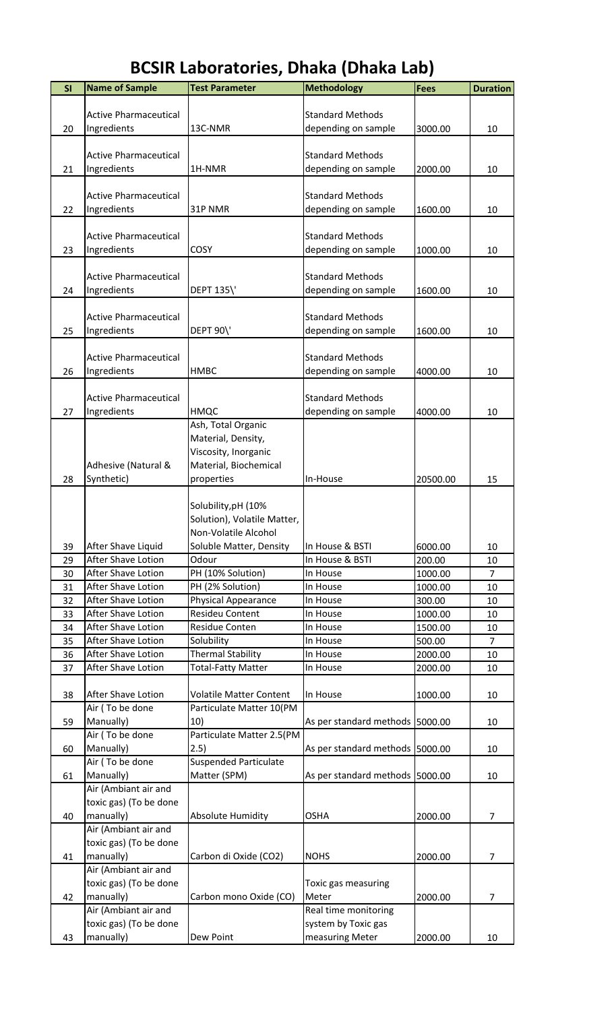|--|

| SI | <b>Name of Sample</b>        | <b>Test Parameter</b>          | <b>Methodology</b>              | Fees     | <b>Duration</b> |
|----|------------------------------|--------------------------------|---------------------------------|----------|-----------------|
|    |                              |                                |                                 |          |                 |
|    | <b>Active Pharmaceutical</b> |                                | <b>Standard Methods</b>         |          |                 |
| 20 | Ingredients                  | 13C-NMR                        | depending on sample             | 3000.00  | 10              |
|    |                              |                                |                                 |          |                 |
|    | <b>Active Pharmaceutical</b> |                                | <b>Standard Methods</b>         |          |                 |
| 21 | Ingredients                  | 1H-NMR                         | depending on sample             | 2000.00  | 10              |
|    |                              |                                |                                 |          |                 |
|    | <b>Active Pharmaceutical</b> |                                | <b>Standard Methods</b>         |          |                 |
| 22 | Ingredients                  | 31P NMR                        | depending on sample             | 1600.00  | 10              |
|    |                              |                                |                                 |          |                 |
|    | <b>Active Pharmaceutical</b> |                                | <b>Standard Methods</b>         |          |                 |
|    |                              |                                |                                 |          |                 |
| 23 | Ingredients                  | COSY                           | depending on sample             | 1000.00  | 10              |
|    |                              |                                |                                 |          |                 |
|    | <b>Active Pharmaceutical</b> |                                | <b>Standard Methods</b>         |          |                 |
| 24 | Ingredients                  | <b>DEPT 135\'</b>              | depending on sample             | 1600.00  | 10              |
|    |                              |                                |                                 |          |                 |
|    | <b>Active Pharmaceutical</b> |                                | <b>Standard Methods</b>         |          |                 |
| 25 | Ingredients                  | <b>DEPT 90\'</b>               | depending on sample             | 1600.00  | 10              |
|    |                              |                                |                                 |          |                 |
|    | <b>Active Pharmaceutical</b> |                                | <b>Standard Methods</b>         |          |                 |
| 26 | Ingredients                  | <b>HMBC</b>                    | depending on sample             | 4000.00  | 10              |
|    |                              |                                |                                 |          |                 |
|    | <b>Active Pharmaceutical</b> |                                | <b>Standard Methods</b>         |          |                 |
| 27 | Ingredients                  | HMQC                           | depending on sample             | 4000.00  | 10              |
|    |                              |                                |                                 |          |                 |
|    |                              | Ash, Total Organic             |                                 |          |                 |
|    |                              | Material, Density,             |                                 |          |                 |
|    |                              | Viscosity, Inorganic           |                                 |          |                 |
|    | Adhesive (Natural &          | Material, Biochemical          |                                 |          |                 |
| 28 | Synthetic)                   | properties                     | In-House                        | 20500.00 | 15              |
|    |                              |                                |                                 |          |                 |
|    |                              | Solubility, pH (10%            |                                 |          |                 |
|    |                              | Solution), Volatile Matter,    |                                 |          |                 |
|    |                              | Non-Volatile Alcohol           |                                 |          |                 |
| 39 | After Shave Liquid           | Soluble Matter, Density        | In House & BSTI                 | 6000.00  | 10              |
| 29 | After Shave Lotion           | Odour                          | In House & BSTI                 | 200.00   | 10              |
| 30 | After Shave Lotion           | PH (10% Solution)              | In House                        | 1000.00  | $\overline{7}$  |
| 31 | After Shave Lotion           | PH (2% Solution)               |                                 | 1000.00  |                 |
|    |                              |                                | In House                        |          | 10              |
| 32 | After Shave Lotion           | Physical Appearance            | In House                        | 300.00   | 10              |
| 33 | After Shave Lotion           | Resideu Content                | In House                        | 1000.00  | 10              |
| 34 | After Shave Lotion           | <b>Residue Conten</b>          | In House                        | 1500.00  | 10              |
| 35 | After Shave Lotion           | Solubility                     | In House                        | 500.00   | $\overline{7}$  |
| 36 | After Shave Lotion           | <b>Thermal Stability</b>       | In House                        | 2000.00  | 10              |
| 37 | After Shave Lotion           | <b>Total-Fatty Matter</b>      | In House                        | 2000.00  | 10              |
|    |                              |                                |                                 |          |                 |
| 38 | After Shave Lotion           | <b>Volatile Matter Content</b> | In House                        | 1000.00  | 10              |
|    | Air (To be done              | Particulate Matter 10(PM       |                                 |          |                 |
| 59 | Manually)                    | 10)                            | As per standard methods 5000.00 |          | 10              |
|    | Air (To be done              | Particulate Matter 2.5(PM      |                                 |          |                 |
| 60 | Manually)                    | 2.5)                           | As per standard methods 5000.00 |          | 10              |
|    | Air (To be done              | <b>Suspended Particulate</b>   |                                 |          |                 |
| 61 | Manually)                    | Matter (SPM)                   | As per standard methods 5000.00 |          | 10              |
|    |                              |                                |                                 |          |                 |
|    | Air (Ambiant air and         |                                |                                 |          |                 |
|    | toxic gas) (To be done       |                                |                                 |          |                 |
| 40 | manually)                    | <b>Absolute Humidity</b>       | <b>OSHA</b>                     | 2000.00  | $\overline{7}$  |
|    | Air (Ambiant air and         |                                |                                 |          |                 |
|    | toxic gas) (To be done       |                                |                                 |          |                 |
| 41 | manually)                    | Carbon di Oxide (CO2)          | <b>NOHS</b>                     | 2000.00  | 7               |
|    | Air (Ambiant air and         |                                |                                 |          |                 |
|    | toxic gas) (To be done       |                                | Toxic gas measuring             |          |                 |
| 42 | manually)                    | Carbon mono Oxide (CO)         | Meter                           | 2000.00  | 7               |
|    | Air (Ambiant air and         |                                | Real time monitoring            |          |                 |
|    | toxic gas) (To be done       |                                | system by Toxic gas             |          |                 |
|    |                              |                                |                                 |          |                 |
| 43 | manually)                    | Dew Point                      | measuring Meter                 | 2000.00  | 10              |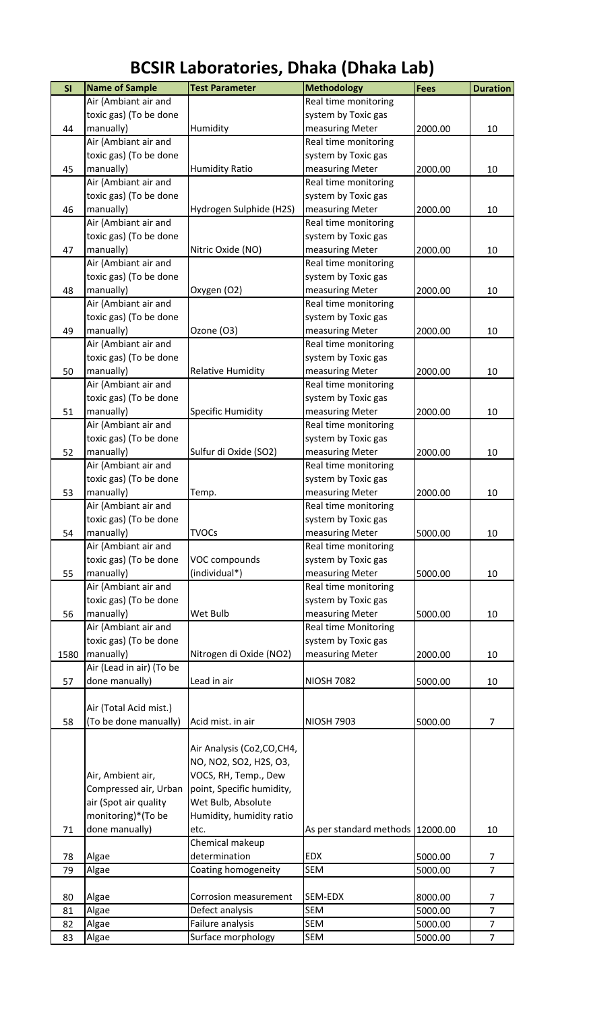| SI   | <b>Name of Sample</b>    | <b>Test Parameter</b>     | <b>Methodology</b>               | Fees    | <b>Duration</b> |
|------|--------------------------|---------------------------|----------------------------------|---------|-----------------|
|      | Air (Ambiant air and     |                           | Real time monitoring             |         |                 |
|      | toxic gas) (To be done   |                           | system by Toxic gas              |         |                 |
| 44   | manually)                | Humidity                  | measuring Meter                  | 2000.00 | 10              |
|      | Air (Ambiant air and     |                           | Real time monitoring             |         |                 |
|      | toxic gas) (To be done   |                           | system by Toxic gas              |         |                 |
| 45   | manually)                | <b>Humidity Ratio</b>     | measuring Meter                  | 2000.00 | 10              |
|      | Air (Ambiant air and     |                           | Real time monitoring             |         |                 |
|      | toxic gas) (To be done   |                           | system by Toxic gas              |         |                 |
| 46   | manually)                | Hydrogen Sulphide (H2S)   | measuring Meter                  | 2000.00 | 10              |
|      | Air (Ambiant air and     |                           | Real time monitoring             |         |                 |
|      | toxic gas) (To be done   |                           | system by Toxic gas              |         |                 |
| 47   | manually)                | Nitric Oxide (NO)         | measuring Meter                  | 2000.00 | 10              |
|      | Air (Ambiant air and     |                           | Real time monitoring             |         |                 |
|      | toxic gas) (To be done   |                           | system by Toxic gas              |         |                 |
| 48   | manually)                | Oxygen (O2)               | measuring Meter                  | 2000.00 | 10              |
|      | Air (Ambiant air and     |                           | Real time monitoring             |         |                 |
|      | toxic gas) (To be done   |                           | system by Toxic gas              |         |                 |
| 49   | manually)                | Ozone (O3)                | measuring Meter                  | 2000.00 | 10              |
|      | Air (Ambiant air and     |                           | Real time monitoring             |         |                 |
|      | toxic gas) (To be done   |                           | system by Toxic gas              |         |                 |
| 50   | manually)                | Relative Humidity         | measuring Meter                  | 2000.00 | 10              |
|      | Air (Ambiant air and     |                           | Real time monitoring             |         |                 |
|      | toxic gas) (To be done   |                           | system by Toxic gas              |         |                 |
|      |                          |                           |                                  |         |                 |
| 51   | manually)                | <b>Specific Humidity</b>  | measuring Meter                  | 2000.00 | 10              |
|      | Air (Ambiant air and     |                           | Real time monitoring             |         |                 |
|      | toxic gas) (To be done   |                           | system by Toxic gas              |         |                 |
| 52   | manually)                | Sulfur di Oxide (SO2)     | measuring Meter                  | 2000.00 | 10              |
|      | Air (Ambiant air and     |                           | Real time monitoring             |         |                 |
|      | toxic gas) (To be done   |                           | system by Toxic gas              |         |                 |
| 53   | manually)                | Temp.                     | measuring Meter                  | 2000.00 | 10              |
|      | Air (Ambiant air and     |                           | Real time monitoring             |         |                 |
|      | toxic gas) (To be done   |                           | system by Toxic gas              |         |                 |
| 54   | manually)                | <b>TVOCs</b>              | measuring Meter                  | 5000.00 | 10              |
|      | Air (Ambiant air and     |                           | Real time monitoring             |         |                 |
|      | toxic gas) (To be done   | VOC compounds             | system by Toxic gas              |         |                 |
| 55   | manually)                | (individual*)             | measuring Meter                  | 5000.00 | 10              |
|      | Air (Ambiant air and     |                           | Real time monitoring             |         |                 |
|      | toxic gas) (To be done   |                           | system by Toxic gas              |         |                 |
| 56   | manually)                | Wet Bulb                  | measuring Meter                  | 5000.00 | 10              |
|      | Air (Ambiant air and     |                           | <b>Real time Monitoring</b>      |         |                 |
|      | toxic gas) (To be done   |                           | system by Toxic gas              |         |                 |
| 1580 | manually)                | Nitrogen di Oxide (NO2)   | measuring Meter                  | 2000.00 | 10              |
|      | Air (Lead in air) (To be |                           |                                  |         |                 |
| 57   | done manually)           | Lead in air               | <b>NIOSH 7082</b>                | 5000.00 | 10              |
|      |                          |                           |                                  |         |                 |
|      | Air (Total Acid mist.)   |                           |                                  |         |                 |
| 58   | (To be done manually)    | Acid mist. in air         | <b>NIOSH 7903</b>                | 5000.00 | $\overline{7}$  |
|      |                          |                           |                                  |         |                 |
|      |                          | Air Analysis (Co2,CO,CH4, |                                  |         |                 |
|      |                          | NO, NO2, SO2, H2S, O3,    |                                  |         |                 |
|      | Air, Ambient air,        | VOCS, RH, Temp., Dew      |                                  |         |                 |
|      | Compressed air, Urban    | point, Specific humidity, |                                  |         |                 |
|      | air (Spot air quality    | Wet Bulb, Absolute        |                                  |         |                 |
|      | monitoring)*(To be       | Humidity, humidity ratio  |                                  |         |                 |
| 71   | done manually)           | etc.                      | As per standard methods 12000.00 |         | 10              |
|      |                          | Chemical makeup           |                                  |         |                 |
| 78   | Algae                    | determination             | <b>EDX</b>                       | 5000.00 | 7               |
| 79   | Algae                    | Coating homogeneity       | <b>SEM</b>                       | 5000.00 | $\overline{7}$  |
|      |                          |                           |                                  |         |                 |
| 80   | Algae                    | Corrosion measurement     | SEM-EDX                          | 8000.00 | 7               |
| 81   | Algae                    | Defect analysis           | SEM                              | 5000.00 | $\overline{7}$  |
| 82   | Algae                    | Failure analysis          | SEM                              | 5000.00 | $\overline{7}$  |
| 83   | Algae                    | Surface morphology        | SEM                              | 5000.00 | $\overline{7}$  |
|      |                          |                           |                                  |         |                 |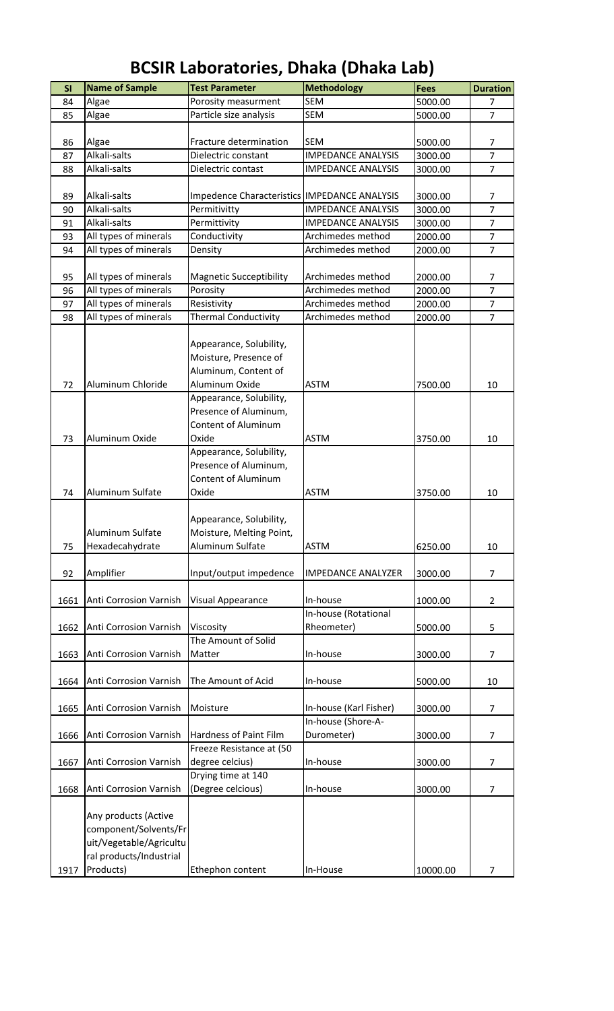| SI       | <b>Name of Sample</b>                          | <b>Test Parameter</b>                        | <b>Methodology</b>                     | <b>Fees</b> | <b>Duration</b>                  |
|----------|------------------------------------------------|----------------------------------------------|----------------------------------------|-------------|----------------------------------|
| 84       | Algae                                          | Porosity measurment                          | <b>SEM</b>                             | 5000.00     | 7                                |
| 85       | Algae                                          | Particle size analysis                       | <b>SEM</b>                             | 5000.00     | $\overline{7}$                   |
|          |                                                |                                              |                                        |             |                                  |
| 86       | Algae                                          | Fracture determination                       | <b>SEM</b>                             | 5000.00     | $\overline{7}$                   |
| 87       | Alkali-salts                                   | Dielectric constant                          | <b>IMPEDANCE ANALYSIS</b>              | 3000.00     | $\overline{7}$                   |
| 88       | Alkali-salts                                   | Dielectric contast                           | <b>IMPEDANCE ANALYSIS</b>              | 3000.00     | $\overline{7}$                   |
|          |                                                |                                              |                                        |             |                                  |
| 89       | Alkali-salts                                   | Impedence Characteristics IMPEDANCE ANALYSIS |                                        | 3000.00     | 7                                |
| 90       | Alkali-salts                                   | Permitivitty                                 | <b>IMPEDANCE ANALYSIS</b>              | 3000.00     | $\overline{7}$                   |
| 91       | Alkali-salts                                   | Permittivity                                 | <b>IMPEDANCE ANALYSIS</b>              | 3000.00     | $\overline{7}$                   |
| 93       | All types of minerals                          | Conductivity                                 | Archimedes method                      | 2000.00     | $\overline{7}$                   |
| 94       | All types of minerals                          | Density                                      | Archimedes method                      | 2000.00     | $\overline{7}$                   |
|          |                                                |                                              |                                        |             |                                  |
| 95       | All types of minerals                          | <b>Magnetic Succeptibility</b>               | Archimedes method                      | 2000.00     | 7                                |
| 96       | All types of minerals                          | Porosity                                     | Archimedes method<br>Archimedes method | 2000.00     | $\overline{7}$<br>$\overline{7}$ |
| 97<br>98 | All types of minerals<br>All types of minerals | Resistivity<br><b>Thermal Conductivity</b>   | Archimedes method                      | 2000.00     | $\overline{7}$                   |
|          |                                                |                                              |                                        | 2000.00     |                                  |
|          |                                                | Appearance, Solubility,                      |                                        |             |                                  |
|          |                                                | Moisture, Presence of                        |                                        |             |                                  |
|          |                                                | Aluminum, Content of                         |                                        |             |                                  |
| 72       | Aluminum Chloride                              | Aluminum Oxide                               | <b>ASTM</b>                            | 7500.00     | 10                               |
|          |                                                | Appearance, Solubility,                      |                                        |             |                                  |
|          |                                                | Presence of Aluminum,                        |                                        |             |                                  |
|          |                                                | <b>Content of Aluminum</b>                   |                                        |             |                                  |
| 73       | Aluminum Oxide                                 | Oxide                                        | <b>ASTM</b>                            | 3750.00     | 10                               |
|          |                                                | Appearance, Solubility,                      |                                        |             |                                  |
|          |                                                | Presence of Aluminum,                        |                                        |             |                                  |
|          |                                                | Content of Aluminum                          |                                        |             |                                  |
| 74       | Aluminum Sulfate                               | Oxide                                        | <b>ASTM</b>                            | 3750.00     | 10                               |
|          |                                                |                                              |                                        |             |                                  |
|          |                                                | Appearance, Solubility,                      |                                        |             |                                  |
|          | Aluminum Sulfate                               | Moisture, Melting Point,                     |                                        |             |                                  |
| 75       | Hexadecahydrate                                | Aluminum Sulfate                             | <b>ASTM</b>                            | 6250.00     | 10                               |
|          |                                                |                                              |                                        |             |                                  |
| 92       | Amplifier                                      | Input/output impedence                       | <b>IMPEDANCE ANALYZER</b>              | 3000.00     | $\overline{7}$                   |
|          |                                                |                                              |                                        |             |                                  |
| 1661     | Anti Corrosion Varnish                         | Visual Appearance                            | In-house                               | 1000.00     | 2                                |
|          |                                                |                                              | In-house (Rotational                   |             |                                  |
| 1662     | Anti Corrosion Varnish                         | Viscosity                                    | Rheometer)                             | 5000.00     | 5                                |
|          |                                                | The Amount of Solid                          |                                        |             |                                  |
| 1663     | Anti Corrosion Varnish                         | Matter                                       | In-house                               | 3000.00     | $\overline{7}$                   |
|          |                                                |                                              |                                        |             |                                  |
| 1664     | Anti Corrosion Varnish                         | The Amount of Acid                           | In-house                               | 5000.00     | 10                               |
|          |                                                |                                              |                                        |             |                                  |
| 1665     | Anti Corrosion Varnish                         | Moisture                                     | In-house (Karl Fisher)                 | 3000.00     | $\overline{7}$                   |
|          |                                                |                                              | In-house (Shore-A-                     |             |                                  |
| 1666     | Anti Corrosion Varnish                         | Hardness of Paint Film                       | Durometer)                             | 3000.00     | 7                                |
|          |                                                | Freeze Resistance at (50                     |                                        |             |                                  |
| 1667     | Anti Corrosion Varnish                         | degree celcius)                              | In-house                               | 3000.00     | $\overline{7}$                   |
|          |                                                | Drying time at 140                           |                                        |             |                                  |
| 1668     | Anti Corrosion Varnish                         | (Degree celcious)                            | In-house                               | 3000.00     | $\overline{7}$                   |
|          |                                                |                                              |                                        |             |                                  |
|          | Any products (Active                           |                                              |                                        |             |                                  |
|          | component/Solvents/Fr                          |                                              |                                        |             |                                  |
|          | uit/Vegetable/Agricultu                        |                                              |                                        |             |                                  |
|          | ral products/Industrial                        |                                              |                                        |             |                                  |
| 1917     | Products)                                      | Ethephon content                             | In-House                               | 10000.00    | 7                                |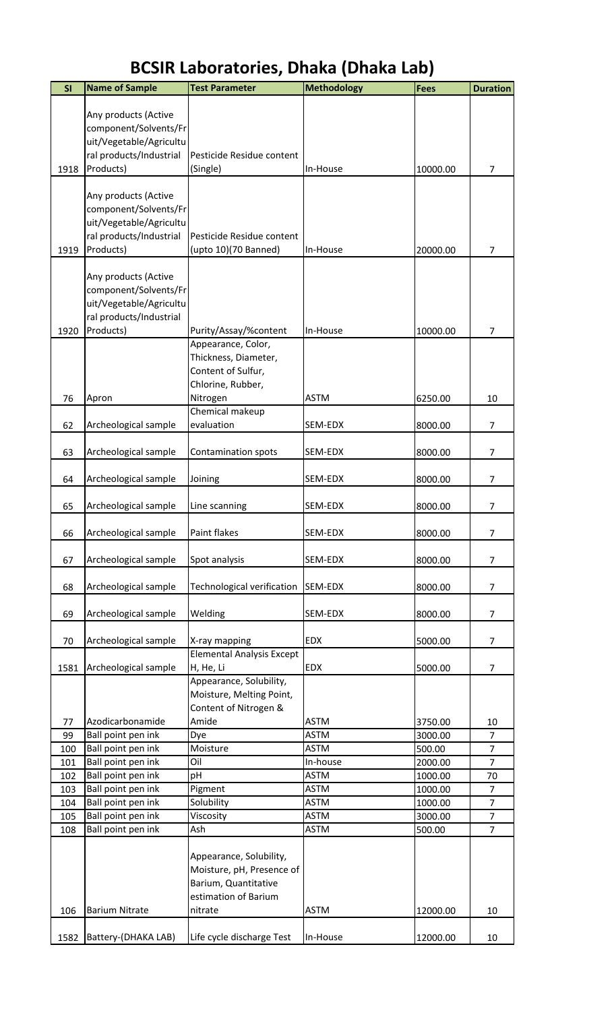| SI       | <b>Name of Sample</b>                | <b>Test Parameter</b>                                | <b>Methodology</b>         | <b>Fees</b>        | <b>Duration</b>      |
|----------|--------------------------------------|------------------------------------------------------|----------------------------|--------------------|----------------------|
|          |                                      |                                                      |                            |                    |                      |
|          | Any products (Active                 |                                                      |                            |                    |                      |
|          | component/Solvents/Fr                |                                                      |                            |                    |                      |
|          | uit/Vegetable/Agricultu              |                                                      |                            |                    |                      |
| 1918     | ral products/Industrial<br>Products) | Pesticide Residue content                            |                            | 10000.00           | $\overline{7}$       |
|          |                                      | (Single)                                             | In-House                   |                    |                      |
|          | Any products (Active                 |                                                      |                            |                    |                      |
|          | component/Solvents/Fr                |                                                      |                            |                    |                      |
|          | uit/Vegetable/Agricultu              |                                                      |                            |                    |                      |
|          | ral products/Industrial              | Pesticide Residue content                            |                            |                    |                      |
| 1919     | Products)                            | (upto 10)(70 Banned)                                 | In-House                   | 20000.00           | 7                    |
|          | Any products (Active                 |                                                      |                            |                    |                      |
|          | component/Solvents/Fr                |                                                      |                            |                    |                      |
|          | uit/Vegetable/Agricultu              |                                                      |                            |                    |                      |
|          | ral products/Industrial              |                                                      |                            |                    |                      |
| 1920     | Products)                            | Purity/Assay/%content                                | In-House                   | 10000.00           | 7                    |
|          |                                      | Appearance, Color,                                   |                            |                    |                      |
|          |                                      | Thickness, Diameter,                                 |                            |                    |                      |
|          |                                      | Content of Sulfur,                                   |                            |                    |                      |
|          |                                      | Chlorine, Rubber,                                    |                            |                    |                      |
| 76       | Apron                                | Nitrogen                                             | <b>ASTM</b>                | 6250.00            | 10                   |
| 62       | Archeological sample                 | Chemical makeup<br>evaluation                        | SEM-EDX                    | 8000.00            | $\overline{7}$       |
|          |                                      |                                                      |                            |                    |                      |
| 63       | Archeological sample                 | Contamination spots                                  | SEM-EDX                    | 8000.00            | $\overline{7}$       |
|          |                                      |                                                      |                            |                    |                      |
| 64       | Archeological sample                 | Joining                                              | SEM-EDX                    | 8000.00            | $\overline{7}$       |
|          |                                      |                                                      |                            |                    |                      |
| 65       | Archeological sample                 | Line scanning                                        | SEM-EDX                    | 8000.00            | 7                    |
| 66       | Archeological sample                 | Paint flakes                                         | SEM-EDX                    | 8000.00            | 7                    |
|          |                                      |                                                      |                            |                    |                      |
| 67       | Archeological sample                 | Spot analysis                                        | SEM-EDX                    | 8000.00            | 7                    |
|          |                                      |                                                      |                            |                    |                      |
| 68       | Archeological sample                 | Technological verification                           | SEM-EDX                    | 8000.00            | $\overline{7}$       |
| 69       | Archeological sample                 | Welding                                              | SEM-EDX                    | 8000.00            | 7                    |
|          |                                      |                                                      |                            |                    |                      |
| 70       | Archeological sample                 | X-ray mapping                                        | <b>EDX</b>                 | 5000.00            | $\overline{7}$       |
|          |                                      | <b>Elemental Analysis Except</b>                     |                            |                    |                      |
| 1581     | Archeological sample                 | H, He, Li                                            | <b>EDX</b>                 | 5000.00            | 7                    |
|          |                                      | Appearance, Solubility,                              |                            |                    |                      |
|          |                                      | Moisture, Melting Point,                             |                            |                    |                      |
|          | Azodicarbonamide                     | Content of Nitrogen &<br>Amide                       |                            |                    |                      |
| 77<br>99 | Ball point pen ink                   | Dye                                                  | <b>ASTM</b><br><b>ASTM</b> | 3750.00<br>3000.00 | 10<br>$\overline{7}$ |
| 100      | Ball point pen ink                   | Moisture                                             | <b>ASTM</b>                | 500.00             | $\overline{7}$       |
| 101      | Ball point pen ink                   | Oil                                                  | In-house                   | 2000.00            | $\overline{7}$       |
| 102      | Ball point pen ink                   | pН                                                   | <b>ASTM</b>                | 1000.00            | 70                   |
| 103      | Ball point pen ink                   | Pigment                                              | <b>ASTM</b>                | 1000.00            | 7                    |
| 104      | Ball point pen ink                   | Solubility                                           | <b>ASTM</b>                | 1000.00            | $\overline{7}$       |
| 105      | Ball point pen ink                   | Viscosity                                            | <b>ASTM</b>                | 3000.00            | $\overline{7}$       |
| 108      | Ball point pen ink                   | Ash                                                  | <b>ASTM</b>                | 500.00             | $\overline{7}$       |
|          |                                      |                                                      |                            |                    |                      |
|          |                                      | Appearance, Solubility,<br>Moisture, pH, Presence of |                            |                    |                      |
|          |                                      | Barium, Quantitative                                 |                            |                    |                      |
|          |                                      | estimation of Barium                                 |                            |                    |                      |
| 106      | <b>Barium Nitrate</b>                | nitrate                                              | <b>ASTM</b>                | 12000.00           | 10                   |
|          |                                      |                                                      |                            |                    |                      |
| 1582     | Battery-(DHAKA LAB)                  | Life cycle discharge Test                            | In-House                   | 12000.00           | $10\,$               |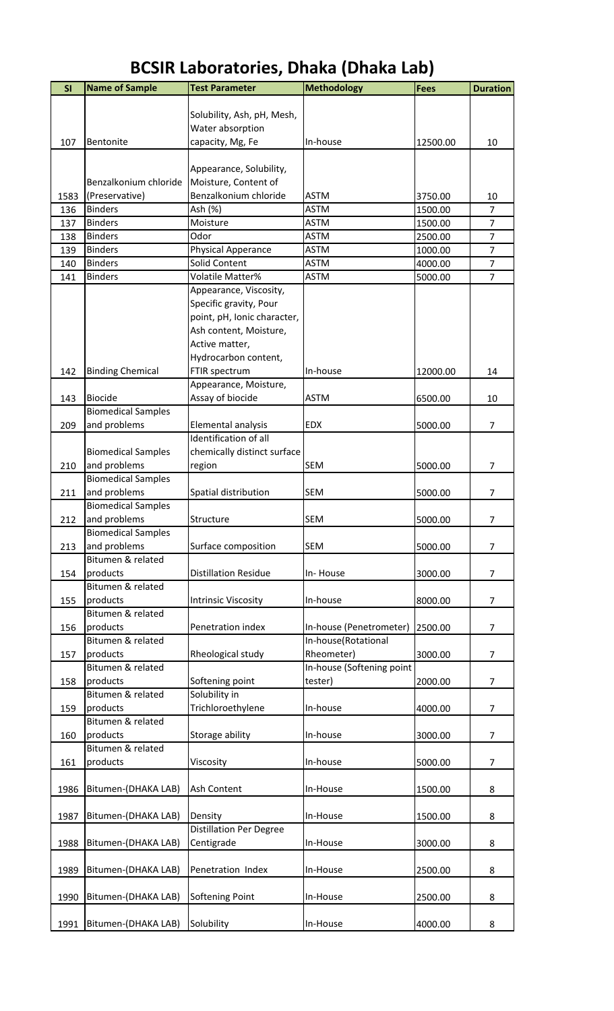| SI   | <b>Name of Sample</b>     | <b>Test Parameter</b>          | <b>Methodology</b>        | <b>Fees</b> | <b>Duration</b> |
|------|---------------------------|--------------------------------|---------------------------|-------------|-----------------|
|      |                           |                                |                           |             |                 |
|      |                           | Solubility, Ash, pH, Mesh,     |                           |             |                 |
|      |                           | Water absorption               |                           |             |                 |
| 107  | Bentonite                 | capacity, Mg, Fe               | In-house                  | 12500.00    | 10              |
|      |                           |                                |                           |             |                 |
|      |                           | Appearance, Solubility,        |                           |             |                 |
|      | Benzalkonium chloride     | Moisture, Content of           |                           |             |                 |
| 1583 | (Preservative)            | Benzalkonium chloride          | <b>ASTM</b>               | 3750.00     | 10              |
| 136  | <b>Binders</b>            | Ash (%)                        | <b>ASTM</b>               | 1500.00     | $\overline{7}$  |
| 137  | <b>Binders</b>            | Moisture                       | <b>ASTM</b>               | 1500.00     | $\overline{7}$  |
| 138  | <b>Binders</b>            | Odor                           | <b>ASTM</b>               | 2500.00     | $\overline{7}$  |
| 139  | <b>Binders</b>            | Physical Apperance             | <b>ASTM</b>               | 1000.00     | $\overline{7}$  |
| 140  | <b>Binders</b>            | Solid Content                  | <b>ASTM</b>               | 4000.00     | $\overline{7}$  |
| 141  | <b>Binders</b>            | Volatile Matter%               | <b>ASTM</b>               | 5000.00     | $\overline{7}$  |
|      |                           | Appearance, Viscosity,         |                           |             |                 |
|      |                           | Specific gravity, Pour         |                           |             |                 |
|      |                           | point, pH, Ionic character,    |                           |             |                 |
|      |                           | Ash content, Moisture,         |                           |             |                 |
|      |                           | Active matter,                 |                           |             |                 |
|      |                           | Hydrocarbon content,           |                           |             |                 |
| 142  | <b>Binding Chemical</b>   | FTIR spectrum                  | In-house                  | 12000.00    | 14              |
|      |                           | Appearance, Moisture,          |                           |             |                 |
| 143  | <b>Biocide</b>            | Assay of biocide               | <b>ASTM</b>               | 6500.00     | 10              |
|      | <b>Biomedical Samples</b> |                                |                           |             |                 |
| 209  | and problems              | Elemental analysis             | <b>EDX</b>                | 5000.00     | $\overline{7}$  |
|      |                           | Identification of all          |                           |             |                 |
|      | <b>Biomedical Samples</b> | chemically distinct surface    |                           |             |                 |
| 210  | and problems              | region                         | <b>SEM</b>                | 5000.00     | $\overline{7}$  |
|      | <b>Biomedical Samples</b> |                                |                           |             |                 |
| 211  | and problems              | Spatial distribution           | <b>SEM</b>                | 5000.00     | $\overline{7}$  |
|      | <b>Biomedical Samples</b> |                                |                           |             |                 |
| 212  | and problems              | Structure                      | <b>SEM</b>                | 5000.00     | $\overline{7}$  |
|      | <b>Biomedical Samples</b> |                                |                           |             |                 |
| 213  | and problems              | Surface composition            | <b>SEM</b>                | 5000.00     | 7               |
|      | Bitumen & related         |                                |                           |             |                 |
| 154  | products                  | <b>Distillation Residue</b>    | In-House                  | 3000.00     | 7               |
|      | Bitumen & related         |                                |                           |             |                 |
| 155  | products                  | <b>Intrinsic Viscosity</b>     | In-house                  | 8000.00     | $\overline{7}$  |
|      | Bitumen & related         |                                |                           |             |                 |
| 156  | products                  | Penetration index              | In-house (Penetrometer)   | 2500.00     | $\overline{7}$  |
|      | Bitumen & related         |                                | In-house(Rotational       |             |                 |
| 157  | products                  | Rheological study              | Rheometer)                | 3000.00     | $\overline{7}$  |
|      | Bitumen & related         |                                | In-house (Softening point |             |                 |
| 158  | products                  | Softening point                | tester)                   | 2000.00     | $\overline{7}$  |
|      | Bitumen & related         | Solubility in                  |                           |             |                 |
| 159  | products                  | Trichloroethylene              | In-house                  | 4000.00     | $\overline{7}$  |
|      | Bitumen & related         |                                |                           |             |                 |
| 160  | products                  | Storage ability                | In-house                  | 3000.00     | $\overline{7}$  |
|      | Bitumen & related         |                                |                           |             |                 |
| 161  | products                  | Viscosity                      | In-house                  | 5000.00     | 7               |
|      |                           |                                |                           |             |                 |
| 1986 | Bitumen-(DHAKA LAB)       | Ash Content                    | In-House                  | 1500.00     | 8               |
|      |                           |                                |                           |             |                 |
| 1987 | Bitumen-(DHAKA LAB)       | Density                        | In-House                  | 1500.00     | 8               |
|      |                           | <b>Distillation Per Degree</b> |                           |             |                 |
| 1988 | Bitumen-(DHAKA LAB)       | Centigrade                     | In-House                  | 3000.00     | 8               |
|      |                           |                                |                           |             |                 |
| 1989 | Bitumen-(DHAKA LAB)       | Penetration Index              | In-House                  | 2500.00     | 8               |
|      |                           |                                |                           |             |                 |
| 1990 | Bitumen-(DHAKA LAB)       | <b>Softening Point</b>         | In-House                  | 2500.00     | 8               |
|      |                           |                                |                           |             |                 |
| 1991 | Bitumen-(DHAKA LAB)       | Solubility                     | In-House                  | 4000.00     | 8               |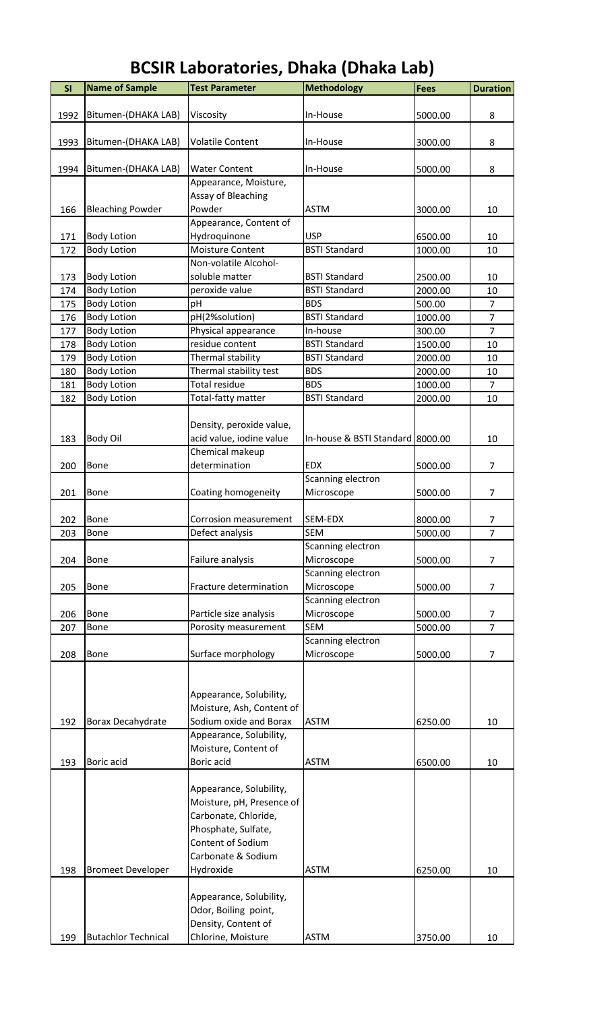| <b>BCSIR Laboratories, Dhaka (Dhaka Lab)</b> |
|----------------------------------------------|
|----------------------------------------------|

| SI   | <b>Name of Sample</b>      | <b>Test Parameter</b>     | <b>Methodology</b>               | <b>Fees</b> | <b>Duration</b> |
|------|----------------------------|---------------------------|----------------------------------|-------------|-----------------|
|      |                            |                           |                                  |             |                 |
| 1992 | Bitumen-(DHAKA LAB)        | Viscosity                 | In-House                         | 5000.00     | 8               |
|      |                            |                           |                                  |             |                 |
| 1993 | Bitumen-(DHAKA LAB)        | <b>Volatile Content</b>   | In-House                         | 3000.00     | 8               |
|      |                            |                           |                                  |             |                 |
| 1994 | Bitumen-(DHAKA LAB)        | <b>Water Content</b>      | In-House                         | 5000.00     | 8               |
|      |                            | Appearance, Moisture,     |                                  |             |                 |
|      |                            | Assay of Bleaching        |                                  |             |                 |
| 166  | <b>Bleaching Powder</b>    | Powder                    | <b>ASTM</b>                      | 3000.00     | 10              |
|      |                            | Appearance, Content of    |                                  |             |                 |
| 171  | <b>Body Lotion</b>         | Hydroquinone              | <b>USP</b>                       | 6500.00     | 10              |
| 172  | <b>Body Lotion</b>         | Moisture Content          | <b>BSTI Standard</b>             | 1000.00     | 10              |
|      |                            | Non-volatile Alcohol-     |                                  |             |                 |
| 173  | <b>Body Lotion</b>         | soluble matter            | <b>BSTI Standard</b>             | 2500.00     | 10              |
| 174  | <b>Body Lotion</b>         | peroxide value            | <b>BSTI Standard</b>             | 2000.00     | 10              |
| 175  | <b>Body Lotion</b>         | рH                        | <b>BDS</b>                       | 500.00      | $\overline{7}$  |
| 176  | <b>Body Lotion</b>         | pH(2%solution)            | <b>BSTI Standard</b>             | 1000.00     | $\overline{7}$  |
| 177  | <b>Body Lotion</b>         | Physical appearance       | In-house                         | 300.00      | $\overline{7}$  |
| 178  | <b>Body Lotion</b>         | residue content           | <b>BSTI Standard</b>             | 1500.00     | 10              |
| 179  | <b>Body Lotion</b>         | Thermal stability         | <b>BSTI Standard</b>             | 2000.00     | 10              |
| 180  | <b>Body Lotion</b>         | Thermal stability test    | <b>BDS</b>                       | 2000.00     | 10              |
| 181  | <b>Body Lotion</b>         | Total residue             | <b>BDS</b>                       | 1000.00     | $\overline{7}$  |
| 182  | <b>Body Lotion</b>         | Total-fatty matter        | <b>BSTI Standard</b>             | 2000.00     | 10              |
|      |                            |                           |                                  |             |                 |
|      |                            | Density, peroxide value,  |                                  |             |                 |
| 183  | <b>Body Oil</b>            | acid value, iodine value  | In-house & BSTI Standard 8000.00 |             | 10              |
|      |                            | Chemical makeup           |                                  |             |                 |
| 200  | <b>Bone</b>                | determination             | <b>EDX</b>                       | 5000.00     | 7               |
|      |                            |                           | Scanning electron                |             |                 |
| 201  | Bone                       | Coating homogeneity       | Microscope                       | 5000.00     | $\overline{7}$  |
|      |                            |                           |                                  |             |                 |
| 202  | Bone                       | Corrosion measurement     | SEM-EDX                          | 8000.00     | 7               |
| 203  | Bone                       | Defect analysis           | <b>SEM</b>                       | 5000.00     | 7               |
|      |                            |                           | Scanning electron                |             |                 |
| 204  | Bone                       | Failure analysis          | Microscope                       | 5000.00     | 7               |
|      |                            |                           | Scanning electron                |             |                 |
| 205  | Bone                       | Fracture determination    | Microscope                       | 5000.00     | $\overline{7}$  |
|      |                            |                           | Scanning electron                |             |                 |
| 206  | Bone                       | Particle size analysis    | Microscope                       | 5000.00     | 7               |
| 207  | Bone                       | Porosity measurement      | <b>SEM</b>                       | 5000.00     | $\overline{7}$  |
|      |                            |                           | Scanning electron                |             |                 |
| 208  | Bone                       | Surface morphology        | Microscope                       | 5000.00     | $\overline{7}$  |
|      |                            |                           |                                  |             |                 |
|      |                            |                           |                                  |             |                 |
|      |                            | Appearance, Solubility,   |                                  |             |                 |
|      |                            | Moisture, Ash, Content of |                                  |             |                 |
| 192  | Borax Decahydrate          | Sodium oxide and Borax    | <b>ASTM</b>                      | 6250.00     | 10              |
|      |                            | Appearance, Solubility,   |                                  |             |                 |
|      |                            | Moisture, Content of      |                                  |             |                 |
| 193  | Boric acid                 | Boric acid                | <b>ASTM</b>                      | 6500.00     | 10              |
|      |                            |                           |                                  |             |                 |
|      |                            | Appearance, Solubility,   |                                  |             |                 |
|      |                            | Moisture, pH, Presence of |                                  |             |                 |
|      |                            | Carbonate, Chloride,      |                                  |             |                 |
|      |                            | Phosphate, Sulfate,       |                                  |             |                 |
|      |                            | Content of Sodium         |                                  |             |                 |
|      |                            | Carbonate & Sodium        |                                  |             |                 |
| 198  | <b>Bromeet Developer</b>   | Hydroxide                 | <b>ASTM</b>                      | 6250.00     | 10              |
|      |                            |                           |                                  |             |                 |
|      |                            | Appearance, Solubility,   |                                  |             |                 |
|      |                            | Odor, Boiling point,      |                                  |             |                 |
|      |                            | Density, Content of       |                                  |             |                 |
| 199  | <b>Butachlor Technical</b> | Chlorine, Moisture        | <b>ASTM</b>                      | 3750.00     | 10              |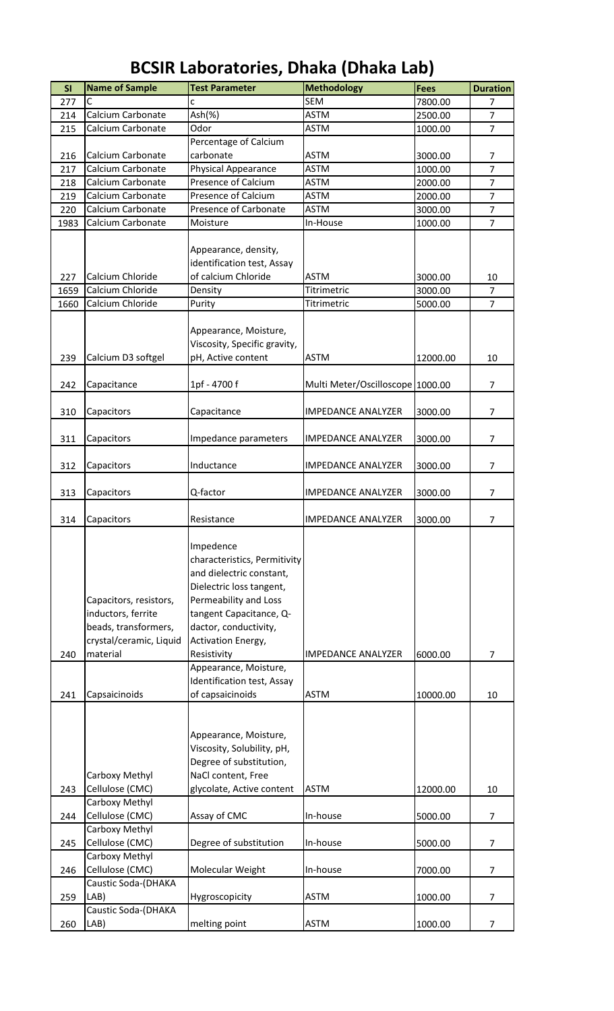| <b>SI</b> | <b>Name of Sample</b>                                                                                       | <b>Test Parameter</b>                                                                                                                                                                                               | <b>Methodology</b>               | Fees     | <b>Duration</b> |
|-----------|-------------------------------------------------------------------------------------------------------------|---------------------------------------------------------------------------------------------------------------------------------------------------------------------------------------------------------------------|----------------------------------|----------|-----------------|
| 277       | C                                                                                                           | Ċ                                                                                                                                                                                                                   | <b>SEM</b>                       | 7800.00  | $\overline{7}$  |
| 214       | Calcium Carbonate                                                                                           | Ash(% )                                                                                                                                                                                                             | <b>ASTM</b>                      | 2500.00  | $\overline{7}$  |
| 215       | Calcium Carbonate                                                                                           | Odor                                                                                                                                                                                                                | <b>ASTM</b>                      | 1000.00  | $\overline{7}$  |
|           |                                                                                                             | Percentage of Calcium                                                                                                                                                                                               |                                  |          |                 |
| 216       | Calcium Carbonate                                                                                           | carbonate                                                                                                                                                                                                           | <b>ASTM</b>                      | 3000.00  | $\overline{7}$  |
| 217       | Calcium Carbonate                                                                                           | Physical Appearance                                                                                                                                                                                                 | <b>ASTM</b>                      | 1000.00  | $\overline{7}$  |
| 218       | Calcium Carbonate                                                                                           | Presence of Calcium                                                                                                                                                                                                 | <b>ASTM</b>                      | 2000.00  | $\overline{7}$  |
| 219       | Calcium Carbonate                                                                                           | <b>Presence of Calcium</b>                                                                                                                                                                                          | <b>ASTM</b>                      | 2000.00  | $\overline{7}$  |
| 220       | Calcium Carbonate                                                                                           | Presence of Carbonate                                                                                                                                                                                               | <b>ASTM</b>                      | 3000.00  | $\overline{7}$  |
| 1983      | Calcium Carbonate                                                                                           | Moisture                                                                                                                                                                                                            | In-House                         | 1000.00  | $\overline{7}$  |
| 227       | Calcium Chloride                                                                                            | Appearance, density,<br>identification test, Assay<br>of calcium Chloride                                                                                                                                           | <b>ASTM</b>                      | 3000.00  | 10              |
| 1659      | Calcium Chloride                                                                                            | Density                                                                                                                                                                                                             | Titrimetric                      | 3000.00  | $\overline{7}$  |
| 1660      | Calcium Chloride                                                                                            | Purity                                                                                                                                                                                                              | Titrimetric                      | 5000.00  | $\overline{7}$  |
| 239       | Calcium D3 softgel                                                                                          | Appearance, Moisture,<br>Viscosity, Specific gravity,<br>pH, Active content                                                                                                                                         | <b>ASTM</b>                      | 12000.00 | 10              |
| 242       | Capacitance                                                                                                 | 1pf - 4700 f                                                                                                                                                                                                        | Multi Meter/Oscilloscope 1000.00 |          | $\overline{7}$  |
| 310       | Capacitors                                                                                                  | Capacitance                                                                                                                                                                                                         | <b>IMPEDANCE ANALYZER</b>        | 3000.00  | 7               |
| 311       | Capacitors                                                                                                  | Impedance parameters                                                                                                                                                                                                | <b>IMPEDANCE ANALYZER</b>        | 3000.00  | $\overline{7}$  |
| 312       | Capacitors                                                                                                  | Inductance                                                                                                                                                                                                          | <b>IMPEDANCE ANALYZER</b>        | 3000.00  | $\overline{7}$  |
|           |                                                                                                             |                                                                                                                                                                                                                     |                                  |          |                 |
| 313       | Capacitors                                                                                                  | Q-factor                                                                                                                                                                                                            | <b>IMPEDANCE ANALYZER</b>        | 3000.00  | $\overline{7}$  |
| 314       | Capacitors                                                                                                  | Resistance                                                                                                                                                                                                          | <b>IMPEDANCE ANALYZER</b>        | 3000.00  | $\overline{7}$  |
| 240       | Capacitors, resistors,<br>inductors, ferrite<br>beads, transformers,<br>crystal/ceramic, Liquid<br>material | Impedence<br>characteristics, Permitivity<br>and dielectric constant,<br>Dielectric loss tangent,<br>Permeability and Loss<br>tangent Capacitance, Q-<br>dactor, conductivity,<br>Activation Energy,<br>Resistivity | <b>IMPEDANCE ANALYZER</b>        | 6000.00  | 7               |
|           |                                                                                                             | Appearance, Moisture,                                                                                                                                                                                               |                                  |          |                 |
|           |                                                                                                             | Identification test, Assay                                                                                                                                                                                          |                                  |          |                 |
| 241       | Capsaicinoids                                                                                               | of capsaicinoids                                                                                                                                                                                                    | <b>ASTM</b>                      | 10000.00 | 10              |
|           | Carboxy Methyl                                                                                              | Appearance, Moisture,<br>Viscosity, Solubility, pH,<br>Degree of substitution,<br>NaCl content, Free                                                                                                                |                                  |          |                 |
| 243       | Cellulose (CMC)                                                                                             | glycolate, Active content                                                                                                                                                                                           | <b>ASTM</b>                      | 12000.00 | 10              |
| 244       | Carboxy Methyl<br>Cellulose (CMC)                                                                           | Assay of CMC                                                                                                                                                                                                        | In-house                         | 5000.00  | $\overline{7}$  |
| 245       | Carboxy Methyl<br>Cellulose (CMC)                                                                           | Degree of substitution                                                                                                                                                                                              | In-house                         | 5000.00  | 7               |
| 246       | Carboxy Methyl<br>Cellulose (CMC)                                                                           | Molecular Weight                                                                                                                                                                                                    | In-house                         | 7000.00  | $\overline{7}$  |
|           | Caustic Soda-(DHAKA                                                                                         |                                                                                                                                                                                                                     |                                  |          |                 |
| 259       | LAB)<br>Caustic Soda-(DHAKA                                                                                 | Hygroscopicity                                                                                                                                                                                                      | <b>ASTM</b>                      | 1000.00  | 7               |
| 260       | LAB)                                                                                                        | melting point                                                                                                                                                                                                       | <b>ASTM</b>                      | 1000.00  | 7               |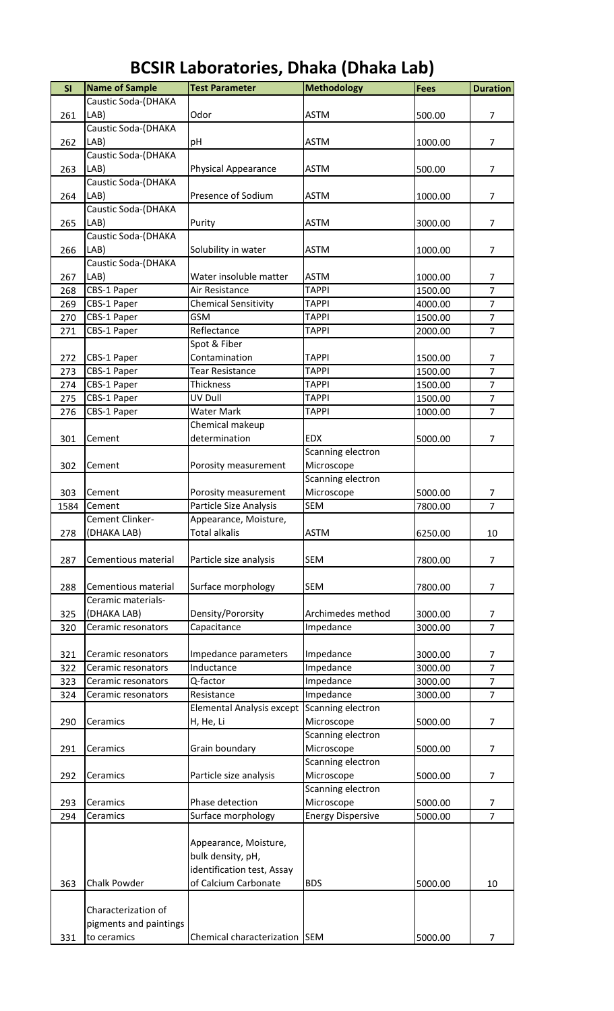| SI         | <b>Name of Sample</b>  | <b>Test Parameter</b>               | <b>Methodology</b>           | <b>Fees</b>        | <b>Duration</b>                  |
|------------|------------------------|-------------------------------------|------------------------------|--------------------|----------------------------------|
|            | Caustic Soda-(DHAKA    |                                     |                              |                    |                                  |
| 261        | LAB)                   | Odor                                | <b>ASTM</b>                  | 500.00             | $\overline{7}$                   |
|            | Caustic Soda-(DHAKA    |                                     |                              |                    |                                  |
| 262        | LAB)                   | pH                                  | <b>ASTM</b>                  | 1000.00            | $\overline{7}$                   |
|            | Caustic Soda-(DHAKA    |                                     |                              |                    |                                  |
| 263        | LAB)                   | Physical Appearance                 | <b>ASTM</b>                  | 500.00             | $\overline{7}$                   |
|            | Caustic Soda-(DHAKA    |                                     |                              |                    |                                  |
| 264        | LAB)                   | Presence of Sodium                  | <b>ASTM</b>                  | 1000.00            | $\overline{7}$                   |
|            | Caustic Soda-(DHAKA    |                                     |                              |                    |                                  |
| 265        | LAB)                   | Purity                              | ASTM                         | 3000.00            | 7                                |
|            | Caustic Soda-(DHAKA    |                                     |                              |                    |                                  |
| 266        | LAB)                   | Solubility in water                 | <b>ASTM</b>                  | 1000.00            | $\overline{7}$                   |
|            | Caustic Soda-(DHAKA    |                                     |                              |                    |                                  |
| 267        | LAB)                   | Water insoluble matter              | <b>ASTM</b>                  | 1000.00            | $\overline{7}$                   |
| 268        | CBS-1 Paper            | Air Resistance                      | <b>TAPPI</b>                 | 1500.00            | $\overline{7}$                   |
| 269        | CBS-1 Paper            | <b>Chemical Sensitivity</b>         | <b>TAPPI</b>                 | 4000.00            | $\overline{7}$                   |
| 270        | CBS-1 Paper            | <b>GSM</b>                          | <b>TAPPI</b>                 | 1500.00            | $\overline{7}$                   |
| 271        | CBS-1 Paper            | Reflectance                         | <b>TAPPI</b>                 | 2000.00            | $\overline{7}$                   |
|            |                        | Spot & Fiber                        |                              |                    |                                  |
| 272<br>273 | CBS-1 Paper            | Contamination                       | <b>TAPPI</b><br><b>TAPPI</b> | 1500.00<br>1500.00 | $\overline{7}$<br>$\overline{7}$ |
| 274        | CBS-1 Paper            | <b>Tear Resistance</b><br>Thickness | <b>TAPPI</b>                 | 1500.00            | $\overline{7}$                   |
| 275        | CBS-1 Paper            | UV Dull                             | <b>TAPPI</b>                 | 1500.00            | $\overline{7}$                   |
| 276        | CBS-1 Paper            | <b>Water Mark</b>                   | <b>TAPPI</b>                 | 1000.00            | $\overline{7}$                   |
|            | CBS-1 Paper            | Chemical makeup                     |                              |                    |                                  |
|            | Cement                 | determination                       | <b>EDX</b>                   | 5000.00            | 7                                |
| 301        |                        |                                     | Scanning electron            |                    |                                  |
| 302        | Cement                 | Porosity measurement                | Microscope                   |                    |                                  |
|            |                        |                                     | Scanning electron            |                    |                                  |
| 303        | Cement                 | Porosity measurement                | Microscope                   | 5000.00            | 7                                |
| 1584       | Cement                 | Particle Size Analysis              | <b>SEM</b>                   | 7800.00            | $\overline{7}$                   |
|            | Cement Clinker-        | Appearance, Moisture,               |                              |                    |                                  |
| 278        | (DHAKA LAB)            | <b>Total alkalis</b>                | <b>ASTM</b>                  | 6250.00            | 10                               |
|            |                        |                                     |                              |                    |                                  |
| 287        | Cementious material    | Particle size analysis              | <b>SEM</b>                   | 7800.00            | $\overline{7}$                   |
|            |                        |                                     |                              |                    |                                  |
| 288        | Cementious material    | Surface morphology                  | <b>SEM</b>                   | 7800.00            | $\overline{7}$                   |
|            | Ceramic materials-     |                                     |                              |                    |                                  |
| 325        | (DHAKA LAB)            | Density/Pororsity                   | Archimedes method            | 3000.00            | 7                                |
| 320        | Ceramic resonators     | Capacitance                         | Impedance                    | 3000.00            | $\overline{7}$                   |
|            |                        |                                     |                              |                    |                                  |
| 321        | Ceramic resonators     | Impedance parameters                | Impedance                    | 3000.00            | $\overline{7}$                   |
| 322        | Ceramic resonators     | Inductance                          | Impedance                    | 3000.00            | $\overline{7}$                   |
| 323        | Ceramic resonators     | Q-factor                            | Impedance                    | 3000.00            | $\overline{7}$                   |
| 324        | Ceramic resonators     | Resistance                          | Impedance                    | 3000.00            | $\overline{7}$                   |
|            |                        | <b>Elemental Analysis except</b>    | Scanning electron            |                    |                                  |
| 290        | Ceramics               | H, He, Li                           | Microscope                   | 5000.00            | 7                                |
|            |                        |                                     | Scanning electron            |                    |                                  |
| 291        | Ceramics               | Grain boundary                      | Microscope                   | 5000.00            | $\overline{7}$                   |
|            |                        |                                     | Scanning electron            |                    |                                  |
| 292        | Ceramics               | Particle size analysis              | Microscope                   | 5000.00            | 7                                |
|            |                        |                                     | Scanning electron            |                    |                                  |
| 293        | Ceramics               | Phase detection                     | Microscope                   | 5000.00            | 7                                |
| 294        | Ceramics               | Surface morphology                  | <b>Energy Dispersive</b>     | 5000.00            | $\overline{7}$                   |
|            |                        |                                     |                              |                    |                                  |
|            |                        | Appearance, Moisture,               |                              |                    |                                  |
|            |                        | bulk density, pH,                   |                              |                    |                                  |
|            |                        | identification test, Assay          |                              |                    |                                  |
| 363        | Chalk Powder           | of Calcium Carbonate                | <b>BDS</b>                   | 5000.00            | 10                               |
|            |                        |                                     |                              |                    |                                  |
|            | Characterization of    |                                     |                              |                    |                                  |
|            | pigments and paintings |                                     |                              |                    |                                  |
| 331        | to ceramics            | Chemical characterization SEM       |                              | 5000.00            | 7                                |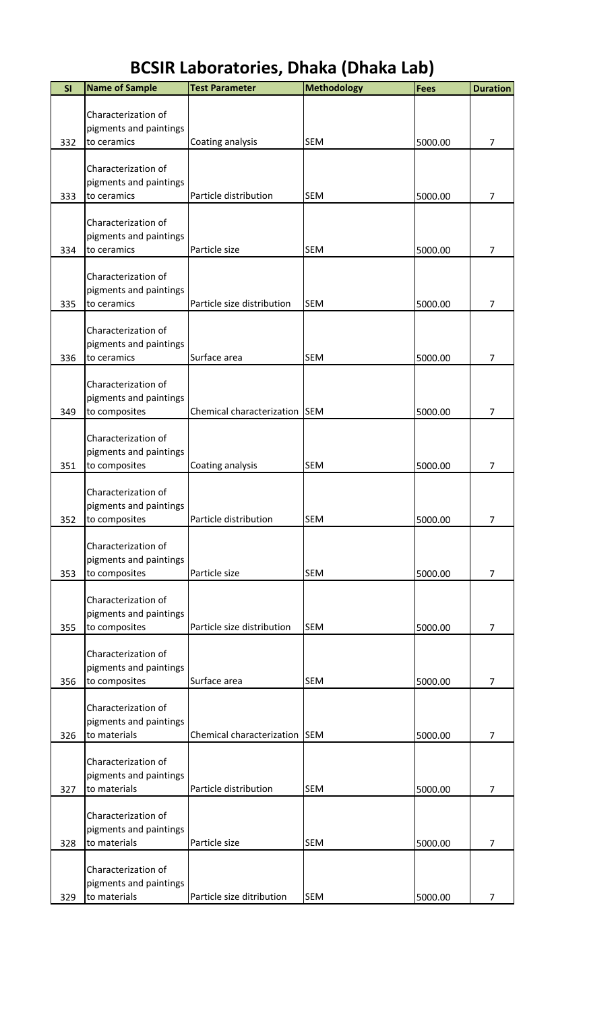| SI  | <b>Name of Sample</b>                         | <b>Test Parameter</b>         | <b>Methodology</b> | <b>Fees</b> | <b>Duration</b> |
|-----|-----------------------------------------------|-------------------------------|--------------------|-------------|-----------------|
|     |                                               |                               |                    |             |                 |
|     | Characterization of<br>pigments and paintings |                               |                    |             |                 |
| 332 | to ceramics                                   | Coating analysis              | <b>SEM</b>         | 5000.00     | 7               |
|     |                                               |                               |                    |             |                 |
|     | Characterization of<br>pigments and paintings |                               |                    |             |                 |
| 333 | to ceramics                                   | Particle distribution         | <b>SEM</b>         | 5000.00     | 7               |
|     |                                               |                               |                    |             |                 |
|     | Characterization of                           |                               |                    |             |                 |
| 334 | pigments and paintings<br>to ceramics         | Particle size                 | <b>SEM</b>         | 5000.00     | 7               |
|     |                                               |                               |                    |             |                 |
|     | Characterization of                           |                               |                    |             |                 |
|     | pigments and paintings                        |                               |                    |             |                 |
| 335 | to ceramics                                   | Particle size distribution    | <b>SEM</b>         | 5000.00     | 7               |
|     | Characterization of                           |                               |                    |             |                 |
|     | pigments and paintings                        |                               |                    |             |                 |
| 336 | to ceramics                                   | Surface area                  | <b>SEM</b>         | 5000.00     | 7               |
|     | Characterization of                           |                               |                    |             |                 |
|     | pigments and paintings                        |                               |                    |             |                 |
| 349 | to composites                                 | Chemical characterization SEM |                    | 5000.00     | 7               |
|     | Characterization of                           |                               |                    |             |                 |
|     | pigments and paintings                        |                               |                    |             |                 |
| 351 | to composites                                 | Coating analysis              | <b>SEM</b>         | 5000.00     | 7               |
|     | Characterization of                           |                               |                    |             |                 |
|     | pigments and paintings                        |                               |                    |             |                 |
| 352 | to composites                                 | Particle distribution         | <b>SEM</b>         | 5000.00     | 7               |
|     |                                               |                               |                    |             |                 |
|     | Characterization of<br>pigments and paintings |                               |                    |             |                 |
| 353 | to composites                                 | Particle size                 | <b>SEM</b>         | 5000.00     | $\overline{7}$  |
|     |                                               |                               |                    |             |                 |
|     | Characterization of<br>pigments and paintings |                               |                    |             |                 |
| 355 | to composites                                 | Particle size distribution    | <b>SEM</b>         | 5000.00     | $\overline{7}$  |
|     |                                               |                               |                    |             |                 |
|     | Characterization of                           |                               |                    |             |                 |
| 356 | pigments and paintings<br>to composites       | Surface area                  | <b>SEM</b>         | 5000.00     | $\overline{7}$  |
|     |                                               |                               |                    |             |                 |
|     | Characterization of                           |                               |                    |             |                 |
| 326 | pigments and paintings<br>to materials        | Chemical characterization SEM |                    | 5000.00     | $\overline{7}$  |
|     |                                               |                               |                    |             |                 |
|     | Characterization of                           |                               |                    |             |                 |
|     | pigments and paintings<br>to materials        | Particle distribution         | <b>SEM</b>         |             | $\overline{7}$  |
| 327 |                                               |                               |                    | 5000.00     |                 |
|     | Characterization of                           |                               |                    |             |                 |
|     | pigments and paintings                        |                               |                    |             |                 |
| 328 | to materials                                  | Particle size                 | <b>SEM</b>         | 5000.00     | $\overline{7}$  |
|     | Characterization of                           |                               |                    |             |                 |
|     | pigments and paintings                        |                               |                    |             |                 |
| 329 | to materials                                  | Particle size ditribution     | <b>SEM</b>         | 5000.00     | $\overline{7}$  |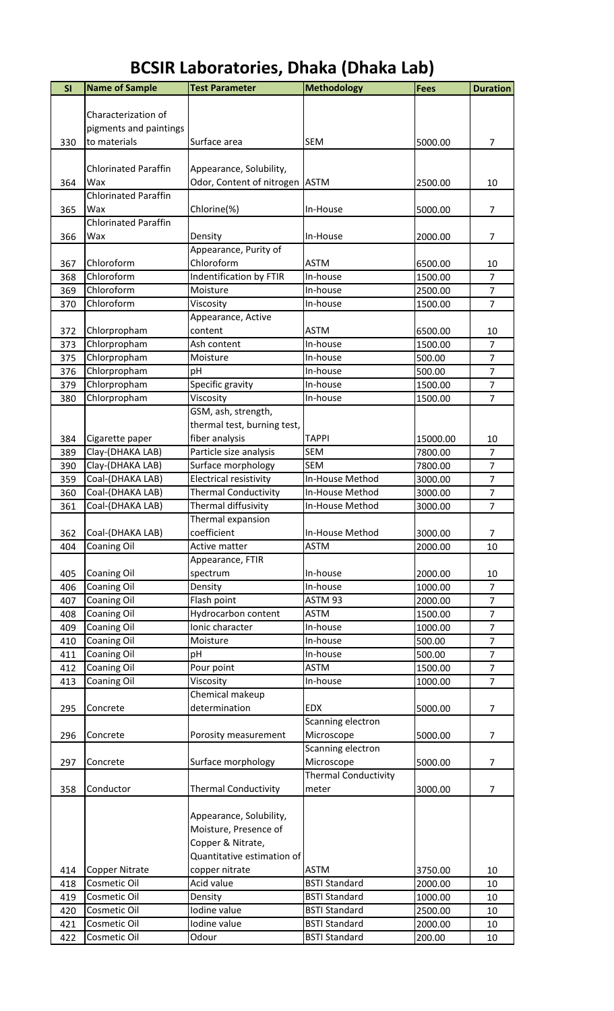| SI         | <b>Name of Sample</b>                | <b>Test Parameter</b>                        | <b>Methodology</b>          | <b>Fees</b>        | <b>Duration</b>      |
|------------|--------------------------------------|----------------------------------------------|-----------------------------|--------------------|----------------------|
|            |                                      |                                              |                             |                    |                      |
|            | Characterization of                  |                                              |                             |                    |                      |
|            | pigments and paintings               |                                              |                             |                    |                      |
| 330        | to materials                         | Surface area                                 | <b>SEM</b>                  | 5000.00            | 7                    |
|            |                                      |                                              |                             |                    |                      |
|            | <b>Chlorinated Paraffin</b>          | Appearance, Solubility,                      |                             |                    |                      |
| 364        | Wax                                  | Odor, Content of nitrogen ASTM               |                             | 2500.00            | 10                   |
|            | <b>Chlorinated Paraffin</b>          |                                              |                             |                    |                      |
| 365        | Wax                                  | Chlorine(%)                                  | In-House                    | 5000.00            | $\overline{7}$       |
|            | <b>Chlorinated Paraffin</b>          |                                              |                             |                    |                      |
| 366        | Wax                                  | Density                                      | In-House                    | 2000.00            | $\overline{7}$       |
|            |                                      | Appearance, Purity of                        |                             |                    |                      |
| 367        | Chloroform                           | Chloroform                                   | <b>ASTM</b>                 | 6500.00            | 10                   |
| 368        | Chloroform                           | Indentification by FTIR                      | In-house                    | 1500.00            | $\overline{7}$       |
| 369        | Chloroform                           | Moisture                                     | In-house                    | 2500.00            | $\overline{7}$       |
| 370        | Chloroform                           | Viscosity                                    | In-house                    | 1500.00            | $\overline{7}$       |
|            |                                      | Appearance, Active                           |                             |                    |                      |
| 372        | Chlorpropham                         | content                                      | <b>ASTM</b>                 | 6500.00            | 10<br>$\overline{7}$ |
| 373        | Chlorpropham                         | Ash content                                  | In-house                    | 1500.00            | $\overline{7}$       |
| 375<br>376 | Chlorpropham<br>Chlorpropham         | Moisture                                     | In-house<br>In-house        | 500.00<br>500.00   | $\overline{7}$       |
| 379        | Chlorpropham                         | pH                                           |                             | 1500.00            | $\overline{7}$       |
|            |                                      | Specific gravity                             | In-house                    |                    | $\overline{7}$       |
| 380        | Chlorpropham                         | Viscosity                                    | In-house                    | 1500.00            |                      |
|            |                                      | GSM, ash, strength,                          |                             |                    |                      |
|            |                                      | thermal test, burning test,                  | <b>TAPPI</b>                |                    |                      |
| 384        | Cigarette paper                      | fiber analysis                               | <b>SEM</b>                  | 15000.00           | 10<br>$\overline{7}$ |
| 389        | Clay-(DHAKA LAB)                     | Particle size analysis                       | <b>SEM</b>                  | 7800.00<br>7800.00 | $\overline{7}$       |
| 390<br>359 | Clay-(DHAKA LAB)<br>Coal-(DHAKA LAB) | Surface morphology<br>Electrical resistivity | In-House Method             | 3000.00            | $\overline{7}$       |
| 360        | Coal-(DHAKA LAB)                     | <b>Thermal Conductivity</b>                  | In-House Method             | 3000.00            | $\overline{7}$       |
| 361        | Coal-(DHAKA LAB)                     | Thermal diffusivity                          | In-House Method             | 3000.00            | $\overline{7}$       |
|            |                                      | Thermal expansion                            |                             |                    |                      |
| 362        | Coal-(DHAKA LAB)                     | coefficient                                  | In-House Method             | 3000.00            | $\overline{7}$       |
| 404        | <b>Coaning Oil</b>                   | Active matter                                | <b>ASTM</b>                 | 2000.00            | 10                   |
|            |                                      | Appearance, FTIR                             |                             |                    |                      |
| 405        | Coaning Oil                          | spectrum                                     | In-house                    | 2000.00            | 10                   |
| 406        | Coaning Oil                          | Density                                      | In-house                    | 1000.00            | $\overline{7}$       |
| 407        | <b>Coaning Oil</b>                   | Flash point                                  | ASTM 93                     | 2000.00            | $\overline{7}$       |
| 408        | <b>Coaning Oil</b>                   | Hydrocarbon content                          | <b>ASTM</b>                 | 1500.00            | $\overline{7}$       |
| 409        | <b>Coaning Oil</b>                   | Ionic character                              | In-house                    | 1000.00            | $\overline{7}$       |
| 410        | Coaning Oil                          | Moisture                                     | In-house                    | 500.00             | $\overline{7}$       |
| 411        | <b>Coaning Oil</b>                   | pH                                           | In-house                    | 500.00             | $\overline{7}$       |
| 412        | <b>Coaning Oil</b>                   | Pour point                                   | <b>ASTM</b>                 | 1500.00            | $\overline{7}$       |
| 413        | <b>Coaning Oil</b>                   | Viscosity                                    | In-house                    | 1000.00            | $\overline{7}$       |
|            |                                      | Chemical makeup                              |                             |                    |                      |
| 295        | Concrete                             | determination                                | <b>EDX</b>                  | 5000.00            | $\overline{7}$       |
|            |                                      |                                              | Scanning electron           |                    |                      |
| 296        | Concrete                             | Porosity measurement                         | Microscope                  | 5000.00            | $\overline{7}$       |
|            |                                      |                                              | Scanning electron           |                    |                      |
| 297        | Concrete                             | Surface morphology                           | Microscope                  | 5000.00            | $\overline{7}$       |
|            |                                      |                                              | <b>Thermal Conductivity</b> |                    |                      |
| 358        | Conductor                            | <b>Thermal Conductivity</b>                  | meter                       | 3000.00            | 7                    |
|            |                                      |                                              |                             |                    |                      |
|            |                                      | Appearance, Solubility,                      |                             |                    |                      |
|            |                                      | Moisture, Presence of                        |                             |                    |                      |
|            |                                      | Copper & Nitrate,                            |                             |                    |                      |
|            |                                      | Quantitative estimation of                   |                             |                    |                      |
| 414        | <b>Copper Nitrate</b>                | copper nitrate                               | <b>ASTM</b>                 | 3750.00            | 10                   |
| 418        | Cosmetic Oil                         | Acid value                                   | <b>BSTI Standard</b>        | 2000.00            | 10                   |
| 419        | Cosmetic Oil                         | Density                                      | <b>BSTI Standard</b>        | 1000.00            | 10                   |
| 420        | Cosmetic Oil                         | Iodine value                                 | <b>BSTI Standard</b>        | 2500.00            | 10                   |
| 421        | Cosmetic Oil                         | Iodine value                                 | <b>BSTI Standard</b>        | 2000.00            | 10                   |
| 422        | Cosmetic Oil                         | Odour                                        | <b>BSTI Standard</b>        | 200.00             | 10                   |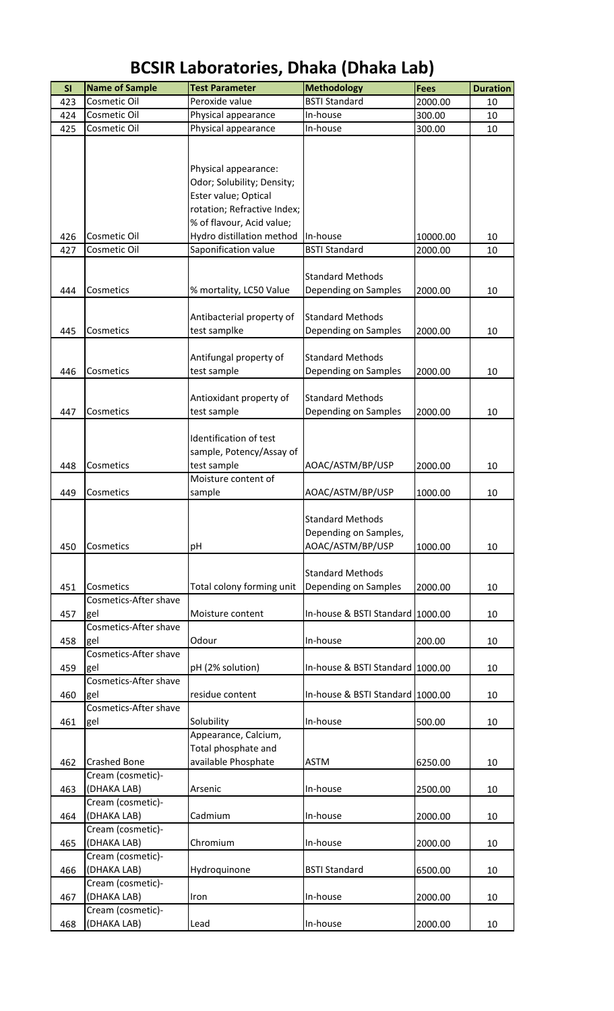| SI  | <b>Name of Sample</b> | <b>Test Parameter</b>       | <b>Methodology</b>               | <b>Fees</b> | <b>Duration</b> |
|-----|-----------------------|-----------------------------|----------------------------------|-------------|-----------------|
| 423 | Cosmetic Oil          | Peroxide value              | <b>BSTI Standard</b>             | 2000.00     | 10              |
| 424 | Cosmetic Oil          | Physical appearance         | In-house                         | 300.00      | 10              |
| 425 | Cosmetic Oil          | Physical appearance         | In-house                         | 300.00      | 10              |
|     |                       |                             |                                  |             |                 |
|     |                       |                             |                                  |             |                 |
|     |                       |                             |                                  |             |                 |
|     |                       | Physical appearance:        |                                  |             |                 |
|     |                       | Odor; Solubility; Density;  |                                  |             |                 |
|     |                       | Ester value; Optical        |                                  |             |                 |
|     |                       | rotation; Refractive Index; |                                  |             |                 |
|     |                       | % of flavour, Acid value;   |                                  |             |                 |
| 426 | Cosmetic Oil          | Hydro distillation method   | In-house                         | 10000.00    | 10              |
| 427 | Cosmetic Oil          | Saponification value        | <b>BSTI Standard</b>             | 2000.00     | 10              |
|     |                       |                             |                                  |             |                 |
|     |                       |                             | <b>Standard Methods</b>          |             |                 |
| 444 | Cosmetics             | % mortality, LC50 Value     | Depending on Samples             | 2000.00     | 10              |
|     |                       |                             |                                  |             |                 |
|     |                       | Antibacterial property of   | <b>Standard Methods</b>          |             |                 |
| 445 | Cosmetics             | test samplke                | Depending on Samples             | 2000.00     | 10              |
|     |                       |                             |                                  |             |                 |
|     |                       | Antifungal property of      | <b>Standard Methods</b>          |             |                 |
| 446 | Cosmetics             | test sample                 | Depending on Samples             | 2000.00     | 10              |
|     |                       |                             |                                  |             |                 |
|     |                       | Antioxidant property of     | <b>Standard Methods</b>          |             |                 |
| 447 | Cosmetics             | test sample                 | Depending on Samples             | 2000.00     | 10              |
|     |                       |                             |                                  |             |                 |
|     |                       | Identification of test      |                                  |             |                 |
|     |                       | sample, Potency/Assay of    |                                  |             |                 |
| 448 | Cosmetics             | test sample                 | AOAC/ASTM/BP/USP                 | 2000.00     | 10              |
|     |                       | Moisture content of         |                                  |             |                 |
| 449 | Cosmetics             | sample                      | AOAC/ASTM/BP/USP                 | 1000.00     | 10              |
|     |                       |                             |                                  |             |                 |
|     |                       |                             | <b>Standard Methods</b>          |             |                 |
|     |                       |                             | Depending on Samples,            |             |                 |
| 450 | Cosmetics             | pH                          | AOAC/ASTM/BP/USP                 | 1000.00     | 10              |
|     |                       |                             |                                  |             |                 |
|     |                       |                             | <b>Standard Methods</b>          |             |                 |
| 451 | Cosmetics             | Total colony forming unit   | Depending on Samples             | 2000.00     | 10              |
|     | Cosmetics-After shave |                             |                                  |             |                 |
| 457 | gel                   | Moisture content            | In-house & BSTI Standard 1000.00 |             | 10              |
|     | Cosmetics-After shave |                             |                                  |             |                 |
| 458 | gel                   | Odour                       | In-house                         | 200.00      | 10              |
|     | Cosmetics-After shave |                             |                                  |             |                 |
| 459 | gel                   | pH (2% solution)            | In-house & BSTI Standard 1000.00 |             | 10              |
|     | Cosmetics-After shave |                             |                                  |             |                 |
| 460 | gel                   | residue content             | In-house & BSTI Standard 1000.00 |             | 10              |
|     | Cosmetics-After shave |                             |                                  |             |                 |
| 461 | gel                   | Solubility                  | In-house                         | 500.00      | 10              |
|     |                       | Appearance, Calcium,        |                                  |             |                 |
|     |                       | Total phosphate and         |                                  |             |                 |
| 462 | <b>Crashed Bone</b>   | available Phosphate         | ASTM                             | 6250.00     | 10              |
|     | Cream (cosmetic)-     |                             |                                  |             |                 |
| 463 | (DHAKA LAB)           | Arsenic                     | In-house                         | 2500.00     | 10              |
|     | Cream (cosmetic)-     |                             |                                  |             |                 |
| 464 | (DHAKA LAB)           | Cadmium                     | In-house                         | 2000.00     | 10              |
|     | Cream (cosmetic)-     |                             |                                  |             |                 |
| 465 | (DHAKA LAB)           | Chromium                    | In-house                         | 2000.00     | 10              |
|     | Cream (cosmetic)-     |                             |                                  |             |                 |
| 466 | (DHAKA LAB)           | Hydroquinone                | <b>BSTI Standard</b>             | 6500.00     | 10              |
|     | Cream (cosmetic)-     |                             |                                  |             |                 |
| 467 | (DHAKA LAB)           | Iron                        | In-house                         | 2000.00     | 10              |
|     | Cream (cosmetic)-     |                             |                                  |             |                 |
| 468 | (DHAKA LAB)           | Lead                        | In-house                         | 2000.00     | 10              |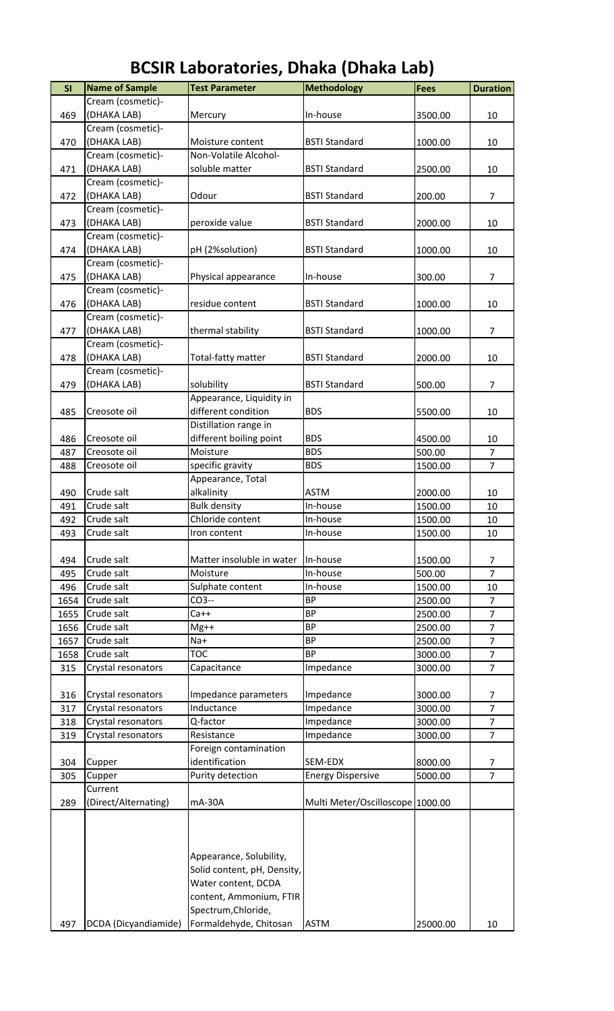| SI   | <b>Name of Sample</b> | <b>Test Parameter</b>       | <b>Methodology</b>               | <b>Fees</b> | <b>Duration</b> |
|------|-----------------------|-----------------------------|----------------------------------|-------------|-----------------|
|      | Cream (cosmetic)-     |                             |                                  |             |                 |
| 469  | (DHAKA LAB)           | Mercury                     | In-house                         | 3500.00     | 10              |
|      | Cream (cosmetic)-     |                             |                                  |             |                 |
| 470  | (DHAKA LAB)           | Moisture content            | <b>BSTI Standard</b>             | 1000.00     | 10              |
|      |                       |                             |                                  |             |                 |
|      | Cream (cosmetic)-     | Non-Volatile Alcohol-       |                                  |             |                 |
| 471  | (DHAKA LAB)           | soluble matter              | <b>BSTI Standard</b>             | 2500.00     | 10              |
|      | Cream (cosmetic)-     |                             |                                  |             |                 |
| 472  | (DHAKA LAB)           | Odour                       | <b>BSTI Standard</b>             | 200.00      | $\overline{7}$  |
|      | Cream (cosmetic)-     |                             |                                  |             |                 |
| 473  | (DHAKA LAB)           | peroxide value              | <b>BSTI Standard</b>             | 2000.00     | 10              |
|      |                       |                             |                                  |             |                 |
|      | Cream (cosmetic)-     |                             |                                  |             |                 |
| 474  | (DHAKA LAB)           | pH (2%solution)             | <b>BSTI Standard</b>             | 1000.00     | 10              |
|      | Cream (cosmetic)-     |                             |                                  |             |                 |
| 475  | (DHAKA LAB)           | Physical appearance         | In-house                         | 300.00      | $\overline{7}$  |
|      | Cream (cosmetic)-     |                             |                                  |             |                 |
| 476  | (DHAKA LAB)           | residue content             | <b>BSTI Standard</b>             | 1000.00     | 10              |
|      | Cream (cosmetic)-     |                             |                                  |             |                 |
|      |                       |                             |                                  |             |                 |
| 477  | (DHAKA LAB)           | thermal stability           | <b>BSTI Standard</b>             | 1000.00     | $\overline{7}$  |
|      | Cream (cosmetic)-     |                             |                                  |             |                 |
| 478  | (DHAKA LAB)           | Total-fatty matter          | <b>BSTI Standard</b>             | 2000.00     | 10              |
|      | Cream (cosmetic)-     |                             |                                  |             |                 |
| 479  | (DHAKA LAB)           | solubility                  | <b>BSTI Standard</b>             | 500.00      | $\overline{7}$  |
|      |                       | Appearance, Liquidity in    |                                  |             |                 |
| 485  | Creosote oil          | different condition         | <b>BDS</b>                       | 5500.00     | 10              |
|      |                       |                             |                                  |             |                 |
|      |                       | Distillation range in       |                                  |             |                 |
| 486  | Creosote oil          | different boiling point     | <b>BDS</b>                       | 4500.00     | 10              |
| 487  | Creosote oil          | Moisture                    | <b>BDS</b>                       | 500.00      | $\overline{7}$  |
| 488  | Creosote oil          | specific gravity            | <b>BDS</b>                       | 1500.00     | $\overline{7}$  |
|      |                       | Appearance, Total           |                                  |             |                 |
| 490  | Crude salt            | alkalinity                  | <b>ASTM</b>                      | 2000.00     | 10              |
| 491  | Crude salt            | <b>Bulk density</b>         | In-house                         | 1500.00     | 10              |
| 492  | Crude salt            | Chloride content            | In-house                         | 1500.00     | 10              |
|      |                       |                             |                                  |             |                 |
| 493  | Crude salt            | Iron content                | In-house                         | 1500.00     | 10              |
|      |                       |                             |                                  |             |                 |
| 494  | Crude salt            | Matter insoluble in water   | In-house                         | 1500.00     | $\overline{7}$  |
| 495  | Crude salt            | Moisture                    | In-house                         | 500.00      | $\overline{7}$  |
| 496  | Crude salt            | Sulphate content            | In-house                         | 1500.00     | 10              |
| 1654 | Crude salt            | CO3--                       | BP                               | 2500.00     | $\overline{7}$  |
| 1655 | Crude salt            | Ca++                        | <b>BP</b>                        | 2500.00     | $\overline{7}$  |
| 1656 | Crude salt            | $Mg++$                      | <b>BP</b>                        | 2500.00     | $\overline{7}$  |
|      |                       |                             |                                  |             | $\overline{7}$  |
| 1657 | Crude salt            | $Na+$                       | <b>BP</b>                        | 2500.00     |                 |
| 1658 | Crude salt            | <b>TOC</b>                  | <b>BP</b>                        | 3000.00     | $\overline{7}$  |
| 315  | Crystal resonators    | Capacitance                 | Impedance                        | 3000.00     | $\overline{7}$  |
|      |                       |                             |                                  |             |                 |
| 316  | Crystal resonators    | Impedance parameters        | Impedance                        | 3000.00     | 7               |
| 317  | Crystal resonators    | Inductance                  | Impedance                        | 3000.00     | $\overline{7}$  |
| 318  | Crystal resonators    | Q-factor                    | Impedance                        | 3000.00     | $\overline{7}$  |
| 319  | Crystal resonators    | Resistance                  | Impedance                        | 3000.00     | $\overline{7}$  |
|      |                       | Foreign contamination       |                                  |             |                 |
|      |                       |                             |                                  |             |                 |
| 304  | Cupper                | identification              | SEM-EDX                          | 8000.00     | 7               |
| 305  | Cupper                | Purity detection            | <b>Energy Dispersive</b>         | 5000.00     | $\overline{7}$  |
|      | Current               |                             |                                  |             |                 |
| 289  | (Direct/Alternating)  | mA-30A                      | Multi Meter/Oscilloscope 1000.00 |             |                 |
|      |                       |                             |                                  |             |                 |
|      |                       | Appearance, Solubility,     |                                  |             |                 |
|      |                       |                             |                                  |             |                 |
|      |                       | Solid content, pH, Density, |                                  |             |                 |
|      |                       | Water content, DCDA         |                                  |             |                 |
|      |                       | content, Ammonium, FTIR     |                                  |             |                 |
|      |                       | Spectrum, Chloride,         |                                  |             |                 |
| 497  | DCDA (Dicyandiamide)  | Formaldehyde, Chitosan      | <b>ASTM</b>                      | 25000.00    | 10              |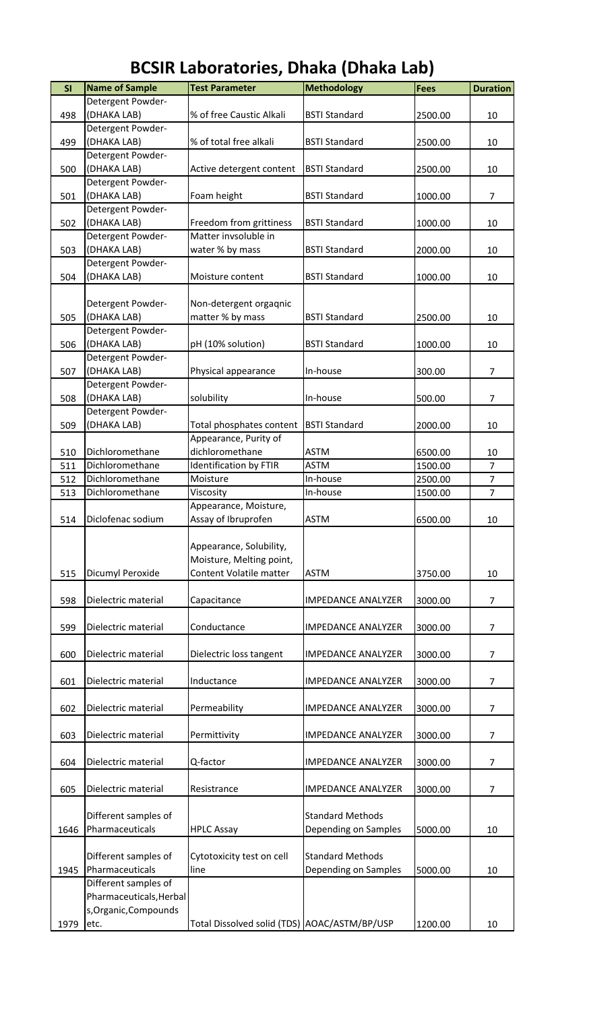| SI   | <b>Name of Sample</b>   | <b>Test Parameter</b>                           | <b>Methodology</b>        | <b>Fees</b> | <b>Duration</b> |
|------|-------------------------|-------------------------------------------------|---------------------------|-------------|-----------------|
|      | Detergent Powder-       |                                                 |                           |             |                 |
| 498  | (DHAKA LAB)             | % of free Caustic Alkali                        | <b>BSTI Standard</b>      | 2500.00     | 10              |
|      | Detergent Powder-       |                                                 |                           |             |                 |
| 499  | (DHAKA LAB)             | % of total free alkali                          | <b>BSTI Standard</b>      | 2500.00     | 10              |
|      | Detergent Powder-       |                                                 |                           |             |                 |
| 500  | (DHAKA LAB)             | Active detergent content                        | <b>BSTI Standard</b>      | 2500.00     | 10              |
|      | Detergent Powder-       |                                                 |                           |             |                 |
| 501  | (DHAKA LAB)             | Foam height                                     | <b>BSTI Standard</b>      | 1000.00     | 7               |
|      | Detergent Powder-       |                                                 |                           |             |                 |
|      | (DHAKA LAB)             |                                                 |                           |             |                 |
| 502  |                         | Freedom from grittiness<br>Matter invsoluble in | <b>BSTI Standard</b>      | 1000.00     | 10              |
|      | Detergent Powder-       |                                                 |                           |             |                 |
| 503  | (DHAKA LAB)             | water % by mass                                 | <b>BSTI Standard</b>      | 2000.00     | 10              |
|      | Detergent Powder-       |                                                 |                           |             |                 |
| 504  | (DHAKA LAB)             | Moisture content                                | <b>BSTI Standard</b>      | 1000.00     | 10              |
|      |                         |                                                 |                           |             |                 |
|      | Detergent Powder-       | Non-detergent orgaqnic                          |                           |             |                 |
| 505  | (DHAKA LAB)             | matter % by mass                                | <b>BSTI Standard</b>      | 2500.00     | 10              |
|      | Detergent Powder-       |                                                 |                           |             |                 |
| 506  | (DHAKA LAB)             | pH (10% solution)                               | <b>BSTI Standard</b>      | 1000.00     | 10              |
|      | Detergent Powder-       |                                                 |                           |             |                 |
| 507  | (DHAKA LAB)             | Physical appearance                             | In-house                  | 300.00      | 7               |
|      | Detergent Powder-       |                                                 |                           |             |                 |
| 508  | (DHAKA LAB)             | solubility                                      | In-house                  | 500.00      | $\overline{7}$  |
|      | Detergent Powder-       |                                                 |                           |             |                 |
| 509  | (DHAKA LAB)             | Total phosphates content                        | <b>BSTI Standard</b>      | 2000.00     | 10              |
|      |                         | Appearance, Purity of                           |                           |             |                 |
|      |                         |                                                 |                           |             |                 |
| 510  | Dichloromethane         | dichloromethane                                 | <b>ASTM</b>               | 6500.00     | 10              |
| 511  | Dichloromethane         | <b>Identification by FTIR</b>                   | <b>ASTM</b>               | 1500.00     | $\overline{7}$  |
| 512  | Dichloromethane         | Moisture                                        | In-house                  | 2500.00     | $\overline{7}$  |
| 513  | Dichloromethane         | Viscosity                                       | In-house                  | 1500.00     | $\overline{7}$  |
|      |                         | Appearance, Moisture,                           |                           |             |                 |
| 514  | Diclofenac sodium       | Assay of Ibruprofen                             | <b>ASTM</b>               | 6500.00     | 10              |
|      |                         |                                                 |                           |             |                 |
|      |                         | Appearance, Solubility,                         |                           |             |                 |
|      |                         | Moisture, Melting point,                        |                           |             |                 |
| 515  | Dicumyl Peroxide        | Content Volatile matter                         | <b>ASTM</b>               | 3750.00     | 10              |
|      |                         |                                                 |                           |             |                 |
| 598  | Dielectric material     | Capacitance                                     | <b>IMPEDANCE ANALYZER</b> | 3000.00     | $\overline{7}$  |
|      |                         |                                                 |                           |             |                 |
| 599  | Dielectric material     | Conductance                                     | <b>IMPEDANCE ANALYZER</b> | 3000.00     | $\overline{7}$  |
|      |                         |                                                 |                           |             |                 |
| 600  | Dielectric material     | Dielectric loss tangent                         | <b>IMPEDANCE ANALYZER</b> | 3000.00     | 7               |
|      |                         |                                                 |                           |             |                 |
| 601  | Dielectric material     | Inductance                                      | <b>IMPEDANCE ANALYZER</b> | 3000.00     | 7               |
|      |                         |                                                 |                           |             |                 |
|      |                         |                                                 |                           |             | $\overline{7}$  |
| 602  | Dielectric material     | Permeability                                    | <b>IMPEDANCE ANALYZER</b> | 3000.00     |                 |
|      |                         |                                                 |                           |             |                 |
| 603  | Dielectric material     | Permittivity                                    | <b>IMPEDANCE ANALYZER</b> | 3000.00     | $\overline{7}$  |
|      |                         |                                                 |                           |             |                 |
| 604  | Dielectric material     | Q-factor                                        | <b>IMPEDANCE ANALYZER</b> | 3000.00     | 7               |
|      |                         |                                                 |                           |             |                 |
| 605  | Dielectric material     | Resistrance                                     | <b>IMPEDANCE ANALYZER</b> | 3000.00     | $\overline{7}$  |
|      |                         |                                                 |                           |             |                 |
|      | Different samples of    |                                                 | <b>Standard Methods</b>   |             |                 |
| 1646 | Pharmaceuticals         | <b>HPLC Assay</b>                               | Depending on Samples      | 5000.00     | 10              |
|      |                         |                                                 |                           |             |                 |
|      | Different samples of    | Cytotoxicity test on cell                       | <b>Standard Methods</b>   |             |                 |
| 1945 | Pharmaceuticals         | line                                            | Depending on Samples      | 5000.00     | 10              |
|      | Different samples of    |                                                 |                           |             |                 |
|      | Pharmaceuticals, Herbal |                                                 |                           |             |                 |
|      | s, Organic, Compounds   |                                                 |                           |             |                 |
| 1979 | etc.                    | Total Dissolved solid (TDS) AOAC/ASTM/BP/USP    |                           | 1200.00     | 10              |
|      |                         |                                                 |                           |             |                 |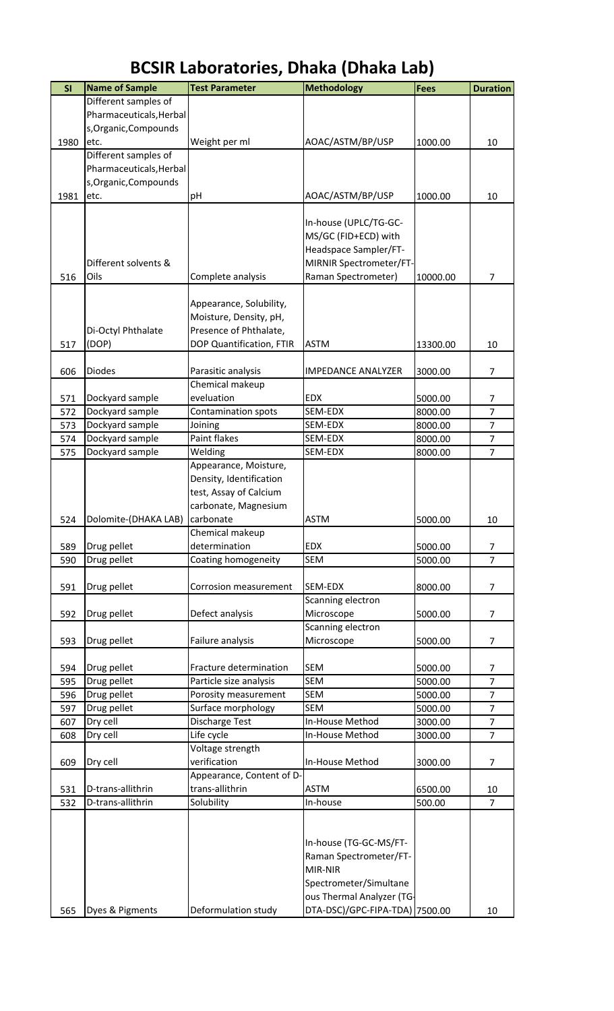| SI   | <b>Name of Sample</b>   | <b>Test Parameter</b>          | <b>Methodology</b>             | <b>Fees</b> | <b>Duration</b>                  |
|------|-------------------------|--------------------------------|--------------------------------|-------------|----------------------------------|
|      | Different samples of    |                                |                                |             |                                  |
|      | Pharmaceuticals, Herbal |                                |                                |             |                                  |
|      | s, Organic, Compounds   |                                |                                |             |                                  |
| 1980 | etc.                    | Weight per ml                  | AOAC/ASTM/BP/USP               | 1000.00     | 10                               |
|      | Different samples of    |                                |                                |             |                                  |
|      | Pharmaceuticals, Herbal |                                |                                |             |                                  |
|      | s, Organic, Compounds   |                                |                                |             |                                  |
| 1981 | etc.                    | pH                             | AOAC/ASTM/BP/USP               | 1000.00     | 10                               |
|      |                         |                                |                                |             |                                  |
|      |                         |                                | In-house (UPLC/TG-GC-          |             |                                  |
|      |                         |                                | MS/GC (FID+ECD) with           |             |                                  |
|      |                         |                                | Headspace Sampler/FT-          |             |                                  |
|      | Different solvents &    |                                | MIRNIR Spectrometer/FT-        |             |                                  |
| 516  | Oils                    | Complete analysis              | Raman Spectrometer)            | 10000.00    | $\overline{7}$                   |
|      |                         |                                |                                |             |                                  |
|      |                         | Appearance, Solubility,        |                                |             |                                  |
|      |                         | Moisture, Density, pH,         |                                |             |                                  |
|      | Di-Octyl Phthalate      | Presence of Phthalate,         |                                |             |                                  |
| 517  | (DOP)                   | DOP Quantification, FTIR       | <b>ASTM</b>                    | 13300.00    | 10                               |
| 606  | <b>Diodes</b>           | Parasitic analysis             | <b>IMPEDANCE ANALYZER</b>      | 3000.00     | $\overline{7}$                   |
|      |                         | Chemical makeup                |                                |             |                                  |
| 571  | Dockyard sample         | eveluation                     | <b>EDX</b>                     | 5000.00     | 7                                |
| 572  | Dockyard sample         | Contamination spots            | SEM-EDX                        | 8000.00     | $\overline{7}$                   |
| 573  | Dockyard sample         | Joining                        | SEM-EDX                        | 8000.00     | $\overline{7}$                   |
| 574  | Dockyard sample         | <b>Paint flakes</b>            | SEM-EDX                        | 8000.00     | $\overline{7}$                   |
| 575  | Dockyard sample         | Welding                        | SEM-EDX                        | 8000.00     | $\overline{7}$                   |
|      |                         | Appearance, Moisture,          |                                |             |                                  |
|      |                         | Density, Identification        |                                |             |                                  |
|      |                         | test, Assay of Calcium         |                                |             |                                  |
|      |                         | carbonate, Magnesium           |                                |             |                                  |
| 524  | Dolomite-(DHAKA LAB)    | carbonate                      | <b>ASTM</b>                    | 5000.00     | 10                               |
|      |                         | Chemical makeup                |                                |             |                                  |
| 589  | Drug pellet             | determination                  | <b>EDX</b>                     | 5000.00     | $\overline{7}$                   |
| 590  | Drug pellet             | Coating homogeneity            | <b>SEM</b>                     | 5000.00     | $\overline{7}$                   |
|      |                         |                                |                                |             |                                  |
| 591  | Drug pellet             | Corrosion measurement          | SEM-EDX                        | 8000.00     | $\overline{7}$                   |
|      |                         |                                | Scanning electron              |             |                                  |
| 592  | Drug pellet             | Defect analysis                | Microscope                     | 5000.00     | 7                                |
|      |                         |                                | Scanning electron              |             |                                  |
| 593  | Drug pellet             | Failure analysis               | Microscope                     | 5000.00     | $\overline{7}$                   |
|      |                         |                                |                                |             |                                  |
| 594  | Drug pellet             | Fracture determination         | <b>SEM</b>                     | 5000.00     | 7                                |
| 595  | Drug pellet             | Particle size analysis         | <b>SEM</b>                     | 5000.00     | $\overline{7}$                   |
| 596  | Drug pellet             | Porosity measurement           | <b>SEM</b>                     | 5000.00     | $\overline{7}$                   |
| 597  | Drug pellet             | Surface morphology             | <b>SEM</b>                     | 5000.00     | $\overline{7}$<br>$\overline{7}$ |
| 607  | Dry cell                | Discharge Test                 | In-House Method                | 3000.00     | $\overline{7}$                   |
| 608  | Dry cell                | Life cycle<br>Voltage strength | In-House Method                | 3000.00     |                                  |
| 609  | Dry cell                | verification                   | In-House Method                | 3000.00     | $\overline{7}$                   |
|      |                         | Appearance, Content of D-      |                                |             |                                  |
| 531  | D-trans-allithrin       | trans-allithrin                | <b>ASTM</b>                    | 6500.00     | 10                               |
| 532  | D-trans-allithrin       | Solubility                     | In-house                       | 500.00      | $\overline{7}$                   |
|      |                         |                                |                                |             |                                  |
|      |                         |                                |                                |             |                                  |
|      |                         |                                | In-house (TG-GC-MS/FT-         |             |                                  |
|      |                         |                                | Raman Spectrometer/FT-         |             |                                  |
|      |                         |                                | MIR-NIR                        |             |                                  |
|      |                         |                                | Spectrometer/Simultane         |             |                                  |
|      |                         |                                | ous Thermal Analyzer (TG-      |             |                                  |
| 565  | Dyes & Pigments         | Deformulation study            | DTA-DSC)/GPC-FIPA-TDA) 7500.00 |             | 10                               |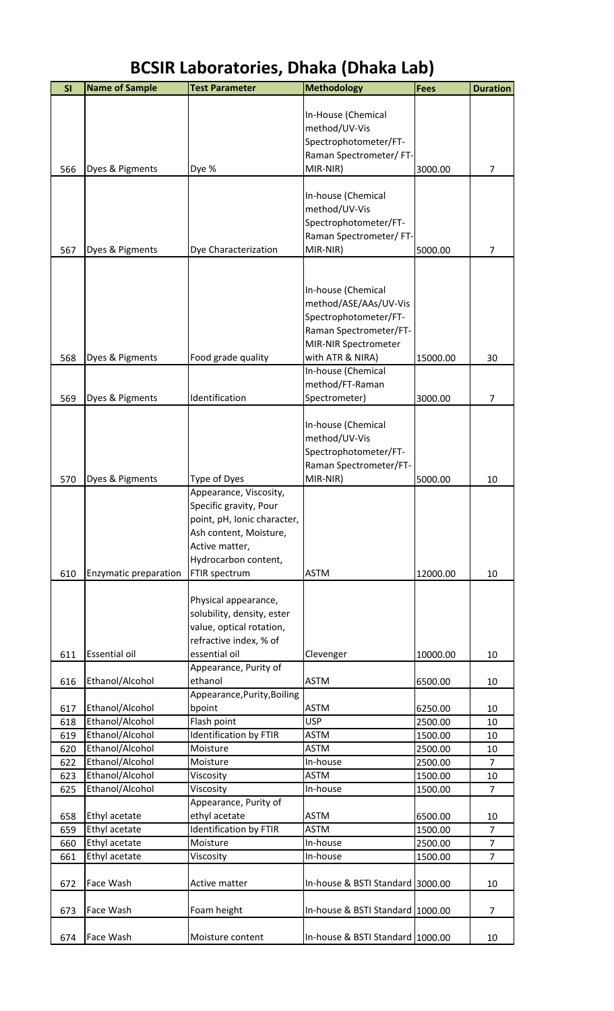| SI  | <b>Name of Sample</b> | <b>Test Parameter</b>         | Methodology                      | <b>Fees</b> | <b>Duration</b> |
|-----|-----------------------|-------------------------------|----------------------------------|-------------|-----------------|
|     |                       |                               |                                  |             |                 |
|     |                       |                               | In-House (Chemical               |             |                 |
|     |                       |                               | method/UV-Vis                    |             |                 |
|     |                       |                               | Spectrophotometer/FT-            |             |                 |
|     |                       |                               | Raman Spectrometer/FT-           |             |                 |
| 566 | Dyes & Pigments       | Dye %                         | MIR-NIR)                         | 3000.00     | 7               |
|     |                       |                               |                                  |             |                 |
|     |                       |                               | In-house (Chemical               |             |                 |
|     |                       |                               | method/UV-Vis                    |             |                 |
|     |                       |                               | Spectrophotometer/FT-            |             |                 |
|     |                       |                               | Raman Spectrometer/FT-           |             |                 |
| 567 | Dyes & Pigments       | Dye Characterization          | MIR-NIR)                         | 5000.00     | $\overline{7}$  |
|     |                       |                               |                                  |             |                 |
|     |                       |                               |                                  |             |                 |
|     |                       |                               | In-house (Chemical               |             |                 |
|     |                       |                               | method/ASE/AAs/UV-Vis            |             |                 |
|     |                       |                               | Spectrophotometer/FT-            |             |                 |
|     |                       |                               | Raman Spectrometer/FT-           |             |                 |
|     |                       |                               | MIR-NIR Spectrometer             |             |                 |
| 568 | Dyes & Pigments       | Food grade quality            | with ATR & NIRA)                 | 15000.00    | 30              |
|     |                       |                               | In-house (Chemical               |             |                 |
|     |                       |                               | method/FT-Raman                  |             |                 |
| 569 | Dyes & Pigments       | Identification                | Spectrometer)                    | 3000.00     | 7               |
|     |                       |                               |                                  |             |                 |
|     |                       |                               | In-house (Chemical               |             |                 |
|     |                       |                               | method/UV-Vis                    |             |                 |
|     |                       |                               |                                  |             |                 |
|     |                       |                               | Spectrophotometer/FT-            |             |                 |
|     |                       |                               | Raman Spectrometer/FT-           |             |                 |
| 570 | Dyes & Pigments       | Type of Dyes                  | MIR-NIR)                         | 5000.00     | 10              |
|     |                       | Appearance, Viscosity,        |                                  |             |                 |
|     |                       | Specific gravity, Pour        |                                  |             |                 |
|     |                       | point, pH, Ionic character,   |                                  |             |                 |
|     |                       | Ash content, Moisture,        |                                  |             |                 |
|     |                       | Active matter,                |                                  |             |                 |
|     |                       | Hydrocarbon content,          |                                  |             |                 |
| 610 | Enzymatic preparation | FTIR spectrum                 | <b>ASTM</b>                      | 12000.00    | 10              |
|     |                       |                               |                                  |             |                 |
|     |                       | Physical appearance,          |                                  |             |                 |
|     |                       | solubility, density, ester    |                                  |             |                 |
|     |                       | value, optical rotation,      |                                  |             |                 |
|     |                       | refractive index, % of        |                                  |             |                 |
| 611 | Essential oil         | essential oil                 | Clevenger                        | 10000.00    | 10              |
|     |                       | Appearance, Purity of         |                                  |             |                 |
| 616 | Ethanol/Alcohol       | ethanol                       | <b>ASTM</b>                      | 6500.00     | 10              |
|     |                       | Appearance, Purity, Boiling   |                                  |             |                 |
| 617 | Ethanol/Alcohol       | bpoint                        | <b>ASTM</b>                      | 6250.00     | 10              |
| 618 | Ethanol/Alcohol       | Flash point                   | <b>USP</b>                       | 2500.00     | 10              |
| 619 | Ethanol/Alcohol       | Identification by FTIR        | <b>ASTM</b>                      | 1500.00     | 10              |
| 620 | Ethanol/Alcohol       | Moisture                      | <b>ASTM</b>                      | 2500.00     | 10              |
| 622 | Ethanol/Alcohol       | Moisture                      | In-house                         | 2500.00     | $\overline{7}$  |
| 623 | Ethanol/Alcohol       | Viscosity                     | <b>ASTM</b>                      | 1500.00     | 10              |
| 625 | Ethanol/Alcohol       | Viscosity                     | In-house                         | 1500.00     | $\overline{7}$  |
|     |                       | Appearance, Purity of         |                                  |             |                 |
| 658 | Ethyl acetate         | ethyl acetate                 | <b>ASTM</b>                      | 6500.00     | 10              |
| 659 | Ethyl acetate         | <b>Identification by FTIR</b> | <b>ASTM</b>                      | 1500.00     | $\overline{7}$  |
| 660 | Ethyl acetate         | Moisture                      | In-house                         | 2500.00     | $\overline{7}$  |
| 661 | Ethyl acetate         | Viscosity                     | In-house                         | 1500.00     | $\overline{7}$  |
|     |                       |                               |                                  |             |                 |
| 672 | Face Wash             | Active matter                 | In-house & BSTI Standard 3000.00 |             | 10              |
|     |                       |                               |                                  |             |                 |
| 673 | Face Wash             | Foam height                   | In-house & BSTI Standard 1000.00 |             | $\overline{7}$  |
|     |                       |                               |                                  |             |                 |
| 674 | Face Wash             | Moisture content              | In-house & BSTI Standard 1000.00 |             | 10              |
|     |                       |                               |                                  |             |                 |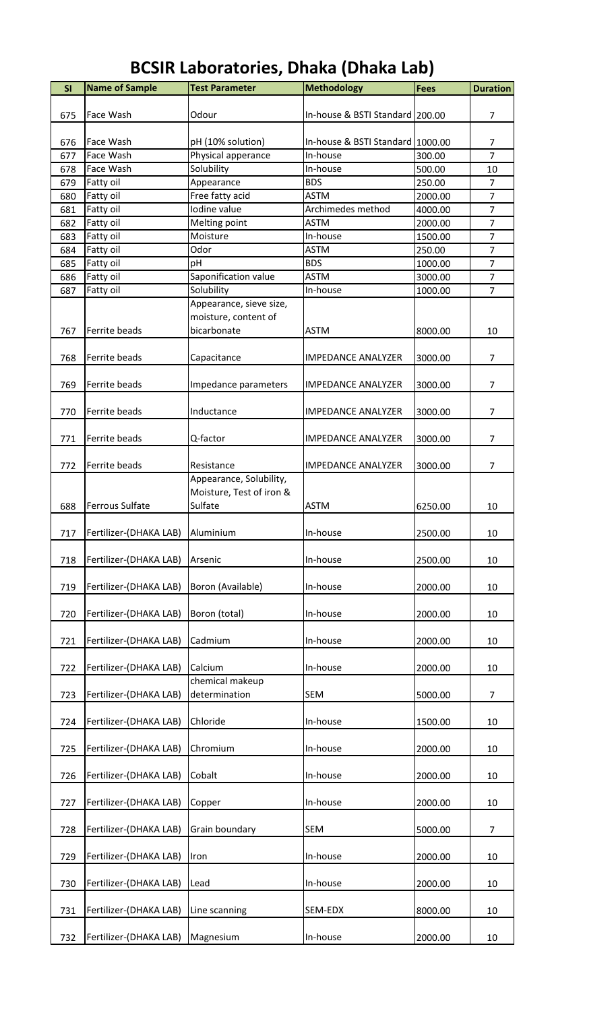| SI  | <b>Name of Sample</b>  | <b>Test Parameter</b>    | <b>Methodology</b>               | <b>Fees</b> | <b>Duration</b> |
|-----|------------------------|--------------------------|----------------------------------|-------------|-----------------|
|     |                        |                          |                                  |             |                 |
| 675 | Face Wash              | Odour                    | In-house & BSTI Standard 200.00  |             | 7               |
| 676 | Face Wash              | pH (10% solution)        | In-house & BSTI Standard 1000.00 |             | 7               |
| 677 | Face Wash              | Physical apperance       | In-house                         | 300.00      | $\overline{7}$  |
| 678 | Face Wash              | Solubility               | In-house                         | 500.00      | 10              |
| 679 | Fatty oil              | Appearance               | <b>BDS</b>                       | 250.00      | $\overline{7}$  |
| 680 | Fatty oil              | Free fatty acid          | <b>ASTM</b>                      | 2000.00     | $\overline{7}$  |
| 681 | Fatty oil              | Iodine value             | Archimedes method                | 4000.00     | $\overline{7}$  |
| 682 | Fatty oil              | Melting point            | <b>ASTM</b>                      | 2000.00     | $\overline{7}$  |
| 683 | Fatty oil              | Moisture                 | In-house                         | 1500.00     | $\overline{7}$  |
| 684 | Fatty oil              | Odor                     | <b>ASTM</b>                      | 250.00      | $\overline{7}$  |
| 685 | Fatty oil              | pH                       | <b>BDS</b>                       | 1000.00     | $\overline{7}$  |
| 686 | Fatty oil              | Saponification value     | <b>ASTM</b>                      | 3000.00     | $\overline{7}$  |
| 687 | Fatty oil              | Solubility               | In-house                         | 1000.00     | $\overline{7}$  |
|     |                        | Appearance, sieve size,  |                                  |             |                 |
|     |                        | moisture, content of     |                                  |             |                 |
| 767 | Ferrite beads          | bicarbonate              | <b>ASTM</b>                      | 8000.00     | 10              |
|     |                        |                          |                                  |             |                 |
| 768 | Ferrite beads          | Capacitance              | <b>IMPEDANCE ANALYZER</b>        | 3000.00     | $\overline{7}$  |
|     |                        |                          |                                  |             |                 |
| 769 | Ferrite beads          | Impedance parameters     | <b>IMPEDANCE ANALYZER</b>        | 3000.00     | $\overline{7}$  |
|     |                        |                          |                                  |             |                 |
| 770 | Ferrite beads          | Inductance               | <b>IMPEDANCE ANALYZER</b>        | 3000.00     | $\overline{7}$  |
|     |                        |                          |                                  |             |                 |
| 771 | Ferrite beads          | Q-factor                 | <b>IMPEDANCE ANALYZER</b>        | 3000.00     | $\overline{7}$  |
| 772 | Ferrite beads          | Resistance               | <b>IMPEDANCE ANALYZER</b>        | 3000.00     | $\overline{7}$  |
|     |                        | Appearance, Solubility,  |                                  |             |                 |
|     |                        | Moisture, Test of iron & |                                  |             |                 |
| 688 | Ferrous Sulfate        | Sulfate                  | <b>ASTM</b>                      | 6250.00     | 10              |
|     |                        |                          |                                  |             |                 |
| 717 | Fertilizer-(DHAKA LAB) | Aluminium                | In-house                         | 2500.00     | 10              |
|     |                        |                          |                                  |             |                 |
| 718 | Fertilizer-(DHAKA LAB) | Arsenic                  | In-house                         | 2500.00     | 10              |
|     |                        |                          |                                  |             |                 |
| 719 | Fertilizer-(DHAKA LAB) | Boron (Available)        | In-house                         | 2000.00     | 10              |
|     |                        |                          |                                  |             |                 |
| 720 | Fertilizer-(DHAKA LAB) | Boron (total)            | In-house                         | 2000.00     | 10              |
|     |                        |                          |                                  |             |                 |
| 721 | Fertilizer-(DHAKA LAB) | Cadmium                  | In-house                         | 2000.00     | 10              |
|     |                        |                          |                                  |             |                 |
| 722 | Fertilizer-(DHAKA LAB) | Calcium                  | In-house                         | 2000.00     | 10              |
|     |                        | chemical makeup          |                                  |             |                 |
| 723 | Fertilizer-(DHAKA LAB) | determination            | SEM                              | 5000.00     | $\overline{7}$  |
|     |                        |                          |                                  |             |                 |
| 724 | Fertilizer-(DHAKA LAB) | Chloride                 | In-house                         | 1500.00     | 10              |
|     |                        |                          |                                  |             |                 |
| 725 | Fertilizer-(DHAKA LAB) | Chromium                 | In-house                         | 2000.00     | 10              |
| 726 | Fertilizer-(DHAKA LAB) | Cobalt                   | In-house                         | 2000.00     | 10              |
|     |                        |                          |                                  |             |                 |
| 727 | Fertilizer-(DHAKA LAB) | Copper                   | In-house                         | 2000.00     | 10              |
|     |                        |                          |                                  |             |                 |
| 728 | Fertilizer-(DHAKA LAB) | Grain boundary           | <b>SEM</b>                       | 5000.00     | $\overline{7}$  |
|     |                        |                          |                                  |             |                 |
| 729 | Fertilizer-(DHAKA LAB) | Iron                     | In-house                         | 2000.00     | 10              |
|     |                        |                          |                                  |             |                 |
| 730 | Fertilizer-(DHAKA LAB) | Lead                     | In-house                         | 2000.00     | 10              |
|     |                        |                          |                                  |             |                 |
| 731 | Fertilizer-(DHAKA LAB) | Line scanning            | SEM-EDX                          | 8000.00     | 10              |
|     |                        |                          |                                  |             |                 |
| 732 | Fertilizer-(DHAKA LAB) | Magnesium                | In-house                         | 2000.00     | 10              |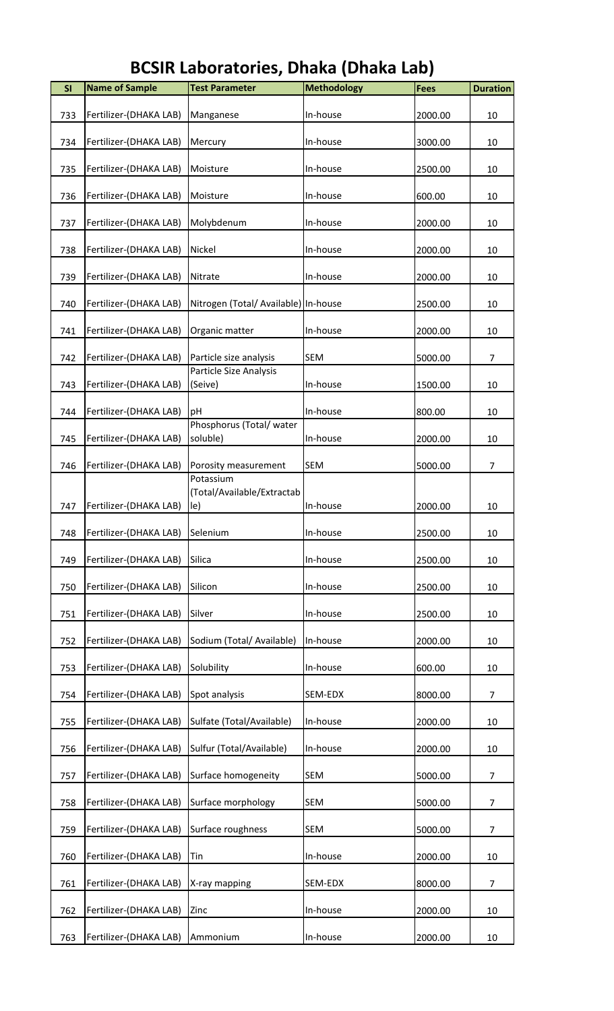| <b>SI</b> | <b>Name of Sample</b>  | <b>Test Parameter</b>                          | <b>Methodology</b> | <b>Fees</b> | <b>Duration</b> |
|-----------|------------------------|------------------------------------------------|--------------------|-------------|-----------------|
| 733       | Fertilizer-(DHAKA LAB) | Manganese                                      | In-house           | 2000.00     | 10              |
| 734       | Fertilizer-(DHAKA LAB) | Mercury                                        | In-house           | 3000.00     | 10              |
| 735       | Fertilizer-(DHAKA LAB) | Moisture                                       | In-house           | 2500.00     | 10              |
| 736       | Fertilizer-(DHAKA LAB) | Moisture                                       | In-house           | 600.00      | 10              |
| 737       | Fertilizer-(DHAKA LAB) | Molybdenum                                     | In-house           | 2000.00     | 10              |
| 738       | Fertilizer-(DHAKA LAB) | Nickel                                         | In-house           | 2000.00     | 10              |
| 739       | Fertilizer-(DHAKA LAB) | Nitrate                                        | In-house           | 2000.00     | 10              |
| 740       | Fertilizer-(DHAKA LAB) | Nitrogen (Total/ Available) In-house           |                    | 2500.00     | 10              |
| 741       | Fertilizer-(DHAKA LAB) | Organic matter                                 | In-house           | 2000.00     | 10              |
| 742       | Fertilizer-(DHAKA LAB) | Particle size analysis                         | <b>SEM</b>         | 5000.00     | $\overline{7}$  |
| 743       | Fertilizer-(DHAKA LAB) | Particle Size Analysis<br>(Seive)              | In-house           | 1500.00     | 10              |
| 744       | Fertilizer-(DHAKA LAB) | pH                                             | In-house           | 800.00      | 10              |
| 745       | Fertilizer-(DHAKA LAB) | Phosphorus (Total/water<br>soluble)            | In-house           | 2000.00     | 10              |
| 746       | Fertilizer-(DHAKA LAB) | Porosity measurement                           | <b>SEM</b>         | 5000.00     | $\overline{7}$  |
| 747       | Fertilizer-(DHAKA LAB) | Potassium<br>(Total/Available/Extractab<br>le) | In-house           | 2000.00     | 10              |
| 748       | Fertilizer-(DHAKA LAB) | Selenium                                       | In-house           | 2500.00     | 10              |
| 749       | Fertilizer-(DHAKA LAB) | Silica                                         | In-house           | 2500.00     | 10              |
| 750       | Fertilizer-(DHAKA LAB) | Silicon                                        | In-house           | 2500.00     | 10              |
| 751       | Fertilizer-(DHAKA LAB) | Silver                                         | In-house           | 2500.00     | 10              |
| 752       | Fertilizer-(DHAKA LAB) | Sodium (Total/ Available)                      | In-house           | 2000.00     | 10              |
| 753       | Fertilizer-(DHAKA LAB) | Solubility                                     | In-house           | 600.00      | 10              |
| 754       | Fertilizer-(DHAKA LAB) | Spot analysis                                  | SEM-EDX            | 8000.00     | $\overline{7}$  |
| 755       | Fertilizer-(DHAKA LAB) | Sulfate (Total/Available)                      | In-house           | 2000.00     | 10              |
| 756       | Fertilizer-(DHAKA LAB) | Sulfur (Total/Available)                       | In-house           | 2000.00     | 10              |
| 757       | Fertilizer-(DHAKA LAB) | Surface homogeneity                            | <b>SEM</b>         | 5000.00     | 7               |
| 758       | Fertilizer-(DHAKA LAB) | Surface morphology                             | <b>SEM</b>         | 5000.00     | 7               |
| 759       | Fertilizer-(DHAKA LAB) | Surface roughness                              | <b>SEM</b>         | 5000.00     | $\overline{7}$  |
| 760       | Fertilizer-(DHAKA LAB) | Tin                                            | In-house           | 2000.00     | 10              |
| 761       | Fertilizer-(DHAKA LAB) | X-ray mapping                                  | SEM-EDX            | 8000.00     | 7               |
| 762       | Fertilizer-(DHAKA LAB) | Zinc                                           | In-house           | 2000.00     | 10              |
| 763       | Fertilizer-(DHAKA LAB) | Ammonium                                       | In-house           | 2000.00     | 10              |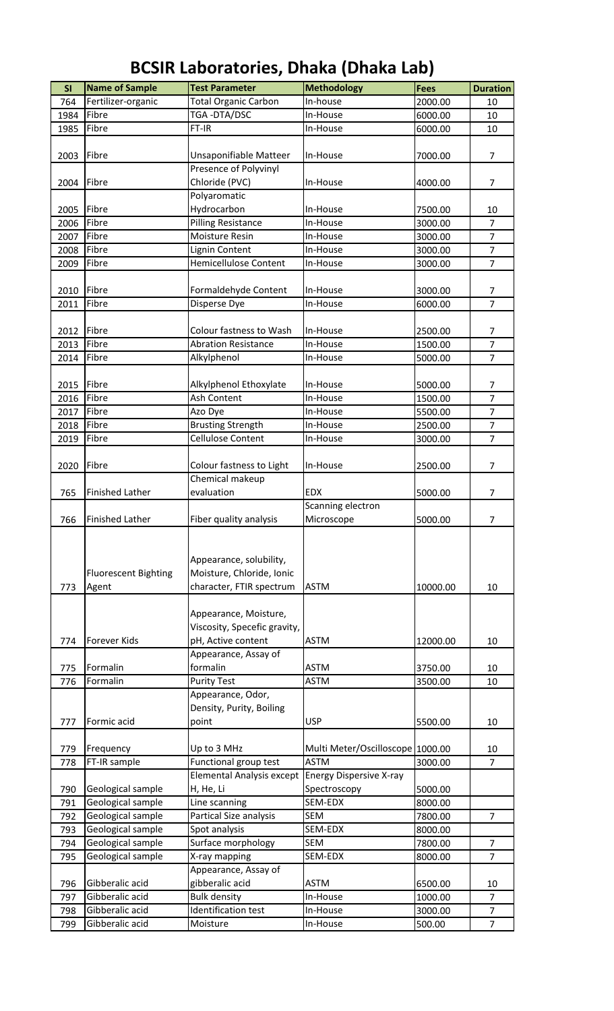| <b>BCSIR Laboratories, Dhaka (Dhaka Lab)</b> |  |  |
|----------------------------------------------|--|--|
|----------------------------------------------|--|--|

| <b>SI</b> | <b>Name of Sample</b>       | <b>Test Parameter</b>            | <b>Methodology</b>               | <b>Fees</b> | <b>Duration</b> |
|-----------|-----------------------------|----------------------------------|----------------------------------|-------------|-----------------|
| 764       | Fertilizer-organic          | <b>Total Organic Carbon</b>      | In-house                         | 2000.00     | 10              |
| 1984      | Fibre                       | TGA-DTA/DSC                      | In-House                         | 6000.00     | 10              |
| 1985      | Fibre                       | FT-IR                            | In-House                         | 6000.00     | 10              |
|           |                             |                                  |                                  |             |                 |
| 2003      | Fibre                       | Unsaponifiable Matteer           | In-House                         | 7000.00     | $\overline{7}$  |
|           |                             | Presence of Polyvinyl            |                                  |             |                 |
| 2004      | Fibre                       | Chloride (PVC)                   | In-House                         | 4000.00     | $\overline{7}$  |
|           |                             | Polyaromatic                     |                                  |             |                 |
| 2005      | Fibre                       | Hydrocarbon                      | In-House                         | 7500.00     | 10              |
| 2006      | Fibre                       | <b>Pilling Resistance</b>        | In-House                         | 3000.00     | $\overline{7}$  |
| 2007      | Fibre                       | Moisture Resin                   | In-House                         | 3000.00     | $\overline{7}$  |
| 2008      | Fibre                       | <b>Lignin Content</b>            | In-House                         | 3000.00     | $\overline{7}$  |
| 2009      | Fibre                       | <b>Hemicellulose Content</b>     | In-House                         | 3000.00     | $\overline{7}$  |
|           |                             |                                  |                                  |             |                 |
| 2010      | Fibre                       | Formaldehyde Content             | In-House                         | 3000.00     | 7               |
| 2011      | Fibre                       | Disperse Dye                     | In-House                         | 6000.00     | $\overline{7}$  |
|           |                             |                                  |                                  |             |                 |
| 2012      | Fibre                       | Colour fastness to Wash          | In-House                         | 2500.00     | 7               |
| 2013      | Fibre                       | <b>Abration Resistance</b>       | In-House                         | 1500.00     | $\overline{7}$  |
| 2014      | Fibre                       | Alkylphenol                      | In-House                         | 5000.00     | $\overline{7}$  |
|           |                             |                                  |                                  |             |                 |
| 2015      | Fibre                       | Alkylphenol Ethoxylate           | In-House                         | 5000.00     | $\overline{7}$  |
| 2016      | Fibre                       | Ash Content                      | In-House                         | 1500.00     | $\overline{7}$  |
| 2017      | Fibre                       | Azo Dye                          | In-House                         | 5500.00     | $\overline{7}$  |
| 2018      | Fibre                       | <b>Brusting Strength</b>         | In-House                         | 2500.00     | $\overline{7}$  |
| 2019      | Fibre                       | Cellulose Content                | In-House                         |             | $\overline{7}$  |
|           |                             |                                  |                                  | 3000.00     |                 |
| 2020      | Fibre                       | Colour fastness to Light         | In-House                         | 2500.00     | $\overline{7}$  |
|           |                             | Chemical makeup                  |                                  |             |                 |
|           |                             |                                  |                                  |             |                 |
| 765       | <b>Finished Lather</b>      | evaluation                       | <b>EDX</b><br>Scanning electron  | 5000.00     | $\overline{7}$  |
|           | <b>Finished Lather</b>      |                                  | Microscope                       |             |                 |
| 766       |                             | Fiber quality analysis           |                                  | 5000.00     | $\overline{7}$  |
|           |                             |                                  |                                  |             |                 |
|           |                             | Appearance, solubility,          |                                  |             |                 |
|           |                             |                                  |                                  |             |                 |
|           | <b>Fluorescent Bighting</b> | Moisture, Chloride, Ionic        |                                  |             |                 |
| 773       | Agent                       | character, FTIR spectrum         | <b>ASTM</b>                      | 10000.00    | 10              |
|           |                             |                                  |                                  |             |                 |
|           |                             | Appearance, Moisture,            |                                  |             |                 |
|           |                             | Viscosity, Specefic gravity,     |                                  |             |                 |
| 774       | Forever Kids                | pH, Active content               | <b>ASTM</b>                      | 12000.00    | 10              |
|           |                             | Appearance, Assay of             |                                  |             |                 |
| 775       | Formalin                    | formalin                         | <b>ASTM</b>                      | 3750.00     | 10              |
| 776       | Formalin                    | <b>Purity Test</b>               | <b>ASTM</b>                      | 3500.00     | 10              |
|           |                             | Appearance, Odor,                |                                  |             |                 |
|           |                             | Density, Purity, Boiling         |                                  |             |                 |
| 777       | Formic acid                 | point                            | <b>USP</b>                       | 5500.00     | 10              |
|           |                             |                                  |                                  |             |                 |
| 779       | Frequency                   | Up to 3 MHz                      | Multi Meter/Oscilloscope 1000.00 |             | 10              |
| 778       | FT-IR sample                | Functional group test            | <b>ASTM</b>                      | 3000.00     | $\overline{7}$  |
|           |                             | <b>Elemental Analysis except</b> | <b>Energy Dispersive X-ray</b>   |             |                 |
| 790       | Geological sample           | H, He, Li                        | Spectroscopy                     | 5000.00     |                 |
| 791       | Geological sample           | Line scanning                    | SEM-EDX                          | 8000.00     |                 |
| 792       | Geological sample           | Partical Size analysis           | <b>SEM</b>                       | 7800.00     | $\overline{7}$  |
| 793       | Geological sample           | Spot analysis                    | SEM-EDX                          | 8000.00     |                 |
| 794       | Geological sample           | Surface morphology               | <b>SEM</b>                       | 7800.00     | $\overline{7}$  |
| 795       | Geological sample           | X-ray mapping                    | SEM-EDX                          | 8000.00     | $\overline{7}$  |
|           |                             | Appearance, Assay of             |                                  |             |                 |
| 796       | Gibberalic acid             | gibberalic acid                  | <b>ASTM</b>                      | 6500.00     | 10              |
| 797       | Gibberalic acid             | <b>Bulk density</b>              | In-House                         | 1000.00     | $\overline{7}$  |
| 798       | Gibberalic acid             | Identification test              | In-House                         | 3000.00     | $\overline{7}$  |
| 799       | Gibberalic acid             | Moisture                         | In-House                         | 500.00      | $\overline{7}$  |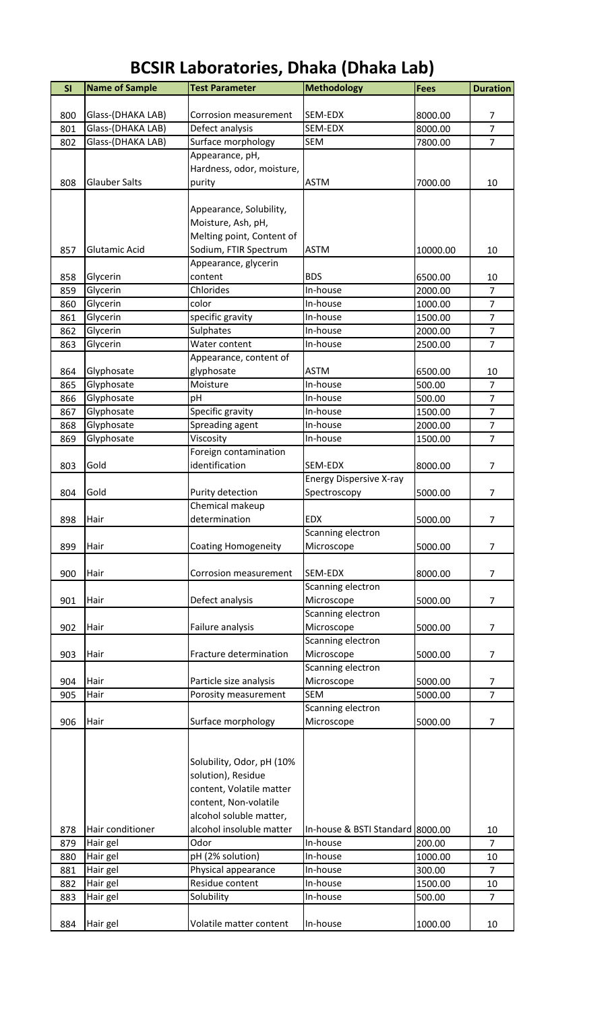| SI         | <b>Name of Sample</b> | <b>Test Parameter</b>                          | <b>Methodology</b>               | <b>Fees</b>        | <b>Duration</b>                  |
|------------|-----------------------|------------------------------------------------|----------------------------------|--------------------|----------------------------------|
|            |                       |                                                |                                  |                    |                                  |
| 800        | Glass-(DHAKA LAB)     | Corrosion measurement                          | SEM-EDX                          | 8000.00            | 7                                |
| 801        | Glass-(DHAKA LAB)     | Defect analysis                                | SEM-EDX                          | 8000.00            | $\overline{7}$                   |
| 802        | Glass-(DHAKA LAB)     | Surface morphology                             | SEM                              | 7800.00            | $\overline{7}$                   |
|            |                       | Appearance, pH,                                |                                  |                    |                                  |
|            |                       | Hardness, odor, moisture,                      |                                  |                    |                                  |
| 808        | <b>Glauber Salts</b>  | purity                                         | <b>ASTM</b>                      | 7000.00            | 10                               |
|            |                       |                                                |                                  |                    |                                  |
|            |                       | Appearance, Solubility,                        |                                  |                    |                                  |
|            |                       | Moisture, Ash, pH,                             |                                  |                    |                                  |
|            |                       | Melting point, Content of                      |                                  |                    |                                  |
| 857        | Glutamic Acid         | Sodium, FTIR Spectrum                          | <b>ASTM</b>                      | 10000.00           | 10                               |
|            |                       | Appearance, glycerin                           |                                  |                    |                                  |
| 858        | Glycerin              | content                                        | <b>BDS</b>                       | 6500.00            | 10<br>$\overline{7}$             |
| 859        | Glycerin              | Chlorides                                      | In-house                         | 2000.00            |                                  |
| 860        | Glycerin              | color                                          | In-house                         | 1000.00<br>1500.00 | $\overline{7}$<br>$\overline{7}$ |
| 861<br>862 | Glycerin              | specific gravity<br>Sulphates                  | In-house<br>In-house             | 2000.00            | $\overline{7}$                   |
|            | Glycerin<br>Glycerin  | Water content                                  | In-house                         | 2500.00            | $\overline{7}$                   |
| 863        |                       | Appearance, content of                         |                                  |                    |                                  |
| 864        | Glyphosate            | glyphosate                                     | <b>ASTM</b>                      | 6500.00            | 10                               |
| 865        | Glyphosate            | Moisture                                       | In-house                         | 500.00             | $\overline{7}$                   |
| 866        | Glyphosate            | pH                                             | In-house                         | 500.00             | $\overline{7}$                   |
| 867        | Glyphosate            | Specific gravity                               | In-house                         | 1500.00            | $\overline{7}$                   |
| 868        | Glyphosate            | Spreading agent                                | In-house                         | 2000.00            | $\overline{7}$                   |
| 869        | Glyphosate            | Viscosity                                      | In-house                         | 1500.00            | $\overline{7}$                   |
|            |                       | Foreign contamination                          |                                  |                    |                                  |
| 803        | Gold                  | identification                                 | SEM-EDX                          | 8000.00            | $\overline{7}$                   |
|            |                       |                                                | <b>Energy Dispersive X-ray</b>   |                    |                                  |
| 804        | Gold                  | Purity detection                               | Spectroscopy                     | 5000.00            | $\overline{7}$                   |
|            |                       | Chemical makeup                                |                                  |                    |                                  |
| 898        | Hair                  | determination                                  | <b>EDX</b>                       | 5000.00            | $\overline{7}$                   |
|            |                       |                                                | Scanning electron                |                    |                                  |
| 899        | Hair                  | <b>Coating Homogeneity</b>                     | Microscope                       | 5000.00            | 7                                |
|            |                       |                                                |                                  |                    |                                  |
| 900        | Hair                  | Corrosion measurement                          | SEM-EDX                          | 8000.00            | $\overline{7}$                   |
|            |                       |                                                | Scanning electron                |                    |                                  |
| 901        | Hair                  | Defect analysis                                | Microscope                       | 5000.00            | $\overline{7}$                   |
|            |                       |                                                | Scanning electron                |                    |                                  |
| 902        | Hair                  | Failure analysis                               | Microscope                       | 5000.00            | $\overline{7}$                   |
|            |                       |                                                | Scanning electron                |                    |                                  |
| 903        | Hair                  | Fracture determination                         | Microscope                       | 5000.00            | $\overline{7}$                   |
|            |                       |                                                | Scanning electron                |                    |                                  |
| 904        | Hair                  | Particle size analysis                         | Microscope                       | 5000.00            | 7                                |
| 905        | Hair                  | Porosity measurement                           | <b>SEM</b>                       | 5000.00            | $\overline{7}$                   |
|            |                       |                                                | Scanning electron                |                    |                                  |
| 906        | Hair                  | Surface morphology                             | Microscope                       | 5000.00            | $\overline{7}$                   |
|            |                       |                                                |                                  |                    |                                  |
|            |                       |                                                |                                  |                    |                                  |
|            |                       | Solubility, Odor, pH (10%                      |                                  |                    |                                  |
|            |                       | solution), Residue<br>content, Volatile matter |                                  |                    |                                  |
|            |                       | content, Non-volatile                          |                                  |                    |                                  |
|            |                       | alcohol soluble matter,                        |                                  |                    |                                  |
| 878        | Hair conditioner      | alcohol insoluble matter                       | In-house & BSTI Standard 8000.00 |                    | 10                               |
| 879        | Hair gel              | Odor                                           | In-house                         | 200.00             | $\overline{7}$                   |
| 880        | Hair gel              | pH (2% solution)                               | In-house                         | 1000.00            | 10                               |
| 881        | Hair gel              | Physical appearance                            | In-house                         | 300.00             | $\overline{7}$                   |
| 882        | Hair gel              | Residue content                                | In-house                         | 1500.00            | 10                               |
| 883        | Hair gel              | Solubility                                     | In-house                         | 500.00             | $\overline{7}$                   |
|            |                       |                                                |                                  |                    |                                  |
| 884        | Hair gel              | Volatile matter content                        | In-house                         | 1000.00            | 10                               |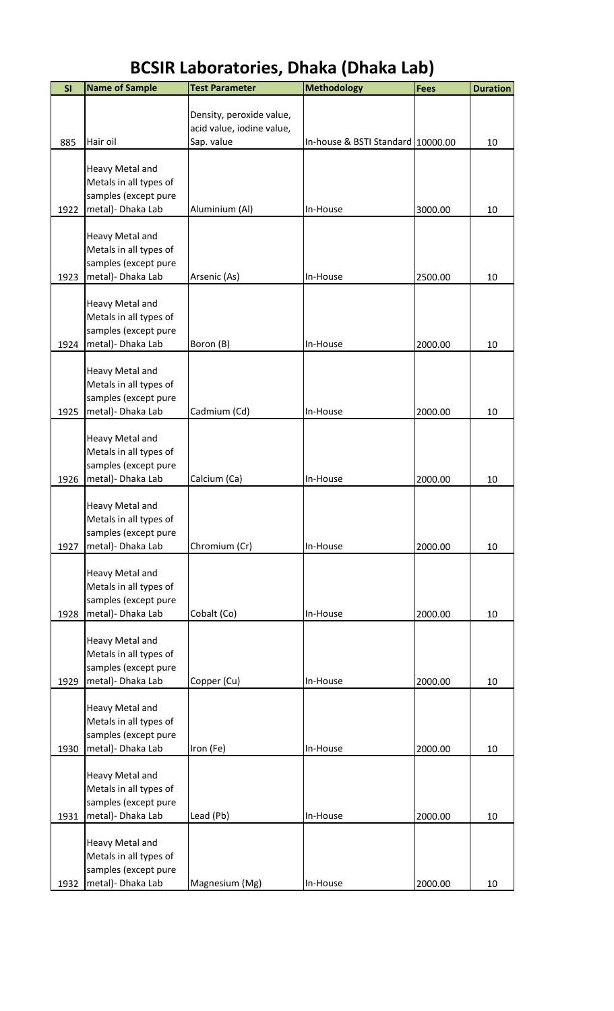| SI   | <b>Name of Sample</b>                     | <b>Test Parameter</b>                   | <b>Methodology</b>                | <b>Fees</b> | <b>Duration</b> |
|------|-------------------------------------------|-----------------------------------------|-----------------------------------|-------------|-----------------|
|      |                                           |                                         |                                   |             |                 |
|      |                                           | Density, peroxide value,                |                                   |             |                 |
| 885  | Hair oil                                  | acid value, iodine value,<br>Sap. value | In-house & BSTI Standard 10000.00 |             | 10              |
|      |                                           |                                         |                                   |             |                 |
|      | Heavy Metal and                           |                                         |                                   |             |                 |
|      | Metals in all types of                    |                                         |                                   |             |                 |
| 1922 | samples (except pure<br>metal)- Dhaka Lab | Aluminium (Al)                          | In-House                          | 3000.00     | 10              |
|      |                                           |                                         |                                   |             |                 |
|      | Heavy Metal and                           |                                         |                                   |             |                 |
|      | Metals in all types of                    |                                         |                                   |             |                 |
|      | samples (except pure                      |                                         |                                   |             |                 |
| 1923 | metal)- Dhaka Lab                         | Arsenic (As)                            | In-House                          | 2500.00     | 10              |
|      | Heavy Metal and                           |                                         |                                   |             |                 |
|      | Metals in all types of                    |                                         |                                   |             |                 |
|      | samples (except pure                      |                                         |                                   |             |                 |
| 1924 | metal)- Dhaka Lab                         | Boron (B)                               | In-House                          | 2000.00     | 10              |
|      | Heavy Metal and                           |                                         |                                   |             |                 |
|      | Metals in all types of                    |                                         |                                   |             |                 |
|      | samples (except pure                      |                                         |                                   |             |                 |
| 1925 | metal) - Dhaka Lab                        | Cadmium (Cd)                            | In-House                          | 2000.00     | 10              |
|      | Heavy Metal and                           |                                         |                                   |             |                 |
|      | Metals in all types of                    |                                         |                                   |             |                 |
|      | samples (except pure                      |                                         |                                   |             |                 |
| 1926 | metal) - Dhaka Lab                        | Calcium (Ca)                            | In-House                          | 2000.00     | 10              |
|      | Heavy Metal and                           |                                         |                                   |             |                 |
|      | Metals in all types of                    |                                         |                                   |             |                 |
|      | samples (except pure                      |                                         |                                   |             |                 |
| 1927 | metal)- Dhaka Lab                         | Chromium (Cr)                           | In-House                          | 2000.00     | 10              |
|      | Heavy Metal and                           |                                         |                                   |             |                 |
|      | Metals in all types of                    |                                         |                                   |             |                 |
|      | samples (except pure                      |                                         |                                   |             |                 |
| 1928 | metal)- Dhaka Lab                         | Cobalt (Co)                             | In-House                          | 2000.00     | 10              |
|      | Heavy Metal and                           |                                         |                                   |             |                 |
|      | Metals in all types of                    |                                         |                                   |             |                 |
|      | samples (except pure                      |                                         |                                   |             |                 |
| 1929 | metal)- Dhaka Lab                         | Copper (Cu)                             | In-House                          | 2000.00     | 10              |
|      | Heavy Metal and                           |                                         |                                   |             |                 |
|      | Metals in all types of                    |                                         |                                   |             |                 |
|      | samples (except pure                      |                                         |                                   |             |                 |
| 1930 | metal)- Dhaka Lab                         | Iron (Fe)                               | In-House                          | 2000.00     | 10              |
|      |                                           |                                         |                                   |             |                 |
|      | Heavy Metal and<br>Metals in all types of |                                         |                                   |             |                 |
|      | samples (except pure                      |                                         |                                   |             |                 |
| 1931 | metal) - Dhaka Lab                        | Lead (Pb)                               | In-House                          | 2000.00     | 10              |
|      |                                           |                                         |                                   |             |                 |
|      | Heavy Metal and<br>Metals in all types of |                                         |                                   |             |                 |
|      | samples (except pure                      |                                         |                                   |             |                 |
|      | 1932   metal) - Dhaka Lab                 | Magnesium (Mg)                          | In-House                          | 2000.00     | 10              |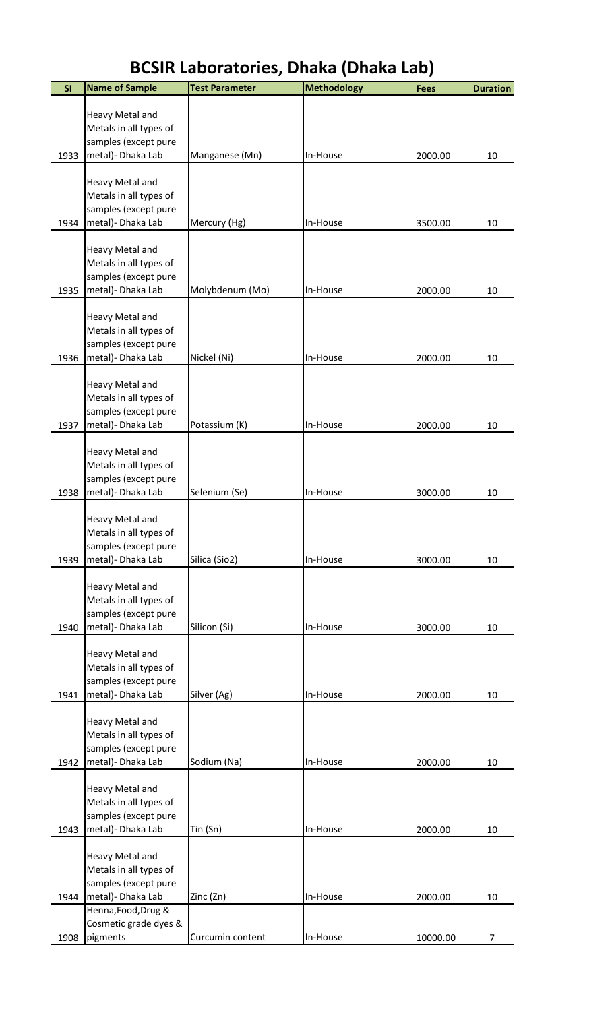| SI   | <b>Name of Sample</b>                          | <b>Test Parameter</b> | <b>Methodology</b> | <b>Fees</b> | <b>Duration</b> |
|------|------------------------------------------------|-----------------------|--------------------|-------------|-----------------|
|      | Heavy Metal and                                |                       |                    |             |                 |
|      | Metals in all types of                         |                       |                    |             |                 |
|      | samples (except pure                           |                       |                    |             |                 |
| 1933 | metal) - Dhaka Lab                             | Manganese (Mn)        | In-House           | 2000.00     | 10              |
|      |                                                |                       |                    |             |                 |
|      | Heavy Metal and<br>Metals in all types of      |                       |                    |             |                 |
|      | samples (except pure                           |                       |                    |             |                 |
| 1934 | metal)- Dhaka Lab                              | Mercury (Hg)          | In-House           | 3500.00     | 10              |
|      |                                                |                       |                    |             |                 |
|      | Heavy Metal and                                |                       |                    |             |                 |
|      | Metals in all types of<br>samples (except pure |                       |                    |             |                 |
| 1935 | metal)- Dhaka Lab                              | Molybdenum (Mo)       | In-House           | 2000.00     | 10              |
|      |                                                |                       |                    |             |                 |
|      | Heavy Metal and                                |                       |                    |             |                 |
|      | Metals in all types of<br>samples (except pure |                       |                    |             |                 |
| 1936 | metal)- Dhaka Lab                              | Nickel (Ni)           | In-House           | 2000.00     | 10              |
|      |                                                |                       |                    |             |                 |
|      | Heavy Metal and                                |                       |                    |             |                 |
|      | Metals in all types of<br>samples (except pure |                       |                    |             |                 |
| 1937 | metal)- Dhaka Lab                              | Potassium (K)         | In-House           | 2000.00     | 10              |
|      |                                                |                       |                    |             |                 |
|      | Heavy Metal and                                |                       |                    |             |                 |
|      | Metals in all types of                         |                       |                    |             |                 |
| 1938 | samples (except pure<br>metal)- Dhaka Lab      | Selenium (Se)         | In-House           | 3000.00     | 10              |
|      |                                                |                       |                    |             |                 |
|      | Heavy Metal and                                |                       |                    |             |                 |
|      | Metals in all types of                         |                       |                    |             |                 |
| 1939 | samples (except pure<br>metal) - Dhaka Lab     | Silica (Sio2)         | In-House           | 3000.00     | 10              |
|      |                                                |                       |                    |             |                 |
|      | Heavy Metal and                                |                       |                    |             |                 |
|      | Metals in all types of                         |                       |                    |             |                 |
| 1940 | samples (except pure<br>metal)- Dhaka Lab      | Silicon (Si)          | In-House           | 3000.00     | 10              |
|      |                                                |                       |                    |             |                 |
|      | Heavy Metal and                                |                       |                    |             |                 |
|      | Metals in all types of                         |                       |                    |             |                 |
| 1941 | samples (except pure<br>metal) - Dhaka Lab     | Silver (Ag)           | In-House           | 2000.00     | 10              |
|      |                                                |                       |                    |             |                 |
|      | Heavy Metal and                                |                       |                    |             |                 |
|      | Metals in all types of                         |                       |                    |             |                 |
|      | samples (except pure                           |                       |                    |             |                 |
| 1942 | metal)- Dhaka Lab                              | Sodium (Na)           | In-House           | 2000.00     | 10              |
|      | Heavy Metal and                                |                       |                    |             |                 |
|      | Metals in all types of                         |                       |                    |             |                 |
|      | samples (except pure                           |                       |                    |             |                 |
| 1943 | metal) - Dhaka Lab                             | Tin (Sn)              | In-House           | 2000.00     | 10              |
|      | Heavy Metal and                                |                       |                    |             |                 |
|      | Metals in all types of                         |                       |                    |             |                 |
|      | samples (except pure                           |                       |                    |             |                 |
| 1944 | metal) - Dhaka Lab                             | Zinc (Zn)             | In-House           | 2000.00     | 10              |
|      | Henna, Food, Drug &<br>Cosmetic grade dyes &   |                       |                    |             |                 |
| 1908 | pigments                                       | Curcumin content      | In-House           | 10000.00    | $\overline{7}$  |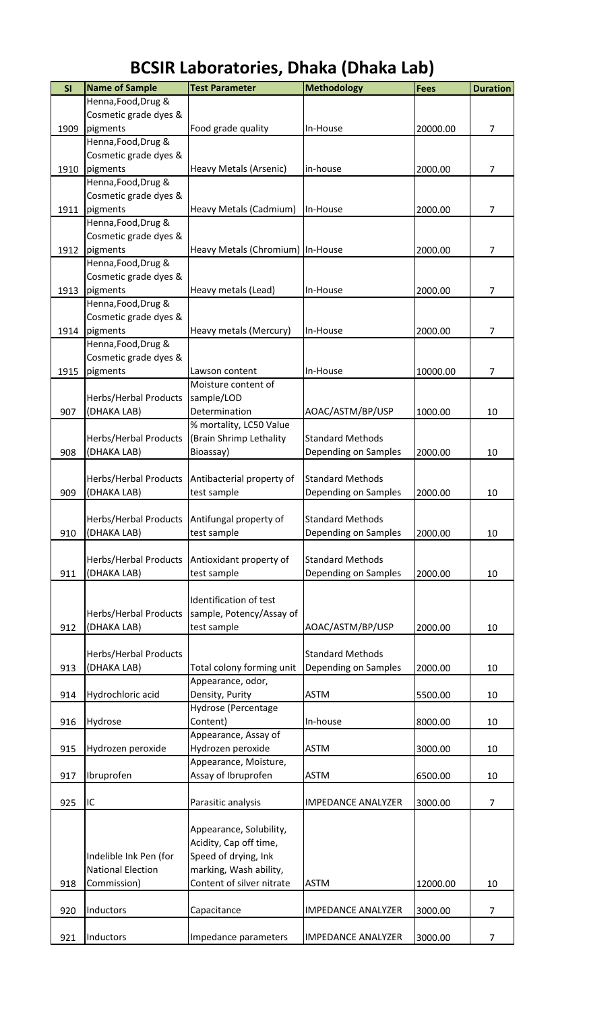| Henna, Food, Drug &<br>Cosmetic grade dyes &<br>1909<br>pigments<br>Food grade quality<br>$\overline{7}$<br>In-House<br>20000.00<br>Henna, Food, Drug &<br>Cosmetic grade dyes &<br>1910<br>pigments<br>in-house<br>2000.00<br>Heavy Metals (Arsenic)<br>$\overline{7}$<br>Henna, Food, Drug &<br>Cosmetic grade dyes &<br>1911<br>pigments<br>2000.00<br>$\overline{7}$<br>Heavy Metals (Cadmium)<br>In-House<br>Henna, Food, Drug &<br>Cosmetic grade dyes &<br>1912<br>pigments<br>Heavy Metals (Chromium) In-House<br>7<br>2000.00<br>Henna, Food, Drug &<br>Cosmetic grade dyes &<br>1913<br>pigments<br>Heavy metals (Lead)<br>2000.00<br>7<br>In-House<br>Henna, Food, Drug &<br>Cosmetic grade dyes &<br>1914<br>7<br>pigments<br>Heavy metals (Mercury)<br>In-House<br>2000.00<br>Henna, Food, Drug &<br>Cosmetic grade dyes &<br>1915<br>pigments<br>10000.00<br>$\overline{7}$<br>In-House<br>Lawson content<br>Moisture content of<br>Herbs/Herbal Products<br>sample/LOD<br>907<br>Determination<br>(DHAKA LAB)<br>AOAC/ASTM/BP/USP<br>1000.00<br>10<br>% mortality, LC50 Value<br>Herbs/Herbal Products<br>(Brain Shrimp Lethality<br><b>Standard Methods</b><br>(DHAKA LAB)<br>Depending on Samples<br>908<br>Bioassay)<br>2000.00<br>10<br>Herbs/Herbal Products<br>Antibacterial property of<br><b>Standard Methods</b><br>909<br>(DHAKA LAB)<br>2000.00<br>test sample<br>Depending on Samples<br>10<br>Herbs/Herbal Products Antifungal property of<br><b>Standard Methods</b><br>Depending on Samples<br>(DHAKA LAB)<br>test sample<br>2000.00<br>910<br>10<br><b>Standard Methods</b><br>Herbs/Herbal Products<br>Antioxidant property of<br>911<br>(DHAKA LAB)<br>Depending on Samples<br>test sample<br>2000.00<br>10<br>Identification of test<br>sample, Potency/Assay of<br>Herbs/Herbal Products<br>(DHAKA LAB)<br>test sample<br>912<br>AOAC/ASTM/BP/USP<br>2000.00<br>10<br><b>Standard Methods</b><br>Herbs/Herbal Products<br>(DHAKA LAB)<br>Total colony forming unit<br>Depending on Samples<br>913<br>2000.00<br>10<br>Appearance, odor,<br>Density, Purity<br><b>ASTM</b><br>Hydrochloric acid<br>914<br>5500.00<br>10<br>Hydrose (Percentage<br>916<br>Hydrose<br>Content)<br>In-house<br>8000.00<br>10<br>Appearance, Assay of<br>915<br>Hydrozen peroxide<br><b>ASTM</b><br>Hydrozen peroxide<br>3000.00<br>10<br>Appearance, Moisture,<br>Assay of Ibruprofen<br>Ibruprofen<br>917<br><b>ASTM</b><br>6500.00<br>10<br>925<br>IC<br>Parasitic analysis<br>3000.00<br>$\overline{7}$<br><b>IMPEDANCE ANALYZER</b><br>Appearance, Solubility,<br>Acidity, Cap off time,<br>Speed of drying, Ink<br>Indelible Ink Pen (for<br><b>National Election</b><br>marking, Wash ability,<br>918<br>Content of silver nitrate<br>Commission)<br><b>ASTM</b><br>12000.00<br>10<br>920<br>Inductors<br>Capacitance<br><b>IMPEDANCE ANALYZER</b><br>3000.00<br>$\overline{7}$<br>Inductors<br><b>IMPEDANCE ANALYZER</b><br>$\overline{7}$<br>Impedance parameters<br>3000.00<br>921 | SI | <b>Name of Sample</b> | <b>Test Parameter</b> | <b>Methodology</b> | <b>Fees</b> | <b>Duration</b> |
|------------------------------------------------------------------------------------------------------------------------------------------------------------------------------------------------------------------------------------------------------------------------------------------------------------------------------------------------------------------------------------------------------------------------------------------------------------------------------------------------------------------------------------------------------------------------------------------------------------------------------------------------------------------------------------------------------------------------------------------------------------------------------------------------------------------------------------------------------------------------------------------------------------------------------------------------------------------------------------------------------------------------------------------------------------------------------------------------------------------------------------------------------------------------------------------------------------------------------------------------------------------------------------------------------------------------------------------------------------------------------------------------------------------------------------------------------------------------------------------------------------------------------------------------------------------------------------------------------------------------------------------------------------------------------------------------------------------------------------------------------------------------------------------------------------------------------------------------------------------------------------------------------------------------------------------------------------------------------------------------------------------------------------------------------------------------------------------------------------------------------------------------------------------------------------------------------------------------------------------------------------------------------------------------------------------------------------------------------------------------------------------------------------------------------------------------------------------------------------------------------------------------------------------------------------------------------------------------------------------------------------------------------------------------------------------------------------------------------------------------------------------------------------------------------------------------------------------------------------------------------------------------------------------------------------------------------------------------------------------------------------|----|-----------------------|-----------------------|--------------------|-------------|-----------------|
|                                                                                                                                                                                                                                                                                                                                                                                                                                                                                                                                                                                                                                                                                                                                                                                                                                                                                                                                                                                                                                                                                                                                                                                                                                                                                                                                                                                                                                                                                                                                                                                                                                                                                                                                                                                                                                                                                                                                                                                                                                                                                                                                                                                                                                                                                                                                                                                                                                                                                                                                                                                                                                                                                                                                                                                                                                                                                                                                                                                                            |    |                       |                       |                    |             |                 |
|                                                                                                                                                                                                                                                                                                                                                                                                                                                                                                                                                                                                                                                                                                                                                                                                                                                                                                                                                                                                                                                                                                                                                                                                                                                                                                                                                                                                                                                                                                                                                                                                                                                                                                                                                                                                                                                                                                                                                                                                                                                                                                                                                                                                                                                                                                                                                                                                                                                                                                                                                                                                                                                                                                                                                                                                                                                                                                                                                                                                            |    |                       |                       |                    |             |                 |
|                                                                                                                                                                                                                                                                                                                                                                                                                                                                                                                                                                                                                                                                                                                                                                                                                                                                                                                                                                                                                                                                                                                                                                                                                                                                                                                                                                                                                                                                                                                                                                                                                                                                                                                                                                                                                                                                                                                                                                                                                                                                                                                                                                                                                                                                                                                                                                                                                                                                                                                                                                                                                                                                                                                                                                                                                                                                                                                                                                                                            |    |                       |                       |                    |             |                 |
|                                                                                                                                                                                                                                                                                                                                                                                                                                                                                                                                                                                                                                                                                                                                                                                                                                                                                                                                                                                                                                                                                                                                                                                                                                                                                                                                                                                                                                                                                                                                                                                                                                                                                                                                                                                                                                                                                                                                                                                                                                                                                                                                                                                                                                                                                                                                                                                                                                                                                                                                                                                                                                                                                                                                                                                                                                                                                                                                                                                                            |    |                       |                       |                    |             |                 |
|                                                                                                                                                                                                                                                                                                                                                                                                                                                                                                                                                                                                                                                                                                                                                                                                                                                                                                                                                                                                                                                                                                                                                                                                                                                                                                                                                                                                                                                                                                                                                                                                                                                                                                                                                                                                                                                                                                                                                                                                                                                                                                                                                                                                                                                                                                                                                                                                                                                                                                                                                                                                                                                                                                                                                                                                                                                                                                                                                                                                            |    |                       |                       |                    |             |                 |
|                                                                                                                                                                                                                                                                                                                                                                                                                                                                                                                                                                                                                                                                                                                                                                                                                                                                                                                                                                                                                                                                                                                                                                                                                                                                                                                                                                                                                                                                                                                                                                                                                                                                                                                                                                                                                                                                                                                                                                                                                                                                                                                                                                                                                                                                                                                                                                                                                                                                                                                                                                                                                                                                                                                                                                                                                                                                                                                                                                                                            |    |                       |                       |                    |             |                 |
|                                                                                                                                                                                                                                                                                                                                                                                                                                                                                                                                                                                                                                                                                                                                                                                                                                                                                                                                                                                                                                                                                                                                                                                                                                                                                                                                                                                                                                                                                                                                                                                                                                                                                                                                                                                                                                                                                                                                                                                                                                                                                                                                                                                                                                                                                                                                                                                                                                                                                                                                                                                                                                                                                                                                                                                                                                                                                                                                                                                                            |    |                       |                       |                    |             |                 |
|                                                                                                                                                                                                                                                                                                                                                                                                                                                                                                                                                                                                                                                                                                                                                                                                                                                                                                                                                                                                                                                                                                                                                                                                                                                                                                                                                                                                                                                                                                                                                                                                                                                                                                                                                                                                                                                                                                                                                                                                                                                                                                                                                                                                                                                                                                                                                                                                                                                                                                                                                                                                                                                                                                                                                                                                                                                                                                                                                                                                            |    |                       |                       |                    |             |                 |
|                                                                                                                                                                                                                                                                                                                                                                                                                                                                                                                                                                                                                                                                                                                                                                                                                                                                                                                                                                                                                                                                                                                                                                                                                                                                                                                                                                                                                                                                                                                                                                                                                                                                                                                                                                                                                                                                                                                                                                                                                                                                                                                                                                                                                                                                                                                                                                                                                                                                                                                                                                                                                                                                                                                                                                                                                                                                                                                                                                                                            |    |                       |                       |                    |             |                 |
|                                                                                                                                                                                                                                                                                                                                                                                                                                                                                                                                                                                                                                                                                                                                                                                                                                                                                                                                                                                                                                                                                                                                                                                                                                                                                                                                                                                                                                                                                                                                                                                                                                                                                                                                                                                                                                                                                                                                                                                                                                                                                                                                                                                                                                                                                                                                                                                                                                                                                                                                                                                                                                                                                                                                                                                                                                                                                                                                                                                                            |    |                       |                       |                    |             |                 |
|                                                                                                                                                                                                                                                                                                                                                                                                                                                                                                                                                                                                                                                                                                                                                                                                                                                                                                                                                                                                                                                                                                                                                                                                                                                                                                                                                                                                                                                                                                                                                                                                                                                                                                                                                                                                                                                                                                                                                                                                                                                                                                                                                                                                                                                                                                                                                                                                                                                                                                                                                                                                                                                                                                                                                                                                                                                                                                                                                                                                            |    |                       |                       |                    |             |                 |
|                                                                                                                                                                                                                                                                                                                                                                                                                                                                                                                                                                                                                                                                                                                                                                                                                                                                                                                                                                                                                                                                                                                                                                                                                                                                                                                                                                                                                                                                                                                                                                                                                                                                                                                                                                                                                                                                                                                                                                                                                                                                                                                                                                                                                                                                                                                                                                                                                                                                                                                                                                                                                                                                                                                                                                                                                                                                                                                                                                                                            |    |                       |                       |                    |             |                 |
|                                                                                                                                                                                                                                                                                                                                                                                                                                                                                                                                                                                                                                                                                                                                                                                                                                                                                                                                                                                                                                                                                                                                                                                                                                                                                                                                                                                                                                                                                                                                                                                                                                                                                                                                                                                                                                                                                                                                                                                                                                                                                                                                                                                                                                                                                                                                                                                                                                                                                                                                                                                                                                                                                                                                                                                                                                                                                                                                                                                                            |    |                       |                       |                    |             |                 |
|                                                                                                                                                                                                                                                                                                                                                                                                                                                                                                                                                                                                                                                                                                                                                                                                                                                                                                                                                                                                                                                                                                                                                                                                                                                                                                                                                                                                                                                                                                                                                                                                                                                                                                                                                                                                                                                                                                                                                                                                                                                                                                                                                                                                                                                                                                                                                                                                                                                                                                                                                                                                                                                                                                                                                                                                                                                                                                                                                                                                            |    |                       |                       |                    |             |                 |
|                                                                                                                                                                                                                                                                                                                                                                                                                                                                                                                                                                                                                                                                                                                                                                                                                                                                                                                                                                                                                                                                                                                                                                                                                                                                                                                                                                                                                                                                                                                                                                                                                                                                                                                                                                                                                                                                                                                                                                                                                                                                                                                                                                                                                                                                                                                                                                                                                                                                                                                                                                                                                                                                                                                                                                                                                                                                                                                                                                                                            |    |                       |                       |                    |             |                 |
|                                                                                                                                                                                                                                                                                                                                                                                                                                                                                                                                                                                                                                                                                                                                                                                                                                                                                                                                                                                                                                                                                                                                                                                                                                                                                                                                                                                                                                                                                                                                                                                                                                                                                                                                                                                                                                                                                                                                                                                                                                                                                                                                                                                                                                                                                                                                                                                                                                                                                                                                                                                                                                                                                                                                                                                                                                                                                                                                                                                                            |    |                       |                       |                    |             |                 |
|                                                                                                                                                                                                                                                                                                                                                                                                                                                                                                                                                                                                                                                                                                                                                                                                                                                                                                                                                                                                                                                                                                                                                                                                                                                                                                                                                                                                                                                                                                                                                                                                                                                                                                                                                                                                                                                                                                                                                                                                                                                                                                                                                                                                                                                                                                                                                                                                                                                                                                                                                                                                                                                                                                                                                                                                                                                                                                                                                                                                            |    |                       |                       |                    |             |                 |
|                                                                                                                                                                                                                                                                                                                                                                                                                                                                                                                                                                                                                                                                                                                                                                                                                                                                                                                                                                                                                                                                                                                                                                                                                                                                                                                                                                                                                                                                                                                                                                                                                                                                                                                                                                                                                                                                                                                                                                                                                                                                                                                                                                                                                                                                                                                                                                                                                                                                                                                                                                                                                                                                                                                                                                                                                                                                                                                                                                                                            |    |                       |                       |                    |             |                 |
|                                                                                                                                                                                                                                                                                                                                                                                                                                                                                                                                                                                                                                                                                                                                                                                                                                                                                                                                                                                                                                                                                                                                                                                                                                                                                                                                                                                                                                                                                                                                                                                                                                                                                                                                                                                                                                                                                                                                                                                                                                                                                                                                                                                                                                                                                                                                                                                                                                                                                                                                                                                                                                                                                                                                                                                                                                                                                                                                                                                                            |    |                       |                       |                    |             |                 |
|                                                                                                                                                                                                                                                                                                                                                                                                                                                                                                                                                                                                                                                                                                                                                                                                                                                                                                                                                                                                                                                                                                                                                                                                                                                                                                                                                                                                                                                                                                                                                                                                                                                                                                                                                                                                                                                                                                                                                                                                                                                                                                                                                                                                                                                                                                                                                                                                                                                                                                                                                                                                                                                                                                                                                                                                                                                                                                                                                                                                            |    |                       |                       |                    |             |                 |
|                                                                                                                                                                                                                                                                                                                                                                                                                                                                                                                                                                                                                                                                                                                                                                                                                                                                                                                                                                                                                                                                                                                                                                                                                                                                                                                                                                                                                                                                                                                                                                                                                                                                                                                                                                                                                                                                                                                                                                                                                                                                                                                                                                                                                                                                                                                                                                                                                                                                                                                                                                                                                                                                                                                                                                                                                                                                                                                                                                                                            |    |                       |                       |                    |             |                 |
|                                                                                                                                                                                                                                                                                                                                                                                                                                                                                                                                                                                                                                                                                                                                                                                                                                                                                                                                                                                                                                                                                                                                                                                                                                                                                                                                                                                                                                                                                                                                                                                                                                                                                                                                                                                                                                                                                                                                                                                                                                                                                                                                                                                                                                                                                                                                                                                                                                                                                                                                                                                                                                                                                                                                                                                                                                                                                                                                                                                                            |    |                       |                       |                    |             |                 |
|                                                                                                                                                                                                                                                                                                                                                                                                                                                                                                                                                                                                                                                                                                                                                                                                                                                                                                                                                                                                                                                                                                                                                                                                                                                                                                                                                                                                                                                                                                                                                                                                                                                                                                                                                                                                                                                                                                                                                                                                                                                                                                                                                                                                                                                                                                                                                                                                                                                                                                                                                                                                                                                                                                                                                                                                                                                                                                                                                                                                            |    |                       |                       |                    |             |                 |
|                                                                                                                                                                                                                                                                                                                                                                                                                                                                                                                                                                                                                                                                                                                                                                                                                                                                                                                                                                                                                                                                                                                                                                                                                                                                                                                                                                                                                                                                                                                                                                                                                                                                                                                                                                                                                                                                                                                                                                                                                                                                                                                                                                                                                                                                                                                                                                                                                                                                                                                                                                                                                                                                                                                                                                                                                                                                                                                                                                                                            |    |                       |                       |                    |             |                 |
|                                                                                                                                                                                                                                                                                                                                                                                                                                                                                                                                                                                                                                                                                                                                                                                                                                                                                                                                                                                                                                                                                                                                                                                                                                                                                                                                                                                                                                                                                                                                                                                                                                                                                                                                                                                                                                                                                                                                                                                                                                                                                                                                                                                                                                                                                                                                                                                                                                                                                                                                                                                                                                                                                                                                                                                                                                                                                                                                                                                                            |    |                       |                       |                    |             |                 |
|                                                                                                                                                                                                                                                                                                                                                                                                                                                                                                                                                                                                                                                                                                                                                                                                                                                                                                                                                                                                                                                                                                                                                                                                                                                                                                                                                                                                                                                                                                                                                                                                                                                                                                                                                                                                                                                                                                                                                                                                                                                                                                                                                                                                                                                                                                                                                                                                                                                                                                                                                                                                                                                                                                                                                                                                                                                                                                                                                                                                            |    |                       |                       |                    |             |                 |
|                                                                                                                                                                                                                                                                                                                                                                                                                                                                                                                                                                                                                                                                                                                                                                                                                                                                                                                                                                                                                                                                                                                                                                                                                                                                                                                                                                                                                                                                                                                                                                                                                                                                                                                                                                                                                                                                                                                                                                                                                                                                                                                                                                                                                                                                                                                                                                                                                                                                                                                                                                                                                                                                                                                                                                                                                                                                                                                                                                                                            |    |                       |                       |                    |             |                 |
|                                                                                                                                                                                                                                                                                                                                                                                                                                                                                                                                                                                                                                                                                                                                                                                                                                                                                                                                                                                                                                                                                                                                                                                                                                                                                                                                                                                                                                                                                                                                                                                                                                                                                                                                                                                                                                                                                                                                                                                                                                                                                                                                                                                                                                                                                                                                                                                                                                                                                                                                                                                                                                                                                                                                                                                                                                                                                                                                                                                                            |    |                       |                       |                    |             |                 |
|                                                                                                                                                                                                                                                                                                                                                                                                                                                                                                                                                                                                                                                                                                                                                                                                                                                                                                                                                                                                                                                                                                                                                                                                                                                                                                                                                                                                                                                                                                                                                                                                                                                                                                                                                                                                                                                                                                                                                                                                                                                                                                                                                                                                                                                                                                                                                                                                                                                                                                                                                                                                                                                                                                                                                                                                                                                                                                                                                                                                            |    |                       |                       |                    |             |                 |
|                                                                                                                                                                                                                                                                                                                                                                                                                                                                                                                                                                                                                                                                                                                                                                                                                                                                                                                                                                                                                                                                                                                                                                                                                                                                                                                                                                                                                                                                                                                                                                                                                                                                                                                                                                                                                                                                                                                                                                                                                                                                                                                                                                                                                                                                                                                                                                                                                                                                                                                                                                                                                                                                                                                                                                                                                                                                                                                                                                                                            |    |                       |                       |                    |             |                 |
|                                                                                                                                                                                                                                                                                                                                                                                                                                                                                                                                                                                                                                                                                                                                                                                                                                                                                                                                                                                                                                                                                                                                                                                                                                                                                                                                                                                                                                                                                                                                                                                                                                                                                                                                                                                                                                                                                                                                                                                                                                                                                                                                                                                                                                                                                                                                                                                                                                                                                                                                                                                                                                                                                                                                                                                                                                                                                                                                                                                                            |    |                       |                       |                    |             |                 |
|                                                                                                                                                                                                                                                                                                                                                                                                                                                                                                                                                                                                                                                                                                                                                                                                                                                                                                                                                                                                                                                                                                                                                                                                                                                                                                                                                                                                                                                                                                                                                                                                                                                                                                                                                                                                                                                                                                                                                                                                                                                                                                                                                                                                                                                                                                                                                                                                                                                                                                                                                                                                                                                                                                                                                                                                                                                                                                                                                                                                            |    |                       |                       |                    |             |                 |
|                                                                                                                                                                                                                                                                                                                                                                                                                                                                                                                                                                                                                                                                                                                                                                                                                                                                                                                                                                                                                                                                                                                                                                                                                                                                                                                                                                                                                                                                                                                                                                                                                                                                                                                                                                                                                                                                                                                                                                                                                                                                                                                                                                                                                                                                                                                                                                                                                                                                                                                                                                                                                                                                                                                                                                                                                                                                                                                                                                                                            |    |                       |                       |                    |             |                 |
|                                                                                                                                                                                                                                                                                                                                                                                                                                                                                                                                                                                                                                                                                                                                                                                                                                                                                                                                                                                                                                                                                                                                                                                                                                                                                                                                                                                                                                                                                                                                                                                                                                                                                                                                                                                                                                                                                                                                                                                                                                                                                                                                                                                                                                                                                                                                                                                                                                                                                                                                                                                                                                                                                                                                                                                                                                                                                                                                                                                                            |    |                       |                       |                    |             |                 |
|                                                                                                                                                                                                                                                                                                                                                                                                                                                                                                                                                                                                                                                                                                                                                                                                                                                                                                                                                                                                                                                                                                                                                                                                                                                                                                                                                                                                                                                                                                                                                                                                                                                                                                                                                                                                                                                                                                                                                                                                                                                                                                                                                                                                                                                                                                                                                                                                                                                                                                                                                                                                                                                                                                                                                                                                                                                                                                                                                                                                            |    |                       |                       |                    |             |                 |
|                                                                                                                                                                                                                                                                                                                                                                                                                                                                                                                                                                                                                                                                                                                                                                                                                                                                                                                                                                                                                                                                                                                                                                                                                                                                                                                                                                                                                                                                                                                                                                                                                                                                                                                                                                                                                                                                                                                                                                                                                                                                                                                                                                                                                                                                                                                                                                                                                                                                                                                                                                                                                                                                                                                                                                                                                                                                                                                                                                                                            |    |                       |                       |                    |             |                 |
|                                                                                                                                                                                                                                                                                                                                                                                                                                                                                                                                                                                                                                                                                                                                                                                                                                                                                                                                                                                                                                                                                                                                                                                                                                                                                                                                                                                                                                                                                                                                                                                                                                                                                                                                                                                                                                                                                                                                                                                                                                                                                                                                                                                                                                                                                                                                                                                                                                                                                                                                                                                                                                                                                                                                                                                                                                                                                                                                                                                                            |    |                       |                       |                    |             |                 |
|                                                                                                                                                                                                                                                                                                                                                                                                                                                                                                                                                                                                                                                                                                                                                                                                                                                                                                                                                                                                                                                                                                                                                                                                                                                                                                                                                                                                                                                                                                                                                                                                                                                                                                                                                                                                                                                                                                                                                                                                                                                                                                                                                                                                                                                                                                                                                                                                                                                                                                                                                                                                                                                                                                                                                                                                                                                                                                                                                                                                            |    |                       |                       |                    |             |                 |
|                                                                                                                                                                                                                                                                                                                                                                                                                                                                                                                                                                                                                                                                                                                                                                                                                                                                                                                                                                                                                                                                                                                                                                                                                                                                                                                                                                                                                                                                                                                                                                                                                                                                                                                                                                                                                                                                                                                                                                                                                                                                                                                                                                                                                                                                                                                                                                                                                                                                                                                                                                                                                                                                                                                                                                                                                                                                                                                                                                                                            |    |                       |                       |                    |             |                 |
|                                                                                                                                                                                                                                                                                                                                                                                                                                                                                                                                                                                                                                                                                                                                                                                                                                                                                                                                                                                                                                                                                                                                                                                                                                                                                                                                                                                                                                                                                                                                                                                                                                                                                                                                                                                                                                                                                                                                                                                                                                                                                                                                                                                                                                                                                                                                                                                                                                                                                                                                                                                                                                                                                                                                                                                                                                                                                                                                                                                                            |    |                       |                       |                    |             |                 |
|                                                                                                                                                                                                                                                                                                                                                                                                                                                                                                                                                                                                                                                                                                                                                                                                                                                                                                                                                                                                                                                                                                                                                                                                                                                                                                                                                                                                                                                                                                                                                                                                                                                                                                                                                                                                                                                                                                                                                                                                                                                                                                                                                                                                                                                                                                                                                                                                                                                                                                                                                                                                                                                                                                                                                                                                                                                                                                                                                                                                            |    |                       |                       |                    |             |                 |
|                                                                                                                                                                                                                                                                                                                                                                                                                                                                                                                                                                                                                                                                                                                                                                                                                                                                                                                                                                                                                                                                                                                                                                                                                                                                                                                                                                                                                                                                                                                                                                                                                                                                                                                                                                                                                                                                                                                                                                                                                                                                                                                                                                                                                                                                                                                                                                                                                                                                                                                                                                                                                                                                                                                                                                                                                                                                                                                                                                                                            |    |                       |                       |                    |             |                 |
|                                                                                                                                                                                                                                                                                                                                                                                                                                                                                                                                                                                                                                                                                                                                                                                                                                                                                                                                                                                                                                                                                                                                                                                                                                                                                                                                                                                                                                                                                                                                                                                                                                                                                                                                                                                                                                                                                                                                                                                                                                                                                                                                                                                                                                                                                                                                                                                                                                                                                                                                                                                                                                                                                                                                                                                                                                                                                                                                                                                                            |    |                       |                       |                    |             |                 |
|                                                                                                                                                                                                                                                                                                                                                                                                                                                                                                                                                                                                                                                                                                                                                                                                                                                                                                                                                                                                                                                                                                                                                                                                                                                                                                                                                                                                                                                                                                                                                                                                                                                                                                                                                                                                                                                                                                                                                                                                                                                                                                                                                                                                                                                                                                                                                                                                                                                                                                                                                                                                                                                                                                                                                                                                                                                                                                                                                                                                            |    |                       |                       |                    |             |                 |
|                                                                                                                                                                                                                                                                                                                                                                                                                                                                                                                                                                                                                                                                                                                                                                                                                                                                                                                                                                                                                                                                                                                                                                                                                                                                                                                                                                                                                                                                                                                                                                                                                                                                                                                                                                                                                                                                                                                                                                                                                                                                                                                                                                                                                                                                                                                                                                                                                                                                                                                                                                                                                                                                                                                                                                                                                                                                                                                                                                                                            |    |                       |                       |                    |             |                 |
|                                                                                                                                                                                                                                                                                                                                                                                                                                                                                                                                                                                                                                                                                                                                                                                                                                                                                                                                                                                                                                                                                                                                                                                                                                                                                                                                                                                                                                                                                                                                                                                                                                                                                                                                                                                                                                                                                                                                                                                                                                                                                                                                                                                                                                                                                                                                                                                                                                                                                                                                                                                                                                                                                                                                                                                                                                                                                                                                                                                                            |    |                       |                       |                    |             |                 |
|                                                                                                                                                                                                                                                                                                                                                                                                                                                                                                                                                                                                                                                                                                                                                                                                                                                                                                                                                                                                                                                                                                                                                                                                                                                                                                                                                                                                                                                                                                                                                                                                                                                                                                                                                                                                                                                                                                                                                                                                                                                                                                                                                                                                                                                                                                                                                                                                                                                                                                                                                                                                                                                                                                                                                                                                                                                                                                                                                                                                            |    |                       |                       |                    |             |                 |
|                                                                                                                                                                                                                                                                                                                                                                                                                                                                                                                                                                                                                                                                                                                                                                                                                                                                                                                                                                                                                                                                                                                                                                                                                                                                                                                                                                                                                                                                                                                                                                                                                                                                                                                                                                                                                                                                                                                                                                                                                                                                                                                                                                                                                                                                                                                                                                                                                                                                                                                                                                                                                                                                                                                                                                                                                                                                                                                                                                                                            |    |                       |                       |                    |             |                 |
|                                                                                                                                                                                                                                                                                                                                                                                                                                                                                                                                                                                                                                                                                                                                                                                                                                                                                                                                                                                                                                                                                                                                                                                                                                                                                                                                                                                                                                                                                                                                                                                                                                                                                                                                                                                                                                                                                                                                                                                                                                                                                                                                                                                                                                                                                                                                                                                                                                                                                                                                                                                                                                                                                                                                                                                                                                                                                                                                                                                                            |    |                       |                       |                    |             |                 |
|                                                                                                                                                                                                                                                                                                                                                                                                                                                                                                                                                                                                                                                                                                                                                                                                                                                                                                                                                                                                                                                                                                                                                                                                                                                                                                                                                                                                                                                                                                                                                                                                                                                                                                                                                                                                                                                                                                                                                                                                                                                                                                                                                                                                                                                                                                                                                                                                                                                                                                                                                                                                                                                                                                                                                                                                                                                                                                                                                                                                            |    |                       |                       |                    |             |                 |
|                                                                                                                                                                                                                                                                                                                                                                                                                                                                                                                                                                                                                                                                                                                                                                                                                                                                                                                                                                                                                                                                                                                                                                                                                                                                                                                                                                                                                                                                                                                                                                                                                                                                                                                                                                                                                                                                                                                                                                                                                                                                                                                                                                                                                                                                                                                                                                                                                                                                                                                                                                                                                                                                                                                                                                                                                                                                                                                                                                                                            |    |                       |                       |                    |             |                 |
|                                                                                                                                                                                                                                                                                                                                                                                                                                                                                                                                                                                                                                                                                                                                                                                                                                                                                                                                                                                                                                                                                                                                                                                                                                                                                                                                                                                                                                                                                                                                                                                                                                                                                                                                                                                                                                                                                                                                                                                                                                                                                                                                                                                                                                                                                                                                                                                                                                                                                                                                                                                                                                                                                                                                                                                                                                                                                                                                                                                                            |    |                       |                       |                    |             |                 |
|                                                                                                                                                                                                                                                                                                                                                                                                                                                                                                                                                                                                                                                                                                                                                                                                                                                                                                                                                                                                                                                                                                                                                                                                                                                                                                                                                                                                                                                                                                                                                                                                                                                                                                                                                                                                                                                                                                                                                                                                                                                                                                                                                                                                                                                                                                                                                                                                                                                                                                                                                                                                                                                                                                                                                                                                                                                                                                                                                                                                            |    |                       |                       |                    |             |                 |
|                                                                                                                                                                                                                                                                                                                                                                                                                                                                                                                                                                                                                                                                                                                                                                                                                                                                                                                                                                                                                                                                                                                                                                                                                                                                                                                                                                                                                                                                                                                                                                                                                                                                                                                                                                                                                                                                                                                                                                                                                                                                                                                                                                                                                                                                                                                                                                                                                                                                                                                                                                                                                                                                                                                                                                                                                                                                                                                                                                                                            |    |                       |                       |                    |             |                 |
|                                                                                                                                                                                                                                                                                                                                                                                                                                                                                                                                                                                                                                                                                                                                                                                                                                                                                                                                                                                                                                                                                                                                                                                                                                                                                                                                                                                                                                                                                                                                                                                                                                                                                                                                                                                                                                                                                                                                                                                                                                                                                                                                                                                                                                                                                                                                                                                                                                                                                                                                                                                                                                                                                                                                                                                                                                                                                                                                                                                                            |    |                       |                       |                    |             |                 |
|                                                                                                                                                                                                                                                                                                                                                                                                                                                                                                                                                                                                                                                                                                                                                                                                                                                                                                                                                                                                                                                                                                                                                                                                                                                                                                                                                                                                                                                                                                                                                                                                                                                                                                                                                                                                                                                                                                                                                                                                                                                                                                                                                                                                                                                                                                                                                                                                                                                                                                                                                                                                                                                                                                                                                                                                                                                                                                                                                                                                            |    |                       |                       |                    |             |                 |
|                                                                                                                                                                                                                                                                                                                                                                                                                                                                                                                                                                                                                                                                                                                                                                                                                                                                                                                                                                                                                                                                                                                                                                                                                                                                                                                                                                                                                                                                                                                                                                                                                                                                                                                                                                                                                                                                                                                                                                                                                                                                                                                                                                                                                                                                                                                                                                                                                                                                                                                                                                                                                                                                                                                                                                                                                                                                                                                                                                                                            |    |                       |                       |                    |             |                 |
|                                                                                                                                                                                                                                                                                                                                                                                                                                                                                                                                                                                                                                                                                                                                                                                                                                                                                                                                                                                                                                                                                                                                                                                                                                                                                                                                                                                                                                                                                                                                                                                                                                                                                                                                                                                                                                                                                                                                                                                                                                                                                                                                                                                                                                                                                                                                                                                                                                                                                                                                                                                                                                                                                                                                                                                                                                                                                                                                                                                                            |    |                       |                       |                    |             |                 |
|                                                                                                                                                                                                                                                                                                                                                                                                                                                                                                                                                                                                                                                                                                                                                                                                                                                                                                                                                                                                                                                                                                                                                                                                                                                                                                                                                                                                                                                                                                                                                                                                                                                                                                                                                                                                                                                                                                                                                                                                                                                                                                                                                                                                                                                                                                                                                                                                                                                                                                                                                                                                                                                                                                                                                                                                                                                                                                                                                                                                            |    |                       |                       |                    |             |                 |
|                                                                                                                                                                                                                                                                                                                                                                                                                                                                                                                                                                                                                                                                                                                                                                                                                                                                                                                                                                                                                                                                                                                                                                                                                                                                                                                                                                                                                                                                                                                                                                                                                                                                                                                                                                                                                                                                                                                                                                                                                                                                                                                                                                                                                                                                                                                                                                                                                                                                                                                                                                                                                                                                                                                                                                                                                                                                                                                                                                                                            |    |                       |                       |                    |             |                 |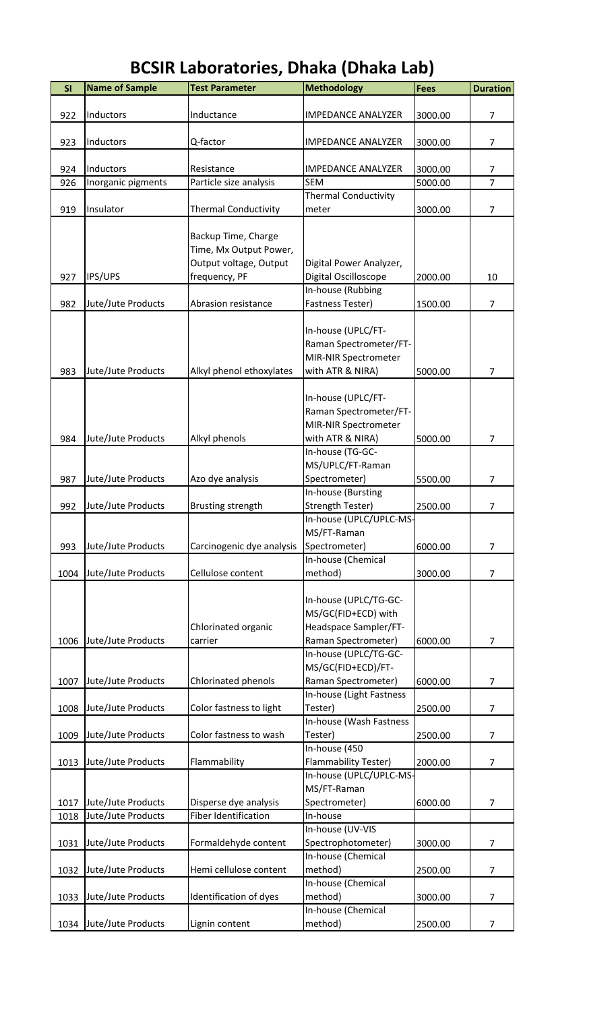#### **SI** Name of Sample Test Parameter **Methodology** Fees Duration 922 Inductors Inductance IMPEDANCE ANALYZER 3000.00 7 923 Inductors  $Q$ -factor IMPEDANCE ANALYZER 3000.00 7 924 Inductors Resistance IMPEDANCE ANALYZER 3000.00 7 926 Inorganic pigments Particle size analysis SEM 5000.00 7 919 Insulator **Thermal Conductivity** Thermal Conductivity meter 3000.00 7 927 | IPS/UPS Backup Time, Charge Time, Mx Output Power, Output voltage, Output frequency, PF Digital Power Analyzer, Digital Oscilloscope 2000.00 10 982 Jute/Jute Products Abrasion resistance In-house (Rubbing Fastness Tester) 1500.00 7 983 Jute/Jute Products Alkyl phenol ethoxylates In-house (UPLC/FT-Raman Spectrometer/FT-MIR-NIR Spectrometer with ATR & NIRA) 5000.00 7 984 Jute/Jute Products Alkyl phenols In-house (UPLC/FT-Raman Spectrometer/FT-MIR-NIR Spectrometer with ATR & NIRA) 5000.00 7 987 Jute/Jute Products Azo dye analysis In-house (TG-GC-MS/UPLC/FT-Raman Spectrometer) 5500.00 7 992 Jute/Jute Products Brusting strength In-house (Bursting Strength Tester) 2500.00 7 993 Jute/Jute Products Carcinogenic dye analysis In-house (UPLC/UPLC-MS-MS/FT-Raman Spectrometer) 6000.00 7 1004 Jute/Jute Products | Cellulose content In-house (Chemical method) 3000.00 7 1006 Jute/Jute Products Chlorinated organic carrier In-house (UPLC/TG-GC-MS/GC(FID+ECD) with Headspace Sampler/FT-Raman Spectrometer) 6000.00 7 1007 Jute/Jute Products | Chlorinated phenols In-house (UPLC/TG-GC-MS/GC(FID+ECD)/FT-Raman Spectrometer) 6000.00 7 1008 Jute/Jute Products Color fastness to light In-house (Light Fastness Tester) 2500.00 7 1009 Jute/Jute Products | Color fastness to wash In-house (Wash Fastness Tester) 2500.00 7 1013 Jute/Jute Products Flammability In-house (450 Flammability Tester) 2000.00 7 1017 Jute/Jute Products | Disperse dye analysis In-house (UPLC/UPLC-MS-MS/FT-Raman Spectrometer) 6000.00 7 1018 Jute/Jute Products Fiber Identification In-house

In-house (UV-VIS

In-house (Chemical

In-house (Chemical

In-house (Chemical

Spectrophotometer) 3000.00 7

method) 2500.00 7

method) 3000.00 7

method) 2500.00 7

1031 Jute/Jute Products Formaldehyde content

1032 Jute/Jute Products Hemi cellulose content

1033 Jute/Jute Products |Identification of dyes

1034 Jute/Jute Products Lignin content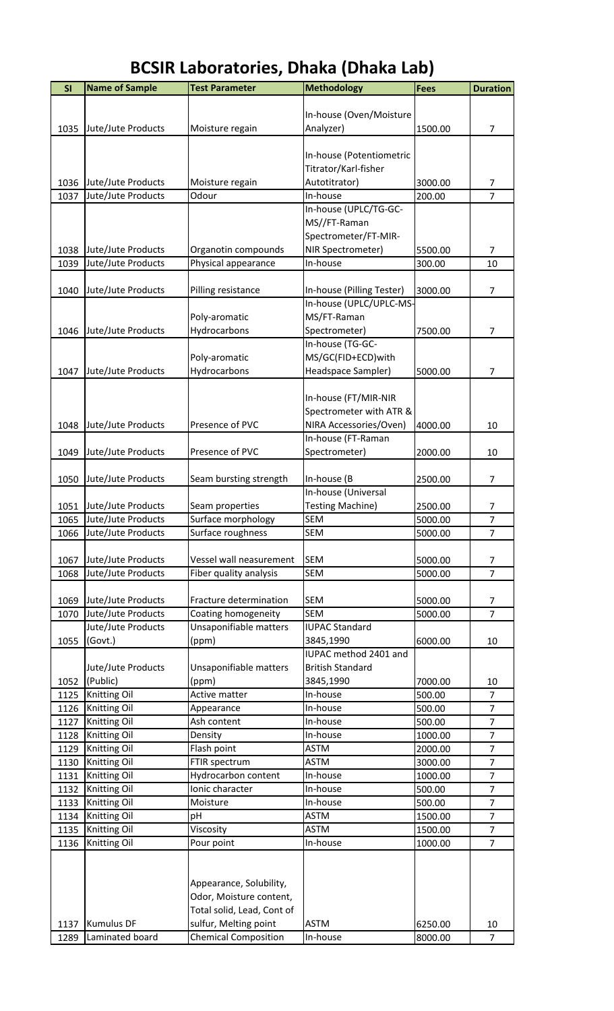| <b>BCSIR Laboratories, Dhaka (Dhaka Lab)</b> |  |
|----------------------------------------------|--|
|----------------------------------------------|--|

| SI   | <b>Name of Sample</b> | <b>Test Parameter</b>       | Methodology               | <b>Fees</b> | <b>Duration</b> |
|------|-----------------------|-----------------------------|---------------------------|-------------|-----------------|
|      |                       |                             |                           |             |                 |
|      |                       |                             | In-house (Oven/Moisture   |             |                 |
| 1035 | Jute/Jute Products    | Moisture regain             | Analyzer)                 | 1500.00     | 7               |
|      |                       |                             |                           |             |                 |
|      |                       |                             | In-house (Potentiometric  |             |                 |
|      |                       |                             | Titrator/Karl-fisher      |             |                 |
| 1036 | Jute/Jute Products    | Moisture regain             | Autotitrator)             | 3000.00     | 7               |
| 1037 | Jute/Jute Products    | Odour                       | In-house                  | 200.00      | $\overline{7}$  |
|      |                       |                             | In-house (UPLC/TG-GC-     |             |                 |
|      |                       |                             | MS//FT-Raman              |             |                 |
|      |                       |                             | Spectrometer/FT-MIR-      |             |                 |
| 1038 | Jute/Jute Products    | Organotin compounds         | NIR Spectrometer)         | 5500.00     | 7               |
| 1039 | Jute/Jute Products    | Physical appearance         | In-house                  | 300.00      | 10              |
|      |                       |                             |                           |             |                 |
| 1040 | Jute/Jute Products    | Pilling resistance          | In-house (Pilling Tester) | 3000.00     | 7               |
|      |                       |                             | In-house (UPLC/UPLC-MS-   |             |                 |
|      |                       | Poly-aromatic               | MS/FT-Raman               |             |                 |
| 1046 | Jute/Jute Products    | Hydrocarbons                | Spectrometer)             | 7500.00     | $\overline{7}$  |
|      |                       |                             | In-house (TG-GC-          |             |                 |
|      |                       | Poly-aromatic               | MS/GC(FID+ECD)with        |             |                 |
| 1047 | Jute/Jute Products    | Hydrocarbons                | Headspace Sampler)        | 5000.00     | 7               |
|      |                       |                             |                           |             |                 |
|      |                       |                             | In-house (FT/MIR-NIR      |             |                 |
|      |                       |                             | Spectrometer with ATR &   |             |                 |
| 1048 | Jute/Jute Products    | Presence of PVC             | NIRA Accessories/Oven)    | 4000.00     | 10              |
|      |                       |                             | In-house (FT-Raman        |             |                 |
| 1049 | Jute/Jute Products    | Presence of PVC             | Spectrometer)             | 2000.00     | 10              |
|      |                       |                             |                           |             |                 |
| 1050 | Jute/Jute Products    | Seam bursting strength      | In-house (B               | 2500.00     | $\overline{7}$  |
|      |                       |                             | In-house (Universal       |             |                 |
| 1051 | Jute/Jute Products    | Seam properties             | <b>Testing Machine)</b>   | 2500.00     | 7               |
| 1065 | Jute/Jute Products    | Surface morphology          | <b>SEM</b>                | 5000.00     | $\overline{7}$  |
| 1066 | Jute/Jute Products    | Surface roughness           | SEM                       | 5000.00     | 7               |
|      |                       |                             |                           |             |                 |
| 1067 | Jute/Jute Products    | Vessel wall neasurement     | <b>SEM</b>                | 5000.00     | 7               |
| 1068 | Jute/Jute Products    | Fiber quality analysis      | <b>SEM</b>                | 5000.00     | $\overline{7}$  |
|      |                       |                             |                           |             |                 |
| 1069 | Jute/Jute Products    | Fracture determination      | <b>SEM</b>                | 5000.00     | 7               |
| 1070 | Jute/Jute Products    | Coating homogeneity         | <b>SEM</b>                | 5000.00     | $\overline{7}$  |
|      | Jute/Jute Products    | Unsaponifiable matters      | <b>IUPAC Standard</b>     |             |                 |
| 1055 | (Govt.)               | (ppm)                       | 3845,1990                 | 6000.00     | 10              |
|      |                       |                             | IUPAC method 2401 and     |             |                 |
|      | Jute/Jute Products    | Unsaponifiable matters      | <b>British Standard</b>   |             |                 |
| 1052 | (Public)              | (ppm)                       | 3845,1990                 | 7000.00     | 10              |
| 1125 | Knitting Oil          | Active matter               | In-house                  | 500.00      | $\overline{7}$  |
| 1126 | Knitting Oil          | Appearance                  | In-house                  | 500.00      | $\overline{7}$  |
| 1127 | <b>Knitting Oil</b>   | Ash content                 | In-house                  | 500.00      | $\overline{7}$  |
| 1128 | Knitting Oil          | Density                     | In-house                  | 1000.00     | $\overline{7}$  |
| 1129 | Knitting Oil          | Flash point                 | <b>ASTM</b>               | 2000.00     | $\overline{7}$  |
| 1130 | Knitting Oil          | FTIR spectrum               | <b>ASTM</b>               | 3000.00     | $\overline{7}$  |
| 1131 | Knitting Oil          | Hydrocarbon content         | In-house                  | 1000.00     | $\overline{7}$  |
| 1132 | Knitting Oil          | Ionic character             | In-house                  | 500.00      | $\overline{7}$  |
| 1133 | Knitting Oil          | Moisture                    | In-house                  | 500.00      | $\overline{7}$  |
| 1134 | Knitting Oil          | рH                          | <b>ASTM</b>               | 1500.00     | $\overline{7}$  |
| 1135 | <b>Knitting Oil</b>   | Viscosity                   | <b>ASTM</b>               | 1500.00     | $\overline{7}$  |
| 1136 | Knitting Oil          | Pour point                  | In-house                  | 1000.00     | $\overline{7}$  |
|      |                       |                             |                           |             |                 |
|      |                       |                             |                           |             |                 |
|      |                       | Appearance, Solubility,     |                           |             |                 |
|      |                       | Odor, Moisture content,     |                           |             |                 |
|      |                       | Total solid, Lead, Cont of  |                           |             |                 |
| 1137 | <b>Kumulus DF</b>     | sulfur, Melting point       | <b>ASTM</b>               | 6250.00     | 10              |
| 1289 | Laminated board       | <b>Chemical Composition</b> | In-house                  | 8000.00     | $\overline{7}$  |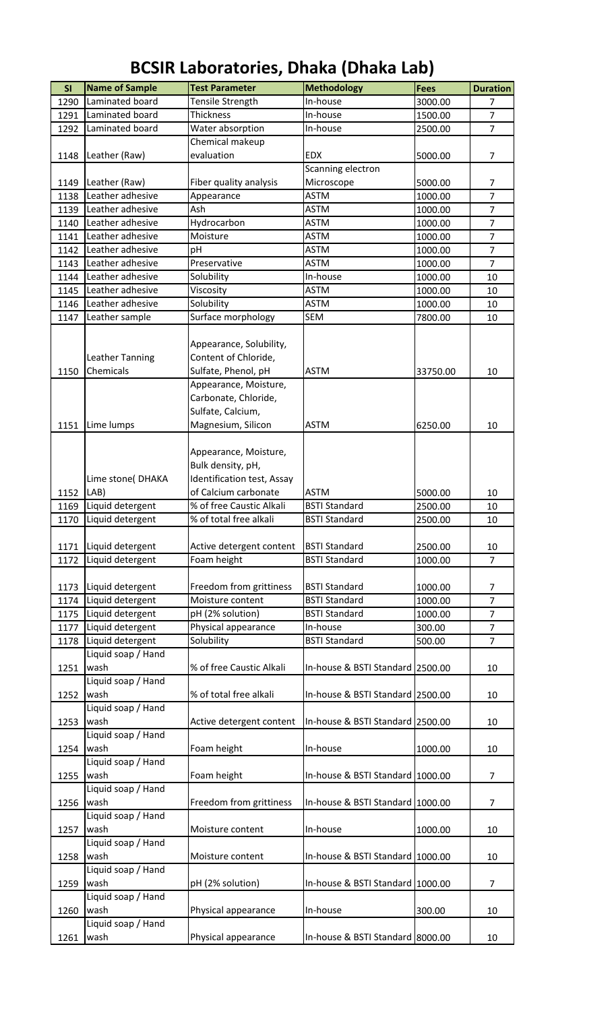| <b>SI</b> | <b>Name of Sample</b>        | <b>Test Parameter</b>                                                                                                   | <b>Methodology</b>               | <b>Fees</b> | <b>Duration</b> |
|-----------|------------------------------|-------------------------------------------------------------------------------------------------------------------------|----------------------------------|-------------|-----------------|
| 1290      | Laminated board              | Tensile Strength                                                                                                        | In-house                         | 3000.00     | $\overline{7}$  |
| 1291      | Laminated board              | <b>Thickness</b>                                                                                                        | In-house                         | 1500.00     | $\overline{7}$  |
| 1292      | Laminated board              | Water absorption                                                                                                        | In-house                         | 2500.00     | $\overline{7}$  |
|           |                              | Chemical makeup                                                                                                         |                                  |             |                 |
| 1148      | Leather (Raw)                | evaluation                                                                                                              | <b>EDX</b>                       | 5000.00     | $\overline{7}$  |
|           |                              |                                                                                                                         | Scanning electron                |             |                 |
| 1149      | Leather (Raw)                | Fiber quality analysis                                                                                                  | Microscope                       | 5000.00     | 7               |
| 1138      | Leather adhesive             | Appearance                                                                                                              | <b>ASTM</b>                      | 1000.00     | $\overline{7}$  |
| 1139      | Leather adhesive             | Ash                                                                                                                     | <b>ASTM</b>                      | 1000.00     | $\overline{7}$  |
| 1140      | Leather adhesive             | Hydrocarbon                                                                                                             | <b>ASTM</b>                      | 1000.00     | $\overline{7}$  |
| 1141      | Leather adhesive             | Moisture                                                                                                                | <b>ASTM</b>                      | 1000.00     | $\overline{7}$  |
| 1142      | Leather adhesive             | pH                                                                                                                      | <b>ASTM</b>                      | 1000.00     | $\overline{7}$  |
| 1143      | Leather adhesive             | Preservative                                                                                                            | <b>ASTM</b>                      | 1000.00     | $\overline{7}$  |
| 1144      | Leather adhesive             | Solubility                                                                                                              | In-house                         | 1000.00     | 10              |
| 1145      | Leather adhesive             | Viscosity                                                                                                               | <b>ASTM</b>                      | 1000.00     | 10              |
| 1146      | Leather adhesive             | Solubility                                                                                                              | <b>ASTM</b>                      | 1000.00     | 10              |
| 1147      | Leather sample               | Surface morphology                                                                                                      | <b>SEM</b>                       | 7800.00     | 10              |
| 1150      | Leather Tanning<br>Chemicals | Appearance, Solubility,<br>Content of Chloride,<br>Sulfate, Phenol, pH<br>Appearance, Moisture,<br>Carbonate, Chloride, | <b>ASTM</b>                      | 33750.00    | 10              |
|           |                              | Sulfate, Calcium,                                                                                                       |                                  |             |                 |
| 1151      | Lime lumps                   | Magnesium, Silicon                                                                                                      | <b>ASTM</b>                      | 6250.00     | 10              |
| 1152      | Lime stone(DHAKA<br>LAB)     | Appearance, Moisture,<br>Bulk density, pH,<br>Identification test, Assay<br>of Calcium carbonate                        | <b>ASTM</b>                      | 5000.00     | 10              |
| 1169      | Liquid detergent             | % of free Caustic Alkali                                                                                                | <b>BSTI Standard</b>             | 2500.00     | 10              |
| 1170      | Liquid detergent             | % of total free alkali                                                                                                  | <b>BSTI Standard</b>             | 2500.00     | 10              |
|           |                              |                                                                                                                         |                                  |             |                 |
| 1171      | Liquid detergent             | Active detergent content                                                                                                | <b>BSTI Standard</b>             | 2500.00     | 10              |
| 1172      | Liquid detergent             | Foam height                                                                                                             | <b>BSTI Standard</b>             | 1000.00     | $\overline{7}$  |
|           |                              |                                                                                                                         |                                  |             |                 |
| 1173      | Liquid detergent             | Freedom from grittiness                                                                                                 | <b>BSTI Standard</b>             | 1000.00     | 7               |
| 1174      | Liquid detergent             | Moisture content                                                                                                        | <b>BSTI Standard</b>             | 1000.00     | $\overline{7}$  |
| 1175      | Liquid detergent             | pH (2% solution)                                                                                                        | <b>BSTI Standard</b>             | 1000.00     | 7               |
| 1177      | Liquid detergent             | Physical appearance                                                                                                     | In-house                         | 300.00      | $\overline{7}$  |
| 1178      | Liquid detergent             | Solubility                                                                                                              | <b>BSTI Standard</b>             | 500.00      | $\overline{7}$  |
|           | Liquid soap / Hand           |                                                                                                                         |                                  |             |                 |
| 1251      | wash                         | % of free Caustic Alkali                                                                                                | In-house & BSTI Standard 2500.00 |             | 10              |
|           | Liquid soap / Hand           |                                                                                                                         |                                  |             |                 |
| 1252      | wash                         | % of total free alkali                                                                                                  | In-house & BSTI Standard 2500.00 |             | 10              |
|           | Liquid soap / Hand           |                                                                                                                         |                                  |             |                 |
| 1253      | wash                         | Active detergent content                                                                                                | In-house & BSTI Standard 2500.00 |             | 10              |
|           | Liquid soap / Hand           |                                                                                                                         |                                  |             |                 |
| 1254      | wash                         | Foam height                                                                                                             | In-house                         | 1000.00     | 10              |
|           | Liquid soap / Hand           |                                                                                                                         |                                  |             |                 |
| 1255      | wash                         | Foam height                                                                                                             | In-house & BSTI Standard 1000.00 |             | $\overline{7}$  |
| 1256      | Liquid soap / Hand<br>wash   | Freedom from grittiness                                                                                                 | In-house & BSTI Standard 1000.00 |             | $\overline{7}$  |
|           | Liquid soap / Hand           |                                                                                                                         |                                  |             |                 |
| 1257      | wash                         | Moisture content                                                                                                        | In-house                         | 1000.00     | 10              |
|           | Liquid soap / Hand           |                                                                                                                         |                                  |             |                 |
| 1258      | wash                         | Moisture content                                                                                                        | In-house & BSTI Standard 1000.00 |             | 10              |
|           | Liquid soap / Hand           |                                                                                                                         |                                  |             |                 |
| 1259      | wash                         | pH (2% solution)                                                                                                        | In-house & BSTI Standard 1000.00 |             | $\overline{7}$  |
|           | Liquid soap / Hand           |                                                                                                                         |                                  |             |                 |
| 1260      | wash                         | Physical appearance                                                                                                     | In-house                         | 300.00      | 10              |
|           | Liquid soap / Hand           |                                                                                                                         |                                  |             |                 |
| 1261      | wash                         | Physical appearance                                                                                                     | In-house & BSTI Standard 8000.00 |             | 10              |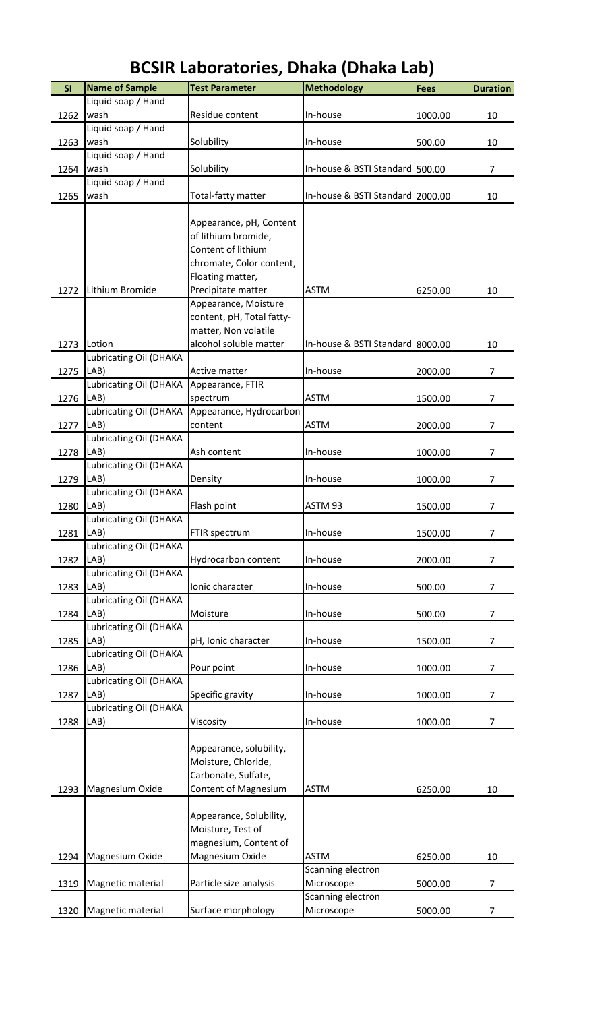#### **SI** Name of Sample Test Parameter **Nethodology Fees** Duration 1262 Liquid soap / Hand wash Residue content In-house 1000.00 10 1263 Liquid soap / Hand wash Solubility In-house 500.00 10 1264 Liquid soap / Hand wash Solubility In-house & BSTI Standard 500.00 7 1265 Liquid soap / Hand wash **Total-fatty matter** In-house & BSTI Standard 2000.00 10 1272 Lithium Bromide Appearance, pH, Content of lithium bromide, Content of lithium chromate, Color content, Floating matter, Precipitate matter  $\begin{array}{|c|c|c|c|c|}\n\hline\n\end{array}$  ASTM  $\begin{array}{|c|c|c|c|c|}\n\hline\n\end{array}$  6250.00  $\begin{array}{|c|c|c|c|}\n\hline\n\end{array}$  10 1273 Lotion Appearance, Moisture content, pH, Total fattymatter, Non volatile alcohol soluble matter  $\vert$ In-house & BSTI Standard 8000.00  $\vert$  10 1275 Lubricating Oil (DHAKA LAB) and active matter and all lin-house and all to 2000.00 and 2000.00 and the M 1276 Lubricating Oil (DHAKA LAB) Appearance, FTIR spectrum ASTM 1500.00 7 1277 Lubricating Oil (DHAKA LAB) Appearance, Hydrocarbon content ASTM 2000.00 7 1278 Lubricating Oil (DHAKA LAB) Ash content  $\vert$  In-house 1000.00 7 1279 Lubricating Oil (DHAKA LAB) Density In-house 1000.00 7 1280 Lubricating Oil (DHAKA LAB) Flash point ASTM 93 2500.00 7 1281 Lubricating Oil (DHAKA LAB) FTIR spectrum In-house 1500.00 7 1282 Lubricating Oil (DHAKA LAB) **Hydrocarbon content** | In-house | 2000.00 | 7 1283 Lubricating Oil (DHAKA LAB) Ionic character In-house 500.00 7 1284 Lubricating Oil (DHAKA LAB) Moisture In-house 500.00 7 1285 Lubricating Oil (DHAKA LAB) pH, Ionic character In-house 1500.00 7 1286 Lubricating Oil (DHAKA LAB) Pour point | In-house | 1000.00 | 7 1287 Lubricating Oil (DHAKA LAB) Specific gravity In-house 1000.00 7 1288 Lubricating Oil (DHAKA LAB) Viscosity In-house 1000.00 7 1293 Magnesium Oxide Appearance, solubility, Moisture, Chloride, Carbonate, Sulfate, Content of Magnesium | ASTM 6250.00 | 10 1294 Magnesium Oxide Appearance, Solubility, Moisture, Test of magnesium, Content of Magnesium Oxide | ASTM | 6250.00 | 10 1319 | Magnetic material | Particle size analysis Scanning electron Microscope 5000.00 7 1320 Magnetic material Surface morphology Scanning electron Microscope 5000.00 7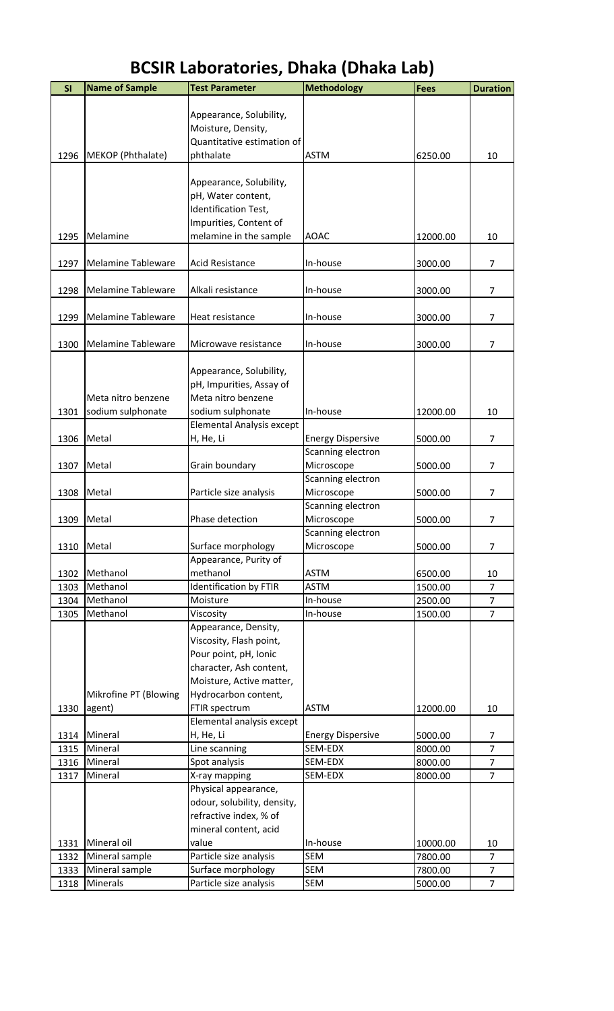| SI   | <b>Name of Sample</b>     | <b>Test Parameter</b>         | <b>Methodology</b>       | <b>Fees</b> | <b>Duration</b>     |
|------|---------------------------|-------------------------------|--------------------------|-------------|---------------------|
|      |                           |                               |                          |             |                     |
|      |                           | Appearance, Solubility,       |                          |             |                     |
|      |                           | Moisture, Density,            |                          |             |                     |
|      |                           | Quantitative estimation of    |                          |             |                     |
| 1296 | MEKOP (Phthalate)         | phthalate                     | <b>ASTM</b>              | 6250.00     | 10                  |
|      |                           |                               |                          |             |                     |
|      |                           | Appearance, Solubility,       |                          |             |                     |
|      |                           | pH, Water content,            |                          |             |                     |
|      |                           | Identification Test,          |                          |             |                     |
|      |                           | Impurities, Content of        |                          |             |                     |
| 1295 | Melamine                  | melamine in the sample        | <b>AOAC</b>              | 12000.00    | 10                  |
|      |                           |                               |                          |             |                     |
| 1297 | <b>Melamine Tableware</b> | <b>Acid Resistance</b>        | In-house                 | 3000.00     | $\overline{7}$      |
|      |                           |                               |                          |             |                     |
| 1298 | Melamine Tableware        | Alkali resistance             | In-house                 | 3000.00     | $\overline{7}$      |
|      |                           |                               |                          |             |                     |
| 1299 | <b>Melamine Tableware</b> | Heat resistance               | In-house                 | 3000.00     | $\overline{7}$      |
|      |                           |                               |                          |             |                     |
| 1300 | <b>Melamine Tableware</b> | Microwave resistance          | In-house                 | 3000.00     | $\overline{7}$      |
|      |                           |                               |                          |             |                     |
|      |                           | Appearance, Solubility,       |                          |             |                     |
|      |                           | pH, Impurities, Assay of      |                          |             |                     |
|      | Meta nitro benzene        | Meta nitro benzene            |                          |             |                     |
| 1301 | sodium sulphonate         | sodium sulphonate             | In-house                 | 12000.00    | 10                  |
|      |                           | Elemental Analysis except     |                          |             |                     |
| 1306 | Metal                     | H, He, Li                     | <b>Energy Dispersive</b> | 5000.00     | 7                   |
|      |                           |                               | Scanning electron        |             |                     |
| 1307 | Metal                     | Grain boundary                | Microscope               | 5000.00     | $\overline{7}$      |
|      |                           |                               | Scanning electron        |             |                     |
| 1308 | Metal                     | Particle size analysis        | Microscope               | 5000.00     | 7                   |
|      |                           |                               | Scanning electron        |             |                     |
| 1309 | Metal                     | Phase detection               | Microscope               | 5000.00     | 7                   |
|      |                           |                               | Scanning electron        |             |                     |
| 1310 | Metal                     | Surface morphology            | Microscope               | 5000.00     | $\overline{7}$      |
|      |                           | Appearance, Purity of         |                          |             |                     |
| 1302 | Methanol                  | methanol                      | <b>ASTM</b>              | 6500.00     | 10                  |
| 1303 | Methanol                  | <b>Identification by FTIR</b> | <b>ASTM</b>              | 1500.00     | $\overline{7}$      |
| 1304 | Methanol                  | Moisture                      | In-house                 | 2500.00     | $\overline{7}$      |
| 1305 | Methanol                  | Viscosity                     | In-house                 | 1500.00     | $\overline{7}$      |
|      |                           | Appearance, Density,          |                          |             |                     |
|      |                           | Viscosity, Flash point,       |                          |             |                     |
|      |                           | Pour point, pH, Ionic         |                          |             |                     |
|      |                           | character, Ash content,       |                          |             |                     |
|      |                           | Moisture, Active matter,      |                          |             |                     |
|      | Mikrofine PT (Blowing     | Hydrocarbon content,          |                          |             |                     |
|      |                           |                               |                          |             |                     |
| 1330 | agent)                    | FTIR spectrum                 | <b>ASTM</b>              | 12000.00    | 10                  |
|      | Mineral                   | Elemental analysis except     |                          |             |                     |
| 1314 |                           | H, He, Li                     | <b>Energy Dispersive</b> | 5000.00     | 7<br>$\overline{7}$ |
| 1315 | Mineral                   | Line scanning                 | SEM-EDX                  | 8000.00     |                     |
| 1316 | Mineral                   | Spot analysis                 | SEM-EDX                  | 8000.00     | $\overline{7}$      |
| 1317 | Mineral                   | X-ray mapping                 | SEM-EDX                  | 8000.00     | $\overline{7}$      |
|      |                           | Physical appearance,          |                          |             |                     |
|      |                           | odour, solubility, density,   |                          |             |                     |
|      |                           | refractive index, % of        |                          |             |                     |
|      |                           | mineral content, acid         |                          |             |                     |
| 1331 | Mineral oil               | value                         | In-house                 | 10000.00    | 10                  |
| 1332 | Mineral sample            | Particle size analysis        | <b>SEM</b>               | 7800.00     | $\overline{7}$      |
| 1333 | Mineral sample            | Surface morphology            | <b>SEM</b>               | 7800.00     | $\overline{7}$      |
| 1318 | Minerals                  | Particle size analysis        | SEM                      | 5000.00     | $\overline{7}$      |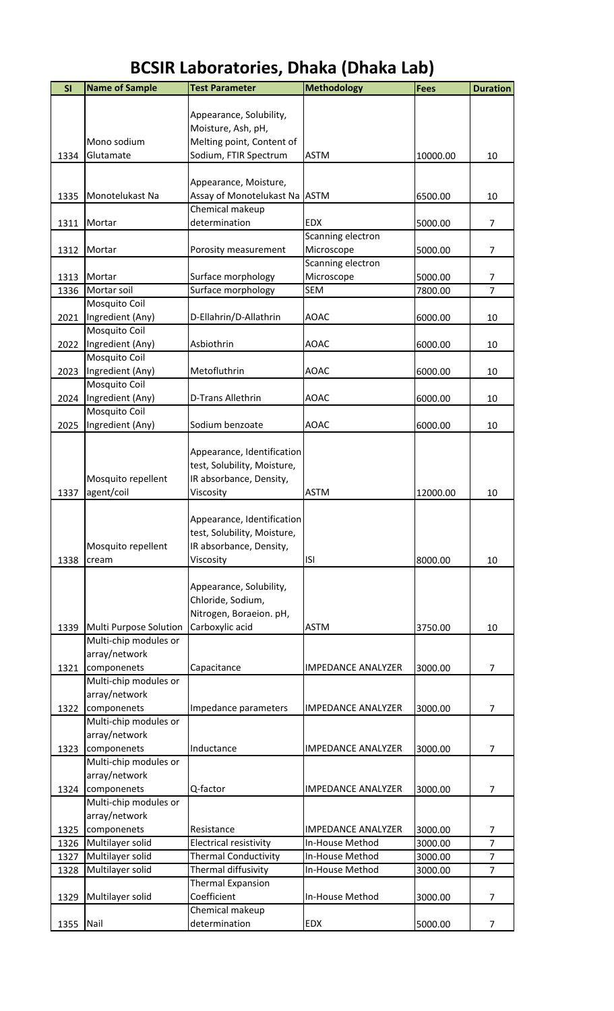| SI   | <b>Name of Sample</b>  | <b>Test Parameter</b>       | <b>Methodology</b>        | Fees     | <b>Duration</b> |
|------|------------------------|-----------------------------|---------------------------|----------|-----------------|
|      |                        |                             |                           |          |                 |
|      |                        | Appearance, Solubility,     |                           |          |                 |
|      |                        | Moisture, Ash, pH,          |                           |          |                 |
|      | Mono sodium            | Melting point, Content of   |                           |          |                 |
| 1334 | Glutamate              | Sodium, FTIR Spectrum       | <b>ASTM</b>               | 10000.00 | 10              |
|      |                        |                             |                           |          |                 |
|      |                        | Appearance, Moisture,       |                           |          |                 |
| 1335 | Monotelukast Na        | Assay of Monotelukast Na    | <b>ASTM</b>               | 6500.00  | 10              |
|      |                        | Chemical makeup             |                           |          |                 |
| 1311 | Mortar                 | determination               | <b>EDX</b>                | 5000.00  | 7               |
|      |                        |                             | Scanning electron         |          |                 |
| 1312 | Mortar                 | Porosity measurement        | Microscope                | 5000.00  | $\overline{7}$  |
|      |                        |                             | Scanning electron         |          |                 |
| 1313 | Mortar                 | Surface morphology          | Microscope                | 5000.00  | 7               |
| 1336 | Mortar soil            | Surface morphology          | <b>SEM</b>                | 7800.00  | $\overline{7}$  |
|      | Mosquito Coil          |                             |                           |          |                 |
| 2021 | Ingredient (Any)       | D-Ellahrin/D-Allathrin      | <b>AOAC</b>               | 6000.00  | 10              |
|      | Mosquito Coil          |                             |                           |          |                 |
| 2022 | Ingredient (Any)       | Asbiothrin                  | <b>AOAC</b>               | 6000.00  | 10              |
|      | Mosquito Coil          |                             |                           |          |                 |
| 2023 | Ingredient (Any)       | Metofluthrin                | <b>AOAC</b>               | 6000.00  | 10              |
|      | Mosquito Coil          |                             |                           |          |                 |
| 2024 | Ingredient (Any)       | D-Trans Allethrin           | <b>AOAC</b>               | 6000.00  | 10              |
|      | Mosquito Coil          |                             |                           |          |                 |
| 2025 | Ingredient (Any)       | Sodium benzoate             | <b>AOAC</b>               | 6000.00  | 10              |
|      |                        |                             |                           |          |                 |
|      |                        | Appearance, Identification  |                           |          |                 |
|      |                        | test, Solubility, Moisture, |                           |          |                 |
|      | Mosquito repellent     | IR absorbance, Density,     |                           |          |                 |
| 1337 | agent/coil             | Viscosity                   | <b>ASTM</b>               | 12000.00 | 10              |
|      |                        |                             |                           |          |                 |
|      |                        | Appearance, Identification  |                           |          |                 |
|      |                        | test, Solubility, Moisture, |                           |          |                 |
|      | Mosquito repellent     | IR absorbance, Density,     |                           |          |                 |
| 1338 | cream                  | Viscosity                   | ISI                       | 8000.00  | 10              |
|      |                        |                             |                           |          |                 |
|      |                        | Appearance, Solubility,     |                           |          |                 |
|      |                        | Chloride, Sodium,           |                           |          |                 |
|      |                        | Nitrogen, Boraeion. pH,     |                           |          |                 |
| 1339 | Multi Purpose Solution | Carboxylic acid             | <b>ASTM</b>               | 3750.00  | 10              |
|      | Multi-chip modules or  |                             |                           |          |                 |
|      | array/network          |                             |                           |          |                 |
| 1321 | componenets            | Capacitance                 | <b>IMPEDANCE ANALYZER</b> | 3000.00  | 7               |
|      | Multi-chip modules or  |                             |                           |          |                 |
|      | array/network          |                             |                           |          |                 |
| 1322 | componenets            | Impedance parameters        | <b>IMPEDANCE ANALYZER</b> | 3000.00  | $\overline{7}$  |
|      | Multi-chip modules or  |                             |                           |          |                 |
|      | array/network          |                             |                           |          |                 |
| 1323 | componenets            | Inductance                  | <b>IMPEDANCE ANALYZER</b> | 3000.00  | $\overline{7}$  |
|      | Multi-chip modules or  |                             |                           |          |                 |
|      | array/network          |                             |                           |          |                 |
| 1324 | componenets            | Q-factor                    | <b>IMPEDANCE ANALYZER</b> | 3000.00  | $\overline{7}$  |
|      | Multi-chip modules or  |                             |                           |          |                 |
|      | array/network          |                             |                           |          |                 |
| 1325 | componenets            | Resistance                  | <b>IMPEDANCE ANALYZER</b> | 3000.00  | 7               |
| 1326 | Multilayer solid       | Electrical resistivity      | In-House Method           | 3000.00  | $\overline{7}$  |
| 1327 | Multilayer solid       | <b>Thermal Conductivity</b> | In-House Method           | 3000.00  | $\overline{7}$  |
| 1328 | Multilayer solid       | Thermal diffusivity         | In-House Method           | 3000.00  | $\overline{7}$  |
|      |                        | <b>Thermal Expansion</b>    |                           |          |                 |
| 1329 | Multilayer solid       | Coefficient                 | In-House Method           | 3000.00  | $\overline{7}$  |
|      |                        | Chemical makeup             |                           |          |                 |
| 1355 | Nail                   | determination               | EDX                       | 5000.00  | 7               |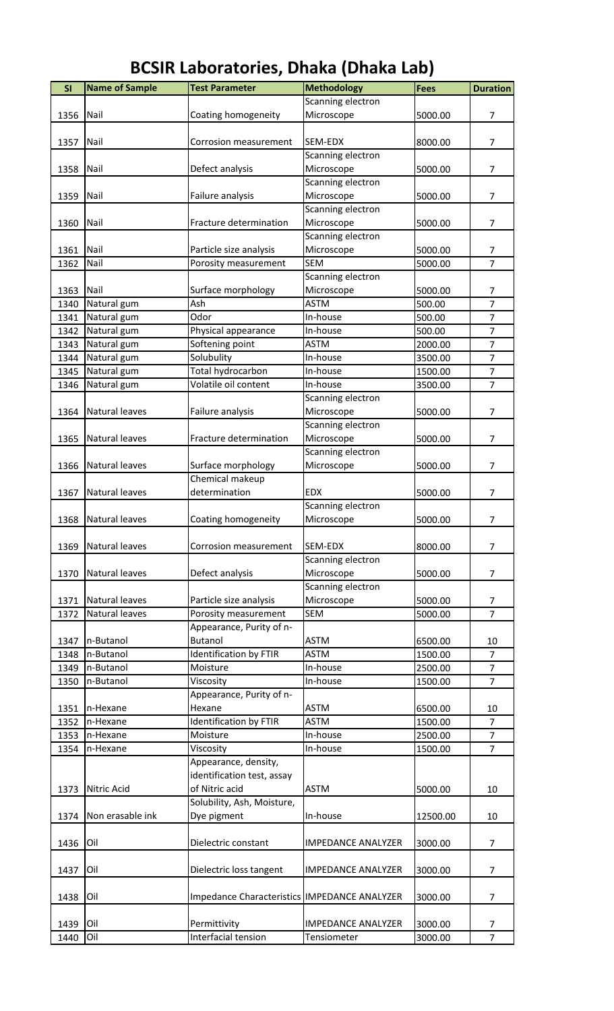| SI   | <b>Name of Sample</b> | <b>Test Parameter</b>                        | <b>Methodology</b>        | <b>Fees</b> | <b>Duration</b> |
|------|-----------------------|----------------------------------------------|---------------------------|-------------|-----------------|
|      |                       |                                              | Scanning electron         |             |                 |
| 1356 | Nail                  | Coating homogeneity                          | Microscope                | 5000.00     | 7               |
|      |                       |                                              |                           |             |                 |
| 1357 | Nail                  | Corrosion measurement                        | SEM-EDX                   | 8000.00     | $\overline{7}$  |
|      |                       |                                              |                           |             |                 |
|      |                       |                                              | Scanning electron         |             |                 |
| 1358 | Nail                  | Defect analysis                              | Microscope                | 5000.00     | 7               |
|      |                       |                                              | Scanning electron         |             |                 |
| 1359 | Nail                  | Failure analysis                             | Microscope                | 5000.00     | 7               |
|      |                       |                                              | Scanning electron         |             |                 |
|      | Nail                  | Fracture determination                       |                           |             | $\overline{7}$  |
| 1360 |                       |                                              | Microscope                | 5000.00     |                 |
|      |                       |                                              | Scanning electron         |             |                 |
| 1361 | Nail                  | Particle size analysis                       | Microscope                | 5000.00     | 7               |
| 1362 | Nail                  | Porosity measurement                         | <b>SEM</b>                | 5000.00     | $\overline{7}$  |
|      |                       |                                              | Scanning electron         |             |                 |
| 1363 | Nail                  | Surface morphology                           | Microscope                | 5000.00     | 7               |
|      |                       |                                              |                           |             |                 |
| 1340 | Natural gum           | Ash                                          | <b>ASTM</b>               | 500.00      | $\overline{7}$  |
| 1341 | Natural gum           | Odor                                         | In-house                  | 500.00      | $\overline{7}$  |
| 1342 | Natural gum           | Physical appearance                          | In-house                  | 500.00      | $\overline{7}$  |
| 1343 | Natural gum           | Softening point                              | <b>ASTM</b>               | 2000.00     | $\overline{7}$  |
|      |                       | Solubulity                                   | In-house                  | 3500.00     | $\overline{7}$  |
| 1344 | Natural gum           |                                              |                           |             |                 |
| 1345 | Natural gum           | Total hydrocarbon                            | In-house                  | 1500.00     | $\overline{7}$  |
| 1346 | Natural gum           | Volatile oil content                         | In-house                  | 3500.00     | $\overline{7}$  |
|      |                       |                                              | Scanning electron         |             |                 |
| 1364 | Natural leaves        | Failure analysis                             | Microscope                | 5000.00     | $\overline{7}$  |
|      |                       |                                              |                           |             |                 |
|      |                       |                                              | Scanning electron         |             |                 |
| 1365 | Natural leaves        | Fracture determination                       | Microscope                | 5000.00     | 7               |
|      |                       |                                              | Scanning electron         |             |                 |
| 1366 | Natural leaves        | Surface morphology                           | Microscope                | 5000.00     | 7               |
|      |                       |                                              |                           |             |                 |
|      |                       | Chemical makeup                              |                           |             |                 |
| 1367 | Natural leaves        | determination                                | <b>EDX</b>                | 5000.00     | 7               |
|      |                       |                                              | Scanning electron         |             |                 |
|      | 1368 Natural leaves   | Coating homogeneity                          | Microscope                | 5000.00     | 7               |
|      |                       |                                              |                           |             |                 |
|      |                       |                                              |                           |             |                 |
| 1369 | Natural leaves        | Corrosion measurement                        | SEM-EDX                   | 8000.00     | 7               |
|      |                       |                                              | Scanning electron         |             |                 |
| 1370 | Natural leaves        | Defect analysis                              | Microscope                | 5000.00     | 7               |
|      |                       |                                              | Scanning electron         |             |                 |
| 1371 | Natural leaves        | Particle size analysis                       | Microscope                | 5000.00     | 7               |
|      |                       |                                              |                           |             |                 |
| 1372 | Natural leaves        | Porosity measurement                         | <b>SEM</b>                | 5000.00     | $\overline{7}$  |
|      |                       | Appearance, Purity of n-                     |                           |             |                 |
| 1347 | n-Butanol             | <b>Butanol</b>                               | <b>ASTM</b>               | 6500.00     | 10              |
| 1348 | n-Butanol             | <b>Identification by FTIR</b>                | <b>ASTM</b>               | 1500.00     | $\overline{7}$  |
| 1349 | n-Butanol             | Moisture                                     | In-house                  | 2500.00     | $\overline{7}$  |
|      |                       |                                              |                           |             | $\overline{7}$  |
| 1350 | n-Butanol             | Viscosity                                    | In-house                  | 1500.00     |                 |
|      |                       | Appearance, Purity of n-                     |                           |             |                 |
| 1351 | n-Hexane              | Hexane                                       | <b>ASTM</b>               | 6500.00     | 10              |
| 1352 | n-Hexane              | <b>Identification by FTIR</b>                | <b>ASTM</b>               | 1500.00     | $\overline{7}$  |
| 1353 | n-Hexane              | Moisture                                     | In-house                  | 2500.00     | $\overline{7}$  |
|      |                       |                                              |                           | 1500.00     | $\overline{7}$  |
| 1354 | n-Hexane              | Viscosity                                    | In-house                  |             |                 |
|      |                       | Appearance, density,                         |                           |             |                 |
|      |                       | identification test, assay                   |                           |             |                 |
| 1373 | Nitric Acid           | of Nitric acid                               | <b>ASTM</b>               | 5000.00     | 10              |
|      |                       | Solubility, Ash, Moisture,                   |                           |             |                 |
|      |                       |                                              |                           |             |                 |
| 1374 | Non erasable ink      | Dye pigment                                  | In-house                  | 12500.00    | 10              |
|      |                       |                                              |                           |             |                 |
| 1436 | Oil                   | Dielectric constant                          | <b>IMPEDANCE ANALYZER</b> | 3000.00     | $\overline{7}$  |
|      |                       |                                              |                           |             |                 |
|      | Oil                   |                                              | <b>IMPEDANCE ANALYZER</b> |             | 7               |
| 1437 |                       | Dielectric loss tangent                      |                           | 3000.00     |                 |
|      |                       |                                              |                           |             |                 |
| 1438 | Oil                   | Impedance Characteristics IMPEDANCE ANALYZER |                           | 3000.00     | 7               |
|      |                       |                                              |                           |             |                 |
| 1439 | Oil                   | Permittivity                                 | <b>IMPEDANCE ANALYZER</b> | 3000.00     | 7               |
| 1440 | Oil                   | Interfacial tension                          | Tensiometer               | 3000.00     | $\overline{7}$  |
|      |                       |                                              |                           |             |                 |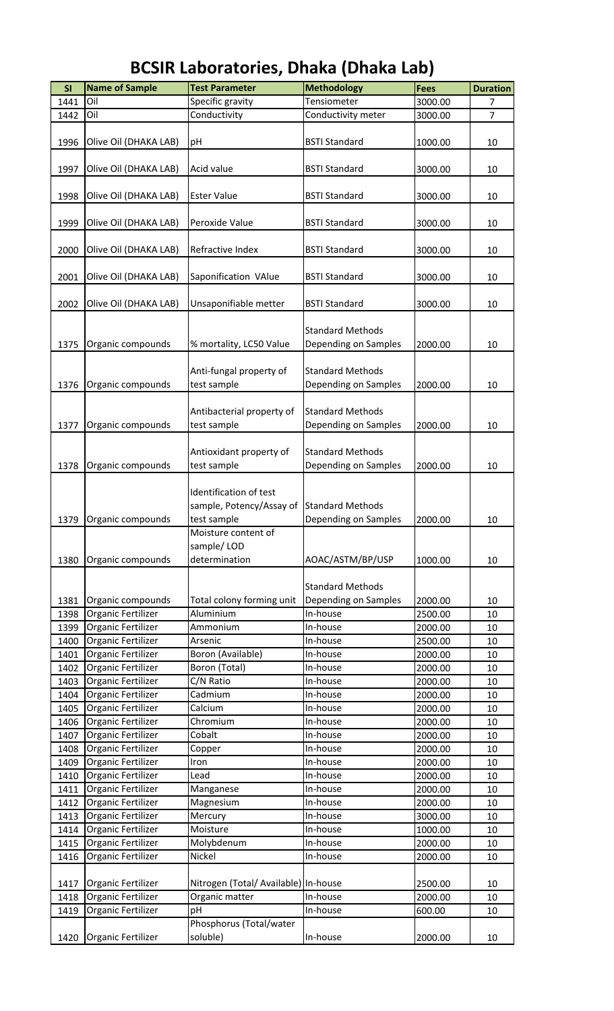| SI   | <b>Name of Sample</b> | <b>Test Parameter</b>                | <b>Methodology</b>      | <b>Fees</b> | <b>Duration</b> |
|------|-----------------------|--------------------------------------|-------------------------|-------------|-----------------|
| 1441 | Oil                   | Specific gravity                     | Tensiometer             | 3000.00     | 7               |
| 1442 | Oil                   | Conductivity                         | Conductivity meter      | 3000.00     | $\overline{7}$  |
|      |                       |                                      |                         |             |                 |
| 1996 | Olive Oil (DHAKA LAB) | рH                                   | <b>BSTI Standard</b>    | 1000.00     | 10              |
|      |                       |                                      |                         |             |                 |
| 1997 | Olive Oil (DHAKA LAB) | Acid value                           | <b>BSTI Standard</b>    | 3000.00     | 10              |
|      |                       |                                      |                         |             |                 |
| 1998 | Olive Oil (DHAKA LAB) | <b>Ester Value</b>                   | <b>BSTI Standard</b>    | 3000.00     | 10              |
|      |                       |                                      |                         |             |                 |
| 1999 | Olive Oil (DHAKA LAB) | Peroxide Value                       | <b>BSTI Standard</b>    | 3000.00     | 10              |
|      |                       |                                      |                         |             |                 |
| 2000 | Olive Oil (DHAKA LAB) | Refractive Index                     | <b>BSTI Standard</b>    | 3000.00     | 10              |
|      |                       |                                      |                         |             |                 |
| 2001 | Olive Oil (DHAKA LAB) | Saponification VAlue                 | <b>BSTI Standard</b>    | 3000.00     | 10              |
|      |                       |                                      |                         |             |                 |
| 2002 | Olive Oil (DHAKA LAB) | Unsaponifiable metter                | <b>BSTI Standard</b>    | 3000.00     | 10              |
|      |                       |                                      |                         |             |                 |
|      |                       |                                      | <b>Standard Methods</b> |             |                 |
| 1375 | Organic compounds     | % mortality, LC50 Value              | Depending on Samples    | 2000.00     | 10              |
|      |                       |                                      |                         |             |                 |
|      |                       | Anti-fungal property of              | <b>Standard Methods</b> |             |                 |
| 1376 | Organic compounds     | test sample                          | Depending on Samples    | 2000.00     | 10              |
|      |                       |                                      |                         |             |                 |
|      |                       | Antibacterial property of            | <b>Standard Methods</b> |             |                 |
| 1377 | Organic compounds     | test sample                          | Depending on Samples    | 2000.00     | 10              |
|      |                       |                                      |                         |             |                 |
|      |                       | Antioxidant property of              | <b>Standard Methods</b> |             |                 |
| 1378 | Organic compounds     | test sample                          | Depending on Samples    | 2000.00     | 10              |
|      |                       |                                      |                         |             |                 |
|      |                       | Identification of test               |                         |             |                 |
|      |                       | sample, Potency/Assay of             | <b>Standard Methods</b> |             |                 |
| 1379 | Organic compounds     | test sample                          | Depending on Samples    | 2000.00     | 10              |
|      |                       | Moisture content of                  |                         |             |                 |
|      |                       | sample/LOD                           |                         |             |                 |
| 1380 | Organic compounds     | determination                        | AOAC/ASTM/BP/USP        | 1000.00     | 10              |
|      |                       |                                      |                         |             |                 |
|      |                       |                                      | <b>Standard Methods</b> |             |                 |
| 1381 | Organic compounds     | Total colony forming unit            | Depending on Samples    | 2000.00     | 10              |
| 1398 | Organic Fertilizer    | Aluminium                            | In-house                | 2500.00     | 10              |
| 1399 | Organic Fertilizer    | Ammonium                             | In-house                | 2000.00     | 10              |
| 1400 | Organic Fertilizer    | Arsenic                              | In-house                | 2500.00     | 10              |
| 1401 | Organic Fertilizer    | Boron (Available)                    | In-house                | 2000.00     | 10              |
| 1402 | Organic Fertilizer    | Boron (Total)                        | In-house                | 2000.00     | 10              |
| 1403 | Organic Fertilizer    | C/N Ratio                            | In-house                | 2000.00     | 10              |
| 1404 | Organic Fertilizer    | Cadmium                              | In-house                | 2000.00     | 10              |
| 1405 | Organic Fertilizer    | Calcium                              | In-house                | 2000.00     | 10              |
| 1406 | Organic Fertilizer    | Chromium                             | In-house                | 2000.00     | 10              |
| 1407 | Organic Fertilizer    | Cobalt                               | In-house                | 2000.00     | 10              |
| 1408 | Organic Fertilizer    | Copper                               | In-house                | 2000.00     | 10              |
| 1409 | Organic Fertilizer    | Iron                                 | In-house                | 2000.00     | 10              |
| 1410 | Organic Fertilizer    | Lead                                 | In-house                | 2000.00     | 10              |
| 1411 | Organic Fertilizer    | Manganese                            | In-house                | 2000.00     | 10              |
| 1412 | Organic Fertilizer    | Magnesium                            | In-house                | 2000.00     | 10              |
| 1413 | Organic Fertilizer    | Mercury                              | In-house                | 3000.00     | 10              |
| 1414 | Organic Fertilizer    | Moisture                             | In-house                | 1000.00     | 10              |
| 1415 | Organic Fertilizer    | Molybdenum                           | In-house                | 2000.00     | 10              |
| 1416 |                       | Nickel                               | In-house                | 2000.00     | 10              |
|      | Organic Fertilizer    |                                      |                         |             |                 |
|      |                       |                                      |                         | 2500.00     |                 |
| 1417 | Organic Fertilizer    | Nitrogen (Total/ Available) In-house |                         | 2000.00     | 10              |
| 1418 | Organic Fertilizer    | Organic matter                       | In-house                |             | 10              |
| 1419 | Organic Fertilizer    | рH                                   | In-house                | 600.00      | 10              |
|      |                       | Phosphorus (Total/water              |                         |             |                 |
| 1420 | Organic Fertilizer    | soluble)                             | In-house                | 2000.00     | 10              |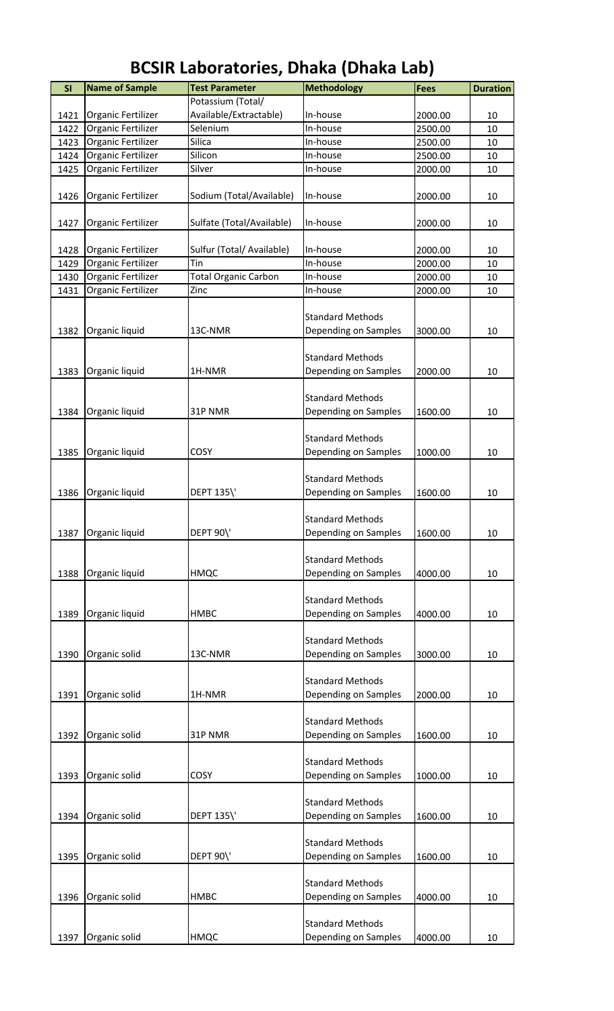| SI   | <b>Name of Sample</b> | <b>Test Parameter</b>       | <b>Methodology</b>      | <b>Fees</b> | <b>Duration</b> |
|------|-----------------------|-----------------------------|-------------------------|-------------|-----------------|
|      |                       | Potassium (Total/           |                         |             |                 |
| 1421 | Organic Fertilizer    | Available/Extractable)      | In-house                | 2000.00     | 10              |
| 1422 | Organic Fertilizer    | Selenium                    | In-house                | 2500.00     | 10              |
| 1423 | Organic Fertilizer    | Silica                      | In-house                | 2500.00     | 10              |
| 1424 | Organic Fertilizer    | Silicon                     | In-house                | 2500.00     | 10              |
| 1425 | Organic Fertilizer    | Silver                      | In-house                | 2000.00     | 10              |
|      |                       |                             |                         |             |                 |
| 1426 | Organic Fertilizer    | Sodium (Total/Available)    | In-house                | 2000.00     | 10              |
|      |                       |                             |                         |             |                 |
| 1427 | Organic Fertilizer    | Sulfate (Total/Available)   | In-house                | 2000.00     | 10              |
|      |                       |                             |                         |             |                 |
| 1428 | Organic Fertilizer    | Sulfur (Total/ Available)   | In-house                | 2000.00     | 10              |
| 1429 | Organic Fertilizer    | Tin                         | In-house                | 2000.00     | 10              |
| 1430 | Organic Fertilizer    | <b>Total Organic Carbon</b> | In-house                | 2000.00     | 10              |
| 1431 | Organic Fertilizer    | Zinc                        | In-house                | 2000.00     | 10              |
|      |                       |                             | <b>Standard Methods</b> |             |                 |
|      |                       |                             |                         |             | 10              |
| 1382 | Organic liquid        | 13C-NMR                     | Depending on Samples    | 3000.00     |                 |
|      |                       |                             | <b>Standard Methods</b> |             |                 |
| 1383 | Organic liquid        | 1H-NMR                      | Depending on Samples    | 2000.00     | 10              |
|      |                       |                             |                         |             |                 |
|      |                       |                             | <b>Standard Methods</b> |             |                 |
| 1384 | Organic liquid        | 31P NMR                     | Depending on Samples    | 1600.00     | 10              |
|      |                       |                             |                         |             |                 |
|      |                       |                             | <b>Standard Methods</b> |             |                 |
| 1385 | Organic liquid        | COSY                        | Depending on Samples    | 1000.00     | 10              |
|      |                       |                             |                         |             |                 |
|      |                       |                             | <b>Standard Methods</b> |             |                 |
| 1386 | Organic liquid        | <b>DEPT 135\'</b>           | Depending on Samples    | 1600.00     | 10              |
|      |                       |                             |                         |             |                 |
|      |                       |                             | <b>Standard Methods</b> |             |                 |
| 1387 | Organic liquid        | DEPT 90\'                   | Depending on Samples    | 1600.00     | 10              |
|      |                       |                             |                         |             |                 |
|      |                       |                             | <b>Standard Methods</b> |             |                 |
| 1388 | Organic liquid        | HMQC                        | Depending on Samples    | 4000.00     | 10              |
|      |                       |                             |                         |             |                 |
|      |                       |                             | <b>Standard Methods</b> |             |                 |
| 1389 | Organic liquid        | HMBC                        | Depending on Samples    | 4000.00     | 10              |
|      |                       |                             |                         |             |                 |
|      |                       |                             | <b>Standard Methods</b> |             |                 |
| 1390 | Organic solid         | 13C-NMR                     | Depending on Samples    | 3000.00     | 10              |
|      |                       |                             |                         |             |                 |
|      |                       |                             | <b>Standard Methods</b> |             |                 |
| 1391 | Organic solid         | 1H-NMR                      | Depending on Samples    | 2000.00     | 10              |
|      |                       |                             |                         |             |                 |
|      |                       |                             | <b>Standard Methods</b> |             |                 |
| 1392 | Organic solid         | 31P NMR                     | Depending on Samples    | 1600.00     | 10              |
|      |                       |                             |                         |             |                 |
|      |                       |                             | <b>Standard Methods</b> |             |                 |
| 1393 | Organic solid         | COSY                        | Depending on Samples    | 1000.00     | 10              |
|      |                       |                             | <b>Standard Methods</b> |             |                 |
| 1394 | Organic solid         | DEPT 135\'                  | Depending on Samples    | 1600.00     | 10              |
|      |                       |                             |                         |             |                 |
|      |                       |                             | <b>Standard Methods</b> |             |                 |
| 1395 | Organic solid         | <b>DEPT 90\'</b>            | Depending on Samples    | 1600.00     | 10              |
|      |                       |                             |                         |             |                 |
|      |                       |                             | <b>Standard Methods</b> |             |                 |
| 1396 | Organic solid         | HMBC                        | Depending on Samples    | 4000.00     | 10              |
|      |                       |                             |                         |             |                 |
|      |                       |                             | <b>Standard Methods</b> |             |                 |
| 1397 | Organic solid         | HMQC                        | Depending on Samples    | 4000.00     | 10              |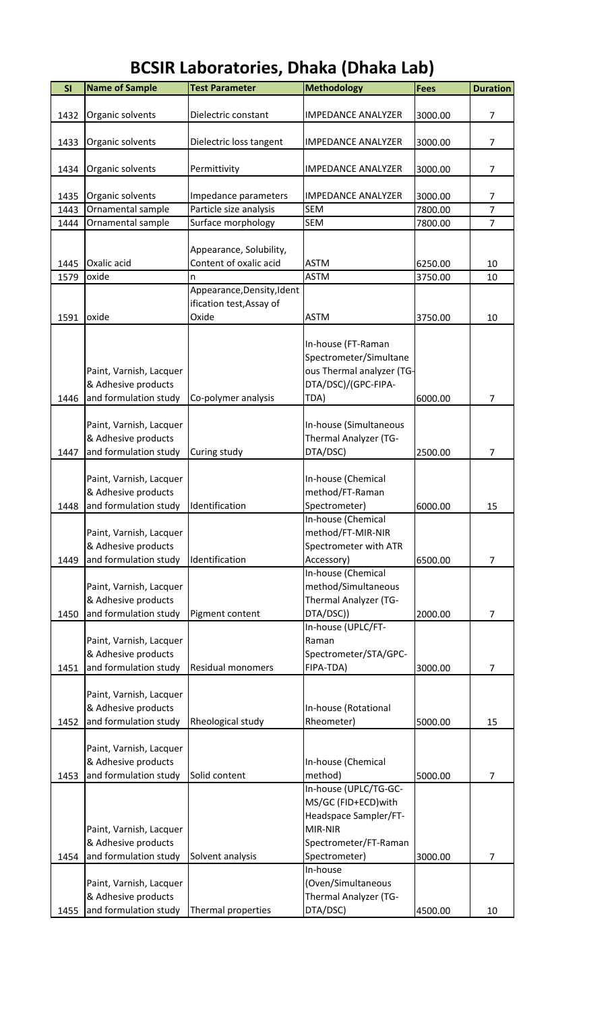| Dielectric constant<br>Organic solvents<br><b>IMPEDANCE ANALYZER</b><br>1432<br>3000.00<br>7<br><b>IMPEDANCE ANALYZER</b><br>$\overline{7}$<br>1433<br>Organic solvents<br>Dielectric loss tangent<br>3000.00<br>1434<br>Organic solvents<br>Permittivity<br><b>IMPEDANCE ANALYZER</b><br>$\overline{7}$<br>3000.00<br>Organic solvents<br>Impedance parameters<br><b>IMPEDANCE ANALYZER</b><br>1435<br>3000.00<br>7<br>$\overline{7}$<br>Ornamental sample<br>Particle size analysis<br><b>SEM</b><br>7800.00<br>1443<br>$\overline{7}$<br>1444<br>Ornamental sample<br>Surface morphology<br><b>SEM</b><br>7800.00<br>Appearance, Solubility,<br>Oxalic acid<br>Content of oxalic acid<br><b>ASTM</b><br>1445<br>6250.00<br>10<br>oxide<br><b>ASTM</b><br>1579<br>3750.00<br>10<br>n<br>Appearance, Density, Ident<br>ification test, Assay of<br>Oxide<br>1591<br>oxide<br><b>ASTM</b><br>3750.00<br>10<br>In-house (FT-Raman<br>Spectrometer/Simultane<br>ous Thermal analyzer (TG-<br>Paint, Varnish, Lacquer<br>& Adhesive products<br>DTA/DSC)/(GPC-FIPA-<br>and formulation study<br>7<br>1446<br>Co-polymer analysis<br>TDA)<br>6000.00<br>Paint, Varnish, Lacquer<br>In-house (Simultaneous<br>& Adhesive products<br>Thermal Analyzer (TG-<br>and formulation study<br>Curing study<br>DTA/DSC)<br>1447<br>$\overline{7}$<br>2500.00<br>Paint, Varnish, Lacquer<br>In-house (Chemical<br>& Adhesive products<br>method/FT-Raman<br>Spectrometer)<br>and formulation study<br>Identification<br>1448<br>6000.00<br>15<br>In-house (Chemical<br>Paint, Varnish, Lacquer<br>method/FT-MIR-NIR<br>& Adhesive products<br>Spectrometer with ATR<br>Identification<br>$\overline{7}$<br>1449<br>and formulation study<br>6500.00<br>Accessory)<br>In-house (Chemical<br>method/Simultaneous<br>Paint, Varnish, Lacquer<br>& Adhesive products<br>Thermal Analyzer (TG-<br>and formulation study<br>DTA/DSC))<br>$\overline{7}$<br>1450<br>Pigment content<br>2000.00<br>In-house (UPLC/FT-<br>Paint, Varnish, Lacquer<br>Raman<br>& Adhesive products<br>Spectrometer/STA/GPC-<br>FIPA-TDA)<br>1451<br>and formulation study<br>Residual monomers<br>3000.00<br>7<br>Paint, Varnish, Lacquer<br>& Adhesive products<br>In-house (Rotational<br>1452<br>and formulation study<br>Rheological study<br>5000.00<br>Rheometer)<br>15<br>Paint, Varnish, Lacquer<br>& Adhesive products<br>In-house (Chemical<br>and formulation study<br>method)<br>Solid content<br>5000.00<br>1453<br>7 | SI | <b>Name of Sample</b> | <b>Test Parameter</b> | <b>Methodology</b> | <b>Fees</b> | <b>Duration</b> |
|--------------------------------------------------------------------------------------------------------------------------------------------------------------------------------------------------------------------------------------------------------------------------------------------------------------------------------------------------------------------------------------------------------------------------------------------------------------------------------------------------------------------------------------------------------------------------------------------------------------------------------------------------------------------------------------------------------------------------------------------------------------------------------------------------------------------------------------------------------------------------------------------------------------------------------------------------------------------------------------------------------------------------------------------------------------------------------------------------------------------------------------------------------------------------------------------------------------------------------------------------------------------------------------------------------------------------------------------------------------------------------------------------------------------------------------------------------------------------------------------------------------------------------------------------------------------------------------------------------------------------------------------------------------------------------------------------------------------------------------------------------------------------------------------------------------------------------------------------------------------------------------------------------------------------------------------------------------------------------------------------------------------------------------------------------------------------------------------------------------------------------------------------------------------------------------------------------------------------------------------------------------------------------------------------------------------------------------------------------------------------------------------------------------------------------------------------------------------------------------------|----|-----------------------|-----------------------|--------------------|-------------|-----------------|
|                                                                                                                                                                                                                                                                                                                                                                                                                                                                                                                                                                                                                                                                                                                                                                                                                                                                                                                                                                                                                                                                                                                                                                                                                                                                                                                                                                                                                                                                                                                                                                                                                                                                                                                                                                                                                                                                                                                                                                                                                                                                                                                                                                                                                                                                                                                                                                                                                                                                                            |    |                       |                       |                    |             |                 |
|                                                                                                                                                                                                                                                                                                                                                                                                                                                                                                                                                                                                                                                                                                                                                                                                                                                                                                                                                                                                                                                                                                                                                                                                                                                                                                                                                                                                                                                                                                                                                                                                                                                                                                                                                                                                                                                                                                                                                                                                                                                                                                                                                                                                                                                                                                                                                                                                                                                                                            |    |                       |                       |                    |             |                 |
|                                                                                                                                                                                                                                                                                                                                                                                                                                                                                                                                                                                                                                                                                                                                                                                                                                                                                                                                                                                                                                                                                                                                                                                                                                                                                                                                                                                                                                                                                                                                                                                                                                                                                                                                                                                                                                                                                                                                                                                                                                                                                                                                                                                                                                                                                                                                                                                                                                                                                            |    |                       |                       |                    |             |                 |
|                                                                                                                                                                                                                                                                                                                                                                                                                                                                                                                                                                                                                                                                                                                                                                                                                                                                                                                                                                                                                                                                                                                                                                                                                                                                                                                                                                                                                                                                                                                                                                                                                                                                                                                                                                                                                                                                                                                                                                                                                                                                                                                                                                                                                                                                                                                                                                                                                                                                                            |    |                       |                       |                    |             |                 |
|                                                                                                                                                                                                                                                                                                                                                                                                                                                                                                                                                                                                                                                                                                                                                                                                                                                                                                                                                                                                                                                                                                                                                                                                                                                                                                                                                                                                                                                                                                                                                                                                                                                                                                                                                                                                                                                                                                                                                                                                                                                                                                                                                                                                                                                                                                                                                                                                                                                                                            |    |                       |                       |                    |             |                 |
|                                                                                                                                                                                                                                                                                                                                                                                                                                                                                                                                                                                                                                                                                                                                                                                                                                                                                                                                                                                                                                                                                                                                                                                                                                                                                                                                                                                                                                                                                                                                                                                                                                                                                                                                                                                                                                                                                                                                                                                                                                                                                                                                                                                                                                                                                                                                                                                                                                                                                            |    |                       |                       |                    |             |                 |
|                                                                                                                                                                                                                                                                                                                                                                                                                                                                                                                                                                                                                                                                                                                                                                                                                                                                                                                                                                                                                                                                                                                                                                                                                                                                                                                                                                                                                                                                                                                                                                                                                                                                                                                                                                                                                                                                                                                                                                                                                                                                                                                                                                                                                                                                                                                                                                                                                                                                                            |    |                       |                       |                    |             |                 |
|                                                                                                                                                                                                                                                                                                                                                                                                                                                                                                                                                                                                                                                                                                                                                                                                                                                                                                                                                                                                                                                                                                                                                                                                                                                                                                                                                                                                                                                                                                                                                                                                                                                                                                                                                                                                                                                                                                                                                                                                                                                                                                                                                                                                                                                                                                                                                                                                                                                                                            |    |                       |                       |                    |             |                 |
|                                                                                                                                                                                                                                                                                                                                                                                                                                                                                                                                                                                                                                                                                                                                                                                                                                                                                                                                                                                                                                                                                                                                                                                                                                                                                                                                                                                                                                                                                                                                                                                                                                                                                                                                                                                                                                                                                                                                                                                                                                                                                                                                                                                                                                                                                                                                                                                                                                                                                            |    |                       |                       |                    |             |                 |
|                                                                                                                                                                                                                                                                                                                                                                                                                                                                                                                                                                                                                                                                                                                                                                                                                                                                                                                                                                                                                                                                                                                                                                                                                                                                                                                                                                                                                                                                                                                                                                                                                                                                                                                                                                                                                                                                                                                                                                                                                                                                                                                                                                                                                                                                                                                                                                                                                                                                                            |    |                       |                       |                    |             |                 |
|                                                                                                                                                                                                                                                                                                                                                                                                                                                                                                                                                                                                                                                                                                                                                                                                                                                                                                                                                                                                                                                                                                                                                                                                                                                                                                                                                                                                                                                                                                                                                                                                                                                                                                                                                                                                                                                                                                                                                                                                                                                                                                                                                                                                                                                                                                                                                                                                                                                                                            |    |                       |                       |                    |             |                 |
|                                                                                                                                                                                                                                                                                                                                                                                                                                                                                                                                                                                                                                                                                                                                                                                                                                                                                                                                                                                                                                                                                                                                                                                                                                                                                                                                                                                                                                                                                                                                                                                                                                                                                                                                                                                                                                                                                                                                                                                                                                                                                                                                                                                                                                                                                                                                                                                                                                                                                            |    |                       |                       |                    |             |                 |
|                                                                                                                                                                                                                                                                                                                                                                                                                                                                                                                                                                                                                                                                                                                                                                                                                                                                                                                                                                                                                                                                                                                                                                                                                                                                                                                                                                                                                                                                                                                                                                                                                                                                                                                                                                                                                                                                                                                                                                                                                                                                                                                                                                                                                                                                                                                                                                                                                                                                                            |    |                       |                       |                    |             |                 |
|                                                                                                                                                                                                                                                                                                                                                                                                                                                                                                                                                                                                                                                                                                                                                                                                                                                                                                                                                                                                                                                                                                                                                                                                                                                                                                                                                                                                                                                                                                                                                                                                                                                                                                                                                                                                                                                                                                                                                                                                                                                                                                                                                                                                                                                                                                                                                                                                                                                                                            |    |                       |                       |                    |             |                 |
|                                                                                                                                                                                                                                                                                                                                                                                                                                                                                                                                                                                                                                                                                                                                                                                                                                                                                                                                                                                                                                                                                                                                                                                                                                                                                                                                                                                                                                                                                                                                                                                                                                                                                                                                                                                                                                                                                                                                                                                                                                                                                                                                                                                                                                                                                                                                                                                                                                                                                            |    |                       |                       |                    |             |                 |
|                                                                                                                                                                                                                                                                                                                                                                                                                                                                                                                                                                                                                                                                                                                                                                                                                                                                                                                                                                                                                                                                                                                                                                                                                                                                                                                                                                                                                                                                                                                                                                                                                                                                                                                                                                                                                                                                                                                                                                                                                                                                                                                                                                                                                                                                                                                                                                                                                                                                                            |    |                       |                       |                    |             |                 |
|                                                                                                                                                                                                                                                                                                                                                                                                                                                                                                                                                                                                                                                                                                                                                                                                                                                                                                                                                                                                                                                                                                                                                                                                                                                                                                                                                                                                                                                                                                                                                                                                                                                                                                                                                                                                                                                                                                                                                                                                                                                                                                                                                                                                                                                                                                                                                                                                                                                                                            |    |                       |                       |                    |             |                 |
|                                                                                                                                                                                                                                                                                                                                                                                                                                                                                                                                                                                                                                                                                                                                                                                                                                                                                                                                                                                                                                                                                                                                                                                                                                                                                                                                                                                                                                                                                                                                                                                                                                                                                                                                                                                                                                                                                                                                                                                                                                                                                                                                                                                                                                                                                                                                                                                                                                                                                            |    |                       |                       |                    |             |                 |
|                                                                                                                                                                                                                                                                                                                                                                                                                                                                                                                                                                                                                                                                                                                                                                                                                                                                                                                                                                                                                                                                                                                                                                                                                                                                                                                                                                                                                                                                                                                                                                                                                                                                                                                                                                                                                                                                                                                                                                                                                                                                                                                                                                                                                                                                                                                                                                                                                                                                                            |    |                       |                       |                    |             |                 |
|                                                                                                                                                                                                                                                                                                                                                                                                                                                                                                                                                                                                                                                                                                                                                                                                                                                                                                                                                                                                                                                                                                                                                                                                                                                                                                                                                                                                                                                                                                                                                                                                                                                                                                                                                                                                                                                                                                                                                                                                                                                                                                                                                                                                                                                                                                                                                                                                                                                                                            |    |                       |                       |                    |             |                 |
|                                                                                                                                                                                                                                                                                                                                                                                                                                                                                                                                                                                                                                                                                                                                                                                                                                                                                                                                                                                                                                                                                                                                                                                                                                                                                                                                                                                                                                                                                                                                                                                                                                                                                                                                                                                                                                                                                                                                                                                                                                                                                                                                                                                                                                                                                                                                                                                                                                                                                            |    |                       |                       |                    |             |                 |
|                                                                                                                                                                                                                                                                                                                                                                                                                                                                                                                                                                                                                                                                                                                                                                                                                                                                                                                                                                                                                                                                                                                                                                                                                                                                                                                                                                                                                                                                                                                                                                                                                                                                                                                                                                                                                                                                                                                                                                                                                                                                                                                                                                                                                                                                                                                                                                                                                                                                                            |    |                       |                       |                    |             |                 |
|                                                                                                                                                                                                                                                                                                                                                                                                                                                                                                                                                                                                                                                                                                                                                                                                                                                                                                                                                                                                                                                                                                                                                                                                                                                                                                                                                                                                                                                                                                                                                                                                                                                                                                                                                                                                                                                                                                                                                                                                                                                                                                                                                                                                                                                                                                                                                                                                                                                                                            |    |                       |                       |                    |             |                 |
|                                                                                                                                                                                                                                                                                                                                                                                                                                                                                                                                                                                                                                                                                                                                                                                                                                                                                                                                                                                                                                                                                                                                                                                                                                                                                                                                                                                                                                                                                                                                                                                                                                                                                                                                                                                                                                                                                                                                                                                                                                                                                                                                                                                                                                                                                                                                                                                                                                                                                            |    |                       |                       |                    |             |                 |
|                                                                                                                                                                                                                                                                                                                                                                                                                                                                                                                                                                                                                                                                                                                                                                                                                                                                                                                                                                                                                                                                                                                                                                                                                                                                                                                                                                                                                                                                                                                                                                                                                                                                                                                                                                                                                                                                                                                                                                                                                                                                                                                                                                                                                                                                                                                                                                                                                                                                                            |    |                       |                       |                    |             |                 |
|                                                                                                                                                                                                                                                                                                                                                                                                                                                                                                                                                                                                                                                                                                                                                                                                                                                                                                                                                                                                                                                                                                                                                                                                                                                                                                                                                                                                                                                                                                                                                                                                                                                                                                                                                                                                                                                                                                                                                                                                                                                                                                                                                                                                                                                                                                                                                                                                                                                                                            |    |                       |                       |                    |             |                 |
|                                                                                                                                                                                                                                                                                                                                                                                                                                                                                                                                                                                                                                                                                                                                                                                                                                                                                                                                                                                                                                                                                                                                                                                                                                                                                                                                                                                                                                                                                                                                                                                                                                                                                                                                                                                                                                                                                                                                                                                                                                                                                                                                                                                                                                                                                                                                                                                                                                                                                            |    |                       |                       |                    |             |                 |
|                                                                                                                                                                                                                                                                                                                                                                                                                                                                                                                                                                                                                                                                                                                                                                                                                                                                                                                                                                                                                                                                                                                                                                                                                                                                                                                                                                                                                                                                                                                                                                                                                                                                                                                                                                                                                                                                                                                                                                                                                                                                                                                                                                                                                                                                                                                                                                                                                                                                                            |    |                       |                       |                    |             |                 |
|                                                                                                                                                                                                                                                                                                                                                                                                                                                                                                                                                                                                                                                                                                                                                                                                                                                                                                                                                                                                                                                                                                                                                                                                                                                                                                                                                                                                                                                                                                                                                                                                                                                                                                                                                                                                                                                                                                                                                                                                                                                                                                                                                                                                                                                                                                                                                                                                                                                                                            |    |                       |                       |                    |             |                 |
|                                                                                                                                                                                                                                                                                                                                                                                                                                                                                                                                                                                                                                                                                                                                                                                                                                                                                                                                                                                                                                                                                                                                                                                                                                                                                                                                                                                                                                                                                                                                                                                                                                                                                                                                                                                                                                                                                                                                                                                                                                                                                                                                                                                                                                                                                                                                                                                                                                                                                            |    |                       |                       |                    |             |                 |
|                                                                                                                                                                                                                                                                                                                                                                                                                                                                                                                                                                                                                                                                                                                                                                                                                                                                                                                                                                                                                                                                                                                                                                                                                                                                                                                                                                                                                                                                                                                                                                                                                                                                                                                                                                                                                                                                                                                                                                                                                                                                                                                                                                                                                                                                                                                                                                                                                                                                                            |    |                       |                       |                    |             |                 |
|                                                                                                                                                                                                                                                                                                                                                                                                                                                                                                                                                                                                                                                                                                                                                                                                                                                                                                                                                                                                                                                                                                                                                                                                                                                                                                                                                                                                                                                                                                                                                                                                                                                                                                                                                                                                                                                                                                                                                                                                                                                                                                                                                                                                                                                                                                                                                                                                                                                                                            |    |                       |                       |                    |             |                 |
|                                                                                                                                                                                                                                                                                                                                                                                                                                                                                                                                                                                                                                                                                                                                                                                                                                                                                                                                                                                                                                                                                                                                                                                                                                                                                                                                                                                                                                                                                                                                                                                                                                                                                                                                                                                                                                                                                                                                                                                                                                                                                                                                                                                                                                                                                                                                                                                                                                                                                            |    |                       |                       |                    |             |                 |
|                                                                                                                                                                                                                                                                                                                                                                                                                                                                                                                                                                                                                                                                                                                                                                                                                                                                                                                                                                                                                                                                                                                                                                                                                                                                                                                                                                                                                                                                                                                                                                                                                                                                                                                                                                                                                                                                                                                                                                                                                                                                                                                                                                                                                                                                                                                                                                                                                                                                                            |    |                       |                       |                    |             |                 |
|                                                                                                                                                                                                                                                                                                                                                                                                                                                                                                                                                                                                                                                                                                                                                                                                                                                                                                                                                                                                                                                                                                                                                                                                                                                                                                                                                                                                                                                                                                                                                                                                                                                                                                                                                                                                                                                                                                                                                                                                                                                                                                                                                                                                                                                                                                                                                                                                                                                                                            |    |                       |                       |                    |             |                 |
|                                                                                                                                                                                                                                                                                                                                                                                                                                                                                                                                                                                                                                                                                                                                                                                                                                                                                                                                                                                                                                                                                                                                                                                                                                                                                                                                                                                                                                                                                                                                                                                                                                                                                                                                                                                                                                                                                                                                                                                                                                                                                                                                                                                                                                                                                                                                                                                                                                                                                            |    |                       |                       |                    |             |                 |
|                                                                                                                                                                                                                                                                                                                                                                                                                                                                                                                                                                                                                                                                                                                                                                                                                                                                                                                                                                                                                                                                                                                                                                                                                                                                                                                                                                                                                                                                                                                                                                                                                                                                                                                                                                                                                                                                                                                                                                                                                                                                                                                                                                                                                                                                                                                                                                                                                                                                                            |    |                       |                       |                    |             |                 |
|                                                                                                                                                                                                                                                                                                                                                                                                                                                                                                                                                                                                                                                                                                                                                                                                                                                                                                                                                                                                                                                                                                                                                                                                                                                                                                                                                                                                                                                                                                                                                                                                                                                                                                                                                                                                                                                                                                                                                                                                                                                                                                                                                                                                                                                                                                                                                                                                                                                                                            |    |                       |                       |                    |             |                 |
|                                                                                                                                                                                                                                                                                                                                                                                                                                                                                                                                                                                                                                                                                                                                                                                                                                                                                                                                                                                                                                                                                                                                                                                                                                                                                                                                                                                                                                                                                                                                                                                                                                                                                                                                                                                                                                                                                                                                                                                                                                                                                                                                                                                                                                                                                                                                                                                                                                                                                            |    |                       |                       |                    |             |                 |
|                                                                                                                                                                                                                                                                                                                                                                                                                                                                                                                                                                                                                                                                                                                                                                                                                                                                                                                                                                                                                                                                                                                                                                                                                                                                                                                                                                                                                                                                                                                                                                                                                                                                                                                                                                                                                                                                                                                                                                                                                                                                                                                                                                                                                                                                                                                                                                                                                                                                                            |    |                       |                       |                    |             |                 |
|                                                                                                                                                                                                                                                                                                                                                                                                                                                                                                                                                                                                                                                                                                                                                                                                                                                                                                                                                                                                                                                                                                                                                                                                                                                                                                                                                                                                                                                                                                                                                                                                                                                                                                                                                                                                                                                                                                                                                                                                                                                                                                                                                                                                                                                                                                                                                                                                                                                                                            |    |                       |                       |                    |             |                 |
|                                                                                                                                                                                                                                                                                                                                                                                                                                                                                                                                                                                                                                                                                                                                                                                                                                                                                                                                                                                                                                                                                                                                                                                                                                                                                                                                                                                                                                                                                                                                                                                                                                                                                                                                                                                                                                                                                                                                                                                                                                                                                                                                                                                                                                                                                                                                                                                                                                                                                            |    |                       |                       |                    |             |                 |
|                                                                                                                                                                                                                                                                                                                                                                                                                                                                                                                                                                                                                                                                                                                                                                                                                                                                                                                                                                                                                                                                                                                                                                                                                                                                                                                                                                                                                                                                                                                                                                                                                                                                                                                                                                                                                                                                                                                                                                                                                                                                                                                                                                                                                                                                                                                                                                                                                                                                                            |    |                       |                       |                    |             |                 |
|                                                                                                                                                                                                                                                                                                                                                                                                                                                                                                                                                                                                                                                                                                                                                                                                                                                                                                                                                                                                                                                                                                                                                                                                                                                                                                                                                                                                                                                                                                                                                                                                                                                                                                                                                                                                                                                                                                                                                                                                                                                                                                                                                                                                                                                                                                                                                                                                                                                                                            |    |                       |                       |                    |             |                 |
| In-house (UPLC/TG-GC-                                                                                                                                                                                                                                                                                                                                                                                                                                                                                                                                                                                                                                                                                                                                                                                                                                                                                                                                                                                                                                                                                                                                                                                                                                                                                                                                                                                                                                                                                                                                                                                                                                                                                                                                                                                                                                                                                                                                                                                                                                                                                                                                                                                                                                                                                                                                                                                                                                                                      |    |                       |                       |                    |             |                 |
| MS/GC (FID+ECD) with                                                                                                                                                                                                                                                                                                                                                                                                                                                                                                                                                                                                                                                                                                                                                                                                                                                                                                                                                                                                                                                                                                                                                                                                                                                                                                                                                                                                                                                                                                                                                                                                                                                                                                                                                                                                                                                                                                                                                                                                                                                                                                                                                                                                                                                                                                                                                                                                                                                                       |    |                       |                       |                    |             |                 |
| Headspace Sampler/FT-                                                                                                                                                                                                                                                                                                                                                                                                                                                                                                                                                                                                                                                                                                                                                                                                                                                                                                                                                                                                                                                                                                                                                                                                                                                                                                                                                                                                                                                                                                                                                                                                                                                                                                                                                                                                                                                                                                                                                                                                                                                                                                                                                                                                                                                                                                                                                                                                                                                                      |    |                       |                       |                    |             |                 |
| Paint, Varnish, Lacquer<br>MIR-NIR                                                                                                                                                                                                                                                                                                                                                                                                                                                                                                                                                                                                                                                                                                                                                                                                                                                                                                                                                                                                                                                                                                                                                                                                                                                                                                                                                                                                                                                                                                                                                                                                                                                                                                                                                                                                                                                                                                                                                                                                                                                                                                                                                                                                                                                                                                                                                                                                                                                         |    |                       |                       |                    |             |                 |
| & Adhesive products<br>Spectrometer/FT-Raman                                                                                                                                                                                                                                                                                                                                                                                                                                                                                                                                                                                                                                                                                                                                                                                                                                                                                                                                                                                                                                                                                                                                                                                                                                                                                                                                                                                                                                                                                                                                                                                                                                                                                                                                                                                                                                                                                                                                                                                                                                                                                                                                                                                                                                                                                                                                                                                                                                               |    |                       |                       |                    |             |                 |
| and formulation study<br>Solvent analysis<br>Spectrometer)<br>1454<br>3000.00<br>7                                                                                                                                                                                                                                                                                                                                                                                                                                                                                                                                                                                                                                                                                                                                                                                                                                                                                                                                                                                                                                                                                                                                                                                                                                                                                                                                                                                                                                                                                                                                                                                                                                                                                                                                                                                                                                                                                                                                                                                                                                                                                                                                                                                                                                                                                                                                                                                                         |    |                       |                       |                    |             |                 |
| In-house                                                                                                                                                                                                                                                                                                                                                                                                                                                                                                                                                                                                                                                                                                                                                                                                                                                                                                                                                                                                                                                                                                                                                                                                                                                                                                                                                                                                                                                                                                                                                                                                                                                                                                                                                                                                                                                                                                                                                                                                                                                                                                                                                                                                                                                                                                                                                                                                                                                                                   |    |                       |                       |                    |             |                 |
| (Oven/Simultaneous<br>Paint, Varnish, Lacquer                                                                                                                                                                                                                                                                                                                                                                                                                                                                                                                                                                                                                                                                                                                                                                                                                                                                                                                                                                                                                                                                                                                                                                                                                                                                                                                                                                                                                                                                                                                                                                                                                                                                                                                                                                                                                                                                                                                                                                                                                                                                                                                                                                                                                                                                                                                                                                                                                                              |    |                       |                       |                    |             |                 |
| & Adhesive products<br>Thermal Analyzer (TG-<br>and formulation study<br>DTA/DSC)<br>1455<br>Thermal properties<br>4500.00<br>10                                                                                                                                                                                                                                                                                                                                                                                                                                                                                                                                                                                                                                                                                                                                                                                                                                                                                                                                                                                                                                                                                                                                                                                                                                                                                                                                                                                                                                                                                                                                                                                                                                                                                                                                                                                                                                                                                                                                                                                                                                                                                                                                                                                                                                                                                                                                                           |    |                       |                       |                    |             |                 |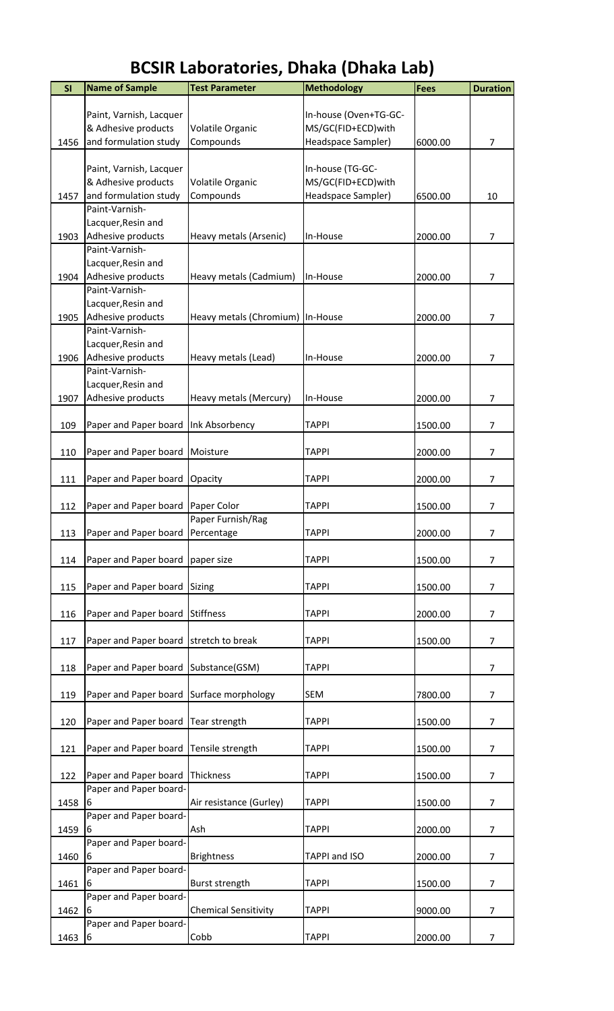| SI   | <b>Name of Sample</b>                    | <b>Test Parameter</b>            | <b>Methodology</b>    | <b>Fees</b> | <b>Duration</b> |
|------|------------------------------------------|----------------------------------|-----------------------|-------------|-----------------|
|      |                                          |                                  |                       |             |                 |
|      | Paint, Varnish, Lacquer                  |                                  | In-house (Oven+TG-GC- |             |                 |
|      | & Adhesive products                      | Volatile Organic                 | MS/GC(FID+ECD)with    |             |                 |
| 1456 | and formulation study                    | Compounds                        | Headspace Sampler)    | 6000.00     | $\overline{7}$  |
|      | Paint, Varnish, Lacquer                  |                                  | In-house (TG-GC-      |             |                 |
|      | & Adhesive products                      | Volatile Organic                 | MS/GC(FID+ECD) with   |             |                 |
| 1457 | and formulation study                    | Compounds                        | Headspace Sampler)    | 6500.00     | 10              |
|      | Paint-Varnish-                           |                                  |                       |             |                 |
|      | Lacquer, Resin and                       |                                  |                       |             |                 |
| 1903 | Adhesive products                        | Heavy metals (Arsenic)           | In-House              | 2000.00     | 7               |
|      | Paint-Varnish-                           |                                  |                       |             |                 |
|      | Lacquer, Resin and                       |                                  |                       |             |                 |
| 1904 | Adhesive products                        | Heavy metals (Cadmium)           | In-House              | 2000.00     | $\overline{7}$  |
|      | Paint-Varnish-                           |                                  |                       |             |                 |
|      | Lacquer, Resin and                       |                                  |                       |             |                 |
| 1905 | Adhesive products<br>Paint-Varnish-      | Heavy metals (Chromium) In-House |                       | 2000.00     | 7               |
|      | Lacquer, Resin and                       |                                  |                       |             |                 |
| 1906 | Adhesive products                        | Heavy metals (Lead)              | In-House              | 2000.00     | $\overline{7}$  |
|      | Paint-Varnish-                           |                                  |                       |             |                 |
|      | Lacquer, Resin and                       |                                  |                       |             |                 |
| 1907 | Adhesive products                        | Heavy metals (Mercury)           | In-House              | 2000.00     | $\overline{7}$  |
|      |                                          |                                  |                       |             |                 |
| 109  | Paper and Paper board                    | Ink Absorbency                   | <b>TAPPI</b>          | 1500.00     | $\overline{7}$  |
|      |                                          |                                  |                       |             |                 |
| 110  | Paper and Paper board                    | Moisture                         | <b>TAPPI</b>          | 2000.00     | 7               |
|      |                                          |                                  |                       |             |                 |
| 111  | Paper and Paper board                    | Opacity                          | <b>TAPPI</b>          | 2000.00     | $\overline{7}$  |
|      |                                          |                                  |                       |             |                 |
| 112  | Paper and Paper board                    | Paper Color                      | <b>TAPPI</b>          | 1500.00     | 7               |
|      |                                          | Paper Furnish/Rag                | <b>TAPPI</b>          |             |                 |
| 113  | Paper and Paper board Percentage         |                                  |                       | 2000.00     | $\overline{7}$  |
| 114  | Paper and Paper board paper size         |                                  | <b>TAPPI</b>          | 1500.00     | 7               |
|      |                                          |                                  |                       |             |                 |
| 115  | Paper and Paper board Sizing             |                                  | <b>TAPPI</b>          | 1500.00     | $\overline{7}$  |
|      |                                          |                                  |                       |             |                 |
| 116  | Paper and Paper board                    | <b>Stiffness</b>                 | <b>TAPPI</b>          | 2000.00     | $\overline{7}$  |
|      |                                          |                                  |                       |             |                 |
| 117  | Paper and Paper board stretch to break   |                                  | <b>TAPPI</b>          | 1500.00     | $\overline{7}$  |
|      |                                          |                                  |                       |             |                 |
| 118  | Paper and Paper board Substance(GSM)     |                                  | <b>TAPPI</b>          |             | $\overline{7}$  |
|      |                                          |                                  |                       |             |                 |
| 119  | Paper and Paper board Surface morphology |                                  | SEM                   | 7800.00     | $\overline{7}$  |
| 120  | Paper and Paper board                    | Tear strength                    | <b>TAPPI</b>          | 1500.00     | 7               |
|      |                                          |                                  |                       |             |                 |
| 121  | Paper and Paper board                    | Tensile strength                 | <b>TAPPI</b>          | 1500.00     | $\overline{7}$  |
|      |                                          |                                  |                       |             |                 |
| 122  | Paper and Paper board                    | Thickness                        | <b>TAPPI</b>          | 1500.00     | $\overline{7}$  |
|      | Paper and Paper board-                   |                                  |                       |             |                 |
| 1458 | 6                                        | Air resistance (Gurley)          | <b>TAPPI</b>          | 1500.00     | $\overline{7}$  |
|      | Paper and Paper board-                   |                                  |                       |             |                 |
| 1459 | 6                                        | Ash                              | <b>TAPPI</b>          | 2000.00     | $\overline{7}$  |
|      | Paper and Paper board-                   |                                  |                       |             |                 |
| 1460 | 6                                        | <b>Brightness</b>                | TAPPI and ISO         | 2000.00     | $\overline{7}$  |
|      | Paper and Paper board-                   |                                  |                       |             |                 |
| 1461 | 6                                        | Burst strength                   | <b>TAPPI</b>          | 1500.00     | $\overline{7}$  |
|      | Paper and Paper board-                   |                                  |                       |             |                 |
| 1462 | 6<br>Paper and Paper board-              | <b>Chemical Sensitivity</b>      | <b>TAPPI</b>          | 9000.00     | 7               |
| 1463 | 6                                        | Cobb                             | <b>TAPPI</b>          | 2000.00     | 7               |
|      |                                          |                                  |                       |             |                 |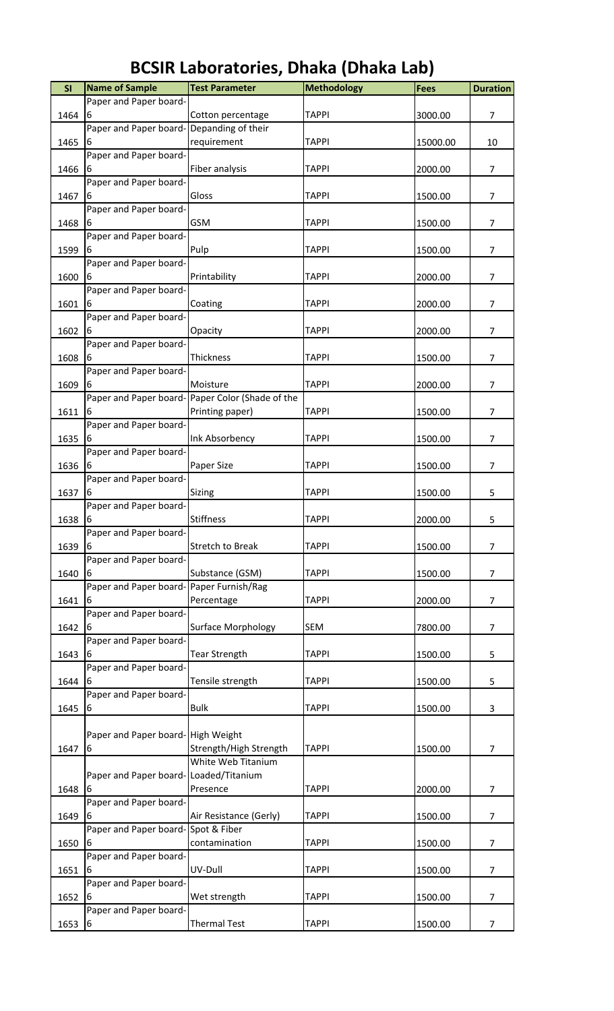| SI   | <b>Name of Sample</b>                   | <b>Test Parameter</b>                           | <b>Methodology</b> | <b>Fees</b> | <b>Duration</b> |
|------|-----------------------------------------|-------------------------------------------------|--------------------|-------------|-----------------|
|      | Paper and Paper board-                  |                                                 |                    |             |                 |
| 1464 | 6                                       | Cotton percentage                               | <b>TAPPI</b>       | 3000.00     | $\overline{7}$  |
|      | Paper and Paper board-                  | Depanding of their                              |                    |             |                 |
| 1465 | 6                                       | requirement                                     | <b>TAPPI</b>       | 15000.00    | 10              |
|      | Paper and Paper board-                  |                                                 |                    |             |                 |
| 1466 |                                         | Fiber analysis                                  | <b>TAPPI</b>       | 2000.00     | $\overline{7}$  |
|      | Paper and Paper board-                  |                                                 |                    |             |                 |
| 1467 | 6<br>Paper and Paper board-             | Gloss                                           | <b>TAPPI</b>       | 1500.00     | $\overline{7}$  |
| 1468 | ь                                       | <b>GSM</b>                                      | <b>TAPPI</b>       | 1500.00     | 7               |
|      | Paper and Paper board-                  |                                                 |                    |             |                 |
| 1599 | 6                                       | Pulp                                            | <b>TAPPI</b>       | 1500.00     | $\overline{7}$  |
|      | Paper and Paper board-                  |                                                 |                    |             |                 |
| 1600 |                                         | Printability                                    | <b>TAPPI</b>       | 2000.00     | $\overline{7}$  |
|      | Paper and Paper board-                  |                                                 |                    |             |                 |
| 1601 | 6                                       | Coating                                         | <b>TAPPI</b>       | 2000.00     | $\overline{7}$  |
|      | Paper and Paper board-                  |                                                 |                    |             |                 |
| 1602 | 6                                       | Opacity                                         | <b>TAPPI</b>       | 2000.00     | $\overline{7}$  |
|      | Paper and Paper board-                  |                                                 |                    |             |                 |
| 1608 | 6                                       | Thickness                                       | <b>TAPPI</b>       | 1500.00     | 7               |
| 1609 | Paper and Paper board-                  | Moisture                                        | <b>TAPPI</b>       | 2000.00     | $\overline{7}$  |
|      |                                         | Paper and Paper board-Paper Color (Shade of the |                    |             |                 |
| 1611 | 6                                       | Printing paper)                                 | <b>TAPPI</b>       | 1500.00     | $\overline{7}$  |
|      | Paper and Paper board-                  |                                                 |                    |             |                 |
| 1635 | 6                                       | Ink Absorbency                                  | <b>TAPPI</b>       | 1500.00     | $\overline{7}$  |
|      | Paper and Paper board-                  |                                                 |                    |             |                 |
| 1636 | 6                                       | Paper Size                                      | <b>TAPPI</b>       | 1500.00     | $\overline{7}$  |
|      | Paper and Paper board-                  |                                                 |                    |             |                 |
| 1637 | 6                                       | Sizing                                          | <b>TAPPI</b>       | 1500.00     | 5               |
|      | Paper and Paper board-                  |                                                 |                    |             |                 |
| 1638 | 6                                       | <b>Stiffness</b>                                | <b>TAPPI</b>       | 2000.00     | 5               |
| 1639 | Paper and Paper board-<br>6             | <b>Stretch to Break</b>                         | <b>TAPPI</b>       | 1500.00     | 7               |
|      | Paper and Paper board-                  |                                                 |                    |             |                 |
| 1640 |                                         | Substance (GSM)                                 | <b>TAPPI</b>       | 1500.00     | $\overline{7}$  |
|      | Paper and Paper board-Paper Furnish/Rag |                                                 |                    |             |                 |
| 1641 | 6                                       | Percentage                                      | <b>TAPPI</b>       | 2000.00     | $\overline{7}$  |
|      | Paper and Paper board-                  |                                                 |                    |             |                 |
| 1642 | 6                                       | <b>Surface Morphology</b>                       | <b>SEM</b>         | 7800.00     | $\overline{7}$  |
|      | Paper and Paper board-                  |                                                 |                    |             |                 |
| 1643 | 6                                       | <b>Tear Strength</b>                            | <b>TAPPI</b>       | 1500.00     | 5               |
| 1644 | Paper and Paper board-                  | Tensile strength                                | <b>TAPPI</b>       |             | 5               |
|      | Paper and Paper board-                  |                                                 |                    | 1500.00     |                 |
| 1645 | 6                                       | <b>Bulk</b>                                     | <b>TAPPI</b>       | 1500.00     | 3               |
|      |                                         |                                                 |                    |             |                 |
|      | Paper and Paper board-High Weight       |                                                 |                    |             |                 |
| 1647 | 6                                       | Strength/High Strength                          | <b>TAPPI</b>       | 1500.00     | $\overline{7}$  |
|      |                                         | White Web Titanium                              |                    |             |                 |
|      | Paper and Paper board-Loaded/Titanium   |                                                 |                    |             |                 |
| 1648 | 6                                       | Presence                                        | <b>TAPPI</b>       | 2000.00     | $\overline{7}$  |
|      | Paper and Paper board-                  |                                                 |                    |             |                 |
| 1649 | 6                                       | Air Resistance (Gerly)                          | <b>TAPPI</b>       | 1500.00     | $\overline{7}$  |
| 1650 | Paper and Paper board-Spot & Fiber<br>6 | contamination                                   | <b>TAPPI</b>       | 1500.00     | $\overline{7}$  |
|      | Paper and Paper board-                  |                                                 |                    |             |                 |
| 1651 | 6                                       | UV-Dull                                         | <b>TAPPI</b>       | 1500.00     | $\overline{7}$  |
|      | Paper and Paper board-                  |                                                 |                    |             |                 |
| 1652 |                                         | Wet strength                                    | <b>TAPPI</b>       | 1500.00     | $\overline{7}$  |
|      | Paper and Paper board-                  |                                                 |                    |             |                 |
| 1653 | 6                                       | <b>Thermal Test</b>                             | <b>TAPPI</b>       | 1500.00     | $\overline{7}$  |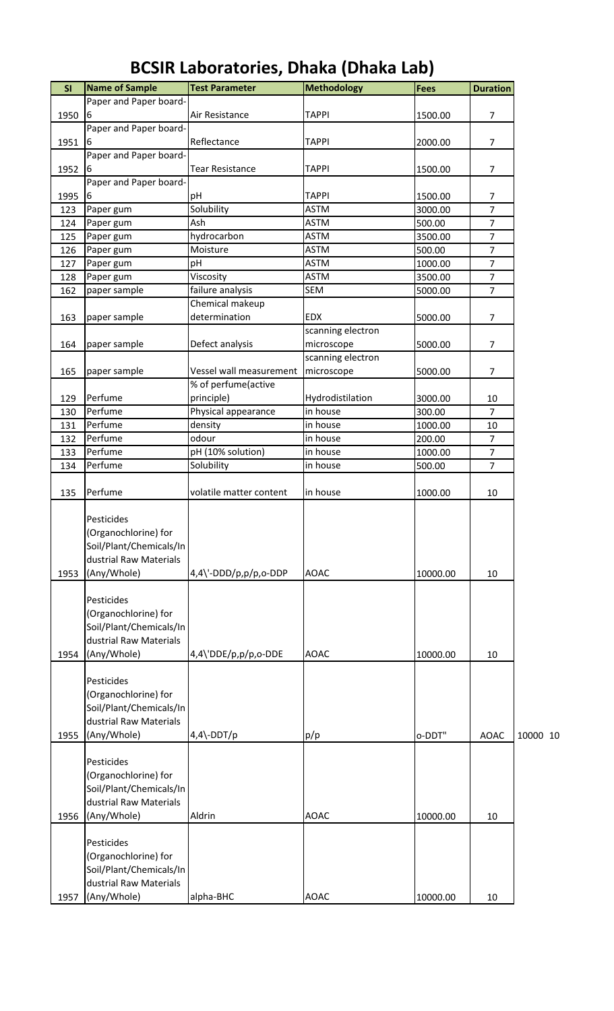| SI   | <b>Name of Sample</b>                                                                                  | <b>Test Parameter</b>              | <b>Methodology</b> | <b>Fees</b> | <b>Duration</b> |          |
|------|--------------------------------------------------------------------------------------------------------|------------------------------------|--------------------|-------------|-----------------|----------|
|      | Paper and Paper board-                                                                                 |                                    |                    |             |                 |          |
| 1950 | 6                                                                                                      | Air Resistance                     | <b>TAPPI</b>       | 1500.00     | $\overline{7}$  |          |
|      | Paper and Paper board-                                                                                 |                                    |                    |             |                 |          |
| 1951 | 6                                                                                                      | Reflectance                        | <b>TAPPI</b>       | 2000.00     | $\overline{7}$  |          |
|      | Paper and Paper board-                                                                                 |                                    |                    |             |                 |          |
| 1952 | 6                                                                                                      | <b>Tear Resistance</b>             | <b>TAPPI</b>       | 1500.00     | $\overline{7}$  |          |
|      | Paper and Paper board-                                                                                 |                                    |                    |             |                 |          |
| 1995 | 6                                                                                                      | рH                                 | <b>TAPPI</b>       | 1500.00     | 7               |          |
| 123  | Paper gum                                                                                              | Solubility                         | <b>ASTM</b>        | 3000.00     | $\overline{7}$  |          |
| 124  | Paper gum                                                                                              | Ash                                | <b>ASTM</b>        | 500.00      | $\overline{7}$  |          |
| 125  | Paper gum                                                                                              | hydrocarbon                        | ASTM               | 3500.00     | $\overline{7}$  |          |
| 126  | Paper gum                                                                                              | Moisture                           | <b>ASTM</b>        | 500.00      | $\overline{7}$  |          |
| 127  | Paper gum                                                                                              | pH                                 | <b>ASTM</b>        | 1000.00     | $\overline{7}$  |          |
| 128  | Paper gum                                                                                              | Viscosity                          | <b>ASTM</b>        | 3500.00     | $\overline{7}$  |          |
| 162  | paper sample                                                                                           | failure analysis                   | <b>SEM</b>         | 5000.00     | $\overline{7}$  |          |
|      |                                                                                                        | Chemical makeup                    |                    |             |                 |          |
| 163  | paper sample                                                                                           | determination                      | EDX                | 5000.00     | $\overline{7}$  |          |
|      |                                                                                                        |                                    | scanning electron  |             |                 |          |
| 164  | paper sample                                                                                           | Defect analysis                    | microscope         | 5000.00     | $\overline{7}$  |          |
|      |                                                                                                        |                                    | scanning electron  |             |                 |          |
| 165  | paper sample                                                                                           | Vessel wall measurement            | microscope         | 5000.00     | $\overline{7}$  |          |
|      |                                                                                                        | % of perfume(active                |                    |             |                 |          |
| 129  | Perfume                                                                                                | principle)                         | Hydrodistilation   | 3000.00     | 10              |          |
| 130  | Perfume                                                                                                | Physical appearance                | in house           | 300.00      | $\overline{7}$  |          |
| 131  | Perfume                                                                                                | density                            | in house           | 1000.00     | 10              |          |
| 132  | Perfume                                                                                                | odour                              | in house           | 200.00      | $\overline{7}$  |          |
| 133  | Perfume                                                                                                | pH (10% solution)                  | in house           | 1000.00     | $\overline{7}$  |          |
| 134  | Perfume                                                                                                | Solubility                         | in house           | 500.00      | $\overline{7}$  |          |
|      |                                                                                                        |                                    |                    |             |                 |          |
| 135  | Perfume                                                                                                | volatile matter content            | in house           | 1000.00     | 10              |          |
| 1953 | Pesticides<br>(Organochlorine) for<br>Soil/Plant/Chemicals/In<br>dustrial Raw Materials<br>(Any/Whole) | $4,4\$ -DDD/p,p/p,o-DDP            | <b>AOAC</b>        | 10000.00    | 10              |          |
| 1954 | Pesticides<br>(Organochlorine) for<br>Soil/Plant/Chemicals/In<br>dustrial Raw Materials<br>(Any/Whole) | 4,4\'DDE/p,p/p,o-DDE               | <b>AOAC</b>        | 10000.00    | 10              |          |
|      | Pesticides                                                                                             |                                    |                    |             |                 |          |
| 1955 | (Organochlorine) for<br>Soil/Plant/Chemicals/In<br>dustrial Raw Materials<br>(Any/Whole)               | $4,4\overline{\phantom{0}}$ -DDT/p | p/p                | o-DDT"      | <b>AOAC</b>     | 10000 10 |
| 1956 | Pesticides<br>(Organochlorine) for<br>Soil/Plant/Chemicals/In<br>dustrial Raw Materials<br>(Any/Whole) | Aldrin                             | <b>AOAC</b>        | 10000.00    | 10              |          |
| 1957 | Pesticides<br>(Organochlorine) for<br>Soil/Plant/Chemicals/In<br>dustrial Raw Materials<br>(Any/Whole) | alpha-BHC                          | <b>AOAC</b>        | 10000.00    | 10              |          |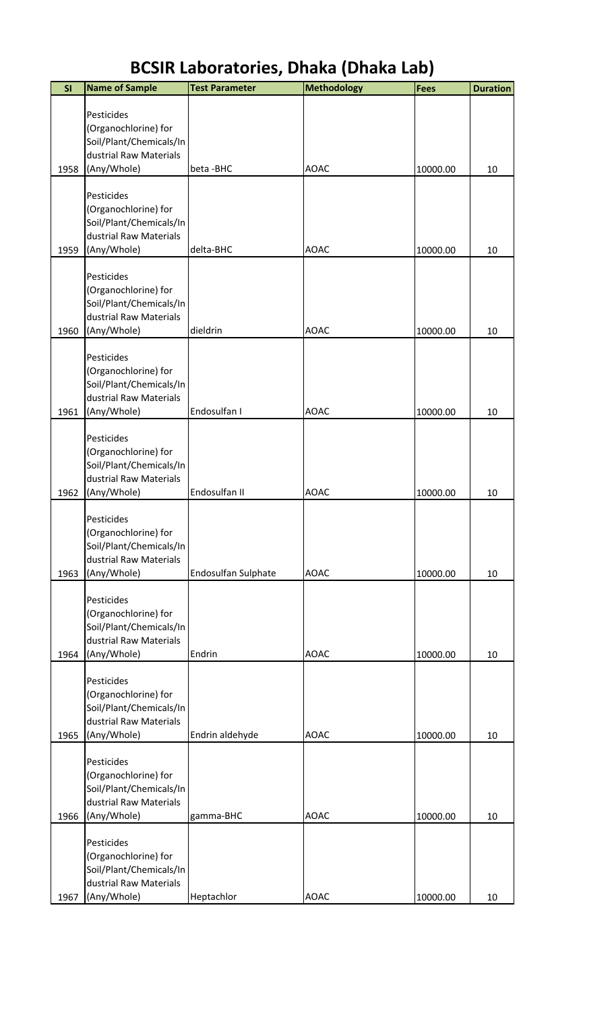| SI   | <b>Name of Sample</b>                                                                                  | <b>Test Parameter</b> | <b>Methodology</b> | <b>Fees</b> | <b>Duration</b> |
|------|--------------------------------------------------------------------------------------------------------|-----------------------|--------------------|-------------|-----------------|
|      | Pesticides<br>(Organochlorine) for<br>Soil/Plant/Chemicals/In<br>dustrial Raw Materials                |                       |                    |             |                 |
| 1958 | (Any/Whole)                                                                                            | beta-BHC              | <b>AOAC</b>        | 10000.00    | 10              |
| 1959 | Pesticides<br>(Organochlorine) for<br>Soil/Plant/Chemicals/In<br>dustrial Raw Materials<br>(Any/Whole) | delta-BHC             | <b>AOAC</b>        | 10000.00    | 10              |
| 1960 | Pesticides<br>(Organochlorine) for<br>Soil/Plant/Chemicals/In<br>dustrial Raw Materials<br>(Any/Whole) | dieldrin              | <b>AOAC</b>        | 10000.00    | 10              |
| 1961 | Pesticides<br>(Organochlorine) for<br>Soil/Plant/Chemicals/In<br>dustrial Raw Materials<br>(Any/Whole) | Endosulfan I          | <b>AOAC</b>        | 10000.00    | 10              |
| 1962 | Pesticides<br>(Organochlorine) for<br>Soil/Plant/Chemicals/In<br>dustrial Raw Materials<br>(Any/Whole) | Endosulfan II         | <b>AOAC</b>        | 10000.00    | 10              |
| 1963 | Pesticides<br>(Organochlorine) for<br>Soil/Plant/Chemicals/In<br>dustrial Raw Materials<br>(Any/Whole) | Endosulfan Sulphate   | <b>AOAC</b>        | 10000.00    | 10              |
| 1964 | Pesticides<br>(Organochlorine) for<br>Soil/Plant/Chemicals/In<br>dustrial Raw Materials<br>(Any/Whole) | Endrin                | <b>AOAC</b>        | 10000.00    | 10              |
| 1965 | Pesticides<br>(Organochlorine) for<br>Soil/Plant/Chemicals/In<br>dustrial Raw Materials<br>(Any/Whole) | Endrin aldehyde       | <b>AOAC</b>        | 10000.00    | 10              |
| 1966 | Pesticides<br>(Organochlorine) for<br>Soil/Plant/Chemicals/In<br>dustrial Raw Materials<br>(Any/Whole) | gamma-BHC             | <b>AOAC</b>        | 10000.00    | 10              |
| 1967 | Pesticides<br>(Organochlorine) for<br>Soil/Plant/Chemicals/In<br>dustrial Raw Materials<br>(Any/Whole) | Heptachlor            | <b>AOAC</b>        | 10000.00    | 10              |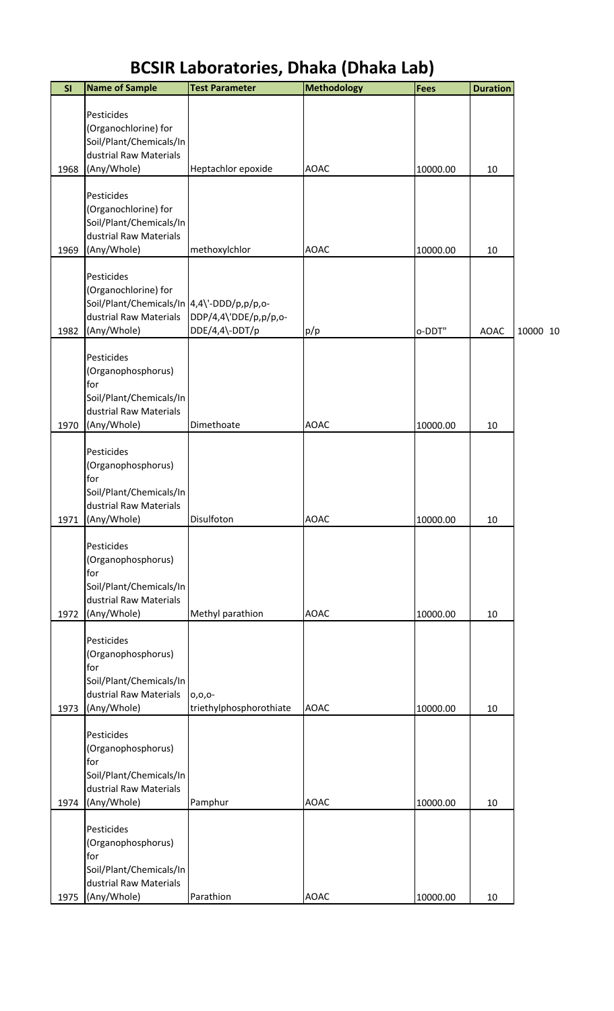| SI   | <b>Name of Sample</b>                                                                                                     | <b>Test Parameter</b>                  | <b>Methodology</b> | Fees     | <b>Duration</b> |          |
|------|---------------------------------------------------------------------------------------------------------------------------|----------------------------------------|--------------------|----------|-----------------|----------|
|      | Pesticides<br>(Organochlorine) for<br>Soil/Plant/Chemicals/In<br>dustrial Raw Materials                                   |                                        |                    |          |                 |          |
| 1968 | (Any/Whole)<br>Pesticides<br>(Organochlorine) for<br>Soil/Plant/Chemicals/In<br>dustrial Raw Materials                    | Heptachlor epoxide                     | <b>AOAC</b>        | 10000.00 | 10              |          |
| 1969 | (Any/Whole)<br>Pesticides<br>(Organochlorine) for<br>Soil/Plant/Chemicals/In 4,4\'-DDD/p,p/p,o-<br>dustrial Raw Materials | methoxylchlor<br>DDP/4,4\'DDE/p,p/p,o- | <b>AOAC</b>        | 10000.00 | 10              |          |
| 1982 | (Any/Whole)<br>Pesticides<br>(Organophosphorus)<br>for<br>Soil/Plant/Chemicals/In                                         | DDE/4,4\-DDT/p                         | p/p                | o-DDT"   | <b>AOAC</b>     | 10000 10 |
| 1970 | dustrial Raw Materials<br>(Any/Whole)                                                                                     | Dimethoate                             | <b>AOAC</b>        | 10000.00 | 10              |          |
|      | Pesticides<br>(Organophosphorus)<br>for<br>Soil/Plant/Chemicals/In<br>dustrial Raw Materials                              |                                        |                    |          |                 |          |
| 1971 | (Any/Whole)<br>Pesticides<br>(Organophosphorus)<br>for<br>Soil/Plant/Chemicals/In<br>dustrial Raw Materials               | Disulfoton                             | <b>AOAC</b>        | 10000.00 | 10              |          |
| 1972 | (Any/Whole)<br>Pesticides<br>(Organophosphorus)<br>for<br>Soil/Plant/Chemicals/In<br>dustrial Raw Materials               | Methyl parathion<br>$0, 0, 0$ -        | <b>AOAC</b>        | 10000.00 | 10              |          |
| 1973 | (Any/Whole)<br>Pesticides<br>(Organophosphorus)<br>for<br>Soil/Plant/Chemicals/In<br>dustrial Raw Materials               | triethylphosphorothiate                | <b>AOAC</b>        | 10000.00 | 10              |          |
| 1974 | (Any/Whole)<br>Pesticides<br>(Organophosphorus)<br>for<br>Soil/Plant/Chemicals/In<br>dustrial Raw Materials               | Pamphur                                | <b>AOAC</b>        | 10000.00 | 10              |          |
| 1975 | (Any/Whole)                                                                                                               | Parathion                              | <b>AOAC</b>        | 10000.00 | 10              |          |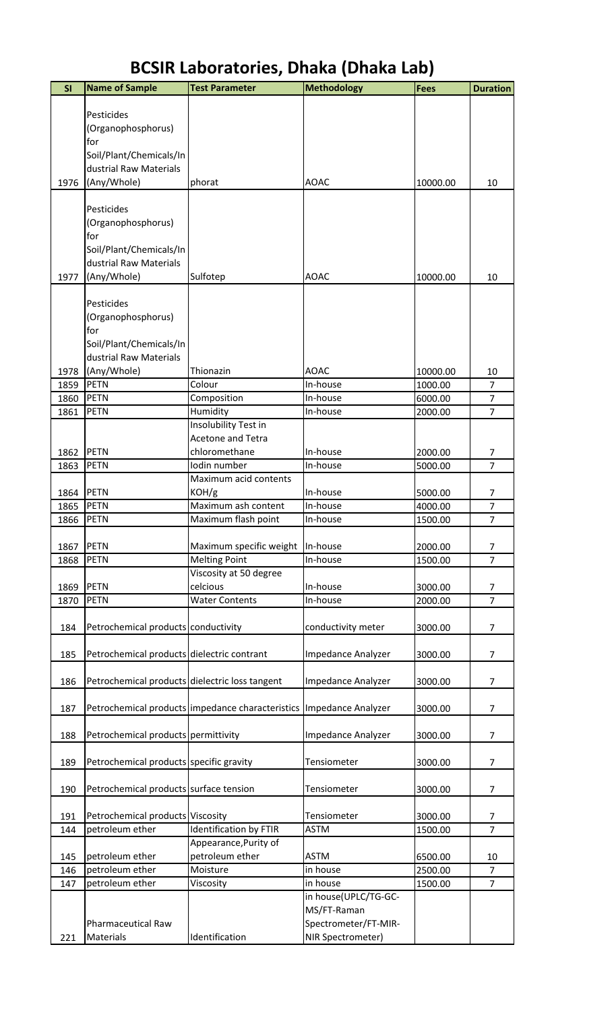| SI           | <b>Name of Sample</b>                          | <b>Test Parameter</b>                            | <b>Methodology</b>                  | <b>Fees</b>        | <b>Duration</b>                  |
|--------------|------------------------------------------------|--------------------------------------------------|-------------------------------------|--------------------|----------------------------------|
|              |                                                |                                                  |                                     |                    |                                  |
|              | Pesticides                                     |                                                  |                                     |                    |                                  |
|              | (Organophosphorus)<br>for                      |                                                  |                                     |                    |                                  |
|              | Soil/Plant/Chemicals/In                        |                                                  |                                     |                    |                                  |
|              | dustrial Raw Materials                         |                                                  |                                     |                    |                                  |
| 1976         | (Any/Whole)                                    | phorat                                           | <b>AOAC</b>                         | 10000.00           | 10                               |
|              |                                                |                                                  |                                     |                    |                                  |
|              | Pesticides<br>(Organophosphorus)               |                                                  |                                     |                    |                                  |
|              | for                                            |                                                  |                                     |                    |                                  |
|              | Soil/Plant/Chemicals/In                        |                                                  |                                     |                    |                                  |
|              | dustrial Raw Materials                         |                                                  |                                     |                    |                                  |
| 1977         | (Any/Whole)                                    | Sulfotep                                         | <b>AOAC</b>                         | 10000.00           | 10                               |
|              |                                                |                                                  |                                     |                    |                                  |
|              | Pesticides<br>(Organophosphorus)               |                                                  |                                     |                    |                                  |
|              | for                                            |                                                  |                                     |                    |                                  |
|              | Soil/Plant/Chemicals/In                        |                                                  |                                     |                    |                                  |
|              | dustrial Raw Materials                         |                                                  |                                     |                    |                                  |
| 1978         | (Any/Whole)                                    | Thionazin                                        | <b>AOAC</b>                         | 10000.00           | 10                               |
| 1859         | <b>PETN</b><br><b>PETN</b>                     | Colour                                           | In-house                            | 1000.00            | $\overline{7}$<br>$\overline{7}$ |
| 1860<br>1861 | <b>PETN</b>                                    | Composition<br>Humidity                          | In-house<br>In-house                | 6000.00<br>2000.00 | $\overline{7}$                   |
|              |                                                | Insolubility Test in                             |                                     |                    |                                  |
|              |                                                | <b>Acetone and Tetra</b>                         |                                     |                    |                                  |
| 1862         | PETN                                           | chloromethane                                    | In-house                            | 2000.00            | 7                                |
| 1863         | <b>PETN</b>                                    | Iodin number                                     | In-house                            | 5000.00            | $\overline{7}$                   |
|              |                                                | Maximum acid contents                            |                                     |                    |                                  |
| 1864<br>1865 | PETN<br>PETN                                   | KOH/g<br>Maximum ash content                     | In-house<br>In-house                | 5000.00<br>4000.00 | $\overline{7}$<br>$\overline{7}$ |
| 1866         | <b>PETN</b>                                    | Maximum flash point                              | In-house                            | 1500.00            | $\overline{7}$                   |
|              |                                                |                                                  |                                     |                    |                                  |
| 1867         | <b>PETN</b>                                    | Maximum specific weight                          | In-house                            | 2000.00            | $\overline{7}$                   |
| 1868         | PETN                                           | <b>Melting Point</b>                             | In-house                            | 1500.00            | $\overline{7}$                   |
| 1869         | PETN                                           | Viscosity at 50 degree<br>celcious               | In-house                            | 3000.00            | 7                                |
| 1870         | <b>PETN</b>                                    | <b>Water Contents</b>                            | In-house                            | 2000.00            | $\overline{7}$                   |
|              |                                                |                                                  |                                     |                    |                                  |
| 184          | Petrochemical products conductivity            |                                                  | conductivity meter                  | 3000.00            | $\overline{7}$                   |
|              |                                                |                                                  |                                     |                    |                                  |
| 185          | Petrochemical products dielectric contrant     |                                                  | Impedance Analyzer                  | 3000.00            | $\overline{7}$                   |
| 186          | Petrochemical products dielectric loss tangent |                                                  | Impedance Analyzer                  | 3000.00            | 7                                |
|              |                                                |                                                  |                                     |                    |                                  |
| 187          |                                                | Petrochemical products impedance characteristics | Impedance Analyzer                  | 3000.00            | $\overline{7}$                   |
|              |                                                |                                                  |                                     |                    |                                  |
| 188          | Petrochemical products permittivity            |                                                  | Impedance Analyzer                  | 3000.00            | $\overline{7}$                   |
| 189          | Petrochemical products specific gravity        |                                                  | Tensiometer                         | 3000.00            | $\overline{7}$                   |
|              |                                                |                                                  |                                     |                    |                                  |
| 190          | Petrochemical products surface tension         |                                                  | Tensiometer                         | 3000.00            | 7                                |
|              |                                                |                                                  |                                     |                    |                                  |
| 191          | Petrochemical products Viscosity               |                                                  | Tensiometer                         | 3000.00            | 7<br>$\overline{7}$              |
| 144          | petroleum ether                                | Identification by FTIR<br>Appearance, Purity of  | <b>ASTM</b>                         | 1500.00            |                                  |
| 145          | petroleum ether                                | petroleum ether                                  | <b>ASTM</b>                         | 6500.00            | 10                               |
| 146          | petroleum ether                                | Moisture                                         | in house                            | 2500.00            | $\overline{7}$                   |
| 147          | petroleum ether                                | Viscosity                                        | in house                            | 1500.00            | $\overline{7}$                   |
|              |                                                |                                                  | in house(UPLC/TG-GC-                |                    |                                  |
|              | <b>Pharmaceutical Raw</b>                      |                                                  | MS/FT-Raman<br>Spectrometer/FT-MIR- |                    |                                  |
| 221          | Materials                                      | Identification                                   | NIR Spectrometer)                   |                    |                                  |
|              |                                                |                                                  |                                     |                    |                                  |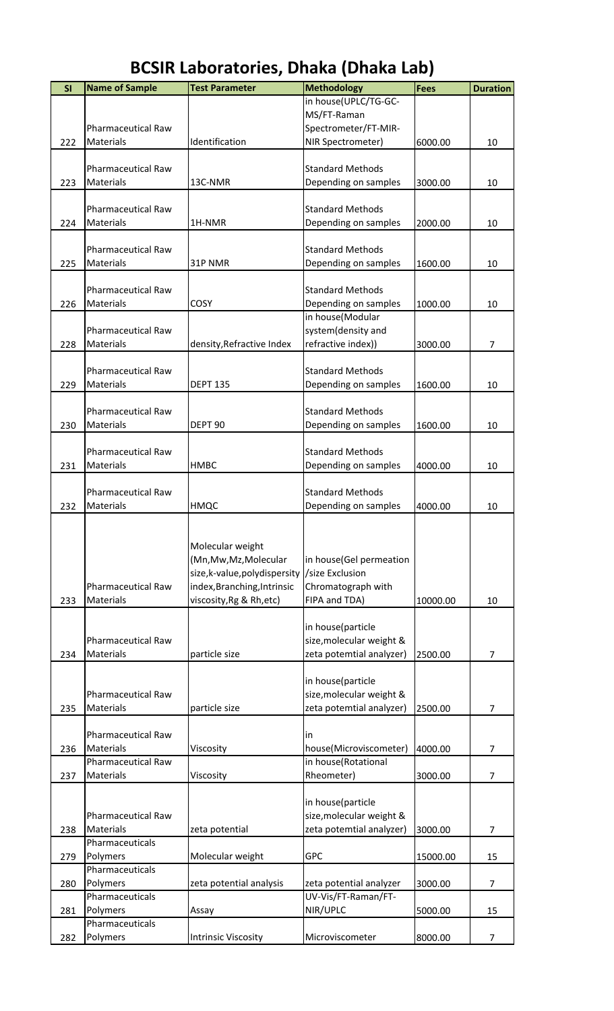| SI  | <b>Name of Sample</b>     | <b>Test Parameter</b>          | <b>Methodology</b>                            | Fees     | <b>Duration</b> |
|-----|---------------------------|--------------------------------|-----------------------------------------------|----------|-----------------|
|     |                           |                                | in house(UPLC/TG-GC-                          |          |                 |
|     |                           |                                | MS/FT-Raman                                   |          |                 |
|     | <b>Pharmaceutical Raw</b> |                                | Spectrometer/FT-MIR-                          |          |                 |
| 222 | <b>Materials</b>          | Identification                 | NIR Spectrometer)                             | 6000.00  | 10              |
|     |                           |                                |                                               |          |                 |
|     | <b>Pharmaceutical Raw</b> |                                | <b>Standard Methods</b>                       |          |                 |
| 223 | Materials                 | 13C-NMR                        | Depending on samples                          | 3000.00  | 10              |
|     |                           |                                |                                               |          |                 |
|     | <b>Pharmaceutical Raw</b> |                                | <b>Standard Methods</b>                       |          |                 |
| 224 | Materials                 | 1H-NMR                         | Depending on samples                          | 2000.00  | 10              |
|     | <b>Pharmaceutical Raw</b> |                                | <b>Standard Methods</b>                       |          |                 |
| 225 | Materials                 | 31P NMR                        | Depending on samples                          | 1600.00  | 10              |
|     |                           |                                |                                               |          |                 |
|     | Pharmaceutical Raw        |                                | <b>Standard Methods</b>                       |          |                 |
| 226 | Materials                 | <b>COSY</b>                    | Depending on samples                          | 1000.00  | 10              |
|     |                           |                                | in house(Modular                              |          |                 |
|     | <b>Pharmaceutical Raw</b> |                                | system(density and                            |          |                 |
| 228 | Materials                 | density, Refractive Index      | refractive index))                            | 3000.00  | 7               |
|     |                           |                                |                                               |          |                 |
|     | <b>Pharmaceutical Raw</b> |                                | <b>Standard Methods</b>                       |          |                 |
| 229 | Materials                 | <b>DEPT 135</b>                | Depending on samples                          | 1600.00  | 10              |
|     |                           |                                |                                               |          |                 |
|     | Pharmaceutical Raw        |                                | <b>Standard Methods</b>                       |          |                 |
| 230 | Materials                 | DEPT <sub>90</sub>             | Depending on samples                          | 1600.00  | 10              |
|     |                           |                                |                                               |          |                 |
|     | <b>Pharmaceutical Raw</b> |                                | <b>Standard Methods</b>                       |          |                 |
| 231 | Materials                 | <b>HMBC</b>                    | Depending on samples                          | 4000.00  | 10              |
|     |                           |                                |                                               |          |                 |
|     | <b>Pharmaceutical Raw</b> |                                | <b>Standard Methods</b>                       |          |                 |
| 232 | Materials                 | HMQC                           | Depending on samples                          | 4000.00  | 10              |
|     |                           |                                |                                               |          |                 |
|     |                           | Molecular weight               |                                               |          |                 |
|     |                           | (Mn, Mw, Mz, Molecular         | in house(Gel permeation                       |          |                 |
|     |                           | size, k-value, poly dispersity | /size Exclusion                               |          |                 |
|     | Pharmaceutical Raw        | index, Branching, Intrinsic    | Chromatograph with                            |          |                 |
| 233 | Materials                 | viscosity, Rg & Rh, etc)       | FIPA and TDA)                                 | 10000.00 | 10              |
|     |                           |                                |                                               |          |                 |
|     |                           |                                | in house(particle                             |          |                 |
|     | <b>Pharmaceutical Raw</b> |                                | size, molecular weight &                      |          |                 |
| 234 | <b>Materials</b>          | particle size                  | zeta potemtial analyzer)                      | 2500.00  | $\overline{7}$  |
|     |                           |                                |                                               |          |                 |
|     |                           |                                | in house(particle                             |          |                 |
|     | <b>Pharmaceutical Raw</b> |                                | size, molecular weight &                      |          |                 |
| 235 | <b>Materials</b>          | particle size                  | zeta potemtial analyzer)                      | 2500.00  | $\overline{7}$  |
|     |                           |                                |                                               |          |                 |
|     | <b>Pharmaceutical Raw</b> |                                | in                                            |          |                 |
| 236 | <b>Materials</b>          | Viscosity                      | house(Microviscometer)                        | 4000.00  | $\overline{7}$  |
|     | <b>Pharmaceutical Raw</b> |                                | in house(Rotational                           |          |                 |
| 237 | Materials                 | Viscosity                      | Rheometer)                                    | 3000.00  | 7               |
|     |                           |                                |                                               |          |                 |
|     | <b>Pharmaceutical Raw</b> |                                | in house(particle<br>size, molecular weight & |          |                 |
| 238 | Materials                 | zeta potential                 | zeta potemtial analyzer)                      | 3000.00  | $\overline{7}$  |
|     | Pharmaceuticals           |                                |                                               |          |                 |
| 279 | Polymers                  | Molecular weight               | <b>GPC</b>                                    | 15000.00 | 15              |
|     | Pharmaceuticals           |                                |                                               |          |                 |
| 280 | Polymers                  | zeta potential analysis        | zeta potential analyzer                       | 3000.00  | $\overline{7}$  |
|     | Pharmaceuticals           |                                | UV-Vis/FT-Raman/FT-                           |          |                 |
| 281 | Polymers                  | Assay                          | NIR/UPLC                                      | 5000.00  | 15              |
|     | Pharmaceuticals           |                                |                                               |          |                 |
| 282 | Polymers                  | <b>Intrinsic Viscosity</b>     | Microviscometer                               | 8000.00  | $\overline{7}$  |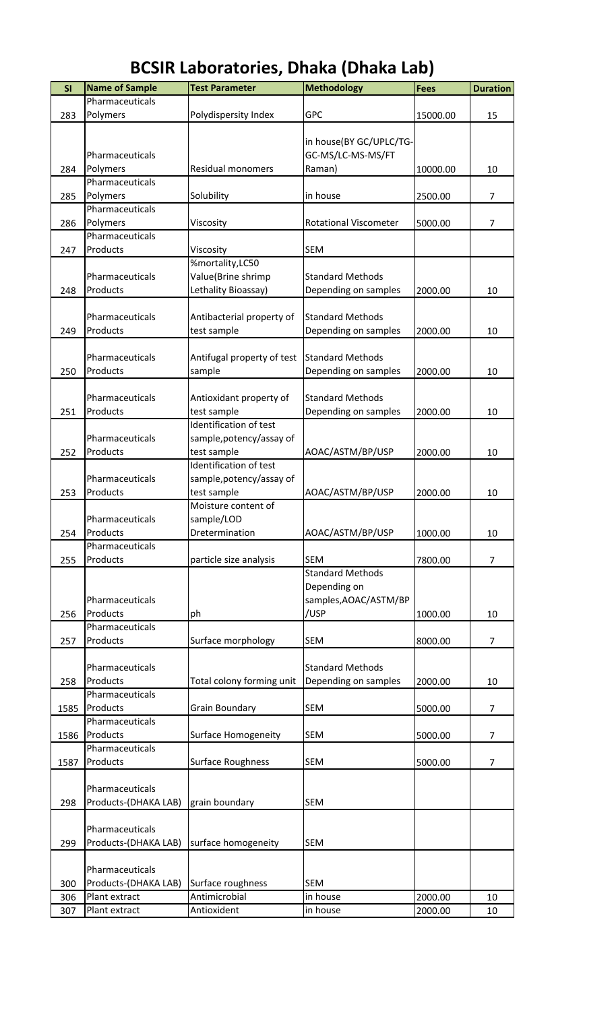| SI   | <b>Name of Sample</b> | <b>Test Parameter</b>      | <b>Methodology</b>           | <b>Fees</b> | <b>Duration</b> |
|------|-----------------------|----------------------------|------------------------------|-------------|-----------------|
|      |                       |                            |                              |             |                 |
|      | Pharmaceuticals       |                            |                              |             |                 |
| 283  | Polymers              | Polydispersity Index       | <b>GPC</b>                   | 15000.00    | 15              |
|      |                       |                            |                              |             |                 |
|      |                       |                            | in house(BY GC/UPLC/TG-      |             |                 |
|      | Pharmaceuticals       |                            | GC-MS/LC-MS-MS/FT            |             |                 |
| 284  | Polymers              | Residual monomers          | Raman)                       | 10000.00    | 10              |
|      | Pharmaceuticals       |                            |                              |             |                 |
| 285  | Polymers              | Solubility                 | in house                     | 2500.00     | $\overline{7}$  |
|      | Pharmaceuticals       |                            |                              |             |                 |
| 286  | Polymers              | Viscosity                  | <b>Rotational Viscometer</b> | 5000.00     | 7               |
|      | Pharmaceuticals       |                            |                              |             |                 |
|      |                       |                            |                              |             |                 |
| 247  | Products              | Viscosity                  | <b>SEM</b>                   |             |                 |
|      |                       | %mortality,LC50            |                              |             |                 |
|      | Pharmaceuticals       | Value(Brine shrimp         | <b>Standard Methods</b>      |             |                 |
| 248  | Products              | Lethality Bioassay)        | Depending on samples         | 2000.00     | 10              |
|      |                       |                            |                              |             |                 |
|      | Pharmaceuticals       | Antibacterial property of  | <b>Standard Methods</b>      |             |                 |
| 249  | Products              | test sample                | Depending on samples         | 2000.00     | 10              |
|      |                       |                            |                              |             |                 |
|      | Pharmaceuticals       | Antifugal property of test | <b>Standard Methods</b>      |             |                 |
|      |                       |                            |                              |             |                 |
| 250  | Products              | sample                     | Depending on samples         | 2000.00     | 10              |
|      |                       |                            |                              |             |                 |
|      | Pharmaceuticals       | Antioxidant property of    | <b>Standard Methods</b>      |             |                 |
| 251  | Products              | test sample                | Depending on samples         | 2000.00     | 10              |
|      |                       | Identification of test     |                              |             |                 |
|      | Pharmaceuticals       | sample, potency/assay of   |                              |             |                 |
| 252  | Products              | test sample                | AOAC/ASTM/BP/USP             | 2000.00     | 10              |
|      |                       | Identification of test     |                              |             |                 |
|      |                       |                            |                              |             |                 |
|      | Pharmaceuticals       | sample, potency/assay of   |                              |             |                 |
| 253  | Products              | test sample                | AOAC/ASTM/BP/USP             | 2000.00     | 10              |
|      |                       | Moisture content of        |                              |             |                 |
|      | Pharmaceuticals       | sample/LOD                 |                              |             |                 |
| 254  | Products              | Dretermination             | AOAC/ASTM/BP/USP             | 1000.00     | 10              |
|      | Pharmaceuticals       |                            |                              |             |                 |
| 255  | Products              | particle size analysis     | <b>SEM</b>                   | 7800.00     | $\overline{7}$  |
|      |                       |                            | <b>Standard Methods</b>      |             |                 |
|      |                       |                            |                              |             |                 |
|      |                       |                            | Depending on                 |             |                 |
|      | Pharmaceuticals       |                            | samples, AOAC/ASTM/BP        |             |                 |
| 256  | Products              | ph                         | /USP                         | 1000.00     | 10              |
|      | Pharmaceuticals       |                            |                              |             |                 |
| 257  | Products              | Surface morphology         | <b>SEM</b>                   | 8000.00     | 7               |
|      |                       |                            |                              |             |                 |
|      | Pharmaceuticals       |                            | <b>Standard Methods</b>      |             |                 |
| 258  | Products              | Total colony forming unit  | Depending on samples         | 2000.00     | 10              |
|      | Pharmaceuticals       |                            |                              |             |                 |
|      |                       |                            |                              |             |                 |
| 1585 | Products              | <b>Grain Boundary</b>      | <b>SEM</b>                   | 5000.00     | $\overline{7}$  |
|      | Pharmaceuticals       |                            |                              |             |                 |
| 1586 | Products              | Surface Homogeneity        | <b>SEM</b>                   | 5000.00     | $\overline{7}$  |
|      | Pharmaceuticals       |                            |                              |             |                 |
| 1587 | Products              | Surface Roughness          | <b>SEM</b>                   | 5000.00     | $\overline{7}$  |
|      |                       |                            |                              |             |                 |
|      | Pharmaceuticals       |                            |                              |             |                 |
|      |                       |                            |                              |             |                 |
| 298  | Products-(DHAKA LAB)  | grain boundary             | <b>SEM</b>                   |             |                 |
|      |                       |                            |                              |             |                 |
|      | Pharmaceuticals       |                            |                              |             |                 |
| 299  | Products-(DHAKA LAB)  | surface homogeneity        | <b>SEM</b>                   |             |                 |
|      |                       |                            |                              |             |                 |
|      | Pharmaceuticals       |                            |                              |             |                 |
| 300  | Products-(DHAKA LAB)  | Surface roughness          | <b>SEM</b>                   |             |                 |
|      | Plant extract         | Antimicrobial              | in house                     | 2000.00     |                 |
| 306  |                       |                            |                              |             | 10              |
| 307  | Plant extract         | Antioxident                | in house                     | 2000.00     | 10              |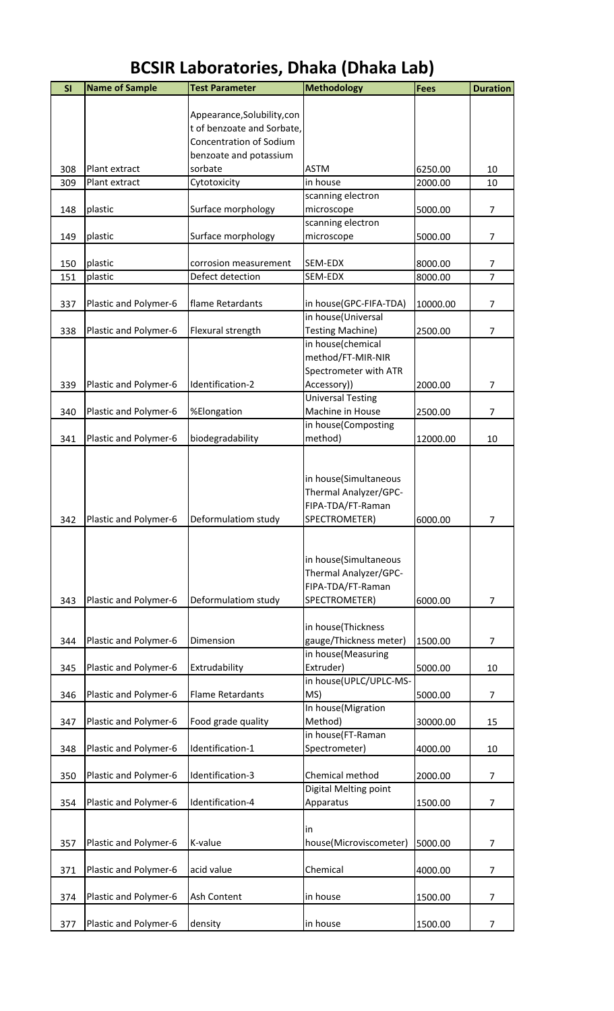| SI  | <b>Name of Sample</b> | <b>Test Parameter</b>       | <b>Methodology</b>                   | <b>Fees</b> | <b>Duration</b> |
|-----|-----------------------|-----------------------------|--------------------------------------|-------------|-----------------|
|     |                       |                             |                                      |             |                 |
|     |                       | Appearance, Solubility, con |                                      |             |                 |
|     |                       | t of benzoate and Sorbate,  |                                      |             |                 |
|     |                       | Concentration of Sodium     |                                      |             |                 |
|     |                       | benzoate and potassium      |                                      |             |                 |
| 308 | Plant extract         | sorbate                     | <b>ASTM</b><br>in house              | 6250.00     | 10              |
| 309 | Plant extract         | Cytotoxicity                | scanning electron                    | 2000.00     | 10              |
| 148 | plastic               | Surface morphology          | microscope                           | 5000.00     | $\overline{7}$  |
|     |                       |                             | scanning electron                    |             |                 |
| 149 | plastic               | Surface morphology          | microscope                           | 5000.00     | 7               |
|     |                       |                             |                                      |             |                 |
| 150 | plastic               | corrosion measurement       | SEM-EDX                              | 8000.00     | 7               |
| 151 | plastic               | Defect detection            | SEM-EDX                              | 8000.00     | $\overline{7}$  |
|     |                       |                             |                                      |             |                 |
| 337 | Plastic and Polymer-6 | flame Retardants            | in house(GPC-FIFA-TDA)               | 10000.00    | $\overline{7}$  |
|     |                       |                             | in house(Universal                   |             |                 |
| 338 | Plastic and Polymer-6 | Flexural strength           | <b>Testing Machine)</b>              | 2500.00     | $\overline{7}$  |
|     |                       |                             | in house(chemical                    |             |                 |
|     |                       |                             | method/FT-MIR-NIR                    |             |                 |
| 339 |                       | Identification-2            | Spectrometer with ATR<br>Accessory)) | 2000.00     | $\overline{7}$  |
|     | Plastic and Polymer-6 |                             | <b>Universal Testing</b>             |             |                 |
| 340 | Plastic and Polymer-6 | %Elongation                 | Machine in House                     | 2500.00     | $\overline{7}$  |
|     |                       |                             | in house(Composting                  |             |                 |
| 341 | Plastic and Polymer-6 | biodegradability            | method)                              | 12000.00    | 10              |
|     |                       |                             |                                      |             |                 |
|     |                       |                             |                                      |             |                 |
|     |                       |                             | in house(Simultaneous                |             |                 |
|     |                       |                             | Thermal Analyzer/GPC-                |             |                 |
|     |                       |                             | FIPA-TDA/FT-Raman                    |             |                 |
| 342 | Plastic and Polymer-6 | Deformulatiom study         | SPECTROMETER)                        | 6000.00     | 7               |
|     |                       |                             |                                      |             |                 |
|     |                       |                             |                                      |             |                 |
|     |                       |                             | in house(Simultaneous                |             |                 |
|     |                       |                             | Thermal Analyzer/GPC-                |             |                 |
|     |                       |                             | FIPA-TDA/FT-Raman                    |             |                 |
| 343 | Plastic and Polymer-6 | Deformulatiom study         | SPECTROMETER)                        | 6000.00     | $\overline{7}$  |
|     |                       |                             | in house(Thickness                   |             |                 |
| 344 | Plastic and Polymer-6 | Dimension                   | gauge/Thickness meter)               | 1500.00     | $\overline{7}$  |
|     |                       |                             | in house(Measuring                   |             |                 |
| 345 | Plastic and Polymer-6 | Extrudability               | Extruder)                            | 5000.00     | 10              |
|     |                       |                             | in house(UPLC/UPLC-MS-               |             |                 |
| 346 | Plastic and Polymer-6 | <b>Flame Retardants</b>     | MS)                                  | 5000.00     | $\overline{7}$  |
|     |                       |                             | In house(Migration                   |             |                 |
| 347 | Plastic and Polymer-6 | Food grade quality          | Method)                              | 30000.00    | 15              |
|     |                       |                             | in house(FT-Raman                    |             |                 |
| 348 | Plastic and Polymer-6 | Identification-1            | Spectrometer)                        | 4000.00     | 10              |
|     |                       |                             |                                      |             |                 |
| 350 | Plastic and Polymer-6 | Identification-3            | Chemical method                      | 2000.00     | $\overline{7}$  |
|     |                       |                             | Digital Melting point                |             |                 |
| 354 | Plastic and Polymer-6 | Identification-4            | Apparatus                            | 1500.00     | 7               |
|     |                       |                             |                                      |             |                 |
|     |                       |                             | in                                   |             |                 |
| 357 | Plastic and Polymer-6 | K-value                     | house(Microviscometer)               | 5000.00     | 7               |
| 371 | Plastic and Polymer-6 | acid value                  | Chemical                             | 4000.00     | $\overline{7}$  |
|     |                       |                             |                                      |             |                 |
| 374 | Plastic and Polymer-6 | <b>Ash Content</b>          | in house                             | 1500.00     | $\overline{7}$  |
|     |                       |                             |                                      |             |                 |
| 377 | Plastic and Polymer-6 | density                     | in house                             | 1500.00     | 7               |
|     |                       |                             |                                      |             |                 |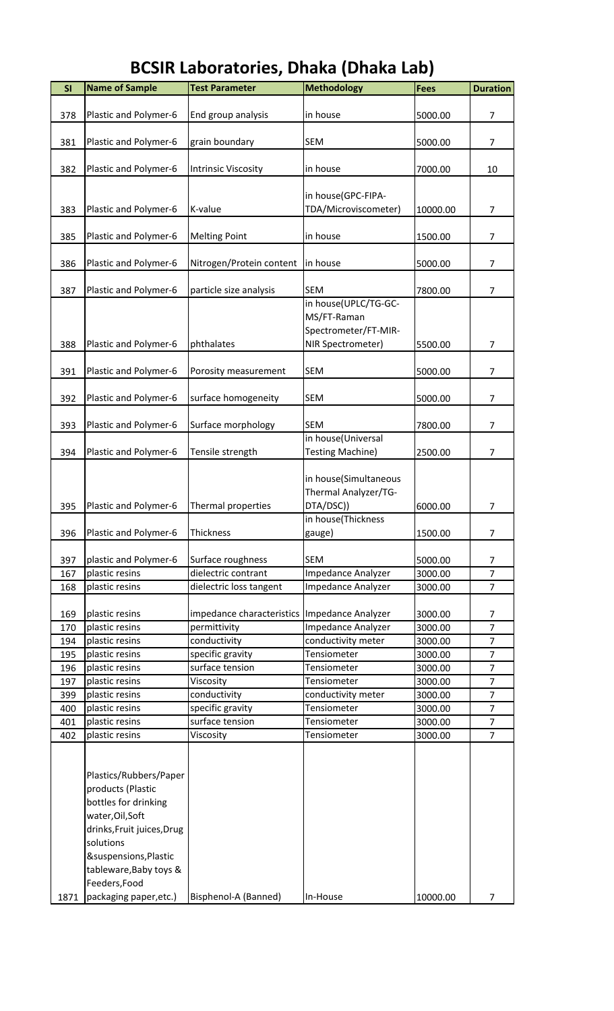| <b>SI</b> | <b>Name of Sample</b>      | <b>Test Parameter</b>      | <b>Methodology</b>      | <b>Fees</b> | <b>Duration</b>                  |
|-----------|----------------------------|----------------------------|-------------------------|-------------|----------------------------------|
|           |                            |                            |                         |             |                                  |
| 378       | Plastic and Polymer-6      | End group analysis         | in house                | 5000.00     | $\overline{7}$                   |
|           |                            |                            |                         |             |                                  |
| 381       | Plastic and Polymer-6      | grain boundary             | <b>SEM</b>              | 5000.00     | $\overline{7}$                   |
|           |                            |                            |                         |             |                                  |
| 382       | Plastic and Polymer-6      | <b>Intrinsic Viscosity</b> | in house                | 7000.00     | 10                               |
|           |                            |                            | in house(GPC-FIPA-      |             |                                  |
| 383       | Plastic and Polymer-6      | K-value                    | TDA/Microviscometer)    | 10000.00    | 7                                |
|           |                            |                            |                         |             |                                  |
| 385       | Plastic and Polymer-6      | <b>Melting Point</b>       | in house                | 1500.00     | $\overline{7}$                   |
|           |                            |                            |                         |             |                                  |
| 386       | Plastic and Polymer-6      | Nitrogen/Protein content   | in house                | 5000.00     | $\overline{7}$                   |
|           |                            |                            |                         |             |                                  |
| 387       | Plastic and Polymer-6      | particle size analysis     | <b>SEM</b>              | 7800.00     | $\overline{7}$                   |
|           |                            |                            | in house(UPLC/TG-GC-    |             |                                  |
|           |                            |                            | MS/FT-Raman             |             |                                  |
|           |                            |                            | Spectrometer/FT-MIR-    |             |                                  |
| 388       | Plastic and Polymer-6      | phthalates                 | NIR Spectrometer)       | 5500.00     | $\overline{7}$                   |
| 391       | Plastic and Polymer-6      | Porosity measurement       | <b>SEM</b>              | 5000.00     | $\overline{7}$                   |
|           |                            |                            |                         |             |                                  |
| 392       | Plastic and Polymer-6      | surface homogeneity        | <b>SEM</b>              | 5000.00     | $\overline{7}$                   |
|           |                            |                            |                         |             |                                  |
| 393       | Plastic and Polymer-6      | Surface morphology         | <b>SEM</b>              | 7800.00     | $\overline{7}$                   |
|           |                            |                            | in house(Universal      |             |                                  |
| 394       | Plastic and Polymer-6      | Tensile strength           | <b>Testing Machine)</b> | 2500.00     | $\overline{7}$                   |
|           |                            |                            |                         |             |                                  |
|           |                            |                            | in house(Simultaneous   |             |                                  |
|           |                            |                            | Thermal Analyzer/TG-    |             |                                  |
| 395       | Plastic and Polymer-6      | Thermal properties         | DTA/DSC))               | 6000.00     | 7                                |
|           |                            |                            | in house(Thickness      |             |                                  |
| 396       | Plastic and Polymer-6      | Thickness                  | gauge)                  | 1500.00     | $\overline{7}$                   |
| 397       | plastic and Polymer-6      | Surface roughness          | <b>SEM</b>              | 5000.00     | 7                                |
| 167       | plastic resins             | dielectric contrant        | Impedance Analyzer      | 3000.00     | $\overline{7}$                   |
| 168       | plastic resins             | dielectric loss tangent    | Impedance Analyzer      | 3000.00     | $\overline{7}$                   |
|           |                            |                            |                         |             |                                  |
| 169       | plastic resins             | impedance characteristics  | Impedance Analyzer      | 3000.00     | 7                                |
| 170       | plastic resins             | permittivity               | Impedance Analyzer      | 3000.00     | $\overline{7}$                   |
| 194       | plastic resins             | conductivity               | conductivity meter      | 3000.00     | $\overline{7}$                   |
| 195       | plastic resins             | specific gravity           | Tensiometer             | 3000.00     | $\overline{7}$                   |
| 196       | plastic resins             | surface tension            | Tensiometer             | 3000.00     | $\overline{7}$                   |
| 197       | plastic resins             | Viscosity                  | Tensiometer             | 3000.00     | $\overline{7}$                   |
| 399       | plastic resins             | conductivity               | conductivity meter      | 3000.00     | $\overline{7}$                   |
| 400       | plastic resins             | specific gravity           | Tensiometer             | 3000.00     | $\overline{7}$                   |
| 401       | plastic resins             | surface tension            | Tensiometer             | 3000.00     | $\overline{7}$<br>$\overline{7}$ |
| 402       | plastic resins             | Viscosity                  | Tensiometer             | 3000.00     |                                  |
|           |                            |                            |                         |             |                                  |
|           | Plastics/Rubbers/Paper     |                            |                         |             |                                  |
|           | products (Plastic          |                            |                         |             |                                  |
|           | bottles for drinking       |                            |                         |             |                                  |
|           | water, Oil, Soft           |                            |                         |             |                                  |
|           | drinks, Fruit juices, Drug |                            |                         |             |                                  |
|           | solutions                  |                            |                         |             |                                  |
|           | &suspensions, Plastic      |                            |                         |             |                                  |
|           | tableware, Baby toys &     |                            |                         |             |                                  |
|           | Feeders, Food              |                            |                         |             |                                  |
| 1871      | packaging paper, etc.)     | Bisphenol-A (Banned)       | In-House                | 10000.00    | 7                                |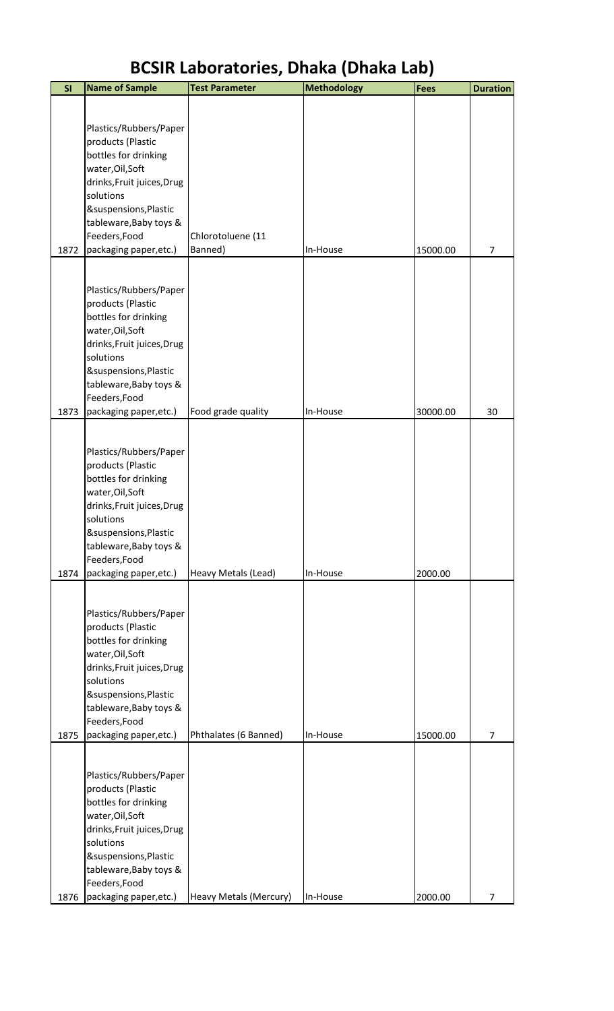| SI   | <b>Name of Sample</b>                           | <b>Test Parameter</b>  | <b>Methodology</b> | <b>Fees</b> | <b>Duration</b> |
|------|-------------------------------------------------|------------------------|--------------------|-------------|-----------------|
|      |                                                 |                        |                    |             |                 |
|      | Plastics/Rubbers/Paper                          |                        |                    |             |                 |
|      | products (Plastic                               |                        |                    |             |                 |
|      | bottles for drinking                            |                        |                    |             |                 |
|      | water, Oil, Soft                                |                        |                    |             |                 |
|      | drinks, Fruit juices, Drug                      |                        |                    |             |                 |
|      | solutions                                       |                        |                    |             |                 |
|      | &suspensions, Plastic<br>tableware, Baby toys & |                        |                    |             |                 |
|      | Feeders, Food                                   | Chlorotoluene (11      |                    |             |                 |
| 1872 | packaging paper, etc.)                          | Banned)                | In-House           | 15000.00    | 7               |
|      |                                                 |                        |                    |             |                 |
|      | Plastics/Rubbers/Paper                          |                        |                    |             |                 |
|      | products (Plastic                               |                        |                    |             |                 |
|      | bottles for drinking                            |                        |                    |             |                 |
|      | water, Oil, Soft                                |                        |                    |             |                 |
|      | drinks, Fruit juices, Drug                      |                        |                    |             |                 |
|      | solutions                                       |                        |                    |             |                 |
|      | &suspensions, Plastic<br>tableware, Baby toys & |                        |                    |             |                 |
|      | Feeders, Food                                   |                        |                    |             |                 |
| 1873 | packaging paper, etc.)                          | Food grade quality     | In-House           | 30000.00    | 30              |
|      |                                                 |                        |                    |             |                 |
|      | Plastics/Rubbers/Paper                          |                        |                    |             |                 |
|      | products (Plastic                               |                        |                    |             |                 |
|      | bottles for drinking                            |                        |                    |             |                 |
|      | water, Oil, Soft                                |                        |                    |             |                 |
|      | drinks, Fruit juices, Drug<br>solutions         |                        |                    |             |                 |
|      | &suspensions, Plastic                           |                        |                    |             |                 |
|      | tableware, Baby toys &                          |                        |                    |             |                 |
|      | Feeders, Food                                   |                        |                    |             |                 |
| 1874 | packaging paper, etc.)                          | Heavy Metals (Lead)    | In-House           | 2000.00     |                 |
|      |                                                 |                        |                    |             |                 |
|      | Plastics/Rubbers/Paper                          |                        |                    |             |                 |
|      | products (Plastic                               |                        |                    |             |                 |
|      | bottles for drinking<br>water, Oil, Soft        |                        |                    |             |                 |
|      | drinks, Fruit juices, Drug                      |                        |                    |             |                 |
|      | solutions                                       |                        |                    |             |                 |
|      | &suspensions, Plastic                           |                        |                    |             |                 |
|      | tableware, Baby toys &                          |                        |                    |             |                 |
| 1875 | Feeders, Food                                   | Phthalates (6 Banned)  | In-House           | 15000.00    | 7               |
|      | packaging paper, etc.)                          |                        |                    |             |                 |
|      |                                                 |                        |                    |             |                 |
|      | Plastics/Rubbers/Paper<br>products (Plastic     |                        |                    |             |                 |
|      | bottles for drinking                            |                        |                    |             |                 |
|      | water, Oil, Soft                                |                        |                    |             |                 |
|      | drinks, Fruit juices, Drug                      |                        |                    |             |                 |
|      | solutions                                       |                        |                    |             |                 |
|      | &suspensions, Plastic                           |                        |                    |             |                 |
|      | tableware, Baby toys &<br>Feeders, Food         |                        |                    |             |                 |
| 1876 | packaging paper, etc.)                          | Heavy Metals (Mercury) | In-House           | 2000.00     | 7               |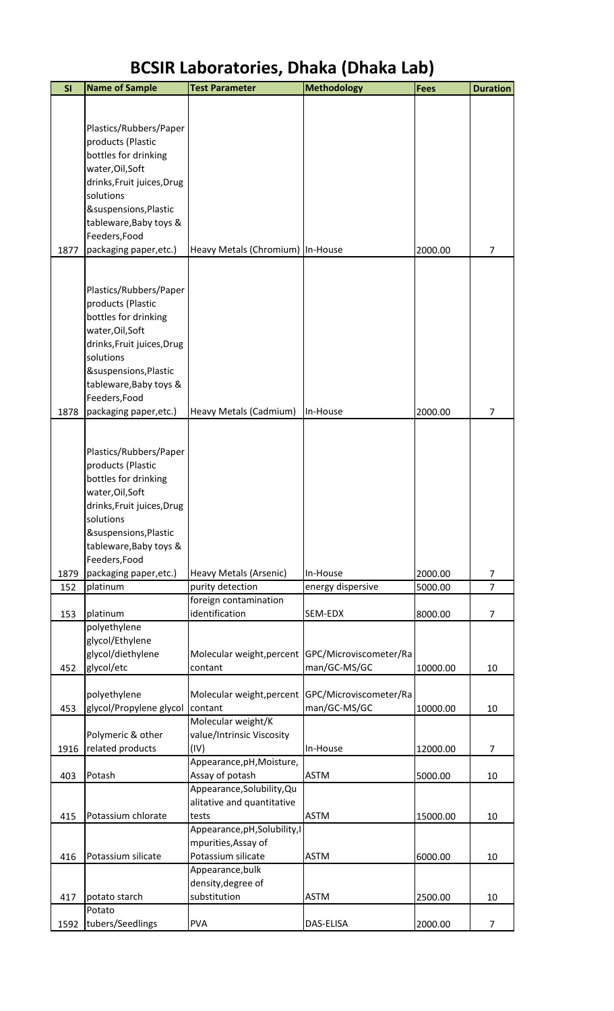| SI   | <b>Name of Sample</b>      | <b>Test Parameter</b>                  | <b>Methodology</b>     | <b>Fees</b> | <b>Duration</b> |
|------|----------------------------|----------------------------------------|------------------------|-------------|-----------------|
|      |                            |                                        |                        |             |                 |
|      |                            |                                        |                        |             |                 |
|      | Plastics/Rubbers/Paper     |                                        |                        |             |                 |
|      | products (Plastic          |                                        |                        |             |                 |
|      | bottles for drinking       |                                        |                        |             |                 |
|      | water, Oil, Soft           |                                        |                        |             |                 |
|      | drinks, Fruit juices, Drug |                                        |                        |             |                 |
|      | solutions                  |                                        |                        |             |                 |
|      | &suspensions, Plastic      |                                        |                        |             |                 |
|      | tableware, Baby toys &     |                                        |                        |             |                 |
|      | Feeders, Food              |                                        |                        |             |                 |
| 1877 | packaging paper, etc.)     | Heavy Metals (Chromium)   In-House     |                        | 2000.00     | $\overline{7}$  |
|      |                            |                                        |                        |             |                 |
|      |                            |                                        |                        |             |                 |
|      | Plastics/Rubbers/Paper     |                                        |                        |             |                 |
|      | products (Plastic          |                                        |                        |             |                 |
|      | bottles for drinking       |                                        |                        |             |                 |
|      | water, Oil, Soft           |                                        |                        |             |                 |
|      | drinks, Fruit juices, Drug |                                        |                        |             |                 |
|      | solutions                  |                                        |                        |             |                 |
|      | &suspensions, Plastic      |                                        |                        |             |                 |
|      | tableware, Baby toys &     |                                        |                        |             |                 |
|      | Feeders, Food              |                                        |                        |             |                 |
| 1878 | packaging paper, etc.)     | Heavy Metals (Cadmium)                 | In-House               | 2000.00     | 7               |
|      |                            |                                        |                        |             |                 |
|      | Plastics/Rubbers/Paper     |                                        |                        |             |                 |
|      | products (Plastic          |                                        |                        |             |                 |
|      | bottles for drinking       |                                        |                        |             |                 |
|      | water, Oil, Soft           |                                        |                        |             |                 |
|      | drinks, Fruit juices, Drug |                                        |                        |             |                 |
|      | solutions                  |                                        |                        |             |                 |
|      | &suspensions, Plastic      |                                        |                        |             |                 |
|      | tableware, Baby toys &     |                                        |                        |             |                 |
|      | Feeders, Food              |                                        |                        |             |                 |
| 1879 | packaging paper, etc.)     | Heavy Metals (Arsenic)                 | In-House               | 2000.00     | 7               |
| 152  | platinum                   | purity detection                       | energy dispersive      | 5000.00     | $\overline{7}$  |
|      |                            | foreign contamination                  |                        |             |                 |
| 153  | platinum                   | identification                         | SEM-EDX                | 8000.00     | $\overline{7}$  |
|      | polyethylene               |                                        |                        |             |                 |
|      | glycol/Ethylene            |                                        |                        |             |                 |
|      | glycol/diethylene          | Molecular weight, percent              | GPC/Microviscometer/Ra |             |                 |
| 452  | glycol/etc                 | contant                                | man/GC-MS/GC           | 10000.00    | 10              |
|      |                            |                                        |                        |             |                 |
|      | polyethylene               | Molecular weight, percent              | GPC/Microviscometer/Ra |             |                 |
| 453  | glycol/Propylene glycol    | contant                                | man/GC-MS/GC           | 10000.00    | 10              |
|      |                            | Molecular weight/K                     |                        |             |                 |
|      | Polymeric & other          | value/Intrinsic Viscosity              |                        |             |                 |
| 1916 | related products           | (IV)                                   | In-House               | 12000.00    | 7               |
|      |                            | Appearance, pH, Moisture,              |                        |             |                 |
| 403  | Potash                     | Assay of potash                        | <b>ASTM</b>            | 5000.00     | 10              |
|      |                            | Appearance, Solubility, Qu             |                        |             |                 |
|      |                            | alitative and quantitative             |                        |             |                 |
| 415  | Potassium chlorate         | tests                                  | <b>ASTM</b>            | 15000.00    | 10              |
|      |                            | Appearance, pH, Solubility, I          |                        |             |                 |
|      |                            | mpurities, Assay of                    |                        |             |                 |
| 416  | Potassium silicate         | Potassium silicate                     | <b>ASTM</b>            | 6000.00     | 10              |
|      |                            | Appearance, bulk<br>density, degree of |                        |             |                 |
| 417  | potato starch              | substitution                           | <b>ASTM</b>            | 2500.00     | 10              |
|      | Potato                     |                                        |                        |             |                 |
| 1592 | tubers/Seedlings           | <b>PVA</b>                             | DAS-ELISA              | 2000.00     | $\overline{7}$  |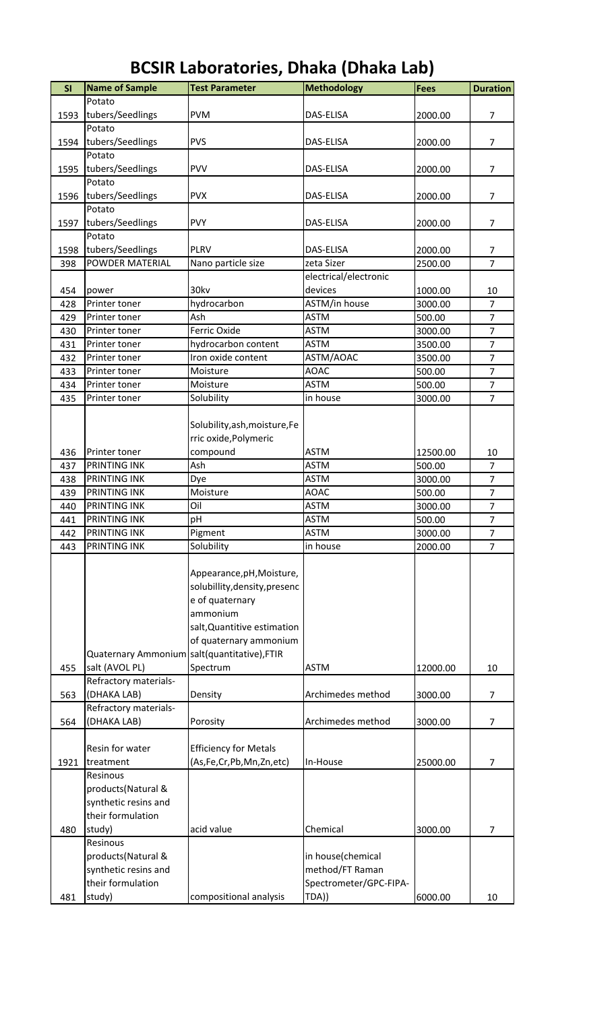| SI   | <b>Name of Sample</b>                        | <b>Test Parameter</b>         | <b>Methodology</b>     | <b>Fees</b> | <b>Duration</b> |
|------|----------------------------------------------|-------------------------------|------------------------|-------------|-----------------|
|      | Potato                                       |                               |                        |             |                 |
| 1593 | tubers/Seedlings                             | <b>PVM</b>                    | DAS-ELISA              | 2000.00     | $\overline{7}$  |
|      | Potato                                       |                               |                        |             |                 |
| 1594 | tubers/Seedlings                             | <b>PVS</b>                    | DAS-ELISA              | 2000.00     | $\overline{7}$  |
|      | Potato                                       |                               |                        |             |                 |
| 1595 | tubers/Seedlings                             | <b>PVV</b>                    | DAS-ELISA              | 2000.00     | $\overline{7}$  |
|      | Potato                                       |                               |                        |             |                 |
|      | tubers/Seedlings                             | <b>PVX</b>                    | DAS-ELISA              | 2000.00     | 7               |
| 1596 |                                              |                               |                        |             |                 |
|      | Potato                                       |                               |                        |             |                 |
| 1597 | tubers/Seedlings                             | <b>PVY</b>                    | DAS-ELISA              | 2000.00     | $\overline{7}$  |
|      | Potato                                       |                               |                        |             |                 |
| 1598 | tubers/Seedlings                             | <b>PLRV</b>                   | DAS-ELISA              | 2000.00     | $\overline{7}$  |
| 398  | <b>POWDER MATERIAL</b>                       | Nano particle size            | zeta Sizer             | 2500.00     | $\overline{7}$  |
|      |                                              |                               | electrical/electronic  |             |                 |
| 454  | power                                        | 30kv                          | devices                | 1000.00     | 10              |
| 428  | Printer toner                                | hydrocarbon                   | ASTM/in house          | 3000.00     | $\overline{7}$  |
| 429  | Printer toner                                | Ash                           | <b>ASTM</b>            | 500.00      | $\overline{7}$  |
| 430  | Printer toner                                | Ferric Oxide                  | <b>ASTM</b>            | 3000.00     | $\overline{7}$  |
|      |                                              |                               |                        |             |                 |
| 431  | Printer toner                                | hydrocarbon content           | <b>ASTM</b>            | 3500.00     | $\overline{7}$  |
| 432  | Printer toner                                | Iron oxide content            | ASTM/AOAC              | 3500.00     | $\overline{7}$  |
| 433  | Printer toner                                | Moisture                      | <b>AOAC</b>            | 500.00      | $\overline{7}$  |
| 434  | Printer toner                                | Moisture                      | <b>ASTM</b>            | 500.00      | $\overline{7}$  |
| 435  | Printer toner                                | Solubility                    | in house               | 3000.00     | $\overline{7}$  |
|      |                                              |                               |                        |             |                 |
|      |                                              | Solubility, ash, moisture, Fe |                        |             |                 |
|      |                                              | rric oxide, Polymeric         |                        |             |                 |
|      |                                              |                               |                        |             |                 |
| 436  | Printer toner                                | compound                      | <b>ASTM</b>            | 12500.00    | 10              |
| 437  | PRINTING INK                                 | Ash                           | <b>ASTM</b>            | 500.00      | $\overline{7}$  |
| 438  | PRINTING INK                                 | Dye                           | <b>ASTM</b>            | 3000.00     | $\overline{7}$  |
| 439  | PRINTING INK                                 | Moisture                      | <b>AOAC</b>            | 500.00      | $\overline{7}$  |
| 440  | <b>PRINTING INK</b>                          | Oil                           | <b>ASTM</b>            | 3000.00     | $\overline{7}$  |
| 441  | <b>PRINTING INK</b>                          | pH                            | <b>ASTM</b>            | 500.00      | $\overline{7}$  |
| 442  | PRINTING INK                                 | Pigment                       | <b>ASTM</b>            | 3000.00     | $\overline{7}$  |
| 443  | PRINTING INK                                 | Solubility                    | in house               | 2000.00     | $\overline{7}$  |
|      |                                              |                               |                        |             |                 |
|      |                                              |                               |                        |             |                 |
|      |                                              | Appearance, pH, Moisture,     |                        |             |                 |
|      |                                              | solubillity, density, presenc |                        |             |                 |
|      |                                              | e of quaternary               |                        |             |                 |
|      |                                              | ammonium                      |                        |             |                 |
|      |                                              | salt, Quantitive estimation   |                        |             |                 |
|      |                                              | of quaternary ammonium        |                        |             |                 |
|      | Quaternary Ammonium salt(quantitative), FTIR |                               |                        |             |                 |
| 455  | salt (AVOL PL)                               | Spectrum                      | <b>ASTM</b>            | 12000.00    | 10              |
|      | Refractory materials-                        |                               |                        |             |                 |
|      |                                              |                               |                        |             |                 |
| 563  | (DHAKA LAB)                                  | Density                       | Archimedes method      | 3000.00     | 7               |
|      | Refractory materials-                        |                               |                        |             |                 |
| 564  | (DHAKA LAB)                                  | Porosity                      | Archimedes method      | 3000.00     | $\overline{7}$  |
|      |                                              |                               |                        |             |                 |
|      | Resin for water                              | <b>Efficiency for Metals</b>  |                        |             |                 |
| 1921 | treatment                                    | (As,Fe,Cr,Pb,Mn,Zn,etc)       | In-House               | 25000.00    | 7               |
|      | Resinous                                     |                               |                        |             |                 |
|      | products(Natural &                           |                               |                        |             |                 |
|      | synthetic resins and                         |                               |                        |             |                 |
|      |                                              |                               |                        |             |                 |
|      | their formulation                            |                               |                        |             |                 |
| 480  | study)                                       | acid value                    | Chemical               | 3000.00     | 7               |
|      | Resinous                                     |                               |                        |             |                 |
|      | products(Natural &                           |                               | in house(chemical      |             |                 |
|      | synthetic resins and                         |                               | method/FT Raman        |             |                 |
|      | their formulation                            |                               | Spectrometer/GPC-FIPA- |             |                 |
| 481  | study)                                       | compositional analysis        | TDA))                  | 6000.00     | 10              |
|      |                                              |                               |                        |             |                 |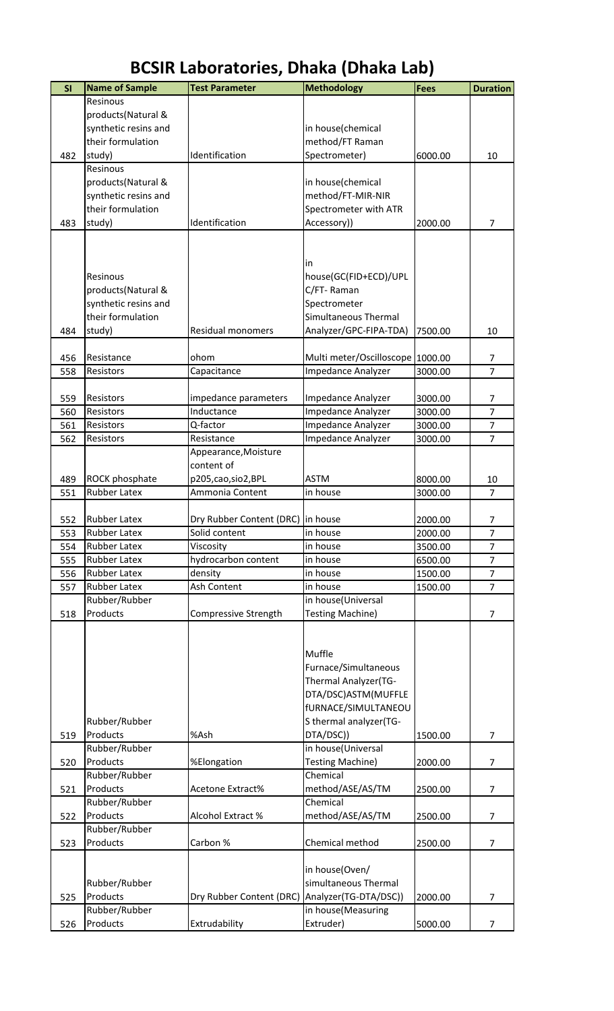| SI  | <b>Name of Sample</b> | <b>Test Parameter</b>             | Methodology                      | <b>Fees</b> | <b>Duration</b> |
|-----|-----------------------|-----------------------------------|----------------------------------|-------------|-----------------|
|     | Resinous              |                                   |                                  |             |                 |
|     | products(Natural &    |                                   |                                  |             |                 |
|     | synthetic resins and  |                                   | in house(chemical                |             |                 |
|     | their formulation     |                                   | method/FT Raman                  |             |                 |
| 482 | study)                | Identification                    | Spectrometer)                    | 6000.00     | 10              |
|     | Resinous              |                                   |                                  |             |                 |
|     | products(Natural &    |                                   | in house(chemical                |             |                 |
|     | synthetic resins and  |                                   | method/FT-MIR-NIR                |             |                 |
|     | their formulation     |                                   | Spectrometer with ATR            |             |                 |
| 483 | study)                | Identification                    | Accessory))                      | 2000.00     | $\overline{7}$  |
|     |                       |                                   |                                  |             |                 |
|     |                       |                                   |                                  |             |                 |
|     |                       |                                   |                                  |             |                 |
|     |                       |                                   | in                               |             |                 |
|     | Resinous              |                                   | house(GC(FID+ECD)/UPL            |             |                 |
|     | products(Natural &    |                                   | C/FT-Raman                       |             |                 |
|     | synthetic resins and  |                                   | Spectrometer                     |             |                 |
|     | their formulation     |                                   | Simultaneous Thermal             |             |                 |
| 484 | study)                | <b>Residual monomers</b>          | Analyzer/GPC-FIPA-TDA)           | 7500.00     | 10              |
|     |                       |                                   |                                  |             |                 |
| 456 | Resistance            | ohom                              | Multi meter/Oscilloscope 1000.00 |             | 7               |
| 558 | Resistors             | Capacitance                       | Impedance Analyzer               | 3000.00     | $\overline{7}$  |
|     |                       |                                   |                                  |             |                 |
| 559 | Resistors             | impedance parameters              | Impedance Analyzer               | 3000.00     | 7               |
| 560 | Resistors             | Inductance                        | Impedance Analyzer               | 3000.00     | $\overline{7}$  |
| 561 | Resistors             | Q-factor                          | Impedance Analyzer               | 3000.00     | $\overline{7}$  |
| 562 | Resistors             | Resistance                        | Impedance Analyzer               | 3000.00     | $\overline{7}$  |
|     |                       | Appearance, Moisture              |                                  |             |                 |
|     |                       | content of                        |                                  |             |                 |
| 489 | ROCK phosphate        | p205, cao, sio 2, BPL             | <b>ASTM</b>                      | 8000.00     | 10              |
| 551 | Rubber Latex          | Ammonia Content                   | in house                         | 3000.00     | $\overline{7}$  |
|     |                       |                                   |                                  |             |                 |
| 552 | <b>Rubber Latex</b>   | Dry Rubber Content (DRC) in house |                                  | 2000.00     | 7               |
| 553 | Rubber Latex          | Solid content                     | in house                         | 2000.00     | 7               |
| 554 | <b>Rubber Latex</b>   | Viscosity                         | in house                         | 3500.00     | $\overline{7}$  |
| 555 | <b>Rubber Latex</b>   | hydrocarbon content               | in house                         | 6500.00     | $\overline{7}$  |
| 556 | <b>Rubber Latex</b>   | density                           | in house                         | 1500.00     | $\overline{7}$  |
| 557 | Rubber Latex          | Ash Content                       | in house                         | 1500.00     | $\overline{7}$  |
|     | Rubber/Rubber         |                                   | in house(Universal               |             |                 |
| 518 | Products              | Compressive Strength              | <b>Testing Machine)</b>          |             | $\overline{7}$  |
|     |                       |                                   |                                  |             |                 |
|     |                       |                                   |                                  |             |                 |
|     |                       |                                   | Muffle                           |             |                 |
|     |                       |                                   |                                  |             |                 |
|     |                       |                                   | Furnace/Simultaneous             |             |                 |
|     |                       |                                   | Thermal Analyzer(TG-             |             |                 |
|     |                       |                                   | DTA/DSC)ASTM(MUFFLE              |             |                 |
|     |                       |                                   | fURNACE/SIMULTANEOU              |             |                 |
|     | Rubber/Rubber         |                                   | S thermal analyzer(TG-           |             |                 |
| 519 | Products              | %Ash                              | DTA/DSC))                        | 1500.00     | 7               |
|     | Rubber/Rubber         |                                   | in house(Universal               |             |                 |
| 520 | Products              | %Elongation                       | <b>Testing Machine)</b>          | 2000.00     | 7               |
|     | Rubber/Rubber         |                                   | Chemical                         |             |                 |
| 521 | Products              | Acetone Extract%                  | method/ASE/AS/TM                 | 2500.00     | $\overline{7}$  |
|     | Rubber/Rubber         |                                   | Chemical                         |             |                 |
| 522 | Products              | Alcohol Extract %                 | method/ASE/AS/TM                 | 2500.00     | $\overline{7}$  |
|     | Rubber/Rubber         |                                   |                                  |             |                 |
| 523 | Products              | Carbon %                          | Chemical method                  | 2500.00     | $\overline{7}$  |
|     |                       |                                   |                                  |             |                 |
|     |                       |                                   | in house(Oven/                   |             |                 |
|     | Rubber/Rubber         |                                   | simultaneous Thermal             |             |                 |
| 525 | Products              | Dry Rubber Content (DRC)          | Analyzer(TG-DTA/DSC))            | 2000.00     | 7               |
|     | Rubber/Rubber         |                                   | in house(Measuring               |             |                 |
| 526 | Products              | Extrudability                     | Extruder)                        | 5000.00     | 7               |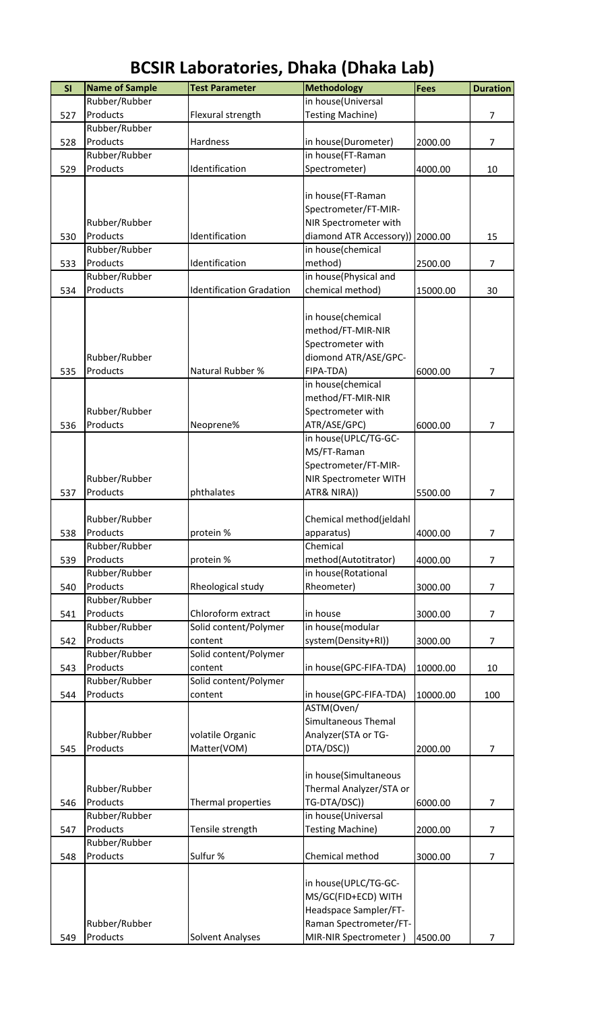| SI  | <b>Name of Sample</b> | <b>Test Parameter</b>           | <b>Methodology</b>      | <b>Fees</b> | <b>Duration</b> |
|-----|-----------------------|---------------------------------|-------------------------|-------------|-----------------|
|     | Rubber/Rubber         |                                 | in house(Universal      |             |                 |
| 527 | Products              | Flexural strength               | <b>Testing Machine)</b> |             | $\overline{7}$  |
|     | Rubber/Rubber         |                                 |                         |             |                 |
| 528 | Products              | Hardness                        | in house(Durometer)     | 2000.00     | $\overline{7}$  |
|     | Rubber/Rubber         |                                 | in house(FT-Raman       |             |                 |
| 529 | Products              | Identification                  | Spectrometer)           | 4000.00     | 10              |
|     |                       |                                 |                         |             |                 |
|     |                       |                                 | in house(FT-Raman       |             |                 |
|     |                       |                                 | Spectrometer/FT-MIR-    |             |                 |
|     | Rubber/Rubber         |                                 | NIR Spectrometer with   |             |                 |
| 530 | Products              | Identification                  | diamond ATR Accessory)) | 2000.00     | 15              |
|     | Rubber/Rubber         |                                 | in house(chemical       |             |                 |
| 533 | Products              | Identification                  | method)                 | 2500.00     | $\overline{7}$  |
|     | Rubber/Rubber         |                                 | in house(Physical and   |             |                 |
| 534 | Products              | <b>Identification Gradation</b> | chemical method)        | 15000.00    | 30              |
|     |                       |                                 |                         |             |                 |
|     |                       |                                 | in house(chemical       |             |                 |
|     |                       |                                 |                         |             |                 |
|     |                       |                                 | method/FT-MIR-NIR       |             |                 |
|     |                       |                                 | Spectrometer with       |             |                 |
|     | Rubber/Rubber         |                                 | diomond ATR/ASE/GPC-    |             |                 |
| 535 | Products              | Natural Rubber %                | FIPA-TDA)               | 6000.00     | $\overline{7}$  |
|     |                       |                                 | in house(chemical       |             |                 |
|     |                       |                                 | method/FT-MIR-NIR       |             |                 |
|     | Rubber/Rubber         |                                 | Spectrometer with       |             |                 |
| 536 | Products              | Neoprene%                       | ATR/ASE/GPC)            | 6000.00     | $\overline{7}$  |
|     |                       |                                 | in house(UPLC/TG-GC-    |             |                 |
|     |                       |                                 | MS/FT-Raman             |             |                 |
|     |                       |                                 | Spectrometer/FT-MIR-    |             |                 |
|     | Rubber/Rubber         |                                 | NIR Spectrometer WITH   |             |                 |
| 537 | Products              | phthalates                      | ATR& NIRA))             | 5500.00     | 7               |
|     |                       |                                 |                         |             |                 |
|     | Rubber/Rubber         |                                 | Chemical method(jeldahl |             |                 |
| 538 | Products              | protein %                       | apparatus)              | 4000.00     | 7               |
|     | Rubber/Rubber         |                                 | Chemical                |             |                 |
| 539 | Products              | protein %                       | method(Autotitrator)    | 4000.00     | 7               |
|     | Rubber/Rubber         |                                 | in house(Rotational     |             |                 |
| 540 | Products              | Rheological study               | Rheometer)              | 3000.00     | $\overline{7}$  |
|     | Rubber/Rubber         |                                 |                         |             |                 |
| 541 | Products              | Chloroform extract              | in house                | 3000.00     | $\overline{7}$  |
|     | Rubber/Rubber         | Solid content/Polymer           | in house(modular        |             |                 |
| 542 | Products              | content                         | system(Density+RI))     | 3000.00     | 7               |
|     | Rubber/Rubber         | Solid content/Polymer           |                         |             |                 |
| 543 | Products              | content                         | in house(GPC-FIFA-TDA)  | 10000.00    | 10              |
|     | Rubber/Rubber         | Solid content/Polymer           |                         |             |                 |
| 544 | Products              | content                         | in house(GPC-FIFA-TDA)  | 10000.00    | 100             |
|     |                       |                                 | ASTM(Oven/              |             |                 |
|     |                       |                                 | Simultaneous Themal     |             |                 |
|     | Rubber/Rubber         | volatile Organic                | Analyzer(STA or TG-     |             |                 |
| 545 | Products              | Matter(VOM)                     | DTA/DSC))               | 2000.00     | $\overline{7}$  |
|     |                       |                                 |                         |             |                 |
|     |                       |                                 | in house(Simultaneous   |             |                 |
|     | Rubber/Rubber         |                                 | Thermal Analyzer/STA or |             |                 |
| 546 | Products              | Thermal properties              | TG-DTA/DSC))            | 6000.00     | $\overline{7}$  |
|     | Rubber/Rubber         |                                 | in house(Universal      |             |                 |
| 547 | Products              | Tensile strength                | <b>Testing Machine)</b> | 2000.00     | 7               |
|     | Rubber/Rubber         |                                 |                         |             |                 |
| 548 | Products              | Sulfur %                        | Chemical method         | 3000.00     | $\overline{7}$  |
|     |                       |                                 |                         |             |                 |
|     |                       |                                 | in house(UPLC/TG-GC-    |             |                 |
|     |                       |                                 | MS/GC(FID+ECD) WITH     |             |                 |
|     |                       |                                 | Headspace Sampler/FT-   |             |                 |
|     | Rubber/Rubber         |                                 | Raman Spectrometer/FT-  |             |                 |
| 549 | Products              | Solvent Analyses                | MIR-NIR Spectrometer)   |             | 7               |
|     |                       |                                 |                         | 4500.00     |                 |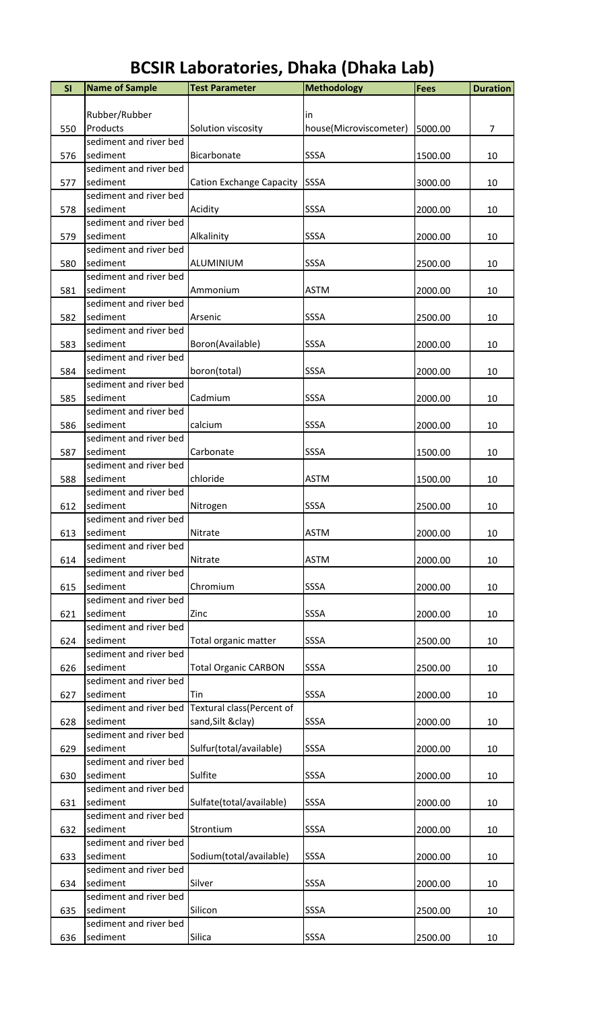| SI  | <b>Name of Sample</b>              | <b>Test Parameter</b>                            | <b>Methodology</b>     | Fees    | <b>Duration</b> |
|-----|------------------------------------|--------------------------------------------------|------------------------|---------|-----------------|
|     |                                    |                                                  |                        |         |                 |
|     | Rubber/Rubber                      |                                                  | in                     |         |                 |
| 550 | Products                           | Solution viscosity                               | house(Microviscometer) | 5000.00 | $\overline{7}$  |
|     | sediment and river bed             |                                                  |                        |         |                 |
| 576 | sediment                           | Bicarbonate                                      | SSSA                   | 1500.00 | 10              |
|     | sediment and river bed             |                                                  |                        |         |                 |
| 577 | sediment                           | <b>Cation Exchange Capacity</b>                  | SSSA                   | 3000.00 | 10              |
|     | sediment and river bed             |                                                  |                        |         |                 |
| 578 | sediment<br>sediment and river bed | Acidity                                          | SSSA                   | 2000.00 | 10              |
| 579 | sediment                           | Alkalinity                                       | SSSA                   | 2000.00 | 10              |
|     | sediment and river bed             |                                                  |                        |         |                 |
| 580 | sediment                           | ALUMINIUM                                        | SSSA                   | 2500.00 | 10              |
|     | sediment and river bed             |                                                  |                        |         |                 |
| 581 | sediment                           | Ammonium                                         | <b>ASTM</b>            | 2000.00 | 10              |
|     | sediment and river bed             |                                                  |                        |         |                 |
| 582 | sediment                           | Arsenic                                          | SSSA                   | 2500.00 | 10              |
|     | sediment and river bed             |                                                  |                        |         |                 |
| 583 | sediment                           | Boron(Available)                                 | SSSA                   | 2000.00 | 10              |
|     | sediment and river bed             |                                                  |                        |         |                 |
| 584 | sediment                           | boron(total)                                     | SSSA                   | 2000.00 | 10              |
|     | sediment and river bed             |                                                  |                        |         |                 |
| 585 | sediment<br>sediment and river bed | Cadmium                                          | SSSA                   | 2000.00 | 10              |
| 586 | sediment                           | calcium                                          | SSSA                   | 2000.00 | 10              |
|     | sediment and river bed             |                                                  |                        |         |                 |
| 587 | sediment                           | Carbonate                                        | SSSA                   | 1500.00 | 10              |
|     | sediment and river bed             |                                                  |                        |         |                 |
| 588 | sediment                           | chloride                                         | ASTM                   | 1500.00 | 10              |
|     | sediment and river bed             |                                                  |                        |         |                 |
| 612 | sediment                           | Nitrogen                                         | SSSA                   | 2500.00 | 10              |
|     | sediment and river bed             |                                                  |                        |         |                 |
| 613 | sediment                           | Nitrate                                          | <b>ASTM</b>            | 2000.00 | 10              |
|     | sediment and river bed             |                                                  |                        |         |                 |
| 614 | sediment                           | Nitrate                                          | <b>ASTM</b>            | 2000.00 | 10              |
|     | sediment and river bed<br>sediment |                                                  |                        |         |                 |
| 615 | sediment and river bed             | Chromium                                         | SSSA                   | 2000.00 | 10              |
| 621 | sediment                           | Zinc                                             | SSSA                   | 2000.00 | 10              |
|     | sediment and river bed             |                                                  |                        |         |                 |
| 624 | sediment                           | Total organic matter                             | SSSA                   | 2500.00 | 10              |
|     | sediment and river bed             |                                                  |                        |         |                 |
| 626 | sediment                           | <b>Total Organic CARBON</b>                      | SSSA                   | 2500.00 | 10              |
|     | sediment and river bed             |                                                  |                        |         |                 |
| 627 | sediment                           | Tin                                              | SSSA                   | 2000.00 | 10              |
|     |                                    | sediment and river bed Textural class(Percent of |                        |         |                 |
| 628 | sediment                           | sand, Silt & clay)                               | SSSA                   | 2000.00 | 10              |
|     | sediment and river bed             |                                                  |                        |         |                 |
| 629 | sediment<br>sediment and river bed | Sulfur(total/available)                          | SSSA                   | 2000.00 | 10              |
| 630 | sediment                           | Sulfite                                          | SSSA                   | 2000.00 | 10              |
|     | sediment and river bed             |                                                  |                        |         |                 |
| 631 | sediment                           | Sulfate(total/available)                         | <b>SSSA</b>            | 2000.00 | 10              |
|     | sediment and river bed             |                                                  |                        |         |                 |
| 632 | sediment                           | Strontium                                        | SSSA                   | 2000.00 | 10              |
|     | sediment and river bed             |                                                  |                        |         |                 |
| 633 | sediment                           | Sodium(total/available)                          | <b>SSSA</b>            | 2000.00 | 10              |
|     | sediment and river bed             |                                                  |                        |         |                 |
| 634 | sediment                           | Silver                                           | SSSA                   | 2000.00 | 10              |
|     | sediment and river bed             |                                                  |                        |         |                 |
| 635 | sediment                           | Silicon                                          | <b>SSSA</b>            | 2500.00 | 10              |
|     | sediment and river bed             |                                                  |                        |         |                 |
| 636 | sediment                           | Silica                                           | SSSA                   | 2500.00 | 10              |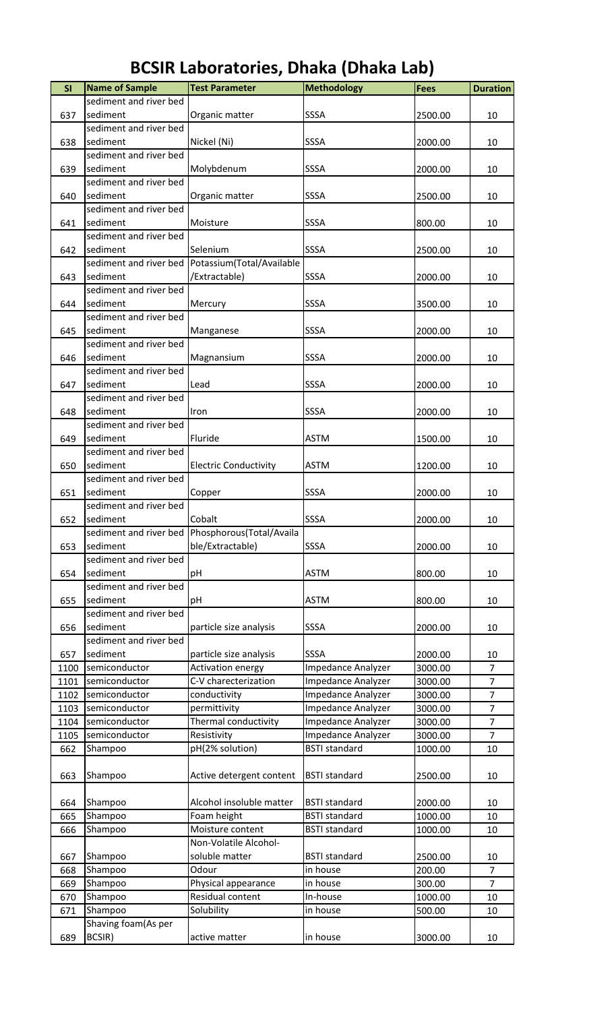| SI   | <b>Name of Sample</b>  | <b>Test Parameter</b>                            | <b>Methodology</b>   | <b>Fees</b> | <b>Duration</b> |
|------|------------------------|--------------------------------------------------|----------------------|-------------|-----------------|
|      | sediment and river bed |                                                  |                      |             |                 |
| 637  | sediment               | Organic matter                                   | SSSA                 | 2500.00     | 10              |
|      | sediment and river bed |                                                  |                      |             |                 |
| 638  | sediment               | Nickel (Ni)                                      | SSSA                 | 2000.00     | 10              |
|      | sediment and river bed |                                                  |                      |             |                 |
| 639  | sediment               | Molybdenum                                       | SSSA                 | 2000.00     | 10              |
|      | sediment and river bed |                                                  |                      |             |                 |
| 640  | sediment               | Organic matter                                   | SSSA                 | 2500.00     | 10              |
|      | sediment and river bed |                                                  |                      |             |                 |
| 641  | sediment               | Moisture                                         | SSSA                 | 800.00      | 10              |
|      | sediment and river bed |                                                  |                      |             |                 |
| 642  | sediment               | Selenium                                         | SSSA                 | 2500.00     | 10              |
|      |                        | sediment and river bed Potassium(Total/Available |                      |             |                 |
| 643  | sediment               | /Extractable)                                    | SSSA                 | 2000.00     | 10              |
|      | sediment and river bed |                                                  |                      |             |                 |
| 644  | sediment               | Mercury                                          | SSSA                 | 3500.00     | 10              |
|      | sediment and river bed |                                                  |                      |             |                 |
| 645  | sediment               | Manganese                                        | SSSA                 | 2000.00     | 10              |
|      | sediment and river bed |                                                  |                      |             |                 |
| 646  | sediment               | Magnansium                                       | SSSA                 | 2000.00     | 10              |
|      | sediment and river bed |                                                  |                      |             |                 |
| 647  | sediment               | Lead                                             | SSSA                 | 2000.00     | 10              |
|      | sediment and river bed |                                                  |                      |             |                 |
| 648  | sediment               | Iron                                             | SSSA                 | 2000.00     | 10              |
|      | sediment and river bed |                                                  |                      |             |                 |
| 649  | sediment               | Fluride                                          | <b>ASTM</b>          | 1500.00     | 10              |
|      | sediment and river bed |                                                  |                      |             |                 |
| 650  | sediment               | <b>Electric Conductivity</b>                     | <b>ASTM</b>          | 1200.00     | 10              |
|      | sediment and river bed |                                                  |                      |             |                 |
| 651  | sediment               | Copper                                           | SSSA                 | 2000.00     | 10              |
|      | sediment and river bed |                                                  |                      |             |                 |
| 652  | sediment               | Cobalt                                           | SSSA                 | 2000.00     | 10              |
|      |                        | sediment and river bed Phosphorous(Total/Availa  |                      |             |                 |
| 653  | sediment               | ble/Extractable)                                 | SSSA                 | 2000.00     | 10              |
|      | sediment and river bed |                                                  |                      |             |                 |
| 654  | sediment               | рH                                               | <b>ASTM</b>          | 800.00      | 10              |
|      | sediment and river bed |                                                  |                      |             |                 |
| 655  | sediment               | pH                                               | <b>ASTM</b>          | 800.00      | 10              |
|      | sediment and river bed |                                                  |                      |             |                 |
| 656  | sediment               | particle size analysis                           | SSSA                 | 2000.00     | 10              |
|      | sediment and river bed |                                                  |                      |             |                 |
| 657  | sediment               | particle size analysis                           | SSSA                 | 2000.00     | 10              |
| 1100 | semiconductor          | <b>Activation energy</b>                         | Impedance Analyzer   | 3000.00     | $\overline{7}$  |
| 1101 | semiconductor          | C-V charecterization                             | Impedance Analyzer   | 3000.00     | $\overline{7}$  |
| 1102 | semiconductor          | conductivity                                     | Impedance Analyzer   | 3000.00     | $\overline{7}$  |
| 1103 | semiconductor          | permittivity                                     | Impedance Analyzer   | 3000.00     | $\overline{7}$  |
| 1104 | semiconductor          | Thermal conductivity                             | Impedance Analyzer   | 3000.00     | $\overline{7}$  |
| 1105 | semiconductor          | Resistivity                                      | Impedance Analyzer   | 3000.00     | $\overline{7}$  |
| 662  | Shampoo                | pH(2% solution)                                  | <b>BSTI</b> standard | 1000.00     | 10              |
|      |                        |                                                  |                      |             |                 |
| 663  | Shampoo                | Active detergent content                         | <b>BSTI</b> standard | 2500.00     | 10              |
|      |                        |                                                  |                      |             |                 |
| 664  | Shampoo                | Alcohol insoluble matter                         | <b>BSTI</b> standard | 2000.00     | 10              |
| 665  | Shampoo                | Foam height                                      | <b>BSTI</b> standard | 1000.00     | 10              |
| 666  | Shampoo                | Moisture content                                 | <b>BSTI</b> standard | 1000.00     | 10              |
|      |                        | Non-Volatile Alcohol-                            |                      |             |                 |
| 667  | Shampoo                | soluble matter                                   | <b>BSTI</b> standard | 2500.00     | 10              |
| 668  | Shampoo                | Odour                                            | in house             | 200.00      | $\overline{7}$  |
| 669  | Shampoo                | Physical appearance                              | in house             | 300.00      | $\overline{7}$  |
| 670  | Shampoo                | Residual content                                 | In-house             | 1000.00     | 10              |
| 671  | Shampoo                | Solubility                                       | in house             | 500.00      | 10              |
|      | Shaving foam(As per    |                                                  |                      |             |                 |
| 689  | BCSIR)                 | active matter                                    | in house             | 3000.00     | 10              |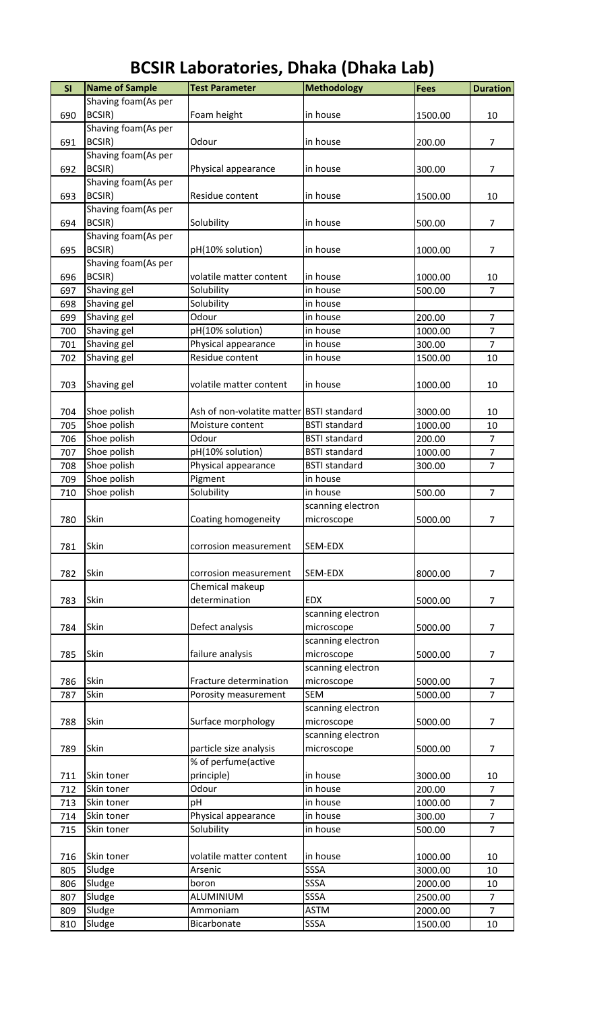| SI  | <b>Name of Sample</b> | <b>Test Parameter</b>                    | <b>Methodology</b>   | <b>Fees</b> | <b>Duration</b> |
|-----|-----------------------|------------------------------------------|----------------------|-------------|-----------------|
|     | Shaving foam(As per   |                                          |                      |             |                 |
| 690 | <b>BCSIR)</b>         |                                          | in house             |             |                 |
|     | Shaving foam(As per   | Foam height                              |                      | 1500.00     | 10              |
|     |                       |                                          |                      |             |                 |
| 691 | BCSIR)                | Odour                                    | in house             | 200.00      | 7               |
|     | Shaving foam(As per   |                                          |                      |             |                 |
| 692 | BCSIR)                | Physical appearance                      | in house             | 300.00      | $\overline{7}$  |
|     | Shaving foam(As per   |                                          |                      |             |                 |
| 693 | BCSIR)                | Residue content                          | in house             | 1500.00     | 10              |
|     | Shaving foam(As per   |                                          |                      |             |                 |
| 694 | BCSIR)                | Solubility                               | in house             | 500.00      | 7               |
|     | Shaving foam(As per   |                                          |                      |             |                 |
| 695 | BCSIR)                | pH(10% solution)                         | in house             | 1000.00     | 7               |
|     | Shaving foam(As per   |                                          |                      |             |                 |
| 696 | BCSIR)                | volatile matter content                  | in house             | 1000.00     | 10              |
| 697 | Shaving gel           | Solubility                               | in house             | 500.00      | $\overline{7}$  |
| 698 | Shaving gel           | Solubility                               | in house             |             |                 |
| 699 | Shaving gel           | Odour                                    | in house             | 200.00      | 7               |
| 700 | Shaving gel           | pH(10% solution)                         | in house             | 1000.00     | $\overline{7}$  |
| 701 | Shaving gel           | Physical appearance                      | in house             | 300.00      | $\overline{7}$  |
| 702 | Shaving gel           | Residue content                          | in house             | 1500.00     | 10              |
|     |                       |                                          |                      |             |                 |
| 703 | Shaving gel           | volatile matter content                  | in house             | 1000.00     | 10              |
|     |                       |                                          |                      |             |                 |
| 704 | Shoe polish           | Ash of non-volatite matter BSTI standard |                      | 3000.00     | 10              |
| 705 | Shoe polish           | Moisture content                         | <b>BSTI</b> standard | 1000.00     | 10              |
| 706 | Shoe polish           | Odour                                    | <b>BSTI</b> standard | 200.00      | $\overline{7}$  |
| 707 | Shoe polish           | pH(10% solution)                         | <b>BSTI</b> standard | 1000.00     | $\overline{7}$  |
| 708 | Shoe polish           | Physical appearance                      | <b>BSTI</b> standard | 300.00      | $\overline{7}$  |
| 709 | Shoe polish           |                                          | in house             |             |                 |
|     |                       | Pigment<br>Solubility                    |                      |             |                 |
| 710 | Shoe polish           |                                          | in house             | 500.00      | $\overline{7}$  |
|     |                       |                                          | scanning electron    |             |                 |
| 780 | Skin                  | Coating homogeneity                      | microscope           | 5000.00     | $\overline{7}$  |
|     |                       |                                          |                      |             |                 |
| 781 | Skin                  | corrosion measurement                    | SEM-EDX              |             |                 |
|     |                       |                                          |                      |             |                 |
| 782 | Skin                  | corrosion measurement                    | SEM-EDX              | 8000.00     | 7               |
|     |                       | Chemical makeup                          |                      |             |                 |
| 783 | Skin                  | determination                            | EDX                  | 5000.00     | $\overline{7}$  |
|     |                       |                                          | scanning electron    |             |                 |
| 784 | Skin                  | Defect analysis                          | microscope           | 5000.00     | 7               |
|     |                       |                                          | scanning electron    |             |                 |
| 785 | Skin                  | failure analysis                         | microscope           | 5000.00     | $\overline{7}$  |
|     |                       |                                          | scanning electron    |             |                 |
| 786 | Skin                  | Fracture determination                   | microscope           | 5000.00     | 7               |
| 787 | Skin                  | Porosity measurement                     | <b>SEM</b>           | 5000.00     | $\overline{7}$  |
|     |                       |                                          | scanning electron    |             |                 |
| 788 | Skin                  | Surface morphology                       | microscope           | 5000.00     | $\overline{7}$  |
|     |                       |                                          | scanning electron    |             |                 |
| 789 | Skin                  | particle size analysis                   | microscope           | 5000.00     | $\overline{7}$  |
|     |                       | % of perfume(active                      |                      |             |                 |
| 711 | Skin toner            | principle)                               | in house             | 3000.00     | 10              |
| 712 | Skin toner            | Odour                                    | in house             | 200.00      | $\overline{7}$  |
| 713 | Skin toner            | pH                                       | in house             | 1000.00     | $\overline{7}$  |
| 714 | Skin toner            | Physical appearance                      | in house             | 300.00      | $\overline{7}$  |
| 715 | Skin toner            | Solubility                               | in house             | 500.00      | $\overline{7}$  |
|     |                       |                                          |                      |             |                 |
| 716 | Skin toner            | volatile matter content                  | in house             | 1000.00     | 10              |
| 805 | Sludge                | Arsenic                                  | SSSA                 | 3000.00     | 10              |
| 806 |                       |                                          | <b>SSSA</b>          | 2000.00     |                 |
|     | Sludge                | boron                                    |                      |             | 10              |
| 807 | Sludge                | ALUMINIUM                                | SSSA                 | 2500.00     | $\overline{7}$  |
| 809 | Sludge                | Ammoniam                                 | <b>ASTM</b>          | 2000.00     | $\overline{7}$  |
| 810 | Sludge                | Bicarbonate                              | SSSA                 | 1500.00     | 10              |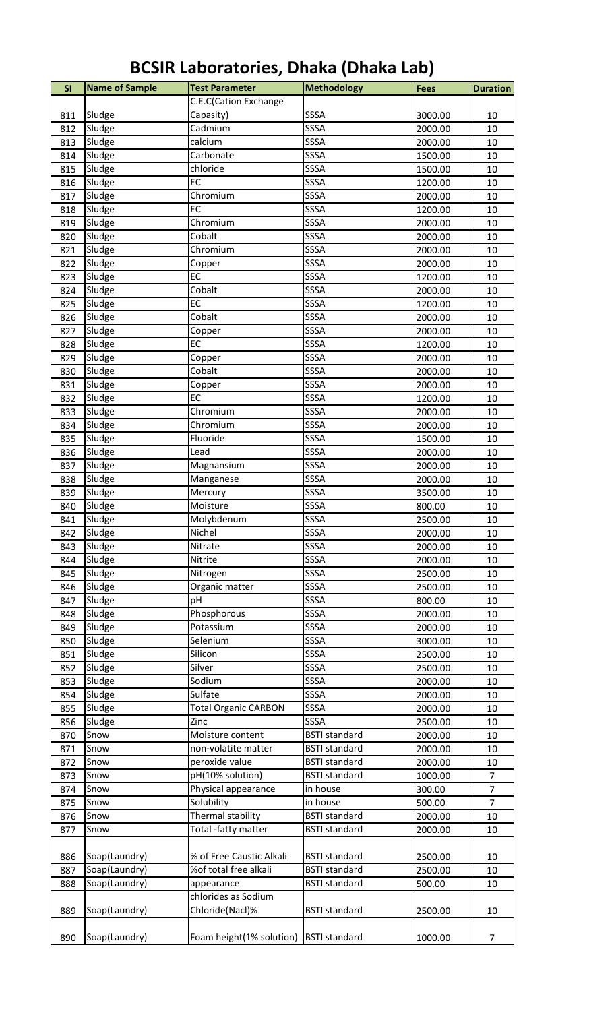| SI  | <b>Name of Sample</b> | <b>Test Parameter</b>       | <b>Methodology</b>   | <b>Fees</b> | <b>Duration</b> |
|-----|-----------------------|-----------------------------|----------------------|-------------|-----------------|
|     |                       | C.E.C(Cation Exchange       |                      |             |                 |
| 811 | Sludge                | Capasity)                   | SSSA                 | 3000.00     | 10              |
| 812 | Sludge                | Cadmium                     | SSSA                 | 2000.00     | 10              |
| 813 | Sludge                | calcium                     | SSSA                 | 2000.00     | 10              |
| 814 | Sludge                | Carbonate                   | SSSA                 | 1500.00     | 10              |
| 815 | Sludge                | chloride                    | SSSA                 | 1500.00     | 10              |
| 816 | Sludge                | <b>EC</b>                   | SSSA                 | 1200.00     | 10              |
| 817 | Sludge                | Chromium                    | SSSA                 | 2000.00     | 10              |
| 818 | Sludge                | EC                          | SSSA                 | 1200.00     | 10              |
| 819 | Sludge                | Chromium                    | SSSA                 | 2000.00     | 10              |
| 820 | Sludge                | Cobalt                      | SSSA                 | 2000.00     | 10              |
| 821 | Sludge                | Chromium                    | SSSA                 | 2000.00     | 10              |
| 822 | Sludge                | Copper                      | SSSA                 | 2000.00     | 10              |
| 823 | Sludge                | EC                          | SSSA                 | 1200.00     | 10              |
| 824 | Sludge                | Cobalt                      | SSSA                 | 2000.00     | 10              |
| 825 | Sludge                | EC                          | SSSA                 | 1200.00     | 10              |
| 826 | Sludge                | Cobalt                      | SSSA                 | 2000.00     | 10              |
| 827 | Sludge                | Copper                      | SSSA                 | 2000.00     | 10              |
| 828 | Sludge                | EC                          | SSSA                 | 1200.00     | 10              |
| 829 | Sludge                | Copper                      | SSSA                 | 2000.00     | 10              |
| 830 | Sludge                | Cobalt                      | SSSA                 | 2000.00     | 10              |
| 831 | Sludge                | Copper                      | SSSA                 | 2000.00     | 10              |
| 832 | Sludge                | EC                          | SSSA                 | 1200.00     | 10              |
| 833 | Sludge                | Chromium                    | SSSA                 | 2000.00     | 10              |
| 834 | Sludge                | Chromium                    | SSSA                 | 2000.00     | 10              |
| 835 | Sludge                | Fluoride                    | SSSA                 | 1500.00     | 10              |
| 836 | Sludge                | Lead                        | SSSA                 | 2000.00     | 10              |
| 837 | Sludge                | Magnansium                  | SSSA                 | 2000.00     | 10              |
| 838 | Sludge                | Manganese                   | SSSA                 | 2000.00     | 10              |
| 839 | Sludge                | Mercury                     | SSSA                 | 3500.00     | 10              |
| 840 | Sludge                | Moisture                    | SSSA                 | 800.00      | 10              |
| 841 | Sludge                | Molybdenum                  | SSSA                 | 2500.00     | 10              |
| 842 | Sludge                | Nichel                      | SSSA                 | 2000.00     | 10              |
| 843 | Sludge                | Nitrate                     | SSSA                 | 2000.00     | 10              |
| 844 | Sludge                | Nitrite                     | SSSA                 | 2000.00     | 10              |
| 845 | Sludge                | Nitrogen                    | SSSA                 | 2500.00     | 10              |
| 846 | Sludge                | Organic matter              | SSSA                 | 2500.00     | 10              |
| 847 | Sludge                | pH                          | SSSA                 | 800.00      | 10              |
| 848 | Sludge                | Phosphorous                 | SSSA                 | 2000.00     | 10              |
| 849 | Sludge                | Potassium                   | SSSA                 | 2000.00     | 10              |
| 850 | Sludge                | Selenium                    | SSSA                 | 3000.00     | 10              |
| 851 | Sludge                | Silicon                     | SSSA                 | 2500.00     | 10              |
| 852 | Sludge                | Silver                      | SSSA                 | 2500.00     | 10              |
| 853 | Sludge                | Sodium                      | SSSA                 | 2000.00     | 10              |
| 854 | Sludge                | Sulfate                     | SSSA                 | 2000.00     | 10              |
| 855 | Sludge                | <b>Total Organic CARBON</b> | SSSA                 | 2000.00     | 10              |
| 856 | Sludge                | Zinc                        | SSSA                 | 2500.00     | 10              |
| 870 | Snow                  | Moisture content            | <b>BSTI</b> standard | 2000.00     | 10              |
| 871 | Snow                  | non-volatite matter         | <b>BSTI</b> standard | 2000.00     | 10              |
| 872 | Snow                  | peroxide value              | <b>BSTI</b> standard | 2000.00     | 10              |
| 873 | Snow                  | pH(10% solution)            | <b>BSTI</b> standard | 1000.00     | $\overline{7}$  |
| 874 | Snow                  | Physical appearance         | in house             | 300.00      | $\overline{7}$  |
| 875 | Snow                  | Solubility                  | in house             | 500.00      | $\overline{7}$  |
| 876 | Snow                  | Thermal stability           | <b>BSTI</b> standard | 2000.00     | 10              |
| 877 | Snow                  | Total -fatty matter         | <b>BSTI</b> standard | 2000.00     | 10              |
|     |                       |                             |                      |             |                 |
| 886 | Soap(Laundry)         | % of Free Caustic Alkali    | <b>BSTI</b> standard | 2500.00     | 10              |
| 887 | Soap(Laundry)         | %of total free alkali       | <b>BSTI</b> standard | 2500.00     | 10              |
| 888 | Soap(Laundry)         | appearance                  | <b>BSTI</b> standard | 500.00      | 10              |
|     |                       | chlorides as Sodium         |                      |             |                 |
| 889 | Soap(Laundry)         | Chloride(Nacl)%             | <b>BSTI</b> standard | 2500.00     | 10              |
|     |                       |                             |                      |             |                 |
| 890 | Soap(Laundry)         | Foam height(1% solution)    | <b>BSTI</b> standard | 1000.00     | $\overline{7}$  |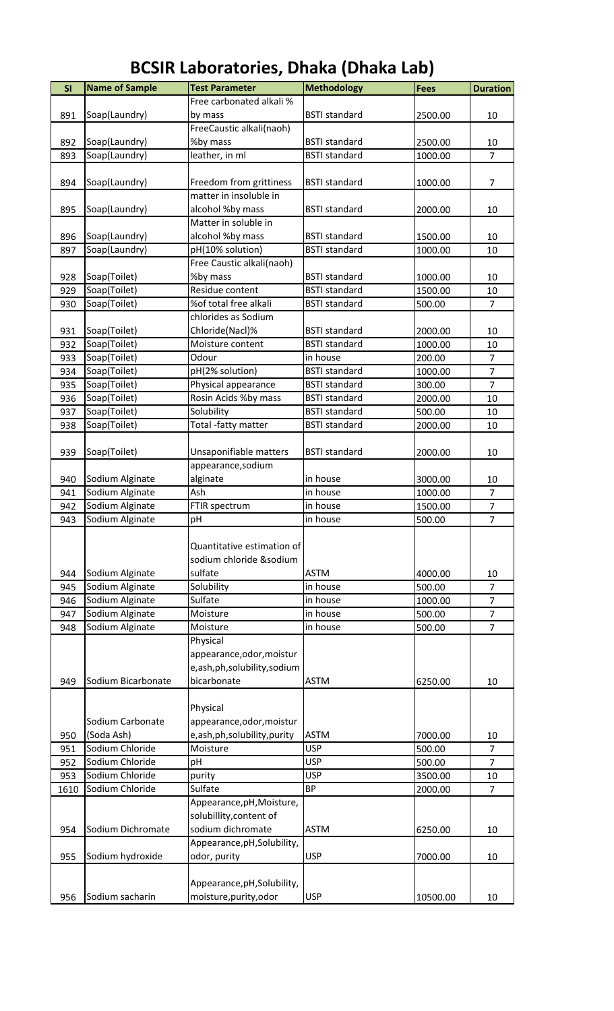| SI   | <b>Name of Sample</b> | <b>Test Parameter</b>       | <b>Methodology</b>   | <b>Fees</b> | <b>Duration</b> |
|------|-----------------------|-----------------------------|----------------------|-------------|-----------------|
|      |                       | Free carbonated alkali %    |                      |             |                 |
| 891  | Soap(Laundry)         | by mass                     | <b>BSTI</b> standard | 2500.00     | 10              |
|      |                       | FreeCaustic alkali(naoh)    |                      |             |                 |
| 892  | Soap(Laundry)         | %by mass                    | <b>BSTI</b> standard | 2500.00     | 10              |
| 893  | Soap(Laundry)         | leather, in ml              | <b>BSTI</b> standard | 1000.00     | $\overline{7}$  |
|      |                       |                             |                      |             |                 |
| 894  | Soap(Laundry)         | Freedom from grittiness     | <b>BSTI</b> standard | 1000.00     | $\overline{7}$  |
|      |                       | matter in insoluble in      |                      |             |                 |
| 895  | Soap(Laundry)         | alcohol %by mass            | <b>BSTI</b> standard | 2000.00     | 10              |
|      |                       | Matter in soluble in        |                      |             |                 |
|      |                       |                             |                      |             |                 |
| 896  | Soap(Laundry)         | alcohol %by mass            | <b>BSTI</b> standard | 1500.00     | 10              |
| 897  | Soap(Laundry)         | pH(10% solution)            | <b>BSTI</b> standard | 1000.00     | 10              |
|      |                       | Free Caustic alkali(naoh)   |                      |             |                 |
| 928  | Soap(Toilet)          | %by mass                    | <b>BSTI</b> standard | 1000.00     | 10              |
| 929  | Soap(Toilet)          | Residue content             | <b>BSTI</b> standard | 1500.00     | 10              |
| 930  | Soap(Toilet)          | %of total free alkali       | <b>BSTI</b> standard | 500.00      | 7               |
|      |                       | chlorides as Sodium         |                      |             |                 |
| 931  | Soap(Toilet)          | Chloride(Nacl)%             | <b>BSTI</b> standard | 2000.00     | 10              |
| 932  | Soap(Toilet)          | Moisture content            | <b>BSTI</b> standard | 1000.00     | 10              |
| 933  | Soap(Toilet)          | Odour                       | in house             | 200.00      | $\overline{7}$  |
| 934  | Soap(Toilet)          | pH(2% solution)             | <b>BSTI</b> standard | 1000.00     | $\overline{7}$  |
|      |                       |                             |                      |             | $\overline{7}$  |
| 935  | Soap(Toilet)          | Physical appearance         | <b>BSTI</b> standard | 300.00      |                 |
| 936  | Soap(Toilet)          | Rosin Acids %by mass        | <b>BSTI</b> standard | 2000.00     | 10              |
| 937  | Soap(Toilet)          | Solubility                  | <b>BSTI</b> standard | 500.00      | 10              |
| 938  | Soap(Toilet)          | Total -fatty matter         | <b>BSTI</b> standard | 2000.00     | 10              |
|      |                       |                             |                      |             |                 |
| 939  | Soap(Toilet)          | Unsaponifiable matters      | <b>BSTI</b> standard | 2000.00     | 10              |
|      |                       | appearance, sodium          |                      |             |                 |
| 940  | Sodium Alginate       | alginate                    | in house             | 3000.00     | 10              |
| 941  | Sodium Alginate       | Ash                         | in house             | 1000.00     | $\overline{7}$  |
| 942  | Sodium Alginate       | FTIR spectrum               | in house             | 1500.00     | $\overline{7}$  |
| 943  | Sodium Alginate       | pH                          | in house             | 500.00      | $\overline{7}$  |
|      |                       |                             |                      |             |                 |
|      |                       | Quantitative estimation of  |                      |             |                 |
|      |                       |                             |                      |             |                 |
|      |                       | sodium chloride &sodium     |                      |             |                 |
| 944  | Sodium Alginate       | sulfate                     | <b>ASTM</b>          | 4000.00     | 10              |
| 945  | Sodium Alginate       | Solubility                  | in house             | 500.00      | 7               |
| 946  | Sodium Alginate       | Sulfate                     | in house             | 1000.00     | $\overline{7}$  |
| 947  | Sodium Alginate       | Moisture                    | in house             | 500.00      | $\overline{7}$  |
| 948  | Sodium Alginate       | Moisture                    | in house             | 500.00      | $\overline{7}$  |
|      |                       | Physical                    |                      |             |                 |
|      |                       | appearance, odor, moistur   |                      |             |                 |
|      |                       | e,ash,ph,solubility,sodium  |                      |             |                 |
| 949  | Sodium Bicarbonate    | bicarbonate                 | <b>ASTM</b>          | 6250.00     | 10              |
|      |                       |                             |                      |             |                 |
|      |                       |                             |                      |             |                 |
|      |                       | Physical                    |                      |             |                 |
|      | Sodium Carbonate      | appearance, odor, moistur   |                      |             |                 |
| 950  | (Soda Ash)            | e,ash,ph,solubility,purity  | <b>ASTM</b>          | 7000.00     | 10              |
| 951  | Sodium Chloride       | Moisture                    | <b>USP</b>           | 500.00      | $\overline{7}$  |
| 952  | Sodium Chloride       | pH                          | <b>USP</b>           | 500.00      | 7               |
| 953  | Sodium Chloride       | purity                      | <b>USP</b>           | 3500.00     | 10              |
| 1610 | Sodium Chloride       | Sulfate                     | <b>BP</b>            | 2000.00     | $\overline{7}$  |
|      |                       | Appearance, pH, Moisture,   |                      |             |                 |
|      |                       | solubillity, content of     |                      |             |                 |
| 954  | Sodium Dichromate     | sodium dichromate           | <b>ASTM</b>          | 6250.00     | 10              |
|      |                       | Appearance, pH, Solubility, |                      |             |                 |
|      | Sodium hydroxide      | odor, purity                | <b>USP</b>           | 7000.00     | 10              |
| 955  |                       |                             |                      |             |                 |
|      |                       |                             |                      |             |                 |
|      |                       | Appearance, pH, Solubility, |                      |             |                 |
| 956  | Sodium sacharin       | moisture, purity, odor      | <b>USP</b>           | 10500.00    | 10              |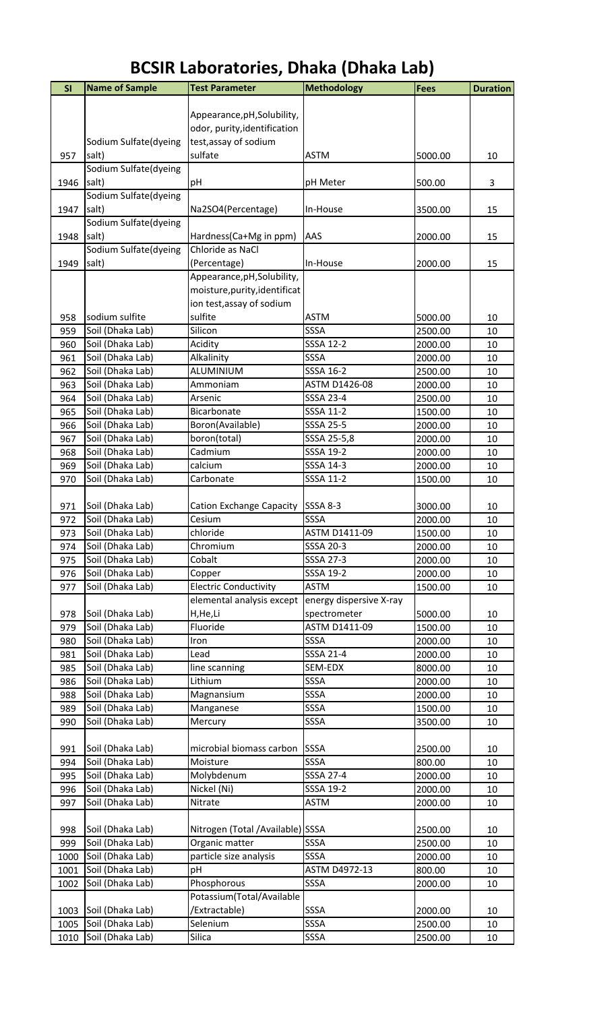| SI   | <b>Name of Sample</b>                | <b>Test Parameter</b>           | <b>Methodology</b>      | <b>Fees</b> | <b>Duration</b> |
|------|--------------------------------------|---------------------------------|-------------------------|-------------|-----------------|
|      |                                      |                                 |                         |             |                 |
|      |                                      | Appearance, pH, Solubility,     |                         |             |                 |
|      |                                      | odor, purity, identification    |                         |             |                 |
|      | Sodium Sulfate(dyeing                | test, assay of sodium           |                         |             |                 |
| 957  | salt)                                | sulfate                         | <b>ASTM</b>             | 5000.00     | 10              |
|      | Sodium Sulfate(dyeing                |                                 |                         |             |                 |
| 1946 | salt)                                | рH                              | pH Meter                | 500.00      | 3               |
|      | Sodium Sulfate(dyeing                |                                 |                         |             |                 |
| 1947 | salt)                                | Na2SO4(Percentage)              | In-House                | 3500.00     | 15              |
|      | Sodium Sulfate(dyeing                |                                 |                         |             |                 |
| 1948 | salt)                                | Hardness(Ca+Mg in ppm)          | AAS                     | 2000.00     | 15              |
|      | Sodium Sulfate(dyeing                | Chloride as NaCl                |                         |             |                 |
| 1949 | salt)                                | (Percentage)                    | In-House                | 2000.00     | 15              |
|      |                                      | Appearance, pH, Solubility,     |                         |             |                 |
|      |                                      | moisture, purity, identificat   |                         |             |                 |
|      |                                      | ion test, assay of sodium       |                         |             |                 |
| 958  | sodium sulfite                       | sulfite                         | <b>ASTM</b>             | 5000.00     | 10              |
| 959  | Soil (Dhaka Lab)                     | Silicon                         | SSSA                    | 2500.00     | 10              |
| 960  | Soil (Dhaka Lab)                     | Acidity                         | <b>SSSA 12-2</b>        | 2000.00     | 10              |
|      |                                      |                                 | SSSA                    |             |                 |
| 961  | Soil (Dhaka Lab)                     | Alkalinity                      |                         | 2000.00     | 10              |
| 962  | Soil (Dhaka Lab)                     | ALUMINIUM                       | <b>SSSA 16-2</b>        | 2500.00     | 10              |
| 963  | Soil (Dhaka Lab)                     | Ammoniam                        | ASTM D1426-08           | 2000.00     | 10              |
| 964  | Soil (Dhaka Lab)                     | Arsenic                         | SSSA 23-4               | 2500.00     | 10              |
| 965  | Soil (Dhaka Lab)                     | Bicarbonate                     | SSSA 11-2               | 1500.00     | 10              |
| 966  | Soil (Dhaka Lab)                     | Boron(Available)                | SSSA 25-5               | 2000.00     | 10              |
| 967  | Soil (Dhaka Lab)                     | boron(total)                    | SSSA 25-5,8             | 2000.00     | 10              |
| 968  | Soil (Dhaka Lab)                     | Cadmium                         | SSSA 19-2               | 2000.00     | 10              |
| 969  | Soil (Dhaka Lab)                     | calcium                         | SSSA 14-3               | 2000.00     | 10              |
| 970  | Soil (Dhaka Lab)                     | Carbonate                       | SSSA 11-2               | 1500.00     | 10              |
|      |                                      |                                 |                         |             |                 |
| 971  | Soil (Dhaka Lab)                     | <b>Cation Exchange Capacity</b> | <b>SSSA 8-3</b>         | 3000.00     | 10              |
| 972  | Soil (Dhaka Lab)                     | Cesium                          | SSSA                    | 2000.00     | 10              |
| 973  | Soil (Dhaka Lab)                     | chloride                        | ASTM D1411-09           | 1500.00     | 10              |
| 974  | Soil (Dhaka Lab)                     | Chromium                        | SSSA 20-3               | 2000.00     | 10              |
| 975  | Soil (Dhaka Lab)                     | Cobalt                          | SSSA 27-3               | 2000.00     | 10              |
| 976  | Soil (Dhaka Lab)                     | Copper                          | <b>SSSA 19-2</b>        | 2000.00     | 10              |
| 977  | Soil (Dhaka Lab)                     | <b>Electric Conductivity</b>    | <b>ASTM</b>             | 1500.00     | 10              |
|      |                                      | elemental analysis except       | energy dispersive X-ray |             |                 |
| 978  | Soil (Dhaka Lab)                     | H,He,Li                         | spectrometer            | 5000.00     | 10              |
| 979  | Soil (Dhaka Lab)                     | Fluoride                        | ASTM D1411-09           | 1500.00     | 10              |
| 980  | Soil (Dhaka Lab)                     | Iron                            | SSSA                    | 2000.00     | 10              |
| 981  | Soil (Dhaka Lab)                     | Lead                            | SSSA 21-4               | 2000.00     | 10              |
| 985  | Soil (Dhaka Lab)                     | line scanning                   | SEM-EDX                 | 8000.00     | 10              |
| 986  | Soil (Dhaka Lab)                     | Lithium                         | SSSA                    | 2000.00     | 10              |
| 988  | Soil (Dhaka Lab)                     | Magnansium                      | SSSA                    | 2000.00     | 10              |
| 989  | Soil (Dhaka Lab)                     | Manganese                       | SSSA                    | 1500.00     | 10              |
| 990  | Soil (Dhaka Lab)                     | Mercury                         | SSSA                    | 3500.00     | 10              |
|      |                                      |                                 |                         |             |                 |
| 991  | Soil (Dhaka Lab)                     | microbial biomass carbon        | <b>SSSA</b>             | 2500.00     | 10              |
| 994  | Soil (Dhaka Lab)                     | Moisture                        | SSSA                    | 800.00      | 10              |
|      |                                      |                                 |                         |             |                 |
| 995  | Soil (Dhaka Lab)<br>Soil (Dhaka Lab) | Molybdenum                      | SSSA 27-4               | 2000.00     | 10              |
| 996  |                                      | Nickel (Ni)                     | SSSA 19-2               | 2000.00     | 10              |
| 997  | Soil (Dhaka Lab)                     | Nitrate                         | <b>ASTM</b>             | 2000.00     | 10              |
|      |                                      |                                 |                         |             |                 |
| 998  | Soil (Dhaka Lab)                     | Nitrogen (Total /Available)     | <b>SSSA</b>             | 2500.00     | 10              |
| 999  | Soil (Dhaka Lab)                     | Organic matter                  | SSSA                    | 2500.00     | 10              |
| 1000 | Soil (Dhaka Lab)                     | particle size analysis          | SSSA                    | 2000.00     | 10              |
| 1001 | Soil (Dhaka Lab)                     | рH                              | ASTM D4972-13           | 800.00      | 10              |
| 1002 | Soil (Dhaka Lab)                     | Phosphorous                     | SSSA                    | 2000.00     | 10              |
|      |                                      | Potassium(Total/Available       |                         |             |                 |
| 1003 | Soil (Dhaka Lab)                     | /Extractable)                   | SSSA                    | 2000.00     | 10              |
| 1005 | Soil (Dhaka Lab)                     | Selenium                        | SSSA                    | 2500.00     | 10              |
| 1010 | Soil (Dhaka Lab)                     | Silica                          | SSSA                    | 2500.00     | $10\,$          |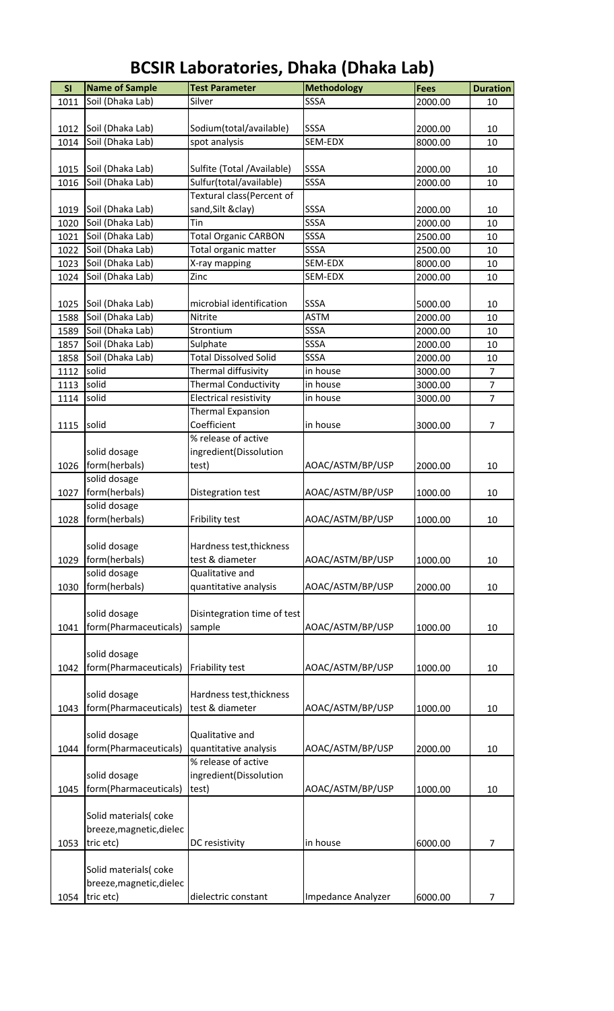| SI   | <b>Name of Sample</b>    | <b>Test Parameter</b>        | <b>Methodology</b> | <b>Fees</b> | <b>Duration</b> |
|------|--------------------------|------------------------------|--------------------|-------------|-----------------|
| 1011 | Soil (Dhaka Lab)         | Silver                       | SSSA               | 2000.00     | 10              |
|      |                          |                              |                    |             |                 |
| 1012 | Soil (Dhaka Lab)         | Sodium(total/available)      | <b>SSSA</b>        | 2000.00     | 10              |
| 1014 | Soil (Dhaka Lab)         | spot analysis                | SEM-EDX            | 8000.00     | 10              |
|      |                          |                              |                    |             |                 |
| 1015 | Soil (Dhaka Lab)         | Sulfite (Total / Available)  | <b>SSSA</b>        | 2000.00     | 10              |
| 1016 | Soil (Dhaka Lab)         | Sulfur(total/available)      | SSSA               | 2000.00     | 10              |
|      |                          | Textural class(Percent of    |                    |             |                 |
| 1019 | Soil (Dhaka Lab)         | sand, Silt & clay)           | SSSA               | 2000.00     | 10              |
| 1020 | Soil (Dhaka Lab)         | Tin                          | <b>SSSA</b>        | 2000.00     | 10              |
| 1021 | Soil (Dhaka Lab)         | <b>Total Organic CARBON</b>  | SSSA               | 2500.00     | 10              |
| 1022 | Soil (Dhaka Lab)         | Total organic matter         | SSSA               | 2500.00     | 10              |
| 1023 | Soil (Dhaka Lab)         | X-ray mapping                | SEM-EDX            | 8000.00     | 10              |
| 1024 | Soil (Dhaka Lab)         | Zinc                         | SEM-EDX            | 2000.00     | 10              |
|      |                          |                              |                    |             |                 |
| 1025 | Soil (Dhaka Lab)         | microbial identification     | <b>SSSA</b>        | 5000.00     | 10              |
|      |                          | Nitrite                      | <b>ASTM</b>        |             |                 |
| 1588 | Soil (Dhaka Lab)         |                              |                    | 2000.00     | 10              |
| 1589 | Soil (Dhaka Lab)         | Strontium                    | SSSA               | 2000.00     | 10              |
| 1857 | Soil (Dhaka Lab)         | Sulphate                     | <b>SSSA</b>        | 2000.00     | 10              |
| 1858 | Soil (Dhaka Lab)         | <b>Total Dissolved Solid</b> | SSSA               | 2000.00     | 10              |
| 1112 | solid                    | Thermal diffusivity          | in house           | 3000.00     | $\overline{7}$  |
| 1113 | solid                    | <b>Thermal Conductivity</b>  | in house           | 3000.00     | $\overline{7}$  |
| 1114 | solid                    | Electrical resistivity       | in house           | 3000.00     | $\overline{7}$  |
|      |                          | <b>Thermal Expansion</b>     |                    |             |                 |
| 1115 | solid                    | Coefficient                  | in house           | 3000.00     | $\overline{7}$  |
|      |                          | % release of active          |                    |             |                 |
|      | solid dosage             | ingredient(Dissolution       |                    |             |                 |
| 1026 | form(herbals)            | test)                        | AOAC/ASTM/BP/USP   | 2000.00     | 10              |
|      | solid dosage             |                              |                    |             |                 |
| 1027 | form(herbals)            | Distegration test            | AOAC/ASTM/BP/USP   | 1000.00     | 10              |
|      | solid dosage             |                              |                    |             |                 |
| 1028 | form(herbals)            | Fribility test               | AOAC/ASTM/BP/USP   | 1000.00     | 10              |
|      |                          |                              |                    |             |                 |
|      | solid dosage             | Hardness test, thickness     |                    |             |                 |
| 1029 | form(herbals)            | test & diameter              | AOAC/ASTM/BP/USP   | 1000.00     | 10              |
|      | solid dosage             | Qualitative and              |                    |             |                 |
| 1030 | form(herbals)            |                              |                    | 2000.00     | 10              |
|      |                          | quantitative analysis        | AOAC/ASTM/BP/USP   |             |                 |
|      |                          |                              |                    |             |                 |
|      | solid dosage             | Disintegration time of test  |                    |             |                 |
| 1041 | form(Pharmaceuticals)    | sample                       | AOAC/ASTM/BP/USP   | 1000.00     | 10              |
|      |                          |                              |                    |             |                 |
|      | solid dosage             |                              |                    |             |                 |
| 1042 | form(Pharmaceuticals)    | Friability test              | AOAC/ASTM/BP/USP   | 1000.00     | 10              |
|      |                          |                              |                    |             |                 |
|      | solid dosage             | Hardness test, thickness     |                    |             |                 |
| 1043 | form(Pharmaceuticals)    | test & diameter              | AOAC/ASTM/BP/USP   | 1000.00     | 10              |
|      |                          |                              |                    |             |                 |
|      | solid dosage             | Qualitative and              |                    |             |                 |
| 1044 | form(Pharmaceuticals)    | quantitative analysis        | AOAC/ASTM/BP/USP   | 2000.00     | 10              |
|      |                          | % release of active          |                    |             |                 |
|      | solid dosage             | ingredient(Dissolution       |                    |             |                 |
| 1045 | form(Pharmaceuticals)    | test)                        | AOAC/ASTM/BP/USP   | 1000.00     | 10              |
|      |                          |                              |                    |             |                 |
|      | Solid materials(coke     |                              |                    |             |                 |
|      | breeze, magnetic, dielec |                              |                    |             |                 |
| 1053 | tric etc)                | DC resistivity               | in house           | 6000.00     | $\overline{7}$  |
|      |                          |                              |                    |             |                 |
|      | Solid materials(coke     |                              |                    |             |                 |
|      |                          |                              |                    |             |                 |
|      | breeze, magnetic, dielec |                              |                    |             |                 |
| 1054 | tric etc)                | dielectric constant          | Impedance Analyzer | 6000.00     | 7               |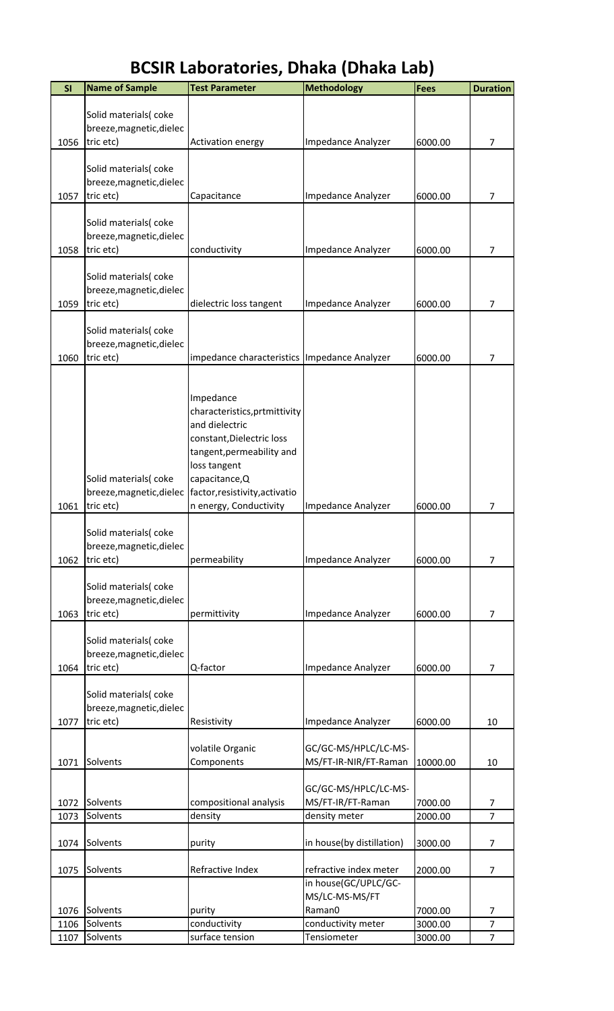| SI           | <b>Name of Sample</b>                            | <b>Test Parameter</b>                                  | <b>Methodology</b>                | <b>Fees</b>        | <b>Duration</b>     |
|--------------|--------------------------------------------------|--------------------------------------------------------|-----------------------------------|--------------------|---------------------|
|              |                                                  |                                                        |                                   |                    |                     |
|              | Solid materials(coke                             |                                                        |                                   |                    |                     |
| 1056         | breeze, magnetic, dielec<br>tric etc)            | <b>Activation energy</b>                               | Impedance Analyzer                | 6000.00            | $\overline{7}$      |
|              |                                                  |                                                        |                                   |                    |                     |
|              | Solid materials(coke                             |                                                        |                                   |                    |                     |
|              | breeze, magnetic, dielec                         |                                                        |                                   |                    |                     |
| 1057         | tric etc)                                        | Capacitance                                            | Impedance Analyzer                | 6000.00            | 7                   |
|              |                                                  |                                                        |                                   |                    |                     |
|              | Solid materials(coke                             |                                                        |                                   |                    |                     |
| 1058         | breeze, magnetic, dielec<br>tric etc)            | conductivity                                           | Impedance Analyzer                | 6000.00            | $\overline{7}$      |
|              |                                                  |                                                        |                                   |                    |                     |
|              | Solid materials(coke                             |                                                        |                                   |                    |                     |
|              | breeze, magnetic, dielec                         |                                                        |                                   |                    |                     |
| 1059         | tric etc)                                        | dielectric loss tangent                                | Impedance Analyzer                | 6000.00            | $\overline{7}$      |
|              |                                                  |                                                        |                                   |                    |                     |
|              | Solid materials(coke<br>breeze, magnetic, dielec |                                                        |                                   |                    |                     |
| 1060         | tric etc)                                        | impedance characteristics Impedance Analyzer           |                                   | 6000.00            | $\overline{7}$      |
|              |                                                  |                                                        |                                   |                    |                     |
|              |                                                  |                                                        |                                   |                    |                     |
|              |                                                  | Impedance                                              |                                   |                    |                     |
|              |                                                  | characteristics, prtmittivity                          |                                   |                    |                     |
|              |                                                  | and dielectric                                         |                                   |                    |                     |
|              |                                                  | constant, Dielectric loss<br>tangent, permeability and |                                   |                    |                     |
|              |                                                  | loss tangent                                           |                                   |                    |                     |
|              | Solid materials(coke                             | capacitance, Q                                         |                                   |                    |                     |
|              | breeze, magnetic, dielec                         | factor, resistivity, activatio                         |                                   |                    |                     |
| 1061         | tric etc)                                        | n energy, Conductivity                                 | Impedance Analyzer                | 6000.00            | 7                   |
|              |                                                  |                                                        |                                   |                    |                     |
|              | Solid materials(coke<br>breeze, magnetic, dielec |                                                        |                                   |                    |                     |
| 1062         | tric etc)                                        | permeability                                           | Impedance Analyzer                | 6000.00            | 7                   |
|              |                                                  |                                                        |                                   |                    |                     |
|              | Solid materials(coke                             |                                                        |                                   |                    |                     |
|              | breeze, magnetic, dielec                         |                                                        |                                   |                    |                     |
| 1063         | tric etc)                                        | permittivity                                           | Impedance Analyzer                | 6000.00            | 7                   |
|              | Solid materials(coke                             |                                                        |                                   |                    |                     |
|              | breeze, magnetic, dielec                         |                                                        |                                   |                    |                     |
| 1064         | tric etc)                                        | Q-factor                                               | Impedance Analyzer                | 6000.00            | 7                   |
|              |                                                  |                                                        |                                   |                    |                     |
|              | Solid materials(coke                             |                                                        |                                   |                    |                     |
|              | breeze, magnetic, dielec                         |                                                        |                                   |                    |                     |
| 1077         | tric etc)                                        | Resistivity                                            | Impedance Analyzer                | 6000.00            | 10                  |
|              |                                                  | volatile Organic                                       | GC/GC-MS/HPLC/LC-MS-              |                    |                     |
| 1071         | Solvents                                         | Components                                             | MS/FT-IR-NIR/FT-Raman             | 10000.00           | 10                  |
|              |                                                  |                                                        |                                   |                    |                     |
|              |                                                  |                                                        | GC/GC-MS/HPLC/LC-MS-              |                    |                     |
| 1072         | Solvents                                         | compositional analysis                                 | MS/FT-IR/FT-Raman                 | 7000.00            | 7<br>$\overline{7}$ |
| 1073         | Solvents                                         | density                                                | density meter                     | 2000.00            |                     |
| 1074         | Solvents                                         | purity                                                 | in house(by distillation)         | 3000.00            | $\overline{7}$      |
|              |                                                  |                                                        |                                   |                    |                     |
| 1075         | Solvents                                         | Refractive Index                                       | refractive index meter            | 2000.00            | $\overline{7}$      |
|              |                                                  |                                                        | in house(GC/UPLC/GC-              |                    |                     |
|              |                                                  |                                                        | MS/LC-MS-MS/FT                    |                    |                     |
| 1076<br>1106 | Solvents<br>Solvents                             | purity                                                 | Raman0                            | 7000.00<br>3000.00 | 7<br>$\overline{7}$ |
| 1107         | Solvents                                         | conductivity<br>surface tension                        | conductivity meter<br>Tensiometer | 3000.00            | $\overline{7}$      |
|              |                                                  |                                                        |                                   |                    |                     |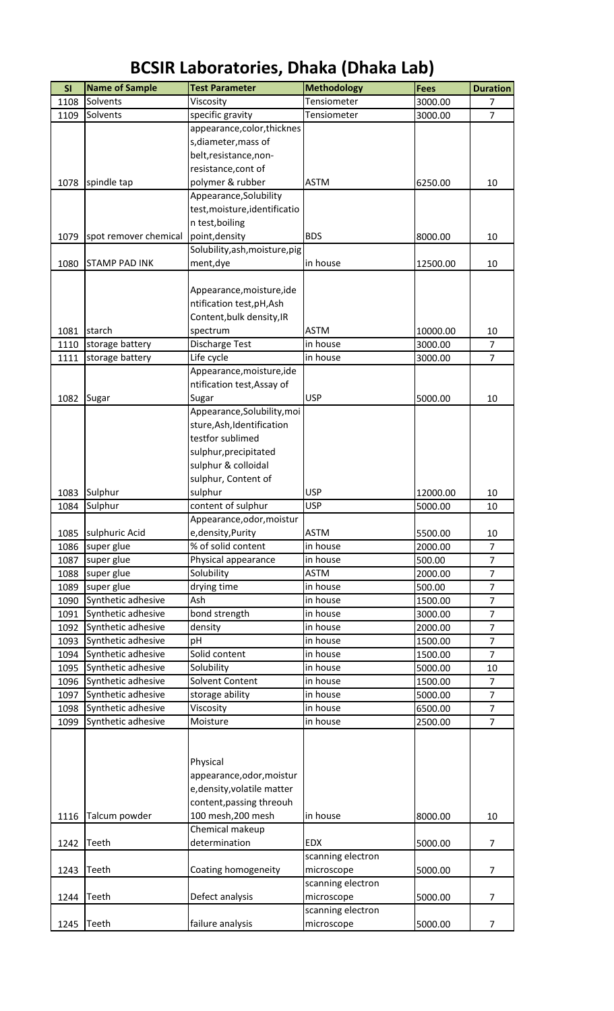| SI   | <b>Name of Sample</b> | <b>Test Parameter</b>          | <b>Methodology</b> | <b>Fees</b> | <b>Duration</b> |
|------|-----------------------|--------------------------------|--------------------|-------------|-----------------|
| 1108 | Solvents              | Viscosity                      | Tensiometer        | 3000.00     | $\overline{7}$  |
| 1109 | Solvents              | specific gravity               | Tensiometer        | 3000.00     | $\overline{7}$  |
|      |                       | appearance, color, thicknes    |                    |             |                 |
|      |                       | s, diameter, mass of           |                    |             |                 |
|      |                       | belt, resistance, non-         |                    |             |                 |
|      |                       | resistance, cont of            |                    |             |                 |
| 1078 | spindle tap           | polymer & rubber               | <b>ASTM</b>        | 6250.00     | 10              |
|      |                       | Appearance, Solubility         |                    |             |                 |
|      |                       | test, moisture, identificatio  |                    |             |                 |
|      |                       | n test, boiling                |                    |             |                 |
| 1079 | spot remover chemical | point, density                 | <b>BDS</b>         | 8000.00     | 10              |
|      |                       | Solubility, ash, moisture, pig |                    |             |                 |
| 1080 | <b>STAMP PAD INK</b>  | ment, dye                      | in house           | 12500.00    | 10              |
|      |                       |                                |                    |             |                 |
|      |                       |                                |                    |             |                 |
|      |                       | Appearance, moisture, ide      |                    |             |                 |
|      |                       | ntification test, pH, Ash      |                    |             |                 |
|      |                       | Content, bulk density, IR      |                    |             |                 |
| 1081 | starch                | spectrum                       | <b>ASTM</b>        | 10000.00    | 10              |
| 1110 | storage battery       | Discharge Test                 | in house           | 3000.00     | $\overline{7}$  |
| 1111 | storage battery       | Life cycle                     | in house           | 3000.00     | $\overline{7}$  |
|      |                       | Appearance, moisture, ide      |                    |             |                 |
|      |                       | ntification test, Assay of     |                    |             |                 |
| 1082 | Sugar                 | Sugar                          | <b>USP</b>         | 5000.00     | 10              |
|      |                       | Appearance, Solubility, moi    |                    |             |                 |
|      |                       | sture, Ash, Identification     |                    |             |                 |
|      |                       | testfor sublimed               |                    |             |                 |
|      |                       | sulphur, precipitated          |                    |             |                 |
|      |                       | sulphur & colloidal            |                    |             |                 |
|      |                       | sulphur, Content of            |                    |             |                 |
| 1083 | Sulphur               | sulphur                        | <b>USP</b>         | 12000.00    | 10              |
| 1084 | Sulphur               | content of sulphur             | <b>USP</b>         | 5000.00     | 10              |
|      |                       | Appearance, odor, moistur      |                    |             |                 |
| 1085 | sulphuric Acid        | e, density, Purity             | <b>ASTM</b>        | 5500.00     | 10              |
| 1086 | super glue            | % of solid content             | in house           | 2000.00     | $\overline{7}$  |
| 1087 | super glue            | Physical appearance            | in house           | 500.00      | $\overline{7}$  |
| 1088 | super glue            | Solubility                     | <b>ASTM</b>        | 2000.00     | $\overline{7}$  |
| 1089 | super glue            | drying time                    | in house           | 500.00      | $\overline{7}$  |
| 1090 | Synthetic adhesive    | Ash                            | in house           | 1500.00     | $\overline{7}$  |
| 1091 | Synthetic adhesive    | bond strength                  | in house           | 3000.00     | $\overline{7}$  |
|      | Synthetic adhesive    | density                        | in house           | 2000.00     | $\overline{7}$  |
| 1092 |                       |                                |                    |             |                 |
| 1093 | Synthetic adhesive    | pH                             | in house           | 1500.00     | $\overline{7}$  |
| 1094 | Synthetic adhesive    | Solid content                  | in house           | 1500.00     | $\overline{7}$  |
| 1095 | Synthetic adhesive    | Solubility                     | in house           | 5000.00     | 10              |
| 1096 | Synthetic adhesive    | Solvent Content                | in house           | 1500.00     | $\overline{7}$  |
| 1097 | Synthetic adhesive    | storage ability                | in house           | 5000.00     | $\overline{7}$  |
| 1098 | Synthetic adhesive    | Viscosity                      | in house           | 6500.00     | $\overline{7}$  |
| 1099 | Synthetic adhesive    | Moisture                       | in house           | 2500.00     | $\overline{7}$  |
|      |                       |                                |                    |             |                 |
|      |                       |                                |                    |             |                 |
|      |                       | Physical                       |                    |             |                 |
|      |                       | appearance, odor, moistur      |                    |             |                 |
|      |                       | e, density, volatile matter    |                    |             |                 |
|      |                       | content, passing threouh       |                    |             |                 |
| 1116 | Talcum powder         | 100 mesh, 200 mesh             | in house           | 8000.00     | 10              |
|      |                       | Chemical makeup                |                    |             |                 |
| 1242 | Teeth                 | determination                  | <b>EDX</b>         | 5000.00     | $\overline{7}$  |
|      |                       |                                | scanning electron  |             |                 |
| 1243 | Teeth                 | Coating homogeneity            | microscope         | 5000.00     | $\overline{7}$  |
|      |                       |                                | scanning electron  |             |                 |
| 1244 | Teeth                 | Defect analysis                | microscope         | 5000.00     | $\overline{7}$  |
|      |                       |                                | scanning electron  |             |                 |
| 1245 | Teeth                 | failure analysis               | microscope         | 5000.00     | 7               |
|      |                       |                                |                    |             |                 |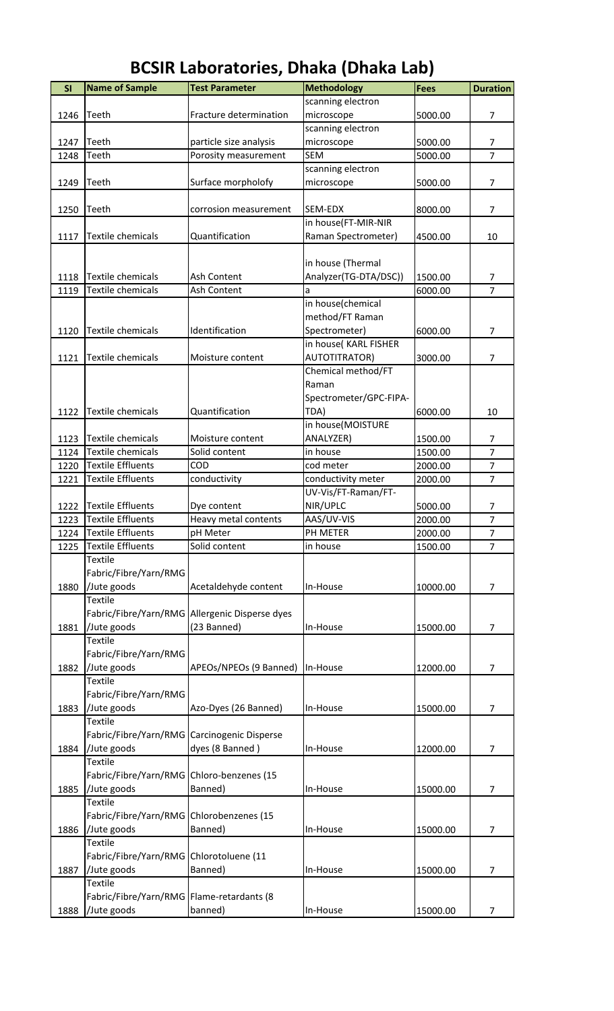| <b>BCSIR Laboratories, Dhaka (Dhaka Lab)</b> |  |  |  |
|----------------------------------------------|--|--|--|
|----------------------------------------------|--|--|--|

| SI   | <b>Name of Sample</b>                       | <b>Test Parameter</b>                          | <b>Methodology</b>     | <b>Fees</b> | <b>Duration</b> |
|------|---------------------------------------------|------------------------------------------------|------------------------|-------------|-----------------|
|      |                                             |                                                | scanning electron      |             |                 |
| 1246 | Teeth                                       | Fracture determination                         | microscope             | 5000.00     | 7               |
|      |                                             |                                                | scanning electron      |             |                 |
| 1247 | Teeth                                       | particle size analysis                         | microscope             | 5000.00     | 7               |
| 1248 | Teeth                                       | Porosity measurement                           | <b>SEM</b>             | 5000.00     | $\overline{7}$  |
|      |                                             |                                                | scanning electron      |             |                 |
| 1249 | Teeth                                       | Surface morpholofy                             | microscope             | 5000.00     | 7               |
|      |                                             |                                                |                        |             |                 |
| 1250 | Teeth                                       | corrosion measurement                          | SEM-EDX                | 8000.00     | 7               |
|      |                                             |                                                | in house(FT-MIR-NIR    |             |                 |
| 1117 | Textile chemicals                           | Quantification                                 | Raman Spectrometer)    | 4500.00     | 10              |
|      |                                             |                                                |                        |             |                 |
|      |                                             |                                                | in house (Thermal      |             |                 |
| 1118 | Textile chemicals                           | Ash Content                                    | Analyzer(TG-DTA/DSC))  | 1500.00     | 7               |
| 1119 | Textile chemicals                           | Ash Content                                    | a                      | 6000.00     | $\overline{7}$  |
|      |                                             |                                                | in house(chemical      |             |                 |
|      |                                             |                                                | method/FT Raman        |             |                 |
| 1120 | Textile chemicals                           | Identification                                 | Spectrometer)          | 6000.00     | $\overline{7}$  |
|      |                                             |                                                | in house(KARL FISHER   |             |                 |
| 1121 | <b>Textile chemicals</b>                    | Moisture content                               | <b>AUTOTITRATOR)</b>   | 3000.00     | 7               |
|      |                                             |                                                | Chemical method/FT     |             |                 |
|      |                                             |                                                | Raman                  |             |                 |
|      |                                             |                                                | Spectrometer/GPC-FIPA- |             |                 |
| 1122 | Textile chemicals                           | Quantification                                 | TDA)                   | 6000.00     | 10              |
|      |                                             |                                                | in house(MOISTURE      |             |                 |
| 1123 | <b>Textile chemicals</b>                    | Moisture content                               | ANALYZER)              | 1500.00     | 7               |
| 1124 | <b>Textile chemicals</b>                    | Solid content                                  | in house               | 1500.00     | $\overline{7}$  |
| 1220 | <b>Textile Effluents</b>                    | COD                                            | cod meter              | 2000.00     | $\overline{7}$  |
| 1221 | <b>Textile Effluents</b>                    | conductivity                                   | conductivity meter     | 2000.00     | $\overline{7}$  |
|      |                                             |                                                | UV-Vis/FT-Raman/FT-    |             |                 |
| 1222 | <b>Textile Effluents</b>                    | Dye content                                    | NIR/UPLC               | 5000.00     | 7               |
| 1223 | <b>Textile Effluents</b>                    | Heavy metal contents                           | AAS/UV-VIS             | 2000.00     | 7               |
| 1224 | <b>Textile Effluents</b>                    | pH Meter                                       | PH METER               | 2000.00     | 7               |
| 1225 | <b>Textile Effluents</b>                    | Solid content                                  | in house               | 1500.00     | $\overline{7}$  |
|      | <b>Textile</b>                              |                                                |                        |             |                 |
|      | Fabric/Fibre/Yarn/RMG                       |                                                |                        |             |                 |
| 1880 | /Jute goods                                 | Acetaldehyde content                           | In-House               | 10000.00    | $\overline{7}$  |
|      | <b>Textile</b>                              |                                                |                        |             |                 |
|      |                                             | Fabric/Fibre/Yarn/RMG Allergenic Disperse dyes |                        |             |                 |
| 1881 | /Jute goods                                 | (23 Banned)                                    | In-House               | 15000.00    | $\overline{7}$  |
|      | <b>Textile</b>                              |                                                |                        |             |                 |
|      | Fabric/Fibre/Yarn/RMG                       |                                                |                        |             |                 |
| 1882 | /Jute goods<br><b>Textile</b>               | APEOs/NPEOs (9 Banned)                         | In-House               | 12000.00    | 7               |
|      |                                             |                                                |                        |             |                 |
| 1883 | Fabric/Fibre/Yarn/RMG                       |                                                |                        |             | $\overline{7}$  |
|      | /Jute goods<br><b>Textile</b>               | Azo-Dyes (26 Banned)                           | In-House               | 15000.00    |                 |
|      | Fabric/Fibre/Yarn/RMG Carcinogenic Disperse |                                                |                        |             |                 |
| 1884 | /Jute goods                                 | dyes (8 Banned)                                | In-House               | 12000.00    | 7               |
|      | <b>Textile</b>                              |                                                |                        |             |                 |
|      | Fabric/Fibre/Yarn/RMG Chloro-benzenes (15   |                                                |                        |             |                 |
| 1885 | /Jute goods                                 | Banned)                                        | In-House               | 15000.00    | $\overline{7}$  |
|      | Textile                                     |                                                |                        |             |                 |
|      | Fabric/Fibre/Yarn/RMG Chlorobenzenes (15    |                                                |                        |             |                 |
| 1886 | /Jute goods                                 | Banned)                                        | In-House               | 15000.00    | $\overline{7}$  |
|      | <b>Textile</b>                              |                                                |                        |             |                 |
|      | Fabric/Fibre/Yarn/RMG Chlorotoluene (11     |                                                |                        |             |                 |
| 1887 | /Jute goods                                 | Banned)                                        | In-House               | 15000.00    | 7               |
|      | <b>Textile</b>                              |                                                |                        |             |                 |
|      | Fabric/Fibre/Yarn/RMG   Flame-retardants (8 |                                                |                        |             |                 |
| 1888 | /Jute goods                                 | banned)                                        | In-House               | 15000.00    | 7               |
|      |                                             |                                                |                        |             |                 |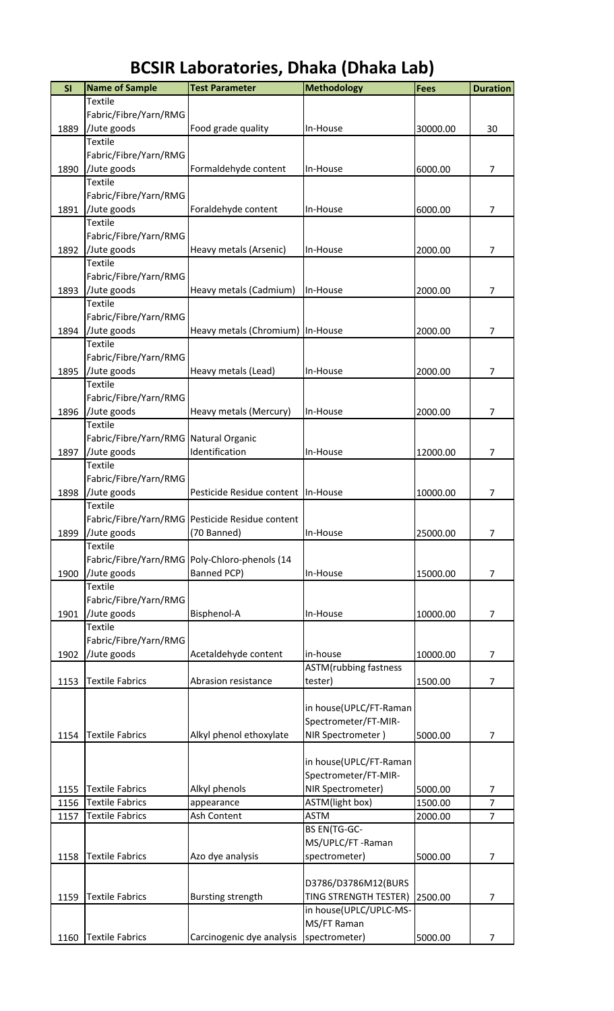| SI   | <b>Name of Sample</b>                 | <b>Test Parameter</b>                           | <b>Methodology</b>                        | Fees     | <b>Duration</b> |
|------|---------------------------------------|-------------------------------------------------|-------------------------------------------|----------|-----------------|
|      | <b>Textile</b>                        |                                                 |                                           |          |                 |
|      | Fabric/Fibre/Yarn/RMG                 |                                                 |                                           |          |                 |
| 1889 | /Jute goods                           | Food grade quality                              | In-House                                  | 30000.00 | 30              |
|      | <b>Textile</b>                        |                                                 |                                           |          |                 |
|      | Fabric/Fibre/Yarn/RMG                 |                                                 |                                           |          |                 |
| 1890 | /Jute goods                           | Formaldehyde content                            | In-House                                  | 6000.00  | 7               |
|      | <b>Textile</b>                        |                                                 |                                           |          |                 |
|      | Fabric/Fibre/Yarn/RMG                 |                                                 |                                           |          |                 |
| 1891 | /Jute goods                           | Foraldehyde content                             | In-House                                  | 6000.00  | $\overline{7}$  |
|      | <b>Textile</b>                        |                                                 |                                           |          |                 |
|      | Fabric/Fibre/Yarn/RMG                 |                                                 |                                           |          |                 |
| 1892 | Jute goods                            | Heavy metals (Arsenic)                          | In-House                                  | 2000.00  | $\overline{7}$  |
|      | <b>Textile</b>                        |                                                 |                                           |          |                 |
|      | Fabric/Fibre/Yarn/RMG                 |                                                 |                                           |          |                 |
| 1893 | /Jute goods<br><b>Textile</b>         | Heavy metals (Cadmium)                          | In-House                                  | 2000.00  | $\overline{7}$  |
|      | Fabric/Fibre/Yarn/RMG                 |                                                 |                                           |          |                 |
| 1894 | /Jute goods                           | Heavy metals (Chromium) In-House                |                                           | 2000.00  | $\overline{7}$  |
|      | <b>Textile</b>                        |                                                 |                                           |          |                 |
|      | Fabric/Fibre/Yarn/RMG                 |                                                 |                                           |          |                 |
| 1895 | /Jute goods                           | Heavy metals (Lead)                             | In-House                                  | 2000.00  | 7               |
|      | <b>Textile</b>                        |                                                 |                                           |          |                 |
|      | Fabric/Fibre/Yarn/RMG                 |                                                 |                                           |          |                 |
| 1896 | /Jute goods                           | Heavy metals (Mercury)                          | In-House                                  | 2000.00  | 7               |
|      | <b>Textile</b>                        |                                                 |                                           |          |                 |
|      | Fabric/Fibre/Yarn/RMG Natural Organic |                                                 |                                           |          |                 |
| 1897 | /Jute goods                           | Identification                                  | In-House                                  | 12000.00 | 7               |
|      | <b>Textile</b>                        |                                                 |                                           |          |                 |
|      | Fabric/Fibre/Yarn/RMG                 |                                                 |                                           |          |                 |
| 1898 | /Jute goods                           | Pesticide Residue content   In-House            |                                           | 10000.00 | 7               |
|      | <b>Textile</b>                        |                                                 |                                           |          |                 |
|      |                                       | Fabric/Fibre/Yarn/RMG Pesticide Residue content |                                           |          |                 |
| 1899 | Jute goods                            | (70 Banned)                                     | In-House                                  | 25000.00 | 7               |
|      | <b>Textile</b>                        |                                                 |                                           |          |                 |
|      |                                       | Fabric/Fibre/Yarn/RMG Poly-Chloro-phenols (14   |                                           |          |                 |
| 1900 | /Jute goods                           | Banned PCP)                                     | In-House                                  | 15000.00 | 7               |
|      | <b>Textile</b>                        |                                                 |                                           |          |                 |
|      | Fabric/Fibre/Yarn/RMG                 |                                                 |                                           |          |                 |
| 1901 | /Jute goods                           | Bisphenol-A                                     | In-House                                  | 10000.00 | $\overline{7}$  |
|      | <b>Textile</b>                        |                                                 |                                           |          |                 |
|      | Fabric/Fibre/Yarn/RMG                 |                                                 |                                           |          |                 |
| 1902 | /Jute goods                           | Acetaldehyde content                            | in-house<br><b>ASTM</b> (rubbing fastness | 10000.00 | $\overline{7}$  |
| 1153 | <b>Textile Fabrics</b>                | Abrasion resistance                             | tester)                                   | 1500.00  | 7               |
|      |                                       |                                                 |                                           |          |                 |
|      |                                       |                                                 | in house(UPLC/FT-Raman                    |          |                 |
|      |                                       |                                                 | Spectrometer/FT-MIR-                      |          |                 |
| 1154 | <b>Textile Fabrics</b>                | Alkyl phenol ethoxylate                         | NIR Spectrometer)                         | 5000.00  | 7               |
|      |                                       |                                                 |                                           |          |                 |
|      |                                       |                                                 | in house(UPLC/FT-Raman                    |          |                 |
|      |                                       |                                                 | Spectrometer/FT-MIR-                      |          |                 |
| 1155 | <b>Textile Fabrics</b>                | Alkyl phenols                                   | NIR Spectrometer)                         | 5000.00  | $\overline{7}$  |
| 1156 | <b>Textile Fabrics</b>                | appearance                                      | ASTM(light box)                           | 1500.00  | $\overline{7}$  |
| 1157 | <b>Textile Fabrics</b>                | Ash Content                                     | <b>ASTM</b>                               | 2000.00  | $\overline{7}$  |
|      |                                       |                                                 | <b>BS EN(TG-GC-</b>                       |          |                 |
|      |                                       |                                                 | MS/UPLC/FT-Raman                          |          |                 |
| 1158 | <b>Textile Fabrics</b>                | Azo dye analysis                                | spectrometer)                             | 5000.00  | $\overline{7}$  |
|      |                                       |                                                 |                                           |          |                 |
|      |                                       |                                                 | D3786/D3786M12(BURS                       |          |                 |
| 1159 | <b>Textile Fabrics</b>                | <b>Bursting strength</b>                        | TING STRENGTH TESTER)                     | 2500.00  | $\overline{7}$  |
|      |                                       |                                                 | in house(UPLC/UPLC-MS-                    |          |                 |
|      |                                       |                                                 | MS/FT Raman                               |          |                 |
| 1160 | <b>Textile Fabrics</b>                | Carcinogenic dye analysis                       | spectrometer)                             | 5000.00  | $\overline{7}$  |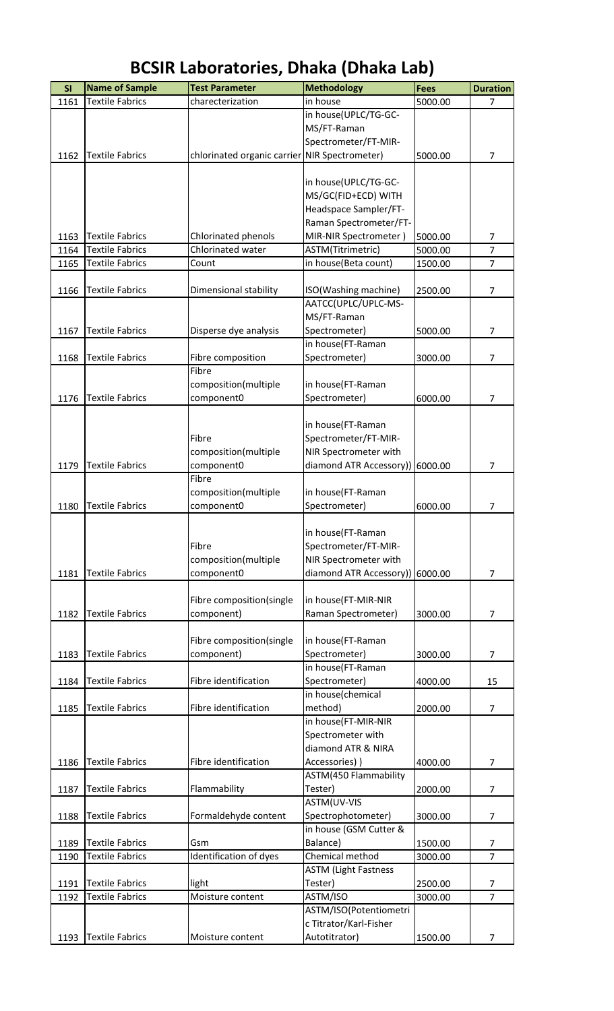| SI   | <b>Name of Sample</b>  | <b>Test Parameter</b>       | <b>Methodology</b>                      | Fees    | <b>Duration</b> |
|------|------------------------|-----------------------------|-----------------------------------------|---------|-----------------|
| 1161 | <b>Textile Fabrics</b> | charecterization            | in house                                | 5000.00 | $\overline{7}$  |
|      |                        |                             | in house(UPLC/TG-GC-                    |         |                 |
|      |                        |                             | MS/FT-Raman                             |         |                 |
|      |                        |                             | Spectrometer/FT-MIR-                    |         |                 |
| 1162 | <b>Textile Fabrics</b> | chlorinated organic carrier | NIR Spectrometer)                       | 5000.00 | $\overline{7}$  |
|      |                        |                             |                                         |         |                 |
|      |                        |                             | in house(UPLC/TG-GC-                    |         |                 |
|      |                        |                             | MS/GC(FID+ECD) WITH                     |         |                 |
|      |                        |                             | Headspace Sampler/FT-                   |         |                 |
|      |                        |                             | Raman Spectrometer/FT-                  |         |                 |
| 1163 | <b>Textile Fabrics</b> | Chlorinated phenols         | MIR-NIR Spectrometer)                   | 5000.00 | 7               |
| 1164 | <b>Textile Fabrics</b> | Chlorinated water           | ASTM(Titrimetric)                       | 5000.00 | $\overline{7}$  |
| 1165 | <b>Textile Fabrics</b> | Count                       | in house(Beta count)                    | 1500.00 | $\overline{7}$  |
|      |                        |                             |                                         |         |                 |
| 1166 | <b>Textile Fabrics</b> | Dimensional stability       | ISO(Washing machine)                    | 2500.00 | $\overline{7}$  |
|      |                        |                             | AATCC(UPLC/UPLC-MS-                     |         |                 |
|      |                        |                             | MS/FT-Raman                             |         |                 |
| 1167 | <b>Textile Fabrics</b> | Disperse dye analysis       | Spectrometer)                           | 5000.00 | $\overline{7}$  |
|      |                        |                             | in house(FT-Raman                       |         |                 |
| 1168 | <b>Textile Fabrics</b> | Fibre composition           | Spectrometer)                           | 3000.00 | $\overline{7}$  |
|      |                        | Fibre                       |                                         |         |                 |
|      |                        | composition(multiple        | in house(FT-Raman                       |         |                 |
| 1176 | <b>Textile Fabrics</b> | component0                  | Spectrometer)                           | 6000.00 | 7               |
|      |                        |                             |                                         |         |                 |
|      |                        |                             | in house(FT-Raman                       |         |                 |
|      |                        | Fibre                       | Spectrometer/FT-MIR-                    |         |                 |
|      |                        | composition(multiple        | NIR Spectrometer with                   |         |                 |
| 1179 | <b>Textile Fabrics</b> | component0                  | diamond ATR Accessory))                 | 6000.00 | $\overline{7}$  |
|      |                        | Fibre                       |                                         |         |                 |
|      |                        | composition(multiple        | in house(FT-Raman                       |         |                 |
| 1180 | <b>Textile Fabrics</b> | component0                  | Spectrometer)                           | 6000.00 | 7               |
|      |                        |                             |                                         |         |                 |
|      |                        |                             | in house(FT-Raman                       |         |                 |
|      |                        | Fibre                       | Spectrometer/FT-MIR-                    |         |                 |
|      |                        | composition(multiple        | NIR Spectrometer with                   |         |                 |
| 1181 | <b>Textile Fabrics</b> | component0                  | diamond ATR Accessory))                 | 6000.00 | 7               |
|      |                        |                             |                                         |         |                 |
|      |                        | Fibre composition(single    | in house(FT-MIR-NIR                     |         |                 |
| 1182 | <b>Textile Fabrics</b> | component)                  | Raman Spectrometer)                     | 3000.00 | $\overline{7}$  |
|      |                        |                             |                                         |         |                 |
|      |                        | Fibre composition(single    | in house(FT-Raman                       |         |                 |
| 1183 | <b>Textile Fabrics</b> | component)                  | Spectrometer)                           | 3000.00 | 7               |
|      |                        |                             | in house(FT-Raman                       |         |                 |
| 1184 | <b>Textile Fabrics</b> | Fibre identification        | Spectrometer)<br>in house(chemical      | 4000.00 | 15              |
|      |                        |                             |                                         |         |                 |
| 1185 | <b>Textile Fabrics</b> | Fibre identification        | method)<br>in house(FT-MIR-NIR          | 2000.00 | $\overline{7}$  |
|      |                        |                             | Spectrometer with                       |         |                 |
|      |                        |                             | diamond ATR & NIRA                      |         |                 |
|      | <b>Textile Fabrics</b> | Fibre identification        |                                         | 4000.00 | 7               |
| 1186 |                        |                             | Accessories) )<br>ASTM(450 Flammability |         |                 |
| 1187 | <b>Textile Fabrics</b> | Flammability                | Tester)                                 | 2000.00 | 7               |
|      |                        |                             | ASTM(UV-VIS                             |         |                 |
| 1188 | <b>Textile Fabrics</b> | Formaldehyde content        | Spectrophotometer)                      | 3000.00 | $\overline{7}$  |
|      |                        |                             | in house (GSM Cutter &                  |         |                 |
| 1189 | <b>Textile Fabrics</b> | Gsm                         | Balance)                                | 1500.00 | 7               |
| 1190 | <b>Textile Fabrics</b> | Identification of dyes      | Chemical method                         | 3000.00 | $\overline{7}$  |
|      |                        |                             | <b>ASTM (Light Fastness</b>             |         |                 |
| 1191 | <b>Textile Fabrics</b> | light                       | Tester)                                 | 2500.00 | 7               |
| 1192 | <b>Textile Fabrics</b> | Moisture content            | ASTM/ISO                                | 3000.00 | $\overline{7}$  |
|      |                        |                             | ASTM/ISO(Potentiometri                  |         |                 |
|      |                        |                             | c Titrator/Karl-Fisher                  |         |                 |
| 1193 | <b>Textile Fabrics</b> | Moisture content            | Autotitrator)                           | 1500.00 | 7               |
|      |                        |                             |                                         |         |                 |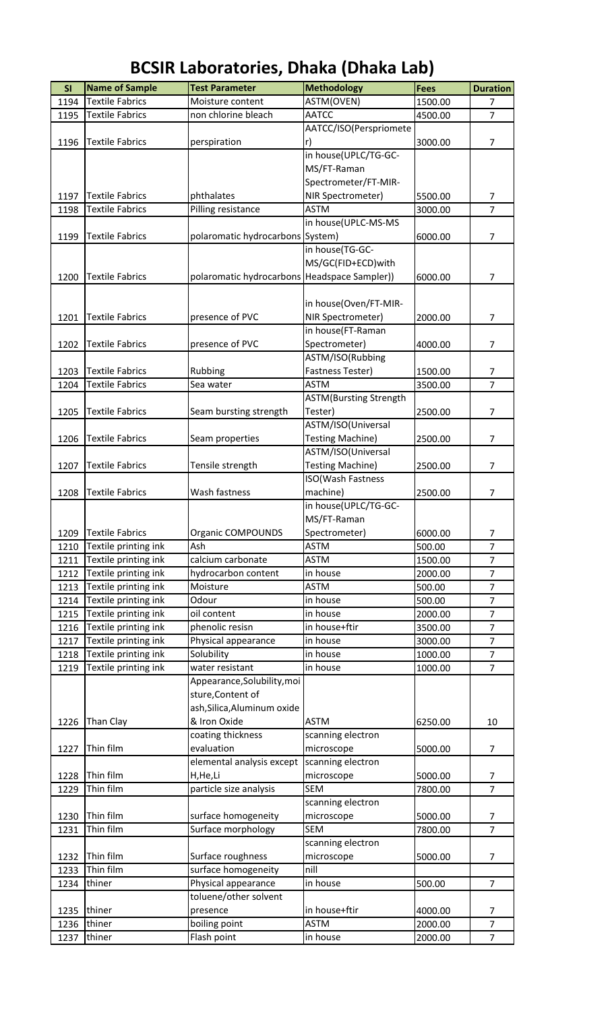#### **SI** Name of Sample Test Parameter **Methodology Fees** Duration 1194 Textile Fabrics Moisture content MASTM(OVEN) 1500.00 7 1195 Textile Fabrics Mon chlorine bleach AATCC 4500.00 7 1196 Textile Fabrics perspiration AATCC/ISO(Perspriomete r) 3000.00 7 1197 Textile Fabrics phthalates in house(UPLC/TG-GC-MS/FT-Raman Spectrometer/FT-MIR-NIR Spectrometer) 5500.00 7 1198 Textile Fabrics Pilling resistance ASTM 3000.00 7 1199 Textile Fabrics polaromatic hydrocarbons in house(UPLC-MS-MS System) 6000.00 7 1200 Textile Fabrics polaromatic hydrocarbons in house(TG-GC-MS/GC(FID+ECD)with Headspace Sampler)) 6000.00 7 1201 Textile Fabrics presence of PVC in house(Oven/FT-MIR-NIR Spectrometer) 2000.00 7 1202 Textile Fabrics presence of PVC in house(FT-Raman Spectrometer) 4000.00 7 1203 Textile Fabrics Rubbing ASTM/ISO(Rubbing Fastness Tester) 1500.00 7 1204 Textile Fabrics Sea water ASTM 3500.00 7 1205 Textile Fabrics Seam bursting strength ASTM(Bursting Strength Tester) 2500.00 7 1206 Textile Fabrics Seam properties ASTM/ISO(Universal Testing Machine) 2500.00 7 1207 Textile Fabrics Tensile strength ASTM/ISO(Universal Testing Machine) 2500.00 7 1208 Textile Fabrics Wash fastness ISO(Wash Fastness machine) 2500.00 7 1209 Textile Fabrics | Organic COMPOUNDS in house(UPLC/TG-GC-MS/FT-Raman Spectrometer) 6000.00 7 1210 Textile printing ink Ash ASTM ASTM 500.00 7 1211 Textile printing ink calcium carbonate ASTM 1500.00 7 1212 Textile printing ink hydrocarbon content in house 2000.00 7 1213 Textile printing ink Moisture ASTM ASTM 500.00 7 1214 Textile printing ink  $\vert$ Odour in house 500.00 7 1215 Textile printing ink oil content in house 2000.00 7 1216 Textile printing ink phenolic resisn in house+ftir 3500.00 7 1217 Textile printing ink Physical appearance in house 3000.00 7 1218 Textile printing ink Solubility in house 1000.00 7 1219 Textile printing ink water resistant in house 1000.00 7 1226 Than Clay Appearance,Solubility,moi sture,Content of ash,Silica,Aluminum oxide & Iron Oxide **ASTM** 6250.00 10 1227 Thin film coating thickness evaluation scanning electron microscope 5000.00 7 1228 Thin film elemental analysis except H,He,Li scanning electron microscope 5000.00 7 1229 Thin film **particle size analysis** SEM 7800.00 7 1230 Thin film surface homogeneity scanning electron microscope 5000.00 7 1231 Thin film Surface morphology SEM 7800.00 7 1232 Thin film Surface roughness scanning electron microscope 5000.00 7 1233 Thin film surface homogeneity | nill 1234 thiner **Physical appearance** in house 500.00 7 1235 thiner toluene/other solvent presence in house+ftir 14000.00 7 1236 thiner boiling point ASTM 2000.00 7 1237 thiner **Flash point** in house 2000.00 7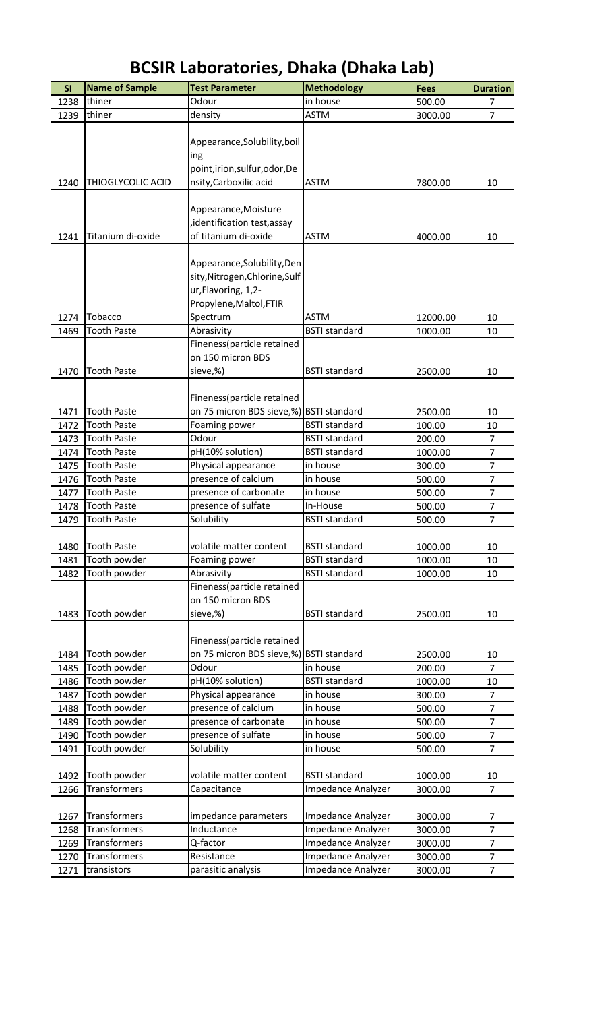| SI   | <b>Name of Sample</b> | <b>Test Parameter</b>                   | <b>Methodology</b>   | <b>Fees</b> | <b>Duration</b> |
|------|-----------------------|-----------------------------------------|----------------------|-------------|-----------------|
| 1238 | thiner                | Odour                                   | in house             | 500.00      | 7               |
| 1239 | thiner                | density                                 | <b>ASTM</b>          | 3000.00     | $\overline{7}$  |
|      |                       |                                         |                      |             |                 |
|      |                       | Appearance, Solubility, boil            |                      |             |                 |
|      |                       | ing                                     |                      |             |                 |
|      |                       | point, irion, sulfur, odor, De          |                      |             |                 |
| 1240 | THIOGLYCOLIC ACID     | nsity, Carboxilic acid                  | <b>ASTM</b>          | 7800.00     | 10              |
|      |                       |                                         |                      |             |                 |
|      |                       | Appearance, Moisture                    |                      |             |                 |
|      |                       | identification test, assay,             |                      |             |                 |
|      | Titanium di-oxide     | of titanium di-oxide                    | <b>ASTM</b>          | 4000.00     | 10              |
| 1241 |                       |                                         |                      |             |                 |
|      |                       |                                         |                      |             |                 |
|      |                       | Appearance, Solubility, Den             |                      |             |                 |
|      |                       | sity, Nitrogen, Chlorine, Sulf          |                      |             |                 |
|      |                       | ur, Flavoring, 1,2-                     |                      |             |                 |
|      |                       | Propylene, Maltol, FTIR                 |                      |             |                 |
| 1274 | Tobacco               | Spectrum                                | <b>ASTM</b>          | 12000.00    | 10              |
| 1469 | <b>Tooth Paste</b>    | Abrasivity                              | <b>BSTI</b> standard | 1000.00     | 10              |
|      |                       | Fineness(particle retained              |                      |             |                 |
|      |                       | on 150 micron BDS                       |                      |             |                 |
| 1470 | <b>Tooth Paste</b>    | sieve,%)                                | <b>BSTI</b> standard | 2500.00     | 10              |
|      |                       |                                         |                      |             |                 |
|      |                       | Fineness(particle retained              |                      |             |                 |
| 1471 | <b>Tooth Paste</b>    | on 75 micron BDS sieve,%) BSTI standard |                      | 2500.00     | 10              |
| 1472 | <b>Tooth Paste</b>    | Foaming power                           | <b>BSTI</b> standard | 100.00      | 10              |
| 1473 | <b>Tooth Paste</b>    | Odour                                   | <b>BSTI</b> standard | 200.00      | $\overline{7}$  |
| 1474 | <b>Tooth Paste</b>    | pH(10% solution)                        | <b>BSTI</b> standard | 1000.00     | $\overline{7}$  |
| 1475 | <b>Tooth Paste</b>    | Physical appearance                     | in house             | 300.00      | $\overline{7}$  |
| 1476 | <b>Tooth Paste</b>    | presence of calcium                     | in house             | 500.00      | $\overline{7}$  |
| 1477 | <b>Tooth Paste</b>    | presence of carbonate                   | in house             | 500.00      | $\overline{7}$  |
| 1478 | <b>Tooth Paste</b>    | presence of sulfate                     | In-House             | 500.00      | $\overline{7}$  |
| 1479 | <b>Tooth Paste</b>    | Solubility                              | <b>BSTI</b> standard | 500.00      | $\overline{7}$  |
|      |                       |                                         |                      |             |                 |
| 1480 | <b>Tooth Paste</b>    | volatile matter content                 | <b>BSTI</b> standard | 1000.00     | 10              |
| 1481 | Tooth powder          | Foaming power                           | <b>BSTI</b> standard | 1000.00     | 10              |
| 1482 | Tooth powder          | Abrasivity                              | <b>BSTI</b> standard | 1000.00     | 10              |
|      |                       | Fineness(particle retained              |                      |             |                 |
|      |                       | on 150 micron BDS                       |                      |             |                 |
|      |                       |                                         | <b>BSTI</b> standard |             |                 |
| 1483 | Tooth powder          | sieve,%)                                |                      | 2500.00     | 10              |
|      |                       |                                         |                      |             |                 |
|      |                       | Fineness(particle retained              |                      |             |                 |
| 1484 | Tooth powder          | on 75 micron BDS sieve,%)               | <b>BSTI</b> standard | 2500.00     | 10              |
| 1485 | Tooth powder          | Odour                                   | in house             | 200.00      | $\overline{7}$  |
| 1486 | Tooth powder          | pH(10% solution)                        | <b>BSTI</b> standard | 1000.00     | 10              |
| 1487 | Tooth powder          | Physical appearance                     | in house             | 300.00      | 7               |
| 1488 | Tooth powder          | presence of calcium                     | in house             | 500.00      | $\overline{7}$  |
| 1489 | Tooth powder          | presence of carbonate                   | in house             | 500.00      | $\overline{7}$  |
| 1490 | Tooth powder          | presence of sulfate                     | in house             | 500.00      | $\overline{7}$  |
| 1491 | Tooth powder          | Solubility                              | in house             | 500.00      | $\overline{7}$  |
|      |                       |                                         |                      |             |                 |
| 1492 | Tooth powder          | volatile matter content                 | <b>BSTI</b> standard | 1000.00     | 10              |
| 1266 | Transformers          | Capacitance                             | Impedance Analyzer   | 3000.00     | $\overline{7}$  |
|      |                       |                                         |                      |             |                 |
| 1267 | Transformers          | impedance parameters                    | Impedance Analyzer   | 3000.00     | 7               |
| 1268 | Transformers          | Inductance                              | Impedance Analyzer   | 3000.00     | $\overline{7}$  |
| 1269 | Transformers          | Q-factor                                | Impedance Analyzer   | 3000.00     | $\overline{7}$  |
| 1270 | Transformers          | Resistance                              | Impedance Analyzer   | 3000.00     | $\overline{7}$  |
| 1271 | transistors           | parasitic analysis                      | Impedance Analyzer   | 3000.00     | $\overline{7}$  |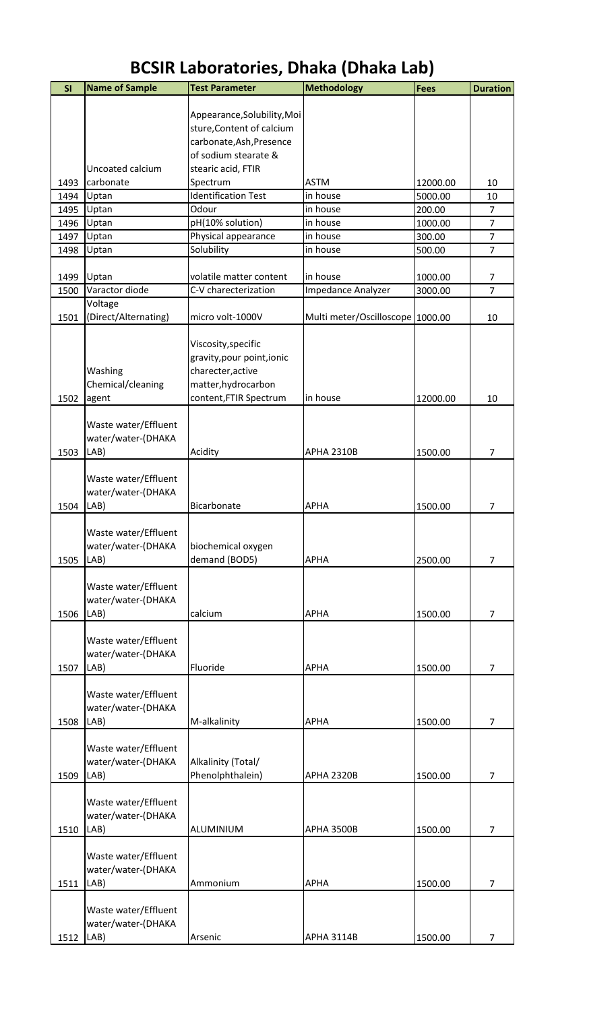| SI   | <b>Name of Sample</b>        | <b>Test Parameter</b>                           | <b>Methodology</b>               | <b>Fees</b> | <b>Duration</b> |
|------|------------------------------|-------------------------------------------------|----------------------------------|-------------|-----------------|
|      |                              |                                                 |                                  |             |                 |
|      |                              | Appearance, Solubility, Moi                     |                                  |             |                 |
|      |                              | sture, Content of calcium                       |                                  |             |                 |
|      |                              | carbonate, Ash, Presence                        |                                  |             |                 |
|      |                              | of sodium stearate &                            |                                  |             |                 |
|      | Uncoated calcium             | stearic acid, FTIR                              |                                  |             |                 |
| 1493 | carbonate                    | Spectrum                                        | <b>ASTM</b>                      | 12000.00    | 10              |
| 1494 | Uptan                        | <b>Identification Test</b>                      | in house                         | 5000.00     | 10              |
| 1495 | Uptan                        | Odour                                           | in house                         | 200.00      | $\overline{7}$  |
| 1496 | Uptan                        | pH(10% solution)                                | in house                         | 1000.00     | $\overline{7}$  |
| 1497 | Uptan                        | Physical appearance                             | in house                         | 300.00      | $\overline{7}$  |
| 1498 | Uptan                        | Solubility                                      | in house                         | 500.00      | $\overline{7}$  |
|      |                              |                                                 |                                  |             |                 |
| 1499 | Uptan                        | volatile matter content                         | in house                         | 1000.00     | 7               |
| 1500 | Varactor diode               | C-V charecterization                            | Impedance Analyzer               | 3000.00     | $\overline{7}$  |
|      | Voltage                      |                                                 |                                  |             |                 |
| 1501 | (Direct/Alternating)         | micro volt-1000V                                | Multi meter/Oscilloscope 1000.00 |             | 10              |
|      |                              |                                                 |                                  |             |                 |
|      |                              | Viscosity, specific                             |                                  |             |                 |
|      |                              | gravity, pour point, ionic<br>charecter, active |                                  |             |                 |
|      | Washing<br>Chemical/cleaning | matter, hydrocarbon                             |                                  |             |                 |
| 1502 |                              | content, FTIR Spectrum                          | in house                         | 12000.00    | 10              |
|      | agent                        |                                                 |                                  |             |                 |
|      | Waste water/Effluent         |                                                 |                                  |             |                 |
|      | water/water-(DHAKA           |                                                 |                                  |             |                 |
| 1503 | LAB)                         | Acidity                                         | <b>APHA 2310B</b>                | 1500.00     | 7               |
|      |                              |                                                 |                                  |             |                 |
|      | Waste water/Effluent         |                                                 |                                  |             |                 |
|      | water/water-(DHAKA           |                                                 |                                  |             |                 |
| 1504 | LAB)                         | Bicarbonate                                     | <b>APHA</b>                      | 1500.00     | $\overline{7}$  |
|      |                              |                                                 |                                  |             |                 |
|      | Waste water/Effluent         |                                                 |                                  |             |                 |
|      | water/water-(DHAKA           | biochemical oxygen                              |                                  |             |                 |
| 1505 | LAB)                         | demand (BOD5)                                   | <b>APHA</b>                      | 2500.00     | $\overline{7}$  |
|      |                              |                                                 |                                  |             |                 |
|      | Waste water/Effluent         |                                                 |                                  |             |                 |
|      | water/water-(DHAKA           |                                                 |                                  |             |                 |
| 1506 | LAB)                         | calcium                                         | <b>APHA</b>                      | 1500.00     | 7               |
|      |                              |                                                 |                                  |             |                 |
|      | Waste water/Effluent         |                                                 |                                  |             |                 |
|      | water/water-(DHAKA           |                                                 |                                  |             |                 |
| 1507 | LAB)                         | Fluoride                                        | <b>APHA</b>                      | 1500.00     | $\overline{7}$  |
|      |                              |                                                 |                                  |             |                 |
|      | Waste water/Effluent         |                                                 |                                  |             |                 |
|      | water/water-(DHAKA           |                                                 |                                  |             |                 |
| 1508 | LAB)                         | M-alkalinity                                    | <b>APHA</b>                      | 1500.00     | $\overline{7}$  |
|      |                              |                                                 |                                  |             |                 |
|      | Waste water/Effluent         |                                                 |                                  |             |                 |
|      | water/water-(DHAKA           | Alkalinity (Total/                              |                                  |             |                 |
| 1509 | LAB)                         | Phenolphthalein)                                | <b>APHA 2320B</b>                | 1500.00     | 7               |
|      |                              |                                                 |                                  |             |                 |
|      | Waste water/Effluent         |                                                 |                                  |             |                 |
|      | water/water-(DHAKA           |                                                 |                                  |             |                 |
| 1510 | LAB)                         | ALUMINIUM                                       | <b>APHA 3500B</b>                | 1500.00     | $\overline{7}$  |
|      |                              |                                                 |                                  |             |                 |
|      | Waste water/Effluent         |                                                 |                                  |             |                 |
|      | water/water-(DHAKA           |                                                 |                                  |             |                 |
| 1511 | LAB)                         | Ammonium                                        | <b>APHA</b>                      | 1500.00     | $\overline{7}$  |
|      |                              |                                                 |                                  |             |                 |
|      | Waste water/Effluent         |                                                 |                                  |             |                 |
|      | water/water-(DHAKA           |                                                 |                                  |             |                 |
| 1512 | LAB)                         | Arsenic                                         | <b>APHA 3114B</b>                | 1500.00     | $\overline{7}$  |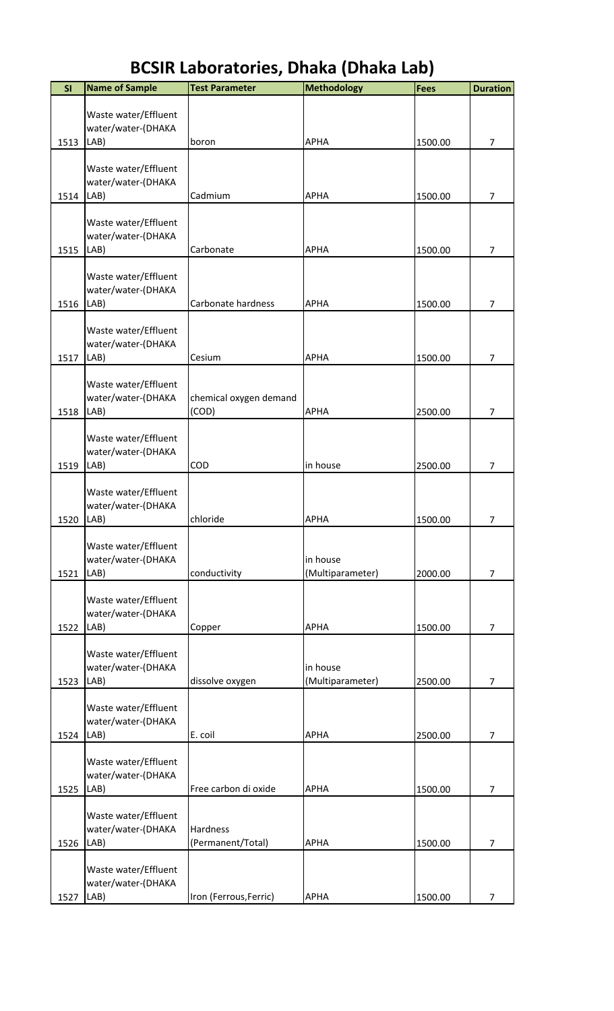| SI   | <b>Name of Sample</b>                              | <b>Test Parameter</b>           | <b>Methodology</b>           | <b>Fees</b> | <b>Duration</b> |
|------|----------------------------------------------------|---------------------------------|------------------------------|-------------|-----------------|
|      | Waste water/Effluent<br>water/water-(DHAKA         |                                 |                              |             |                 |
| 1513 | LAB)                                               | boron                           | <b>APHA</b>                  | 1500.00     | $\overline{7}$  |
|      | Waste water/Effluent<br>water/water-(DHAKA         |                                 |                              |             |                 |
| 1514 | LAB)                                               | Cadmium                         | <b>APHA</b>                  | 1500.00     | $\overline{7}$  |
| 1515 | Waste water/Effluent<br>water/water-(DHAKA<br>LAB) | Carbonate                       | <b>APHA</b>                  | 1500.00     | $\overline{7}$  |
| 1516 | Waste water/Effluent<br>water/water-(DHAKA<br>LAB) | Carbonate hardness              | <b>APHA</b>                  | 1500.00     | 7               |
|      | Waste water/Effluent<br>water/water-(DHAKA         |                                 |                              |             |                 |
| 1517 | LAB)                                               | Cesium                          | <b>APHA</b>                  | 1500.00     | 7               |
| 1518 | Waste water/Effluent<br>water/water-(DHAKA<br>LAB) | chemical oxygen demand<br>(COD) | <b>APHA</b>                  | 2500.00     | 7               |
|      |                                                    |                                 |                              |             |                 |
|      | Waste water/Effluent<br>water/water-(DHAKA         |                                 |                              |             |                 |
| 1519 | LAB)                                               | COD                             | in house                     | 2500.00     | $\overline{7}$  |
|      | Waste water/Effluent<br>water/water-(DHAKA         |                                 |                              |             |                 |
| 1520 | LAB)                                               | chloride                        | <b>APHA</b>                  | 1500.00     | 7               |
| 1521 | Waste water/Effluent<br>water/water-(DHAKA<br>LAB) | conductivity                    | in house<br>(Multiparameter) | 2000.00     | $\overline{7}$  |
|      |                                                    |                                 |                              |             |                 |
| 1522 | Waste water/Effluent<br>water/water-(DHAKA<br>LAB) | Copper                          | <b>APHA</b>                  | 1500.00     | 7               |
| 1523 | Waste water/Effluent<br>water/water-(DHAKA<br>LAB) | dissolve oxygen                 | in house<br>(Multiparameter) | 2500.00     | $\overline{7}$  |
|      |                                                    |                                 |                              |             |                 |
| 1524 | Waste water/Effluent<br>water/water-(DHAKA<br>LAB) | E. coil                         | <b>APHA</b>                  | 2500.00     | $\overline{7}$  |
| 1525 | Waste water/Effluent<br>water/water-(DHAKA<br>LAB) | Free carbon di oxide            | <b>APHA</b>                  | 1500.00     | $\overline{7}$  |
|      |                                                    |                                 |                              |             |                 |
| 1526 | Waste water/Effluent<br>water/water-(DHAKA<br>LAB) | Hardness<br>(Permanent/Total)   | <b>APHA</b>                  | 1500.00     | 7               |
|      | Waste water/Effluent<br>water/water-(DHAKA         |                                 |                              |             |                 |
| 1527 | LAB)                                               | Iron (Ferrous, Ferric)          | <b>APHA</b>                  | 1500.00     | $\overline{7}$  |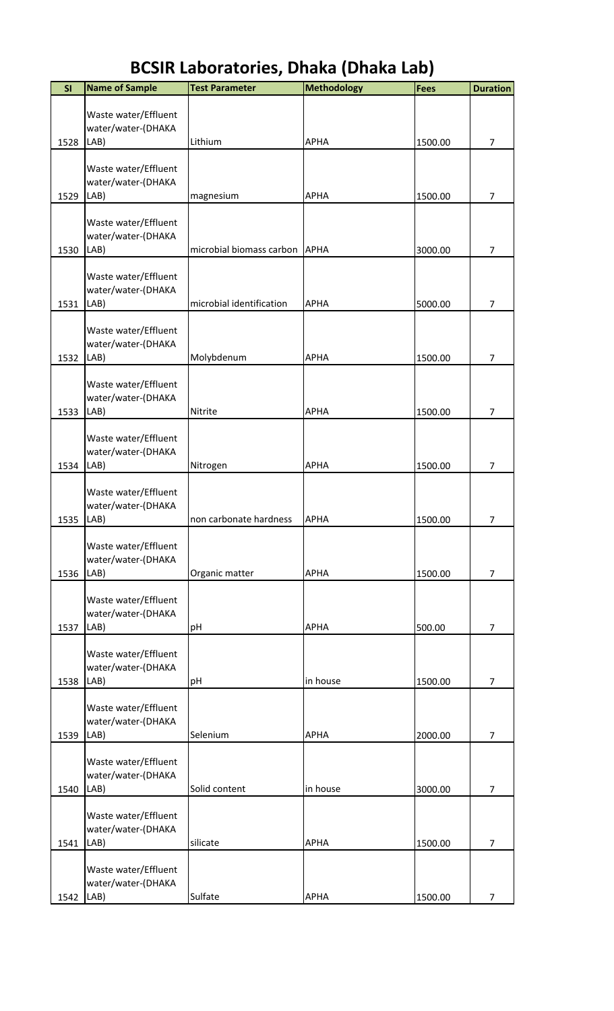#### **SI** Name of Sample Test Parameter **Nethodology Fees** Duration 1528 Waste water/Effluent water/water-(DHAKA LAB) Lithium APHA 1500.00 7 1529 Waste water/Effluent water/water-(DHAKA LAB) **magnesium** APHA 1500.00 7 1530 Waste water/Effluent water/water-(DHAKA LAB) microbial biomass carbon APHA 3000.00 7 1531 Waste water/Effluent water/water-(DHAKA LAB) microbial identification APHA 5000.00 7 1532 Waste water/Effluent water/water-(DHAKA LAB) Molybdenum APHA 1500.00 7 1533 Waste water/Effluent water/water-(DHAKA LAB) Nitrite APHA 1500.00 7 1534 Waste water/Effluent water/water-(DHAKA LAB) Nitrogen APHA 1500.00 7 1535 Waste water/Effluent water/water-(DHAKA LAB) hon carbonate hardness APHA 1500.00 7 1536 Waste water/Effluent water/water-(DHAKA LAB) Crganic matter **APHA** 1500.00 7 1537 Waste water/Effluent water/water-(DHAKA LAB) pH APHA 500.00 7 1538 Waste water/Effluent water/water-(DHAKA LAB) pH in house 1500.00 7 1539 Waste water/Effluent water/water-(DHAKA LAB) Selenium APHA 2000.00 7 1540 Waste water/Effluent water/water-(DHAKA LAB) Solid content in house 3000.00 7 1541 Waste water/Effluent water/water-(DHAKA LAB) silicate APHA 1500.00 7 Waste water/Effluent water/water-(DHAKA

LAB) Sulfate APHA 1500.00 7

1542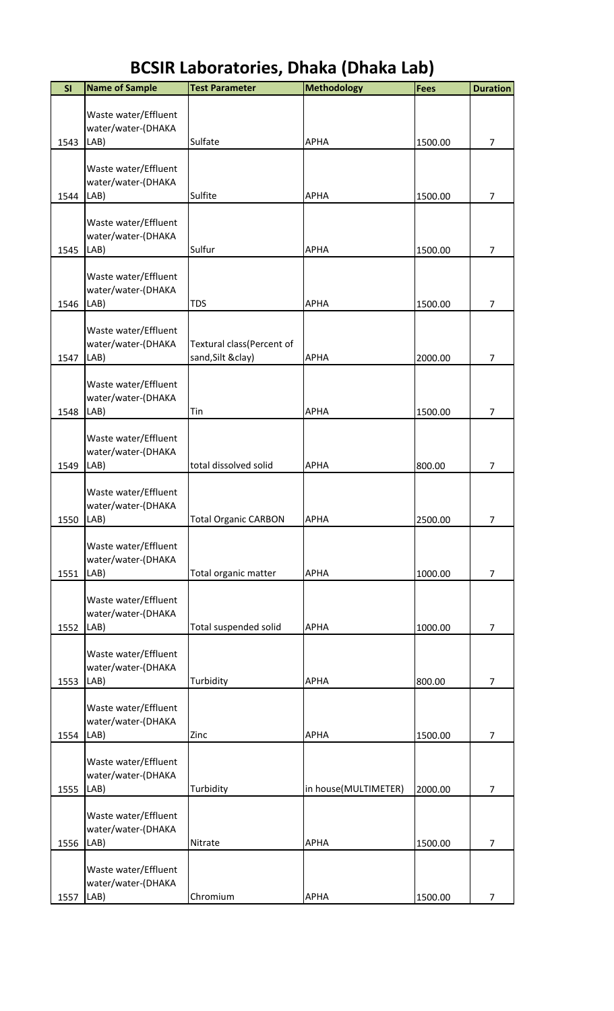| SI   | <b>Name of Sample</b>                      | <b>Test Parameter</b>                           | <b>Methodology</b>   | <b>Fees</b> | <b>Duration</b> |
|------|--------------------------------------------|-------------------------------------------------|----------------------|-------------|-----------------|
|      |                                            |                                                 |                      |             |                 |
|      | Waste water/Effluent<br>water/water-(DHAKA |                                                 |                      |             |                 |
| 1543 | LAB)                                       | Sulfate                                         | <b>APHA</b>          | 1500.00     | $\overline{7}$  |
|      |                                            |                                                 |                      |             |                 |
|      | Waste water/Effluent<br>water/water-(DHAKA |                                                 |                      |             |                 |
| 1544 | LAB)                                       | Sulfite                                         | <b>APHA</b>          | 1500.00     | $\overline{7}$  |
|      |                                            |                                                 |                      |             |                 |
|      | Waste water/Effluent                       |                                                 |                      |             |                 |
| 1545 | water/water-(DHAKA<br>LAB)                 | Sulfur                                          | <b>APHA</b>          | 1500.00     | $\overline{7}$  |
|      |                                            |                                                 |                      |             |                 |
|      | Waste water/Effluent                       |                                                 |                      |             |                 |
| 1546 | water/water-(DHAKA<br>LAB)                 | <b>TDS</b>                                      | <b>APHA</b>          | 1500.00     | $\overline{7}$  |
|      |                                            |                                                 |                      |             |                 |
|      | Waste water/Effluent                       |                                                 |                      |             |                 |
| 1547 | water/water-(DHAKA<br>LAB)                 | Textural class(Percent of<br>sand, Silt & clay) | <b>APHA</b>          | 2000.00     | $\overline{7}$  |
|      |                                            |                                                 |                      |             |                 |
|      | Waste water/Effluent                       |                                                 |                      |             |                 |
| 1548 | water/water-(DHAKA<br>LAB)                 | Tin                                             | <b>APHA</b>          | 1500.00     | $\overline{7}$  |
|      |                                            |                                                 |                      |             |                 |
|      | Waste water/Effluent                       |                                                 |                      |             |                 |
| 1549 | water/water-(DHAKA<br>LAB)                 | total dissolved solid                           | <b>APHA</b>          | 800.00      | $\overline{7}$  |
|      |                                            |                                                 |                      |             |                 |
|      | Waste water/Effluent                       |                                                 |                      |             |                 |
| 1550 | water/water-(DHAKA<br>LAB)                 | <b>Total Organic CARBON</b>                     | <b>APHA</b>          | 2500.00     | 7               |
|      |                                            |                                                 |                      |             |                 |
|      | Waste water/Effluent                       |                                                 |                      |             |                 |
| 1551 | water/water-(DHAKA<br>LAB)                 | Total organic matter                            | <b>APHA</b>          | 1000.00     | $\overline{7}$  |
|      |                                            |                                                 |                      |             |                 |
|      | Waste water/Effluent                       |                                                 |                      |             |                 |
|      | water/water-(DHAKA                         |                                                 |                      |             |                 |
| 1552 | LAB)                                       | Total suspended solid                           | <b>APHA</b>          | 1000.00     | $\overline{7}$  |
|      | Waste water/Effluent                       |                                                 |                      |             |                 |
|      | water/water-(DHAKA                         |                                                 |                      |             |                 |
| 1553 | LAB)                                       | Turbidity                                       | <b>APHA</b>          | 800.00      | $\overline{7}$  |
|      | Waste water/Effluent                       |                                                 |                      |             |                 |
|      | water/water-(DHAKA                         |                                                 |                      |             |                 |
| 1554 | LAB)                                       | Zinc                                            | <b>APHA</b>          | 1500.00     | $\overline{7}$  |
|      | Waste water/Effluent                       |                                                 |                      |             |                 |
|      | water/water-(DHAKA                         |                                                 |                      |             |                 |
| 1555 | LAB)                                       | Turbidity                                       | in house(MULTIMETER) | 2000.00     | $\overline{7}$  |
|      | Waste water/Effluent                       |                                                 |                      |             |                 |
|      | water/water-(DHAKA                         |                                                 |                      |             |                 |
| 1556 | LAB)                                       | Nitrate                                         | <b>APHA</b>          | 1500.00     | $\overline{7}$  |
|      | Waste water/Effluent                       |                                                 |                      |             |                 |
|      | water/water-(DHAKA                         |                                                 |                      |             |                 |
| 1557 | LAB)                                       | Chromium                                        | APHA                 | 1500.00     | $\overline{7}$  |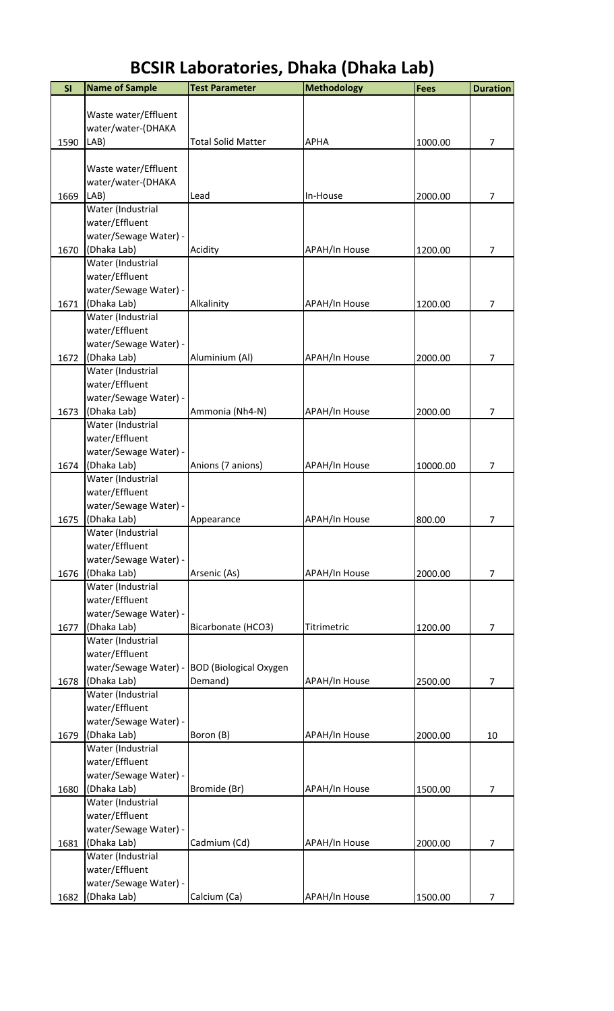| SI   | <b>Name of Sample</b> | <b>Test Parameter</b>         | <b>Methodology</b>   | <b>Fees</b> | <b>Duration</b> |
|------|-----------------------|-------------------------------|----------------------|-------------|-----------------|
|      |                       |                               |                      |             |                 |
|      | Waste water/Effluent  |                               |                      |             |                 |
|      | water/water-(DHAKA    |                               |                      |             |                 |
| 1590 | LAB)                  | <b>Total Solid Matter</b>     | <b>APHA</b>          | 1000.00     | 7               |
|      |                       |                               |                      |             |                 |
|      | Waste water/Effluent  |                               |                      |             |                 |
|      | water/water-(DHAKA    |                               |                      |             |                 |
| 1669 | LAB)                  | Lead                          | In-House             | 2000.00     | 7               |
|      | Water (Industrial     |                               |                      |             |                 |
|      | water/Effluent        |                               |                      |             |                 |
|      | water/Sewage Water) - |                               |                      |             |                 |
| 1670 | (Dhaka Lab)           | Acidity                       | <b>APAH/In House</b> | 1200.00     | 7               |
|      | Water (Industrial     |                               |                      |             |                 |
|      | water/Effluent        |                               |                      |             |                 |
|      | water/Sewage Water) - |                               |                      |             |                 |
| 1671 | (Dhaka Lab)           | Alkalinity                    | <b>APAH/In House</b> | 1200.00     | $\overline{7}$  |
|      | Water (Industrial     |                               |                      |             |                 |
|      | water/Effluent        |                               |                      |             |                 |
|      | water/Sewage Water) - |                               |                      |             |                 |
| 1672 | (Dhaka Lab)           | Aluminium (Al)                | <b>APAH/In House</b> | 2000.00     | 7               |
|      | Water (Industrial     |                               |                      |             |                 |
|      | water/Effluent        |                               |                      |             |                 |
|      | water/Sewage Water) - |                               |                      |             |                 |
| 1673 | (Dhaka Lab)           | Ammonia (Nh4-N)               | <b>APAH/In House</b> | 2000.00     | 7               |
|      | Water (Industrial     |                               |                      |             |                 |
|      | water/Effluent        |                               |                      |             |                 |
|      | water/Sewage Water) - |                               |                      |             |                 |
| 1674 | (Dhaka Lab)           | Anions (7 anions)             | <b>APAH/In House</b> | 10000.00    | $\overline{7}$  |
|      | Water (Industrial     |                               |                      |             |                 |
|      | water/Effluent        |                               |                      |             |                 |
|      | water/Sewage Water) - |                               |                      |             |                 |
| 1675 | (Dhaka Lab)           | Appearance                    | <b>APAH/In House</b> | 800.00      | 7               |
|      | Water (Industrial     |                               |                      |             |                 |
|      | water/Effluent        |                               |                      |             |                 |
|      | water/Sewage Water) - |                               |                      |             |                 |
| 1676 | (Dhaka Lab)           | Arsenic (As)                  | <b>APAH/In House</b> | 2000.00     | $\overline{7}$  |
|      | Water (Industrial     |                               |                      |             |                 |
|      | water/Effluent        |                               |                      |             |                 |
|      | water/Sewage Water) - |                               |                      |             |                 |
| 1677 | (Dhaka Lab)           | Bicarbonate (HCO3)            | Titrimetric          | 1200.00     | 7               |
|      | Water (Industrial     |                               |                      |             |                 |
|      | water/Effluent        |                               |                      |             |                 |
|      | water/Sewage Water) - | <b>BOD</b> (Biological Oxygen |                      |             |                 |
| 1678 | (Dhaka Lab)           | Demand)                       | <b>APAH/In House</b> | 2500.00     | $\overline{7}$  |
|      | Water (Industrial     |                               |                      |             |                 |
|      | water/Effluent        |                               |                      |             |                 |
|      | water/Sewage Water) - |                               |                      |             |                 |
| 1679 | (Dhaka Lab)           | Boron (B)                     | <b>APAH/In House</b> | 2000.00     | 10              |
|      | Water (Industrial     |                               |                      |             |                 |
|      | water/Effluent        |                               |                      |             |                 |
|      | water/Sewage Water) - |                               |                      |             |                 |
| 1680 | (Dhaka Lab)           | Bromide (Br)                  | <b>APAH/In House</b> | 1500.00     | $\overline{7}$  |
|      | Water (Industrial     |                               |                      |             |                 |
|      | water/Effluent        |                               |                      |             |                 |
|      | water/Sewage Water) - |                               |                      |             |                 |
| 1681 | (Dhaka Lab)           | Cadmium (Cd)                  | <b>APAH/In House</b> | 2000.00     | 7               |
|      | Water (Industrial     |                               |                      |             |                 |
|      | water/Effluent        |                               |                      |             |                 |
|      | water/Sewage Water) - |                               |                      |             |                 |
| 1682 | (Dhaka Lab)           | Calcium (Ca)                  | <b>APAH/In House</b> | 1500.00     | 7               |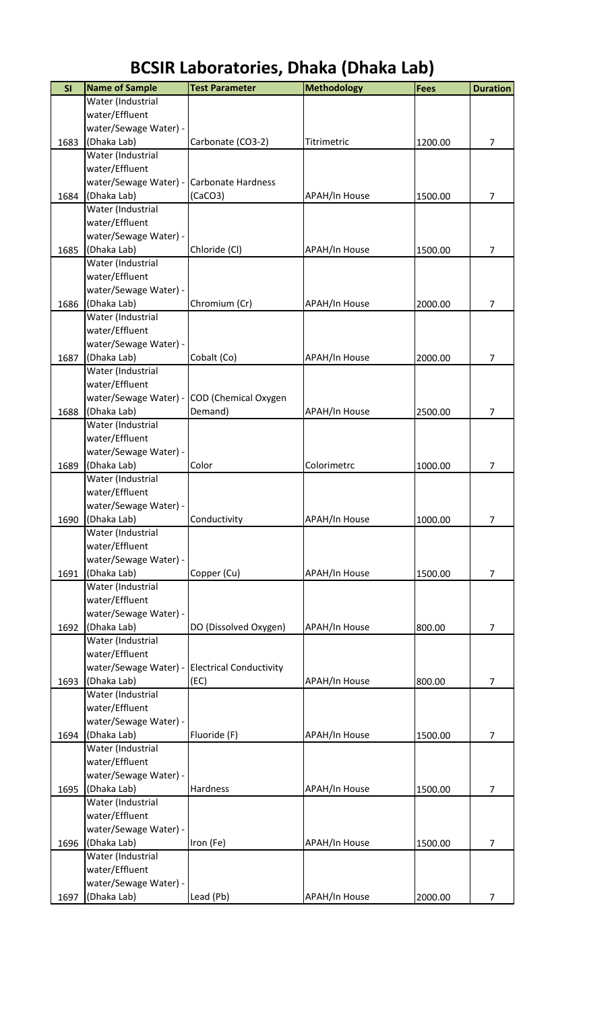| SI   | <b>Name of Sample</b>                         | <b>Test Parameter</b>                      | <b>Methodology</b>   | <b>Fees</b> | <b>Duration</b> |
|------|-----------------------------------------------|--------------------------------------------|----------------------|-------------|-----------------|
|      | Water (Industrial                             |                                            |                      |             |                 |
|      | water/Effluent                                |                                            |                      |             |                 |
|      | water/Sewage Water) -                         |                                            |                      |             |                 |
| 1683 | (Dhaka Lab)                                   | Carbonate (CO3-2)                          | Titrimetric          | 1200.00     | 7               |
|      | Water (Industrial                             |                                            |                      |             |                 |
|      | water/Effluent                                |                                            |                      |             |                 |
|      | water/Sewage Water) - Carbonate Hardness      |                                            |                      |             |                 |
| 1684 | (Dhaka Lab)                                   | (CaCO3)                                    | APAH/In House        | 1500.00     | 7               |
|      | Water (Industrial                             |                                            |                      |             |                 |
|      | water/Effluent                                |                                            |                      |             |                 |
|      | water/Sewage Water) -                         |                                            |                      |             |                 |
| 1685 | (Dhaka Lab)                                   | Chloride (Cl)                              | APAH/In House        | 1500.00     | 7               |
|      | Water (Industrial                             |                                            |                      |             |                 |
|      | water/Effluent                                |                                            |                      |             |                 |
|      | water/Sewage Water) -                         |                                            |                      |             |                 |
| 1686 | (Dhaka Lab)                                   | Chromium (Cr)                              | <b>APAH/In House</b> | 2000.00     | $\overline{7}$  |
|      | Water (Industrial                             |                                            |                      |             |                 |
|      | water/Effluent                                |                                            |                      |             |                 |
|      | water/Sewage Water) -                         |                                            |                      |             |                 |
| 1687 | (Dhaka Lab)                                   | Cobalt (Co)                                | <b>APAH/In House</b> | 2000.00     | 7               |
|      | Water (Industrial                             |                                            |                      |             |                 |
|      | water/Effluent                                |                                            |                      |             |                 |
|      |                                               | water/Sewage Water) - COD (Chemical Oxygen |                      |             |                 |
| 1688 | (Dhaka Lab)                                   | Demand)                                    | APAH/In House        | 2500.00     | 7               |
|      | Water (Industrial                             |                                            |                      |             |                 |
|      | water/Effluent                                |                                            |                      |             |                 |
|      | water/Sewage Water) -                         |                                            |                      |             |                 |
| 1689 | (Dhaka Lab)                                   | Color                                      | Colorimetrc          | 1000.00     | 7               |
|      | Water (Industrial                             |                                            |                      |             |                 |
|      | water/Effluent                                |                                            |                      |             |                 |
|      | water/Sewage Water) -                         |                                            |                      |             |                 |
| 1690 | (Dhaka Lab)<br>Water (Industrial              | Conductivity                               | <b>APAH/In House</b> | 1000.00     | 7               |
|      | water/Effluent                                |                                            |                      |             |                 |
|      | water/Sewage Water) -                         |                                            |                      |             |                 |
| 1691 | (Dhaka Lab)                                   | Copper (Cu)                                | APAH/In House        | 1500.00     | 7               |
|      | Water (Industrial                             |                                            |                      |             |                 |
|      | water/Effluent                                |                                            |                      |             |                 |
|      | water/Sewage Water) -                         |                                            |                      |             |                 |
| 1692 | (Dhaka Lab)                                   | DO (Dissolved Oxygen)                      | APAH/In House        | 800.00      | $\overline{7}$  |
|      | Water (Industrial                             |                                            |                      |             |                 |
|      | water/Effluent                                |                                            |                      |             |                 |
|      | water/Sewage Water) - Electrical Conductivity |                                            |                      |             |                 |
| 1693 | (Dhaka Lab)                                   | (EC)                                       | APAH/In House        | 800.00      | $\overline{7}$  |
|      | Water (Industrial                             |                                            |                      |             |                 |
|      | water/Effluent                                |                                            |                      |             |                 |
|      | water/Sewage Water) -                         |                                            |                      |             |                 |
| 1694 | (Dhaka Lab)                                   | Fluoride (F)                               | APAH/In House        | 1500.00     | $\overline{7}$  |
|      | Water (Industrial                             |                                            |                      |             |                 |
|      | water/Effluent                                |                                            |                      |             |                 |
|      | water/Sewage Water) -                         |                                            |                      |             |                 |
| 1695 | (Dhaka Lab)                                   | Hardness                                   | <b>APAH/In House</b> | 1500.00     | $\overline{7}$  |
|      | Water (Industrial                             |                                            |                      |             |                 |
|      | water/Effluent                                |                                            |                      |             |                 |
|      | water/Sewage Water) -                         |                                            |                      |             |                 |
| 1696 | (Dhaka Lab)                                   | Iron (Fe)                                  | <b>APAH/In House</b> | 1500.00     | $\overline{7}$  |
|      | Water (Industrial                             |                                            |                      |             |                 |
|      | water/Effluent                                |                                            |                      |             |                 |
|      | water/Sewage Water) -                         |                                            |                      |             |                 |
| 1697 | (Dhaka Lab)                                   | Lead (Pb)                                  | APAH/In House        | 2000.00     | 7               |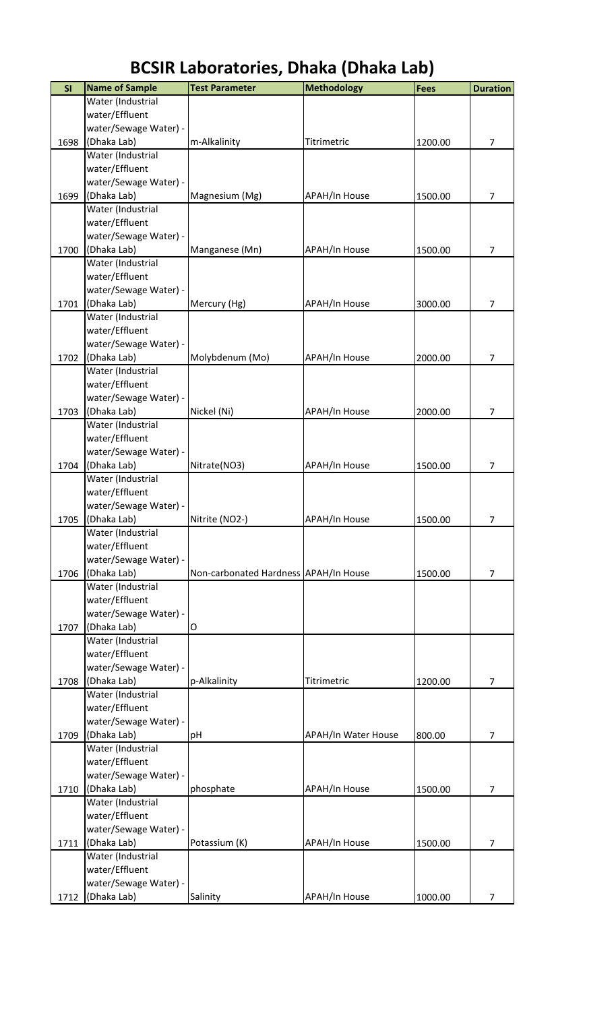| SI   | <b>Name of Sample</b> | <b>Test Parameter</b>                 | <b>Methodology</b>         | <b>Fees</b> | <b>Duration</b> |
|------|-----------------------|---------------------------------------|----------------------------|-------------|-----------------|
|      | Water (Industrial     |                                       |                            |             |                 |
|      | water/Effluent        |                                       |                            |             |                 |
|      | water/Sewage Water) - |                                       |                            |             |                 |
| 1698 | (Dhaka Lab)           | m-Alkalinity                          | Titrimetric                | 1200.00     | 7               |
|      | Water (Industrial     |                                       |                            |             |                 |
|      | water/Effluent        |                                       |                            |             |                 |
|      | water/Sewage Water) - |                                       |                            |             |                 |
| 1699 | (Dhaka Lab)           | Magnesium (Mg)                        | <b>APAH/In House</b>       | 1500.00     | $\overline{7}$  |
|      | Water (Industrial     |                                       |                            |             |                 |
|      | water/Effluent        |                                       |                            |             |                 |
|      | water/Sewage Water) - |                                       |                            |             |                 |
| 1700 | (Dhaka Lab)           | Manganese (Mn)                        | <b>APAH/In House</b>       | 1500.00     | 7               |
|      | Water (Industrial     |                                       |                            |             |                 |
|      | water/Effluent        |                                       |                            |             |                 |
|      | water/Sewage Water) - |                                       |                            |             |                 |
| 1701 | (Dhaka Lab)           | Mercury (Hg)                          | <b>APAH/In House</b>       | 3000.00     | $\overline{7}$  |
|      | Water (Industrial     |                                       |                            |             |                 |
|      | water/Effluent        |                                       |                            |             |                 |
|      | water/Sewage Water) - |                                       |                            |             |                 |
| 1702 | (Dhaka Lab)           | Molybdenum (Mo)                       | APAH/In House              | 2000.00     | 7               |
|      | Water (Industrial     |                                       |                            |             |                 |
|      | water/Effluent        |                                       |                            |             |                 |
|      | water/Sewage Water) - |                                       |                            |             |                 |
| 1703 | (Dhaka Lab)           | Nickel (Ni)                           | APAH/In House              | 2000.00     | 7               |
|      | Water (Industrial     |                                       |                            |             |                 |
|      | water/Effluent        |                                       |                            |             |                 |
|      | water/Sewage Water) - |                                       |                            |             |                 |
| 1704 | (Dhaka Lab)           | Nitrate(NO3)                          | APAH/In House              | 1500.00     | 7               |
|      | Water (Industrial     |                                       |                            |             |                 |
|      | water/Effluent        |                                       |                            |             |                 |
|      | water/Sewage Water) - |                                       |                            |             |                 |
| 1705 | (Dhaka Lab)           | Nitrite (NO2-)                        | <b>APAH/In House</b>       | 1500.00     | 7               |
|      | Water (Industrial     |                                       |                            |             |                 |
|      | water/Effluent        |                                       |                            |             |                 |
|      | water/Sewage Water) - |                                       |                            |             |                 |
| 1706 | (Dhaka Lab)           | Non-carbonated Hardness APAH/In House |                            | 1500.00     | $\overline{7}$  |
|      | Water (Industrial     |                                       |                            |             |                 |
|      | water/Effluent        |                                       |                            |             |                 |
|      | water/Sewage Water) - |                                       |                            |             |                 |
| 1707 | (Dhaka Lab)           | O                                     |                            |             |                 |
|      | Water (Industrial     |                                       |                            |             |                 |
|      | water/Effluent        |                                       |                            |             |                 |
|      | water/Sewage Water) - |                                       |                            |             |                 |
| 1708 | (Dhaka Lab)           | p-Alkalinity                          | Titrimetric                | 1200.00     | $\overline{7}$  |
|      | Water (Industrial     |                                       |                            |             |                 |
|      | water/Effluent        |                                       |                            |             |                 |
|      | water/Sewage Water) - |                                       |                            |             |                 |
| 1709 | (Dhaka Lab)           | рH                                    | <b>APAH/In Water House</b> | 800.00      | $\overline{7}$  |
|      | Water (Industrial     |                                       |                            |             |                 |
|      | water/Effluent        |                                       |                            |             |                 |
|      | water/Sewage Water) - |                                       |                            |             |                 |
| 1710 | (Dhaka Lab)           | phosphate                             | <b>APAH/In House</b>       | 1500.00     | $\overline{7}$  |
|      | Water (Industrial     |                                       |                            |             |                 |
|      | water/Effluent        |                                       |                            |             |                 |
|      | water/Sewage Water) - |                                       |                            |             |                 |
| 1711 | (Dhaka Lab)           | Potassium (K)                         | <b>APAH/In House</b>       | 1500.00     | $\overline{7}$  |
|      | Water (Industrial     |                                       |                            |             |                 |
|      | water/Effluent        |                                       |                            |             |                 |
|      | water/Sewage Water) - |                                       |                            |             |                 |
| 1712 | (Dhaka Lab)           | Salinity                              | APAH/In House              | 1000.00     | 7               |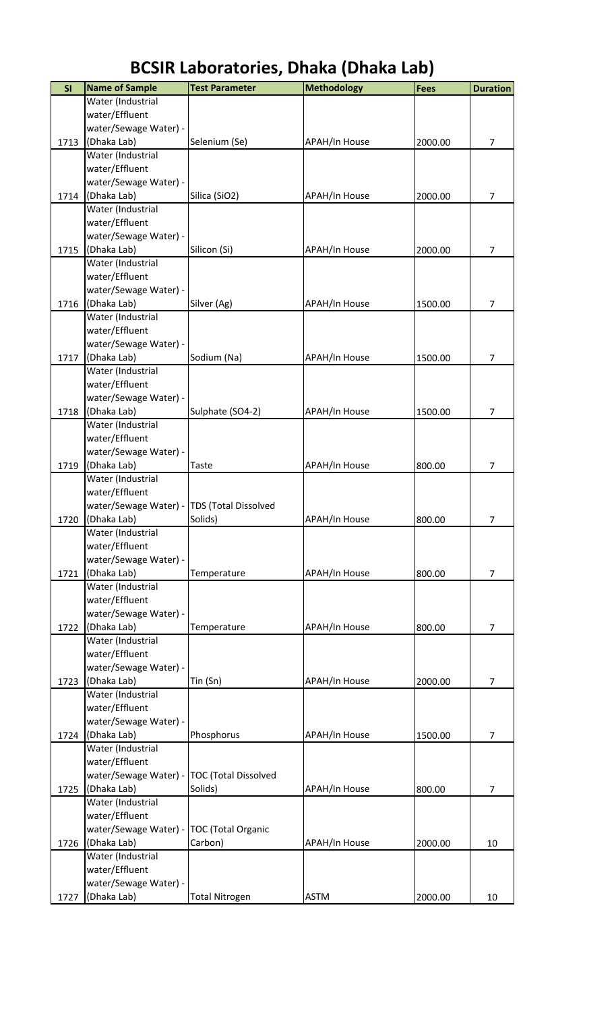| Water (Industrial<br>water/Effluent<br>water/Sewage Water) -<br>(Dhaka Lab)<br>1713<br>Selenium (Se)<br>APAH/In House<br>2000.00<br>Water (Industrial<br>water/Effluent<br>water/Sewage Water) -<br>(Dhaka Lab)<br>Silica (SiO2)<br><b>APAH/In House</b><br>2000.00<br>1714<br>Water (Industrial<br>water/Effluent<br>water/Sewage Water) -<br>(Dhaka Lab)<br>Silicon (Si)<br><b>APAH/In House</b><br>2000.00<br>1715<br>Water (Industrial<br>water/Effluent<br>water/Sewage Water) -<br>(Dhaka Lab)<br>Silver (Ag)<br>1500.00<br>1716<br><b>APAH/In House</b><br>Water (Industrial<br>water/Effluent<br>water/Sewage Water) -<br>(Dhaka Lab)<br>Sodium (Na)<br><b>APAH/In House</b><br>1500.00<br>1717<br>Water (Industrial<br>water/Effluent<br>water/Sewage Water) -<br>(Dhaka Lab)<br>Sulphate (SO4-2)<br>1718<br><b>APAH/In House</b><br>1500.00 |                |
|-------------------------------------------------------------------------------------------------------------------------------------------------------------------------------------------------------------------------------------------------------------------------------------------------------------------------------------------------------------------------------------------------------------------------------------------------------------------------------------------------------------------------------------------------------------------------------------------------------------------------------------------------------------------------------------------------------------------------------------------------------------------------------------------------------------------------------------------------------|----------------|
|                                                                                                                                                                                                                                                                                                                                                                                                                                                                                                                                                                                                                                                                                                                                                                                                                                                       |                |
|                                                                                                                                                                                                                                                                                                                                                                                                                                                                                                                                                                                                                                                                                                                                                                                                                                                       |                |
|                                                                                                                                                                                                                                                                                                                                                                                                                                                                                                                                                                                                                                                                                                                                                                                                                                                       |                |
|                                                                                                                                                                                                                                                                                                                                                                                                                                                                                                                                                                                                                                                                                                                                                                                                                                                       | $\overline{7}$ |
|                                                                                                                                                                                                                                                                                                                                                                                                                                                                                                                                                                                                                                                                                                                                                                                                                                                       |                |
|                                                                                                                                                                                                                                                                                                                                                                                                                                                                                                                                                                                                                                                                                                                                                                                                                                                       |                |
|                                                                                                                                                                                                                                                                                                                                                                                                                                                                                                                                                                                                                                                                                                                                                                                                                                                       |                |
|                                                                                                                                                                                                                                                                                                                                                                                                                                                                                                                                                                                                                                                                                                                                                                                                                                                       | $\overline{7}$ |
|                                                                                                                                                                                                                                                                                                                                                                                                                                                                                                                                                                                                                                                                                                                                                                                                                                                       |                |
|                                                                                                                                                                                                                                                                                                                                                                                                                                                                                                                                                                                                                                                                                                                                                                                                                                                       |                |
|                                                                                                                                                                                                                                                                                                                                                                                                                                                                                                                                                                                                                                                                                                                                                                                                                                                       |                |
|                                                                                                                                                                                                                                                                                                                                                                                                                                                                                                                                                                                                                                                                                                                                                                                                                                                       | 7              |
|                                                                                                                                                                                                                                                                                                                                                                                                                                                                                                                                                                                                                                                                                                                                                                                                                                                       |                |
|                                                                                                                                                                                                                                                                                                                                                                                                                                                                                                                                                                                                                                                                                                                                                                                                                                                       |                |
|                                                                                                                                                                                                                                                                                                                                                                                                                                                                                                                                                                                                                                                                                                                                                                                                                                                       |                |
|                                                                                                                                                                                                                                                                                                                                                                                                                                                                                                                                                                                                                                                                                                                                                                                                                                                       | 7              |
|                                                                                                                                                                                                                                                                                                                                                                                                                                                                                                                                                                                                                                                                                                                                                                                                                                                       |                |
|                                                                                                                                                                                                                                                                                                                                                                                                                                                                                                                                                                                                                                                                                                                                                                                                                                                       |                |
|                                                                                                                                                                                                                                                                                                                                                                                                                                                                                                                                                                                                                                                                                                                                                                                                                                                       |                |
|                                                                                                                                                                                                                                                                                                                                                                                                                                                                                                                                                                                                                                                                                                                                                                                                                                                       | 7              |
|                                                                                                                                                                                                                                                                                                                                                                                                                                                                                                                                                                                                                                                                                                                                                                                                                                                       |                |
|                                                                                                                                                                                                                                                                                                                                                                                                                                                                                                                                                                                                                                                                                                                                                                                                                                                       |                |
|                                                                                                                                                                                                                                                                                                                                                                                                                                                                                                                                                                                                                                                                                                                                                                                                                                                       |                |
|                                                                                                                                                                                                                                                                                                                                                                                                                                                                                                                                                                                                                                                                                                                                                                                                                                                       | 7              |
| Water (Industrial<br>water/Effluent                                                                                                                                                                                                                                                                                                                                                                                                                                                                                                                                                                                                                                                                                                                                                                                                                   |                |
| water/Sewage Water) -                                                                                                                                                                                                                                                                                                                                                                                                                                                                                                                                                                                                                                                                                                                                                                                                                                 |                |
| (Dhaka Lab)<br><b>APAH/In House</b><br>1719<br>800.00<br>Taste                                                                                                                                                                                                                                                                                                                                                                                                                                                                                                                                                                                                                                                                                                                                                                                        | 7              |
| Water (Industrial                                                                                                                                                                                                                                                                                                                                                                                                                                                                                                                                                                                                                                                                                                                                                                                                                                     |                |
| water/Effluent                                                                                                                                                                                                                                                                                                                                                                                                                                                                                                                                                                                                                                                                                                                                                                                                                                        |                |
| water/Sewage Water) - TDS (Total Dissolved                                                                                                                                                                                                                                                                                                                                                                                                                                                                                                                                                                                                                                                                                                                                                                                                            |                |
| (Dhaka Lab)<br>Solids)<br><b>APAH/In House</b><br>1720<br>800.00                                                                                                                                                                                                                                                                                                                                                                                                                                                                                                                                                                                                                                                                                                                                                                                      | 7              |
| Water (Industrial                                                                                                                                                                                                                                                                                                                                                                                                                                                                                                                                                                                                                                                                                                                                                                                                                                     |                |
| water/Effluent                                                                                                                                                                                                                                                                                                                                                                                                                                                                                                                                                                                                                                                                                                                                                                                                                                        |                |
| water/Sewage Water) -                                                                                                                                                                                                                                                                                                                                                                                                                                                                                                                                                                                                                                                                                                                                                                                                                                 |                |
| (Dhaka Lab)<br>1721<br>800.00<br>Temperature<br><b>APAH/In House</b>                                                                                                                                                                                                                                                                                                                                                                                                                                                                                                                                                                                                                                                                                                                                                                                  | $\overline{7}$ |
| Water (Industrial                                                                                                                                                                                                                                                                                                                                                                                                                                                                                                                                                                                                                                                                                                                                                                                                                                     |                |
| water/Effluent                                                                                                                                                                                                                                                                                                                                                                                                                                                                                                                                                                                                                                                                                                                                                                                                                                        |                |
| water/Sewage Water) -                                                                                                                                                                                                                                                                                                                                                                                                                                                                                                                                                                                                                                                                                                                                                                                                                                 |                |
| (Dhaka Lab)<br>1722<br>APAH/In House<br>Temperature<br>800.00                                                                                                                                                                                                                                                                                                                                                                                                                                                                                                                                                                                                                                                                                                                                                                                         | $\overline{7}$ |
| Water (Industrial                                                                                                                                                                                                                                                                                                                                                                                                                                                                                                                                                                                                                                                                                                                                                                                                                                     |                |
| water/Effluent                                                                                                                                                                                                                                                                                                                                                                                                                                                                                                                                                                                                                                                                                                                                                                                                                                        |                |
| water/Sewage Water) -                                                                                                                                                                                                                                                                                                                                                                                                                                                                                                                                                                                                                                                                                                                                                                                                                                 |                |
| (Dhaka Lab)<br>Tin (Sn)<br>1723<br>APAH/In House<br>2000.00                                                                                                                                                                                                                                                                                                                                                                                                                                                                                                                                                                                                                                                                                                                                                                                           | 7              |
| Water (Industrial                                                                                                                                                                                                                                                                                                                                                                                                                                                                                                                                                                                                                                                                                                                                                                                                                                     |                |
| water/Effluent                                                                                                                                                                                                                                                                                                                                                                                                                                                                                                                                                                                                                                                                                                                                                                                                                                        |                |
| water/Sewage Water) -                                                                                                                                                                                                                                                                                                                                                                                                                                                                                                                                                                                                                                                                                                                                                                                                                                 |                |
| (Dhaka Lab)<br>Phosphorus<br>APAH/In House<br>1500.00<br>1724                                                                                                                                                                                                                                                                                                                                                                                                                                                                                                                                                                                                                                                                                                                                                                                         | $\overline{7}$ |
| Water (Industrial                                                                                                                                                                                                                                                                                                                                                                                                                                                                                                                                                                                                                                                                                                                                                                                                                                     |                |
| water/Effluent                                                                                                                                                                                                                                                                                                                                                                                                                                                                                                                                                                                                                                                                                                                                                                                                                                        |                |
| water/Sewage Water) - TOC (Total Dissolved                                                                                                                                                                                                                                                                                                                                                                                                                                                                                                                                                                                                                                                                                                                                                                                                            |                |
| (Dhaka Lab)<br>Solids)<br>APAH/In House<br>1725<br>800.00                                                                                                                                                                                                                                                                                                                                                                                                                                                                                                                                                                                                                                                                                                                                                                                             | $\overline{7}$ |
| Water (Industrial                                                                                                                                                                                                                                                                                                                                                                                                                                                                                                                                                                                                                                                                                                                                                                                                                                     |                |
| water/Effluent                                                                                                                                                                                                                                                                                                                                                                                                                                                                                                                                                                                                                                                                                                                                                                                                                                        |                |
| water/Sewage Water) -<br><b>TOC</b> (Total Organic<br>2000.00                                                                                                                                                                                                                                                                                                                                                                                                                                                                                                                                                                                                                                                                                                                                                                                         |                |
| (Dhaka Lab)<br>1726<br>Carbon)<br>APAH/In House<br>Water (Industrial                                                                                                                                                                                                                                                                                                                                                                                                                                                                                                                                                                                                                                                                                                                                                                                  | 10             |
| water/Effluent                                                                                                                                                                                                                                                                                                                                                                                                                                                                                                                                                                                                                                                                                                                                                                                                                                        |                |
| water/Sewage Water) -                                                                                                                                                                                                                                                                                                                                                                                                                                                                                                                                                                                                                                                                                                                                                                                                                                 |                |
| (Dhaka Lab)<br><b>Total Nitrogen</b><br><b>ASTM</b><br>2000.00<br>1727                                                                                                                                                                                                                                                                                                                                                                                                                                                                                                                                                                                                                                                                                                                                                                                | 10             |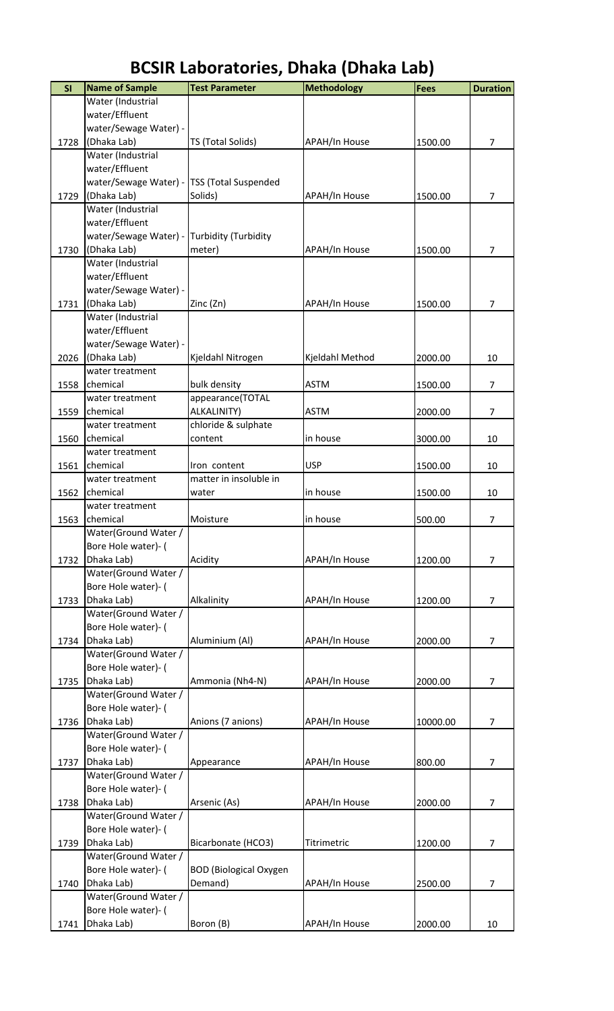| SI   | <b>Name of Sample</b>            | <b>Test Parameter</b>         | <b>Methodology</b>   | <b>Fees</b> | <b>Duration</b> |
|------|----------------------------------|-------------------------------|----------------------|-------------|-----------------|
|      | Water (Industrial                |                               |                      |             |                 |
|      | water/Effluent                   |                               |                      |             |                 |
|      | water/Sewage Water) -            |                               |                      |             |                 |
| 1728 | (Dhaka Lab)                      | TS (Total Solids)             | APAH/In House        | 1500.00     | $\overline{7}$  |
|      | Water (Industrial                |                               |                      |             |                 |
|      | water/Effluent                   |                               |                      |             |                 |
|      | water/Sewage Water) -            | <b>TSS (Total Suspended</b>   |                      |             |                 |
| 1729 | (Dhaka Lab)                      | Solids)                       | <b>APAH/In House</b> | 1500.00     | $\overline{7}$  |
|      | Water (Industrial                |                               |                      |             |                 |
|      | water/Effluent                   |                               |                      |             |                 |
|      | water/Sewage Water) -            | Turbidity (Turbidity          |                      |             |                 |
| 1730 | (Dhaka Lab)                      | meter)                        | <b>APAH/In House</b> | 1500.00     | $\overline{7}$  |
|      | Water (Industrial                |                               |                      |             |                 |
|      | water/Effluent                   |                               |                      |             |                 |
|      | water/Sewage Water) -            |                               |                      |             |                 |
| 1731 | (Dhaka Lab)                      | Zinc (Zn)                     | <b>APAH/In House</b> | 1500.00     | $\overline{7}$  |
|      | Water (Industrial                |                               |                      |             |                 |
|      | water/Effluent                   |                               |                      |             |                 |
|      | water/Sewage Water) -            |                               |                      |             |                 |
| 2026 | (Dhaka Lab)                      | Kjeldahl Nitrogen             | Kjeldahl Method      | 2000.00     | 10              |
|      | water treatment                  |                               |                      |             |                 |
| 1558 | chemical                         | bulk density                  | <b>ASTM</b>          | 1500.00     | $\overline{7}$  |
|      | water treatment                  | appearance(TOTAL              |                      |             |                 |
| 1559 | chemical                         | ALKALINITY)                   | <b>ASTM</b>          | 2000.00     | $\overline{7}$  |
|      | water treatment                  | chloride & sulphate           |                      |             |                 |
| 1560 | chemical                         | content                       | in house             | 3000.00     | 10              |
|      | water treatment                  |                               |                      |             |                 |
| 1561 | chemical                         | Iron content                  | <b>USP</b>           | 1500.00     | 10              |
|      | water treatment                  | matter in insoluble in        |                      |             |                 |
| 1562 | chemical                         | water                         | in house             | 1500.00     | 10              |
|      | water treatment                  |                               |                      |             |                 |
| 1563 | chemical<br>Water(Ground Water / | Moisture                      | in house             | 500.00      | 7               |
|      | Bore Hole water)- (              |                               |                      |             |                 |
| 1732 | Dhaka Lab)                       | Acidity                       | <b>APAH/In House</b> | 1200.00     | $\overline{7}$  |
|      | Water(Ground Water /             |                               |                      |             |                 |
|      | Bore Hole water)- (              |                               |                      |             |                 |
| 1733 | Dhaka Lab)                       | Alkalinity                    | <b>APAH/In House</b> | 1200.00     | $\overline{7}$  |
|      | Water(Ground Water /             |                               |                      |             |                 |
|      | Bore Hole water)- (              |                               |                      |             |                 |
| 1734 | Dhaka Lab)                       | Aluminium (Al)                | <b>APAH/In House</b> | 2000.00     | $\overline{7}$  |
|      | Water(Ground Water /             |                               |                      |             |                 |
|      | Bore Hole water)- (              |                               |                      |             |                 |
| 1735 | Dhaka Lab)                       | Ammonia (Nh4-N)               | APAH/In House        | 2000.00     | $\overline{7}$  |
|      | Water(Ground Water /             |                               |                      |             |                 |
|      | Bore Hole water)- (              |                               |                      |             |                 |
| 1736 | Dhaka Lab)                       | Anions (7 anions)             | APAH/In House        | 10000.00    | 7               |
|      | Water(Ground Water /             |                               |                      |             |                 |
|      | Bore Hole water)- (              |                               |                      |             |                 |
| 1737 | Dhaka Lab)                       | Appearance                    | APAH/In House        | 800.00      | $\overline{7}$  |
|      | Water(Ground Water /             |                               |                      |             |                 |
|      | Bore Hole water)- (              |                               |                      |             |                 |
| 1738 | Dhaka Lab)                       | Arsenic (As)                  | <b>APAH/In House</b> | 2000.00     | $\overline{7}$  |
|      | Water(Ground Water /             |                               |                      |             |                 |
|      | Bore Hole water)- (              |                               |                      |             |                 |
| 1739 | Dhaka Lab)                       | Bicarbonate (HCO3)            | Titrimetric          | 1200.00     | $\overline{7}$  |
|      | Water(Ground Water /             |                               |                      |             |                 |
|      | Bore Hole water)- (              | <b>BOD</b> (Biological Oxygen |                      |             |                 |
| 1740 | Dhaka Lab)                       | Demand)                       | <b>APAH/In House</b> | 2500.00     | $\overline{7}$  |
|      | Water(Ground Water /             |                               |                      |             |                 |
|      | Bore Hole water)- (              |                               |                      |             |                 |
| 1741 | Dhaka Lab)                       | Boron (B)                     | APAH/In House        | 2000.00     | 10              |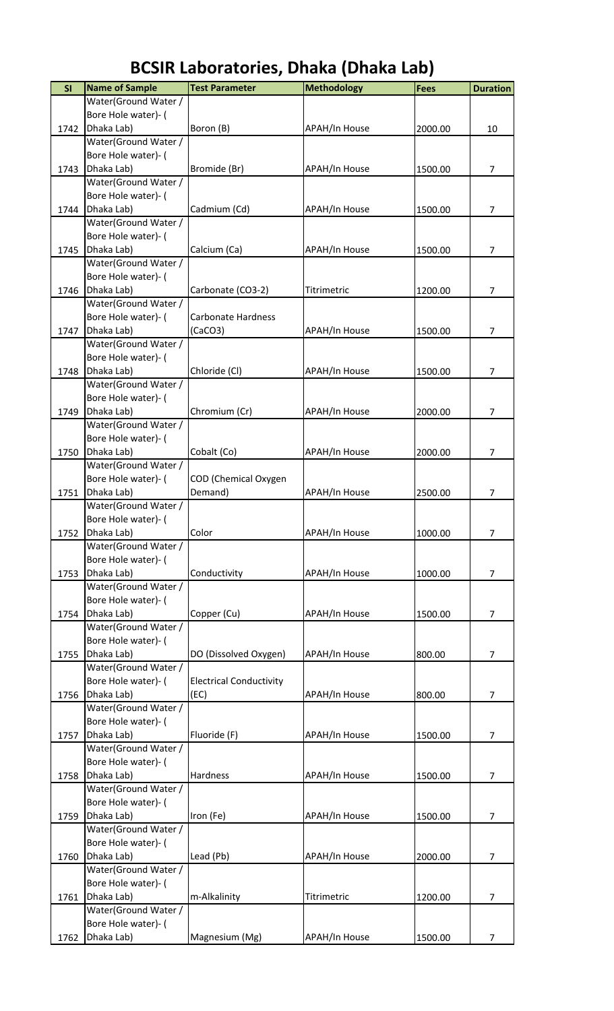| SI   | <b>Name of Sample</b>              | <b>Test Parameter</b>          | <b>Methodology</b>   | Fees    | <b>Duration</b> |
|------|------------------------------------|--------------------------------|----------------------|---------|-----------------|
|      | Water(Ground Water /               |                                |                      |         |                 |
|      | Bore Hole water)- (                |                                |                      |         |                 |
| 1742 | Dhaka Lab)                         | Boron (B)                      | <b>APAH/In House</b> | 2000.00 | 10              |
|      | Water(Ground Water /               |                                |                      |         |                 |
|      | Bore Hole water)- (                |                                |                      |         |                 |
| 1743 | Dhaka Lab)                         | Bromide (Br)                   | <b>APAH/In House</b> | 1500.00 | $\overline{7}$  |
|      | Water(Ground Water /               |                                |                      |         |                 |
|      | Bore Hole water)- (                |                                |                      |         |                 |
| 1744 | Dhaka Lab)                         | Cadmium (Cd)                   | APAH/In House        | 1500.00 | $\overline{7}$  |
|      | Water(Ground Water /               |                                |                      |         |                 |
|      | Bore Hole water)- (                |                                |                      |         |                 |
| 1745 | Dhaka Lab)<br>Water(Ground Water / | Calcium (Ca)                   | APAH/In House        | 1500.00 | 7               |
|      | Bore Hole water)- (                |                                |                      |         |                 |
| 1746 | Dhaka Lab)                         | Carbonate (CO3-2)              | Titrimetric          | 1200.00 | 7               |
|      | Water(Ground Water /               |                                |                      |         |                 |
|      | Bore Hole water)- (                | <b>Carbonate Hardness</b>      |                      |         |                 |
| 1747 | Dhaka Lab)                         | (CaCO3)                        | <b>APAH/In House</b> | 1500.00 | 7               |
|      | Water(Ground Water /               |                                |                      |         |                 |
|      | Bore Hole water)- (                |                                |                      |         |                 |
| 1748 | Dhaka Lab)                         | Chloride (Cl)                  | APAH/In House        | 1500.00 | $\overline{7}$  |
|      | Water(Ground Water /               |                                |                      |         |                 |
|      | Bore Hole water)- (                |                                |                      |         |                 |
| 1749 | Dhaka Lab)                         | Chromium (Cr)                  | <b>APAH/In House</b> | 2000.00 | $\overline{7}$  |
|      | Water(Ground Water /               |                                |                      |         |                 |
|      | Bore Hole water)- (                |                                |                      |         |                 |
| 1750 | Dhaka Lab)                         | Cobalt (Co)                    | APAH/In House        | 2000.00 | 7               |
|      | Water(Ground Water /               |                                |                      |         |                 |
|      | Bore Hole water)- (                | COD (Chemical Oxygen           |                      |         |                 |
| 1751 | Dhaka Lab)                         | Demand)                        | <b>APAH/In House</b> | 2500.00 | 7               |
|      | Water(Ground Water /               |                                |                      |         |                 |
|      | Bore Hole water)- (                |                                |                      |         |                 |
| 1752 | Dhaka Lab)<br>Water(Ground Water / | Color                          | <b>APAH/In House</b> | 1000.00 | $\overline{7}$  |
|      | Bore Hole water)- (                |                                |                      |         |                 |
| 1753 | Dhaka Lab)                         | Conductivity                   | APAH/In House        | 1000.00 | $\overline{7}$  |
|      | Water(Ground Water /               |                                |                      |         |                 |
|      | Bore Hole water)- (                |                                |                      |         |                 |
| 1754 | Dhaka Lab)                         | Copper (Cu)                    | <b>APAH/In House</b> | 1500.00 | $\overline{7}$  |
|      | Water(Ground Water /               |                                |                      |         |                 |
|      | Bore Hole water)- (                |                                |                      |         |                 |
| 1755 | Dhaka Lab)                         | DO (Dissolved Oxygen)          | <b>APAH/In House</b> | 800.00  | $\overline{7}$  |
|      | Water(Ground Water /               |                                |                      |         |                 |
|      | Bore Hole water)- (                | <b>Electrical Conductivity</b> |                      |         |                 |
| 1756 | Dhaka Lab)                         | (EC)                           | <b>APAH/In House</b> | 800.00  | $\overline{7}$  |
|      | Water(Ground Water /               |                                |                      |         |                 |
|      | Bore Hole water)- (                |                                |                      |         |                 |
| 1757 | Dhaka Lab)                         | Fluoride (F)                   | APAH/In House        | 1500.00 | 7               |
|      | Water(Ground Water /               |                                |                      |         |                 |
|      | Bore Hole water)- (                |                                |                      |         |                 |
| 1758 | Dhaka Lab)<br>Water(Ground Water / | Hardness                       | <b>APAH/In House</b> | 1500.00 | 7               |
|      | Bore Hole water)- (                |                                |                      |         |                 |
| 1759 | Dhaka Lab)                         | Iron (Fe)                      | <b>APAH/In House</b> | 1500.00 | $\overline{7}$  |
|      | Water(Ground Water /               |                                |                      |         |                 |
|      | Bore Hole water)- (                |                                |                      |         |                 |
| 1760 | Dhaka Lab)                         | Lead (Pb)                      | <b>APAH/In House</b> | 2000.00 | 7               |
|      | Water(Ground Water /               |                                |                      |         |                 |
|      | Bore Hole water)- (                |                                |                      |         |                 |
| 1761 | Dhaka Lab)                         | m-Alkalinity                   | Titrimetric          | 1200.00 | $\overline{7}$  |
|      | Water(Ground Water /               |                                |                      |         |                 |
|      | Bore Hole water)- (                |                                |                      |         |                 |
| 1762 | Dhaka Lab)                         | Magnesium (Mg)                 | APAH/In House        | 1500.00 | 7               |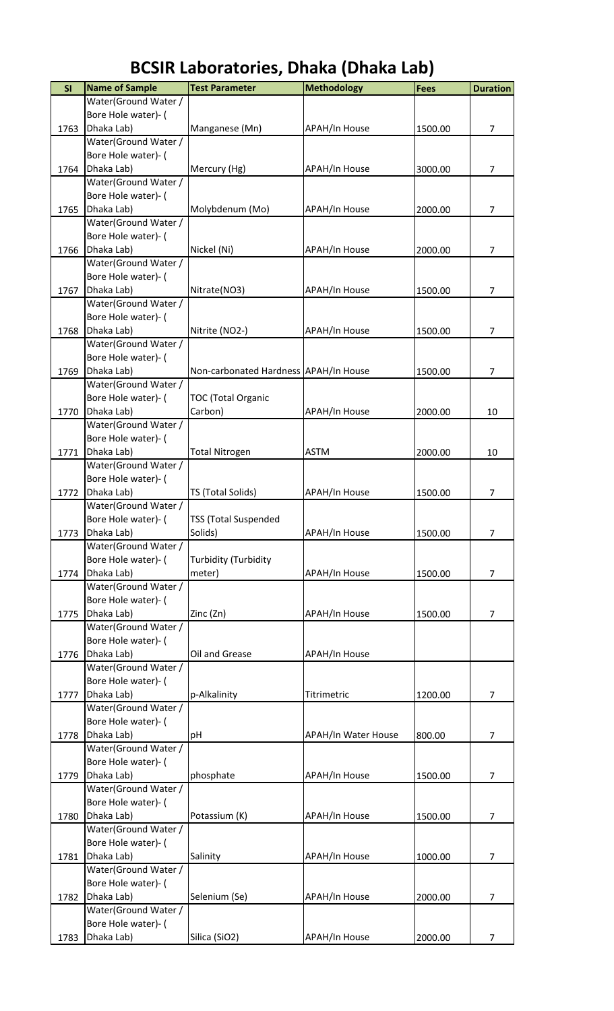| <b>BCSIR Laboratories, Dhaka (Dhaka Lab)</b> |  |
|----------------------------------------------|--|
|----------------------------------------------|--|

| SI   | <b>Name of Sample</b>              | <b>Test Parameter</b>                 | <b>Methodology</b>         | Fees    | <b>Duration</b> |
|------|------------------------------------|---------------------------------------|----------------------------|---------|-----------------|
|      | Water(Ground Water /               |                                       |                            |         |                 |
|      | Bore Hole water)- (                |                                       |                            |         |                 |
| 1763 | Dhaka Lab)                         | Manganese (Mn)                        | <b>APAH/In House</b>       | 1500.00 | $\overline{7}$  |
|      | Water(Ground Water /               |                                       |                            |         |                 |
|      | Bore Hole water)- (                |                                       |                            |         |                 |
| 1764 | Dhaka Lab)                         | Mercury (Hg)                          | APAH/In House              | 3000.00 | $\overline{7}$  |
|      | Water(Ground Water /               |                                       |                            |         |                 |
|      | Bore Hole water)- (                |                                       |                            |         |                 |
| 1765 | Dhaka Lab)                         | Molybdenum (Mo)                       | APAH/In House              | 2000.00 | $\overline{7}$  |
|      | Water(Ground Water /               |                                       |                            |         |                 |
|      | Bore Hole water)- (                |                                       |                            |         |                 |
| 1766 | Dhaka Lab)                         | Nickel (Ni)                           | <b>APAH/In House</b>       | 2000.00 | $\overline{7}$  |
|      | Water(Ground Water /               |                                       |                            |         |                 |
|      | Bore Hole water)- (                |                                       |                            |         |                 |
| 1767 | Dhaka Lab)                         | Nitrate(NO3)                          | <b>APAH/In House</b>       | 1500.00 | 7               |
|      | Water(Ground Water /               |                                       |                            |         |                 |
|      | Bore Hole water)- (                |                                       |                            |         |                 |
| 1768 | Dhaka Lab)<br>Water(Ground Water / | Nitrite (NO2-)                        | <b>APAH/In House</b>       | 1500.00 | $\overline{7}$  |
|      | Bore Hole water)- (                |                                       |                            |         |                 |
| 1769 | Dhaka Lab)                         | Non-carbonated Hardness APAH/In House |                            | 1500.00 | 7               |
|      | Water(Ground Water /               |                                       |                            |         |                 |
|      | Bore Hole water)- (                | <b>TOC (Total Organic</b>             |                            |         |                 |
| 1770 | Dhaka Lab)                         | Carbon)                               | <b>APAH/In House</b>       | 2000.00 | 10              |
|      | Water(Ground Water /               |                                       |                            |         |                 |
|      | Bore Hole water)- (                |                                       |                            |         |                 |
| 1771 | Dhaka Lab)                         | <b>Total Nitrogen</b>                 | <b>ASTM</b>                | 2000.00 | 10              |
|      | Water(Ground Water /               |                                       |                            |         |                 |
|      | Bore Hole water)- (                |                                       |                            |         |                 |
| 1772 | Dhaka Lab)                         | TS (Total Solids)                     | APAH/In House              | 1500.00 | 7               |
|      | Water(Ground Water /               |                                       |                            |         |                 |
|      | Bore Hole water)- (                | <b>TSS (Total Suspended</b>           |                            |         |                 |
| 1773 | Dhaka Lab)                         | Solids)                               | <b>APAH/In House</b>       | 1500.00 | 7               |
|      | Water(Ground Water /               |                                       |                            |         |                 |
|      | Bore Hole water)- (                | <b>Turbidity (Turbidity</b>           |                            |         |                 |
| 1774 | Dhaka Lab)                         | meter)                                | <b>APAH/In House</b>       | 1500.00 | $\overline{7}$  |
|      | Water(Ground Water /               |                                       |                            |         |                 |
|      | Bore Hole water)- (                |                                       |                            |         |                 |
| 1775 | Dhaka Lab)                         | Zinc (Zn)                             | APAH/In House              | 1500.00 | $\overline{7}$  |
|      | Water(Ground Water /               |                                       |                            |         |                 |
|      | Bore Hole water)- (                |                                       |                            |         |                 |
| 1776 | Dhaka Lab)                         | Oil and Grease                        | <b>APAH/In House</b>       |         |                 |
|      | Water(Ground Water /               |                                       |                            |         |                 |
|      | Bore Hole water)- (                |                                       |                            |         |                 |
| 1777 | Dhaka Lab)                         | p-Alkalinity                          | Titrimetric                | 1200.00 | $\overline{7}$  |
|      | Water(Ground Water /               |                                       |                            |         |                 |
|      | Bore Hole water)- (                |                                       |                            |         |                 |
| 1778 | Dhaka Lab)                         | рH                                    | <b>APAH/In Water House</b> | 800.00  | $\overline{7}$  |
|      | Water(Ground Water /               |                                       |                            |         |                 |
|      | Bore Hole water)- (                |                                       |                            |         |                 |
| 1779 | Dhaka Lab)                         | phosphate                             | <b>APAH/In House</b>       | 1500.00 | $\overline{7}$  |
|      | Water(Ground Water /               |                                       |                            |         |                 |
|      | Bore Hole water)- (                |                                       |                            |         |                 |
| 1780 | Dhaka Lab)                         | Potassium (K)                         | <b>APAH/In House</b>       | 1500.00 | 7               |
|      | Water(Ground Water /               |                                       |                            |         |                 |
|      | Bore Hole water)- (                |                                       |                            |         |                 |
| 1781 | Dhaka Lab)                         | Salinity                              | APAH/In House              | 1000.00 | 7               |
|      | Water(Ground Water /               |                                       |                            |         |                 |
| 1782 | Bore Hole water)- (<br>Dhaka Lab)  | Selenium (Se)                         | APAH/In House              | 2000.00 | $\overline{7}$  |
|      | Water(Ground Water /               |                                       |                            |         |                 |
|      | Bore Hole water)- (                |                                       |                            |         |                 |
| 1783 | Dhaka Lab)                         | Silica (SiO2)                         | <b>APAH/In House</b>       | 2000.00 | 7               |
|      |                                    |                                       |                            |         |                 |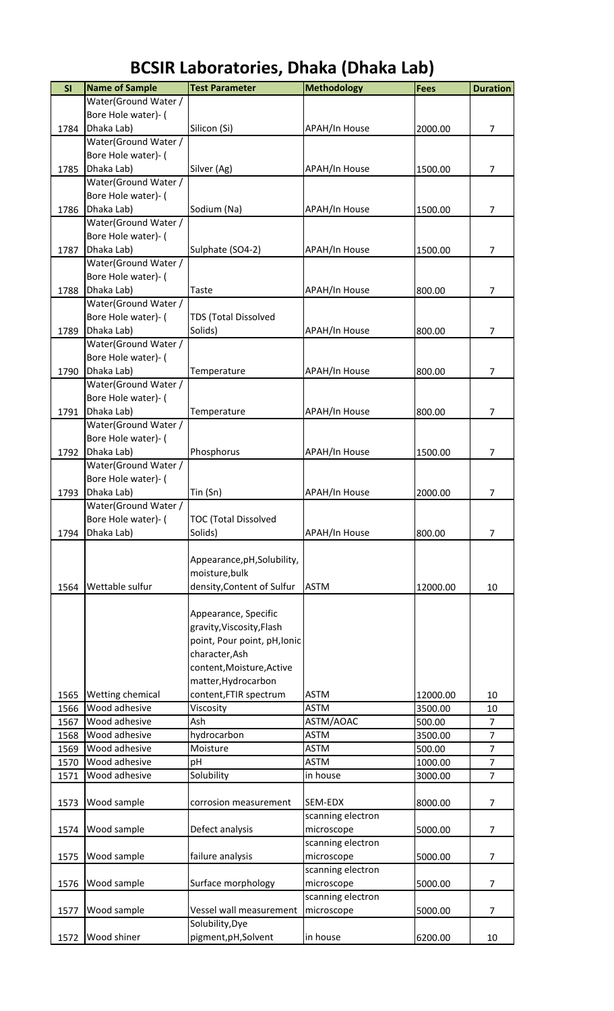| SI   | <b>Name of Sample</b>                       | <b>Test Parameter</b>        | <b>Methodology</b>   | Fees     | <b>Duration</b> |
|------|---------------------------------------------|------------------------------|----------------------|----------|-----------------|
|      | Water(Ground Water /                        |                              |                      |          |                 |
|      | Bore Hole water)- (                         |                              |                      |          |                 |
| 1784 | Dhaka Lab)                                  | Silicon (Si)                 | APAH/In House        | 2000.00  | $\overline{7}$  |
|      | Water(Ground Water /                        |                              |                      |          |                 |
|      | Bore Hole water)- (                         |                              |                      |          |                 |
| 1785 | Dhaka Lab)                                  | Silver (Ag)                  | <b>APAH/In House</b> | 1500.00  | 7               |
|      | Water(Ground Water /                        |                              |                      |          |                 |
|      | Bore Hole water)- (                         |                              |                      |          |                 |
| 1786 | Dhaka Lab)                                  | Sodium (Na)                  | APAH/In House        | 1500.00  | $\overline{7}$  |
|      | Water(Ground Water /                        |                              |                      |          |                 |
|      | Bore Hole water)- (                         |                              |                      |          |                 |
| 1787 | Dhaka Lab)                                  | Sulphate (SO4-2)             | APAH/In House        | 1500.00  | $\overline{7}$  |
|      | Water(Ground Water /                        |                              |                      |          |                 |
|      | Bore Hole water)- (                         |                              |                      |          |                 |
| 1788 | Dhaka Lab)                                  | Taste                        | <b>APAH/In House</b> | 800.00   | 7               |
|      | Water(Ground Water /                        |                              |                      |          |                 |
|      | Bore Hole water)- (                         | TDS (Total Dissolved         |                      |          |                 |
| 1789 | Dhaka Lab)                                  | Solids)                      | APAH/In House        | 800.00   | $\overline{7}$  |
|      | Water(Ground Water /                        |                              |                      |          |                 |
|      | Bore Hole water)- (                         |                              |                      |          |                 |
| 1790 | Dhaka Lab)                                  | Temperature                  | APAH/In House        | 800.00   | 7               |
|      | Water(Ground Water /                        |                              |                      |          |                 |
|      | Bore Hole water)- (                         |                              |                      |          |                 |
| 1791 | Dhaka Lab)                                  | Temperature                  | APAH/In House        | 800.00   | 7               |
|      | Water(Ground Water /<br>Bore Hole water)- ( |                              |                      |          |                 |
| 1792 | Dhaka Lab)                                  | Phosphorus                   | APAH/In House        | 1500.00  | 7               |
|      | Water(Ground Water /                        |                              |                      |          |                 |
|      | Bore Hole water)- (                         |                              |                      |          |                 |
| 1793 | Dhaka Lab)                                  | Tin (Sn)                     | APAH/In House        | 2000.00  | 7               |
|      | Water(Ground Water /                        |                              |                      |          |                 |
|      | Bore Hole water)- (                         | <b>TOC (Total Dissolved</b>  |                      |          |                 |
| 1794 | Dhaka Lab)                                  | Solids)                      | APAH/In House        | 800.00   | 7               |
|      |                                             |                              |                      |          |                 |
|      |                                             | Appearance, pH, Solubility,  |                      |          |                 |
|      |                                             | moisture, bulk               |                      |          |                 |
| 1564 | Wettable sulfur                             | density, Content of Sulfur   | <b>ASTM</b>          | 12000.00 | 10              |
|      |                                             |                              |                      |          |                 |
|      |                                             | Appearance, Specific         |                      |          |                 |
|      |                                             | gravity, Viscosity, Flash    |                      |          |                 |
|      |                                             | point, Pour point, pH, Ionic |                      |          |                 |
|      |                                             | character, Ash               |                      |          |                 |
|      |                                             | content, Moisture, Active    |                      |          |                 |
|      |                                             | matter, Hydrocarbon          |                      |          |                 |
| 1565 | Wetting chemical                            | content, FTIR spectrum       | <b>ASTM</b>          | 12000.00 | 10              |
| 1566 | Wood adhesive                               | Viscosity                    | <b>ASTM</b>          | 3500.00  | 10              |
| 1567 | Wood adhesive                               | Ash                          | ASTM/AOAC            | 500.00   | $\overline{7}$  |
| 1568 | Wood adhesive                               | hydrocarbon                  | <b>ASTM</b>          | 3500.00  | $\overline{7}$  |
| 1569 | Wood adhesive                               | Moisture                     | <b>ASTM</b>          | 500.00   | $\overline{7}$  |
| 1570 | Wood adhesive                               | pH                           | <b>ASTM</b>          | 1000.00  | $\overline{7}$  |
| 1571 | Wood adhesive                               | Solubility                   | in house             | 3000.00  | $\overline{7}$  |
|      |                                             |                              |                      |          |                 |
| 1573 | Wood sample                                 | corrosion measurement        | SEM-EDX              | 8000.00  | 7               |
|      |                                             |                              | scanning electron    |          |                 |
| 1574 | Wood sample                                 | Defect analysis              | microscope           | 5000.00  | 7               |
|      |                                             |                              | scanning electron    |          |                 |
| 1575 | Wood sample                                 | failure analysis             | microscope           | 5000.00  | 7               |
|      |                                             |                              | scanning electron    |          |                 |
| 1576 | Wood sample                                 | Surface morphology           | microscope           | 5000.00  | 7               |
|      |                                             |                              | scanning electron    |          |                 |
| 1577 | Wood sample                                 | Vessel wall measurement      | microscope           | 5000.00  | 7               |
|      |                                             | Solubility, Dye              |                      |          |                 |
| 1572 | Wood shiner                                 | pigment, pH, Solvent         | in house             | 6200.00  | 10              |